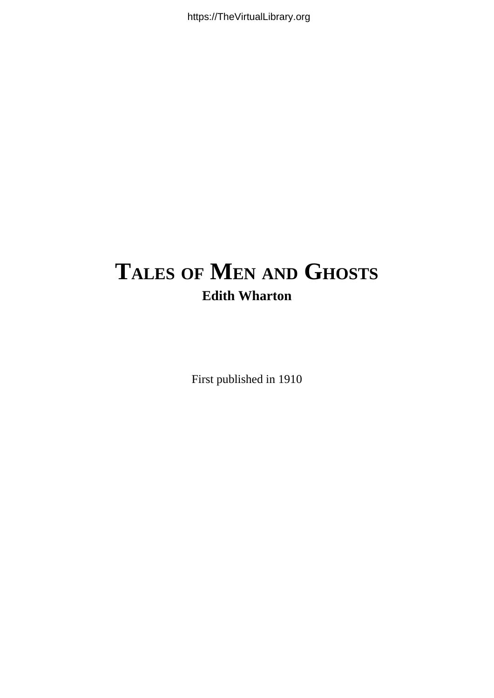# **TALES OF MEN AND GHOSTS Edith Wharton**

First published in 1910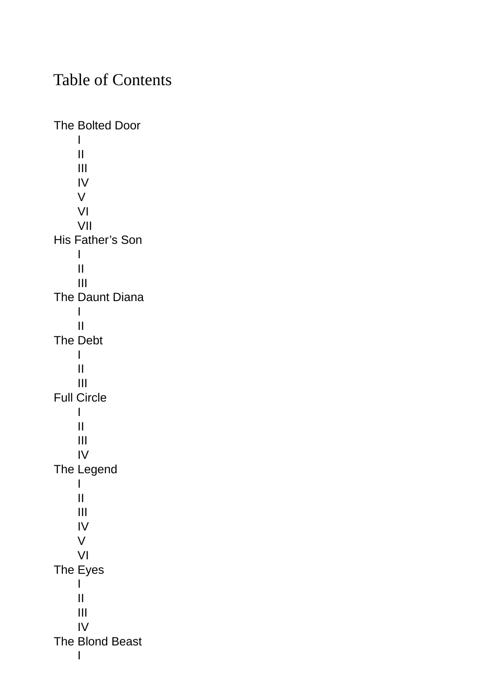# Table of Contents

The [Bolted](#page-3-0) Door [I](#page-4-0) [II](#page-10-0) [III](#page-15-0) [IV](#page-22-0) [V](#page-24-0) [VI](#page-28-0) [VII](#page-33-0) His [Father's](#page-36-0) Son [I](#page-37-0) [II](#page-41-0) [III](#page-44-0) The [Daunt](#page-50-0) Diana [I](#page-51-0) [II](#page-52-0) The [Debt](#page-60-0) [I](#page-61-0) [II](#page-64-0) [III](#page-67-0) Full [Circle](#page-72-0) [I](#page-73-0) [II](#page-79-0) [III](#page-82-0) [IV](#page-85-0) The [Legend](#page-91-0) [I](#page-92-0) [II](#page-95-0) [III](#page-98-0) [IV](#page-102-0) [V](#page-104-0) [VI](#page-108-0) The [Eyes](#page-113-0) [I](#page-114-0) [II](#page-117-0) [III](#page-125-0) [IV](#page-127-0) The [Blond](#page-129-0) Beast [I](#page-130-0)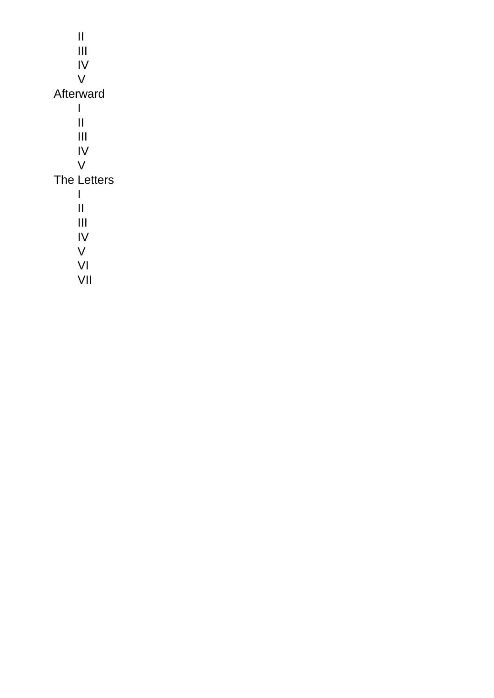[II](#page-136-0) [III](#page-140-0) [IV](#page-145-0) [V](#page-149-0) [Afterward](#page-151-0)  $\mathbf{I}$  $\mathbf{I}$  $\mathbf{I}$ [II](#page-158-0) [III](#page-162-0) [IV](#page-169-0) [V](#page-171-0) The [Letters](#page-176-0) [I](#page-177-0) [II](#page-181-0) [III](#page-183-0) [IV](#page-186-0) [V](#page-189-0) [VI](#page-191-0) [VII](#page-196-0)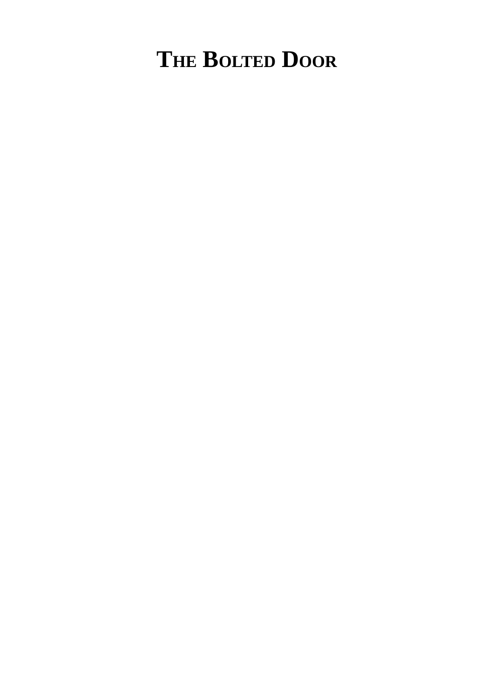# <span id="page-3-0"></span>**THE BOLTED DOOR**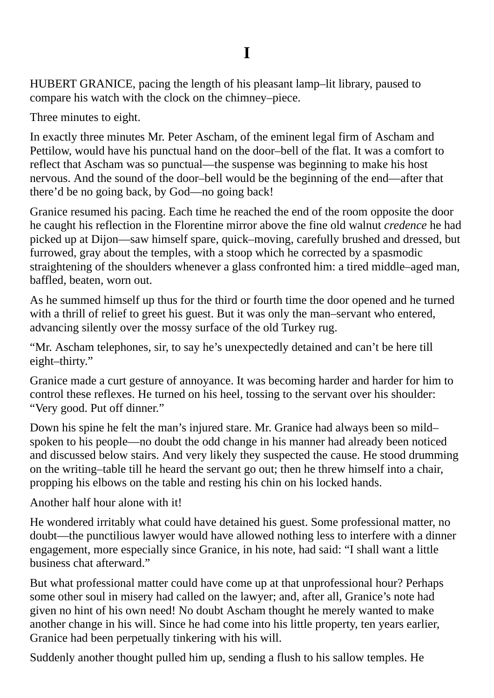<span id="page-4-0"></span>HUBERT GRANICE, pacing the length of his pleasant lamp–lit library, paused to compare his watch with the clock on the chimney–piece.

Three minutes to eight.

In exactly three minutes Mr. Peter Ascham, of the eminent legal firm of Ascham and Pettilow, would have his punctual hand on the door–bell of the flat. It was a comfort to reflect that Ascham was so punctual—the suspense was beginning to make his host nervous. And the sound of the door–bell would be the beginning of the end—after that there'd be no going back, by God—no going back!

Granice resumed his pacing. Each time he reached the end of the room opposite the door he caught his reflection in the Florentine mirror above the fine old walnut *credence* he had picked up at Dijon—saw himself spare, quick–moving, carefully brushed and dressed, but furrowed, gray about the temples, with a stoop which he corrected by a spasmodic straightening of the shoulders whenever a glass confronted him: a tired middle–aged man, baffled, beaten, worn out.

As he summed himself up thus for the third or fourth time the door opened and he turned with a thrill of relief to greet his guest. But it was only the man–servant who entered, advancing silently over the mossy surface of the old Turkey rug.

"Mr. Ascham telephones, sir, to say he's unexpectedly detained and can't be here till eight–thirty."

Granice made a curt gesture of annoyance. It was becoming harder and harder for him to control these reflexes. He turned on his heel, tossing to the servant over his shoulder: "Very good. Put off dinner."

Down his spine he felt the man's injured stare. Mr. Granice had always been so mild– spoken to his people—no doubt the odd change in his manner had already been noticed and discussed below stairs. And very likely they suspected the cause. He stood drumming on the writing–table till he heard the servant go out; then he threw himself into a chair, propping his elbows on the table and resting his chin on his locked hands.

Another half hour alone with it!

He wondered irritably what could have detained his guest. Some professional matter, no doubt—the punctilious lawyer would have allowed nothing less to interfere with a dinner engagement, more especially since Granice, in his note, had said: "I shall want a little business chat afterward."

But what professional matter could have come up at that unprofessional hour? Perhaps some other soul in misery had called on the lawyer; and, after all, Granice's note had given no hint of his own need! No doubt Ascham thought he merely wanted to make another change in his will. Since he had come into his little property, ten years earlier, Granice had been perpetually tinkering with his will.

Suddenly another thought pulled him up, sending a flush to his sallow temples. He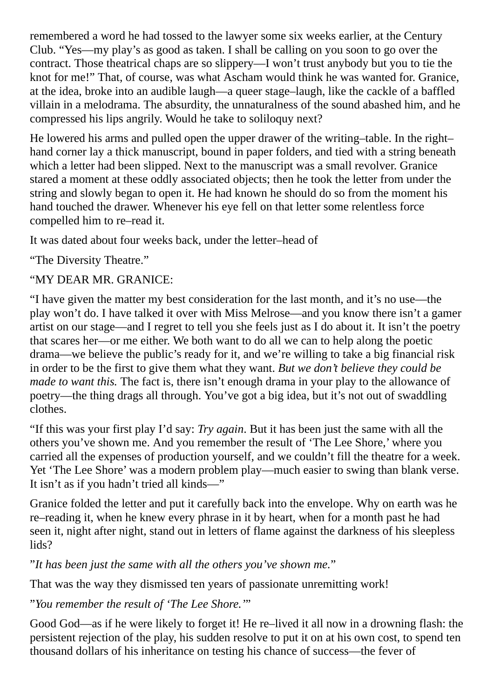remembered a word he had tossed to the lawyer some six weeks earlier, at the Century Club. "Yes—my play's as good as taken. I shall be calling on you soon to go over the contract. Those theatrical chaps are so slippery—I won't trust anybody but you to tie the knot for me!" That, of course, was what Ascham would think he was wanted for. Granice, at the idea, broke into an audible laugh—a queer stage–laugh, like the cackle of a baffled villain in a melodrama. The absurdity, the unnaturalness of the sound abashed him, and he compressed his lips angrily. Would he take to soliloquy next?

He lowered his arms and pulled open the upper drawer of the writing–table. In the right– hand corner lay a thick manuscript, bound in paper folders, and tied with a string beneath which a letter had been slipped. Next to the manuscript was a small revolver. Granice stared a moment at these oddly associated objects; then he took the letter from under the string and slowly began to open it. He had known he should do so from the moment his hand touched the drawer. Whenever his eye fell on that letter some relentless force compelled him to re–read it.

It was dated about four weeks back, under the letter–head of

"The Diversity Theatre."

#### "MY DEAR MR. GRANICE:

"I have given the matter my best consideration for the last month, and it's no use—the play won't do. I have talked it over with Miss Melrose—and you know there isn't a gamer artist on our stage—and I regret to tell you she feels just as I do about it. It isn't the poetry that scares her—or me either. We both want to do all we can to help along the poetic drama—we believe the public's ready for it, and we're willing to take a big financial risk in order to be the first to give them what they want. *But we don't believe they could be made to want this.* The fact is, there isn't enough drama in your play to the allowance of poetry—the thing drags all through. You've got a big idea, but it's not out of swaddling clothes.

"If this was your first play I'd say: *Try again*. But it has been just the same with all the others you've shown me. And you remember the result of 'The Lee Shore,' where you carried all the expenses of production yourself, and we couldn't fill the theatre for a week. Yet 'The Lee Shore' was a modern problem play—much easier to swing than blank verse. It isn't as if you hadn't tried all kinds—"

Granice folded the letter and put it carefully back into the envelope. Why on earth was he re–reading it, when he knew every phrase in it by heart, when for a month past he had seen it, night after night, stand out in letters of flame against the darkness of his sleepless lids?

"*It has been just the same with all the others you've shown me.*"

That was the way they dismissed ten years of passionate unremitting work!

"*You remember the result of 'The Lee Shore.'*"

Good God—as if he were likely to forget it! He re–lived it all now in a drowning flash: the persistent rejection of the play, his sudden resolve to put it on at his own cost, to spend ten thousand dollars of his inheritance on testing his chance of success—the fever of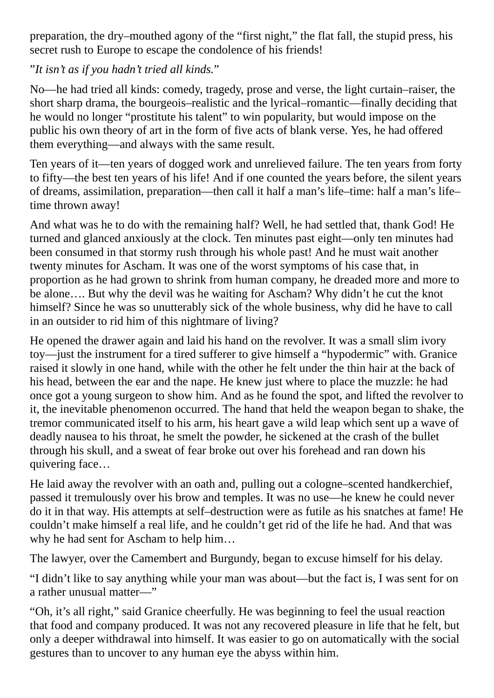preparation, the dry–mouthed agony of the "first night," the flat fall, the stupid press, his secret rush to Europe to escape the condolence of his friends!

#### "*It isn't as if you hadn't tried all kinds.*"

No—he had tried all kinds: comedy, tragedy, prose and verse, the light curtain–raiser, the short sharp drama, the bourgeois–realistic and the lyrical–romantic—finally deciding that he would no longer "prostitute his talent" to win popularity, but would impose on the public his own theory of art in the form of five acts of blank verse. Yes, he had offered them everything—and always with the same result.

Ten years of it—ten years of dogged work and unrelieved failure. The ten years from forty to fifty—the best ten years of his life! And if one counted the years before, the silent years of dreams, assimilation, preparation—then call it half a man's life–time: half a man's life– time thrown away!

And what was he to do with the remaining half? Well, he had settled that, thank God! He turned and glanced anxiously at the clock. Ten minutes past eight—only ten minutes had been consumed in that stormy rush through his whole past! And he must wait another twenty minutes for Ascham. It was one of the worst symptoms of his case that, in proportion as he had grown to shrink from human company, he dreaded more and more to be alone…. But why the devil was he waiting for Ascham? Why didn't he cut the knot himself? Since he was so unutterably sick of the whole business, why did he have to call in an outsider to rid him of this nightmare of living?

He opened the drawer again and laid his hand on the revolver. It was a small slim ivory toy—just the instrument for a tired sufferer to give himself a "hypodermic" with. Granice raised it slowly in one hand, while with the other he felt under the thin hair at the back of his head, between the ear and the nape. He knew just where to place the muzzle: he had once got a young surgeon to show him. And as he found the spot, and lifted the revolver to it, the inevitable phenomenon occurred. The hand that held the weapon began to shake, the tremor communicated itself to his arm, his heart gave a wild leap which sent up a wave of deadly nausea to his throat, he smelt the powder, he sickened at the crash of the bullet through his skull, and a sweat of fear broke out over his forehead and ran down his quivering face…

He laid away the revolver with an oath and, pulling out a cologne–scented handkerchief, passed it tremulously over his brow and temples. It was no use—he knew he could never do it in that way. His attempts at self–destruction were as futile as his snatches at fame! He couldn't make himself a real life, and he couldn't get rid of the life he had. And that was why he had sent for Ascham to help him…

The lawyer, over the Camembert and Burgundy, began to excuse himself for his delay.

"I didn't like to say anything while your man was about—but the fact is, I was sent for on a rather unusual matter—"

"Oh, it's all right," said Granice cheerfully. He was beginning to feel the usual reaction that food and company produced. It was not any recovered pleasure in life that he felt, but only a deeper withdrawal into himself. It was easier to go on automatically with the social gestures than to uncover to any human eye the abyss within him.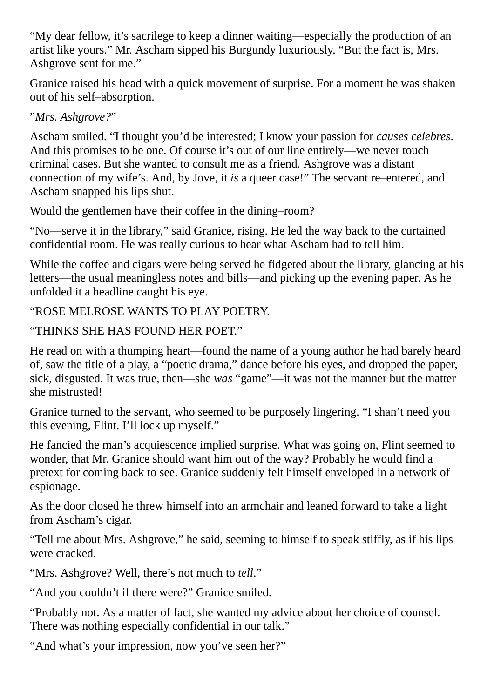"My dear fellow, it's sacrilege to keep a dinner waiting—especially the production of an artist like yours." Mr. Ascham sipped his Burgundy luxuriously. "But the fact is, Mrs. Ashgrove sent for me."

Granice raised his head with a quick movement of surprise. For a moment he was shaken out of his self–absorption.

"*Mrs. Ashgrove?*"

Ascham smiled. "I thought you'd be interested; I know your passion for *causes celebres*. And this promises to be one. Of course it's out of our line entirely—we never touch criminal cases. But she wanted to consult me as a friend. Ashgrove was a distant connection of my wife's. And, by Jove, it *is* a queer case!" The servant re–entered, and Ascham snapped his lips shut.

Would the gentlemen have their coffee in the dining–room?

"No—serve it in the library," said Granice, rising. He led the way back to the curtained confidential room. He was really curious to hear what Ascham had to tell him.

While the coffee and cigars were being served he fidgeted about the library, glancing at his letters—the usual meaningless notes and bills—and picking up the evening paper. As he unfolded it a headline caught his eye.

"ROSE MELROSE WANTS TO PLAY POETRY.

"THINKS SHE HAS FOUND HER POET."

He read on with a thumping heart—found the name of a young author he had barely heard of, saw the title of a play, a "poetic drama," dance before his eyes, and dropped the paper, sick, disgusted. It was true, then—she *was* "game"—it was not the manner but the matter she mistrusted!

Granice turned to the servant, who seemed to be purposely lingering. "I shan't need you this evening, Flint. I'll lock up myself."

He fancied the man's acquiescence implied surprise. What was going on, Flint seemed to wonder, that Mr. Granice should want him out of the way? Probably he would find a pretext for coming back to see. Granice suddenly felt himself enveloped in a network of espionage.

As the door closed he threw himself into an armchair and leaned forward to take a light from Ascham's cigar.

"Tell me about Mrs. Ashgrove," he said, seeming to himself to speak stiffly, as if his lips were cracked.

"Mrs. Ashgrove? Well, there's not much to *tell*."

"And you couldn't if there were?" Granice smiled.

"Probably not. As a matter of fact, she wanted my advice about her choice of counsel. There was nothing especially confidential in our talk."

"And what's your impression, now you've seen her?"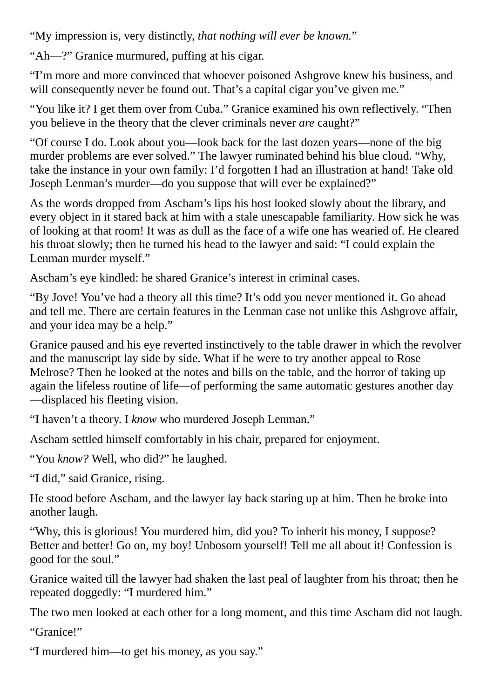"My impression is, very distinctly, *that nothing will ever be known.*"

"Ah—?" Granice murmured, puffing at his cigar.

"I'm more and more convinced that whoever poisoned Ashgrove knew his business, and will consequently never be found out. That's a capital cigar you've given me."

"You like it? I get them over from Cuba." Granice examined his own reflectively. "Then you believe in the theory that the clever criminals never *are* caught?"

"Of course I do. Look about you—look back for the last dozen years—none of the big murder problems are ever solved." The lawyer ruminated behind his blue cloud. "Why, take the instance in your own family: I'd forgotten I had an illustration at hand! Take old Joseph Lenman's murder—do you suppose that will ever be explained?"

As the words dropped from Ascham's lips his host looked slowly about the library, and every object in it stared back at him with a stale unescapable familiarity. How sick he was of looking at that room! It was as dull as the face of a wife one has wearied of. He cleared his throat slowly; then he turned his head to the lawyer and said: "I could explain the Lenman murder myself."

Ascham's eye kindled: he shared Granice's interest in criminal cases.

"By Jove! You've had a theory all this time? It's odd you never mentioned it. Go ahead and tell me. There are certain features in the Lenman case not unlike this Ashgrove affair, and your idea may be a help."

Granice paused and his eye reverted instinctively to the table drawer in which the revolver and the manuscript lay side by side. What if he were to try another appeal to Rose Melrose? Then he looked at the notes and bills on the table, and the horror of taking up again the lifeless routine of life—of performing the same automatic gestures another day —displaced his fleeting vision.

"I haven't a theory. I *know* who murdered Joseph Lenman."

Ascham settled himself comfortably in his chair, prepared for enjoyment.

"You *know?* Well, who did?" he laughed.

"I did," said Granice, rising.

He stood before Ascham, and the lawyer lay back staring up at him. Then he broke into another laugh.

"Why, this is glorious! You murdered him, did you? To inherit his money, I suppose? Better and better! Go on, my boy! Unbosom yourself! Tell me all about it! Confession is good for the soul."

Granice waited till the lawyer had shaken the last peal of laughter from his throat; then he repeated doggedly: "I murdered him."

The two men looked at each other for a long moment, and this time Ascham did not laugh.

"Granice!"

"I murdered him—to get his money, as you say."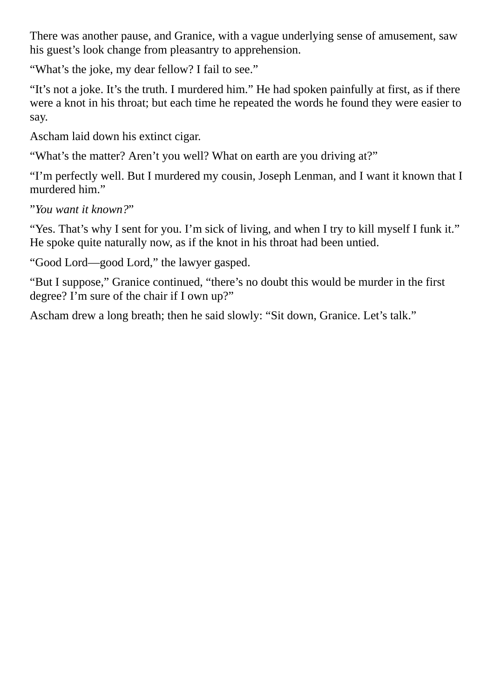There was another pause, and Granice, with a vague underlying sense of amusement, saw his guest's look change from pleasantry to apprehension.

"What's the joke, my dear fellow? I fail to see."

"It's not a joke. It's the truth. I murdered him." He had spoken painfully at first, as if there were a knot in his throat; but each time he repeated the words he found they were easier to say.

Ascham laid down his extinct cigar.

"What's the matter? Aren't you well? What on earth are you driving at?"

"I'm perfectly well. But I murdered my cousin, Joseph Lenman, and I want it known that I murdered him."

"*You want it known?*"

"Yes. That's why I sent for you. I'm sick of living, and when I try to kill myself I funk it." He spoke quite naturally now, as if the knot in his throat had been untied.

"Good Lord—good Lord," the lawyer gasped.

"But I suppose," Granice continued, "there's no doubt this would be murder in the first degree? I'm sure of the chair if I own up?"

Ascham drew a long breath; then he said slowly: "Sit down, Granice. Let's talk."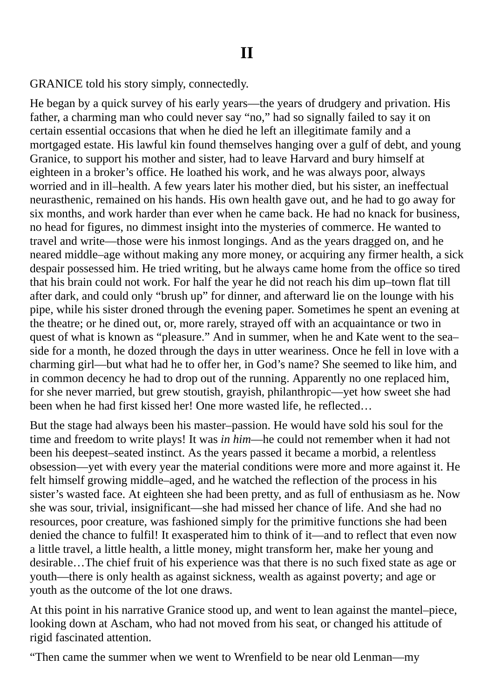<span id="page-10-0"></span>GRANICE told his story simply, connectedly.

He began by a quick survey of his early years—the years of drudgery and privation. His father, a charming man who could never say "no," had so signally failed to say it on certain essential occasions that when he died he left an illegitimate family and a mortgaged estate. His lawful kin found themselves hanging over a gulf of debt, and young Granice, to support his mother and sister, had to leave Harvard and bury himself at eighteen in a broker's office. He loathed his work, and he was always poor, always worried and in ill–health. A few years later his mother died, but his sister, an ineffectual neurasthenic, remained on his hands. His own health gave out, and he had to go away for six months, and work harder than ever when he came back. He had no knack for business, no head for figures, no dimmest insight into the mysteries of commerce. He wanted to travel and write—those were his inmost longings. And as the years dragged on, and he neared middle–age without making any more money, or acquiring any firmer health, a sick despair possessed him. He tried writing, but he always came home from the office so tired that his brain could not work. For half the year he did not reach his dim up–town flat till after dark, and could only "brush up" for dinner, and afterward lie on the lounge with his pipe, while his sister droned through the evening paper. Sometimes he spent an evening at the theatre; or he dined out, or, more rarely, strayed off with an acquaintance or two in quest of what is known as "pleasure." And in summer, when he and Kate went to the sea– side for a month, he dozed through the days in utter weariness. Once he fell in love with a charming girl—but what had he to offer her, in God's name? She seemed to like him, and in common decency he had to drop out of the running. Apparently no one replaced him, for she never married, but grew stoutish, grayish, philanthropic—yet how sweet she had been when he had first kissed her! One more wasted life, he reflected…

But the stage had always been his master–passion. He would have sold his soul for the time and freedom to write plays! It was *in him*—he could not remember when it had not been his deepest–seated instinct. As the years passed it became a morbid, a relentless obsession—yet with every year the material conditions were more and more against it. He felt himself growing middle–aged, and he watched the reflection of the process in his sister's wasted face. At eighteen she had been pretty, and as full of enthusiasm as he. Now she was sour, trivial, insignificant—she had missed her chance of life. And she had no resources, poor creature, was fashioned simply for the primitive functions she had been denied the chance to fulfil! It exasperated him to think of it—and to reflect that even now a little travel, a little health, a little money, might transform her, make her young and desirable…The chief fruit of his experience was that there is no such fixed state as age or youth—there is only health as against sickness, wealth as against poverty; and age or youth as the outcome of the lot one draws.

At this point in his narrative Granice stood up, and went to lean against the mantel–piece, looking down at Ascham, who had not moved from his seat, or changed his attitude of rigid fascinated attention.

"Then came the summer when we went to Wrenfield to be near old Lenman—my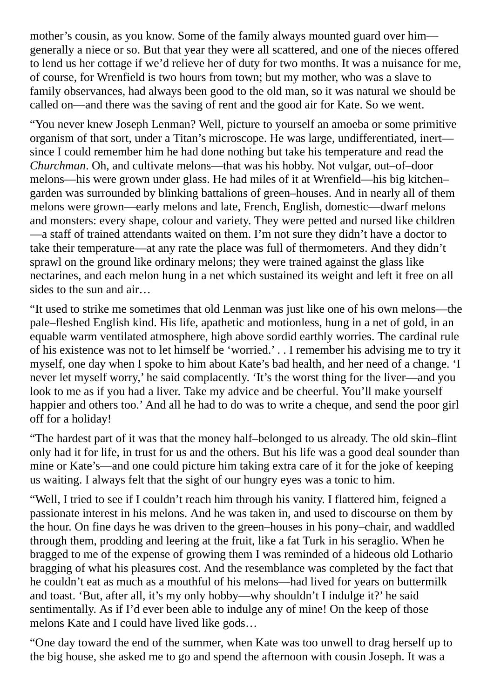mother's cousin, as you know. Some of the family always mounted guard over him generally a niece or so. But that year they were all scattered, and one of the nieces offered to lend us her cottage if we'd relieve her of duty for two months. It was a nuisance for me, of course, for Wrenfield is two hours from town; but my mother, who was a slave to family observances, had always been good to the old man, so it was natural we should be called on—and there was the saving of rent and the good air for Kate. So we went.

"You never knew Joseph Lenman? Well, picture to yourself an amoeba or some primitive organism of that sort, under a Titan's microscope. He was large, undifferentiated, inert since I could remember him he had done nothing but take his temperature and read the *Churchman*. Oh, and cultivate melons—that was his hobby. Not vulgar, out–of–door melons—his were grown under glass. He had miles of it at Wrenfield—his big kitchen– garden was surrounded by blinking battalions of green–houses. And in nearly all of them melons were grown—early melons and late, French, English, domestic—dwarf melons and monsters: every shape, colour and variety. They were petted and nursed like children —a staff of trained attendants waited on them. I'm not sure they didn't have a doctor to take their temperature—at any rate the place was full of thermometers. And they didn't sprawl on the ground like ordinary melons; they were trained against the glass like nectarines, and each melon hung in a net which sustained its weight and left it free on all sides to the sun and air…

"It used to strike me sometimes that old Lenman was just like one of his own melons—the pale–fleshed English kind. His life, apathetic and motionless, hung in a net of gold, in an equable warm ventilated atmosphere, high above sordid earthly worries. The cardinal rule of his existence was not to let himself be 'worried.' . . I remember his advising me to try it myself, one day when I spoke to him about Kate's bad health, and her need of a change. 'I never let myself worry,' he said complacently. 'It's the worst thing for the liver—and you look to me as if you had a liver. Take my advice and be cheerful. You'll make yourself happier and others too.' And all he had to do was to write a cheque, and send the poor girl off for a holiday!

"The hardest part of it was that the money half–belonged to us already. The old skin–flint only had it for life, in trust for us and the others. But his life was a good deal sounder than mine or Kate's—and one could picture him taking extra care of it for the joke of keeping us waiting. I always felt that the sight of our hungry eyes was a tonic to him.

"Well, I tried to see if I couldn't reach him through his vanity. I flattered him, feigned a passionate interest in his melons. And he was taken in, and used to discourse on them by the hour. On fine days he was driven to the green–houses in his pony–chair, and waddled through them, prodding and leering at the fruit, like a fat Turk in his seraglio. When he bragged to me of the expense of growing them I was reminded of a hideous old Lothario bragging of what his pleasures cost. And the resemblance was completed by the fact that he couldn't eat as much as a mouthful of his melons—had lived for years on buttermilk and toast. 'But, after all, it's my only hobby—why shouldn't I indulge it?' he said sentimentally. As if I'd ever been able to indulge any of mine! On the keep of those melons Kate and I could have lived like gods…

"One day toward the end of the summer, when Kate was too unwell to drag herself up to the big house, she asked me to go and spend the afternoon with cousin Joseph. It was a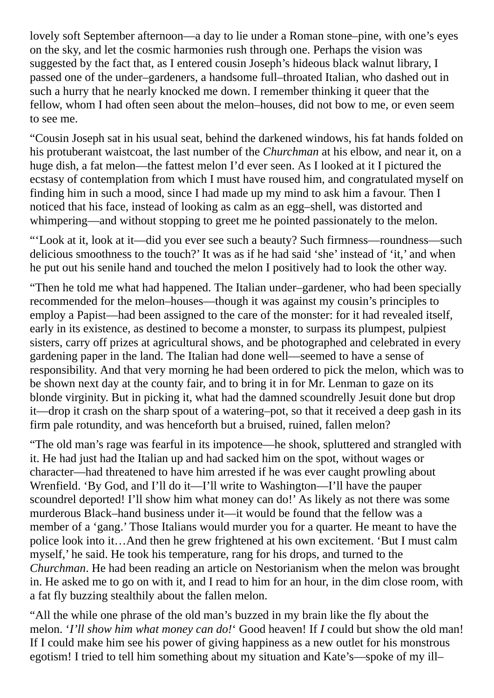lovely soft September afternoon—a day to lie under a Roman stone–pine, with one's eyes on the sky, and let the cosmic harmonies rush through one. Perhaps the vision was suggested by the fact that, as I entered cousin Joseph's hideous black walnut library, I passed one of the under–gardeners, a handsome full–throated Italian, who dashed out in such a hurry that he nearly knocked me down. I remember thinking it queer that the fellow, whom I had often seen about the melon–houses, did not bow to me, or even seem to see me.

"Cousin Joseph sat in his usual seat, behind the darkened windows, his fat hands folded on his protuberant waistcoat, the last number of the *Churchman* at his elbow, and near it, on a huge dish, a fat melon—the fattest melon I'd ever seen. As I looked at it I pictured the ecstasy of contemplation from which I must have roused him, and congratulated myself on finding him in such a mood, since I had made up my mind to ask him a favour. Then I noticed that his face, instead of looking as calm as an egg–shell, was distorted and whimpering—and without stopping to greet me he pointed passionately to the melon.

"'Look at it, look at it—did you ever see such a beauty? Such firmness—roundness—such delicious smoothness to the touch?' It was as if he had said 'she' instead of 'it,' and when he put out his senile hand and touched the melon I positively had to look the other way.

"Then he told me what had happened. The Italian under–gardener, who had been specially recommended for the melon–houses—though it was against my cousin's principles to employ a Papist—had been assigned to the care of the monster: for it had revealed itself, early in its existence, as destined to become a monster, to surpass its plumpest, pulpiest sisters, carry off prizes at agricultural shows, and be photographed and celebrated in every gardening paper in the land. The Italian had done well—seemed to have a sense of responsibility. And that very morning he had been ordered to pick the melon, which was to be shown next day at the county fair, and to bring it in for Mr. Lenman to gaze on its blonde virginity. But in picking it, what had the damned scoundrelly Jesuit done but drop it—drop it crash on the sharp spout of a watering–pot, so that it received a deep gash in its firm pale rotundity, and was henceforth but a bruised, ruined, fallen melon?

"The old man's rage was fearful in its impotence—he shook, spluttered and strangled with it. He had just had the Italian up and had sacked him on the spot, without wages or character—had threatened to have him arrested if he was ever caught prowling about Wrenfield. 'By God, and I'll do it—I'll write to Washington—I'll have the pauper scoundrel deported! I'll show him what money can do!' As likely as not there was some murderous Black–hand business under it—it would be found that the fellow was a member of a 'gang.' Those Italians would murder you for a quarter. He meant to have the police look into it…And then he grew frightened at his own excitement. 'But I must calm myself,' he said. He took his temperature, rang for his drops, and turned to the *Churchman*. He had been reading an article on Nestorianism when the melon was brought in. He asked me to go on with it, and I read to him for an hour, in the dim close room, with a fat fly buzzing stealthily about the fallen melon.

"All the while one phrase of the old man's buzzed in my brain like the fly about the melon. '*I'll show him what money can do!*' Good heaven! If *I* could but show the old man! If I could make him see his power of giving happiness as a new outlet for his monstrous egotism! I tried to tell him something about my situation and Kate's—spoke of my ill–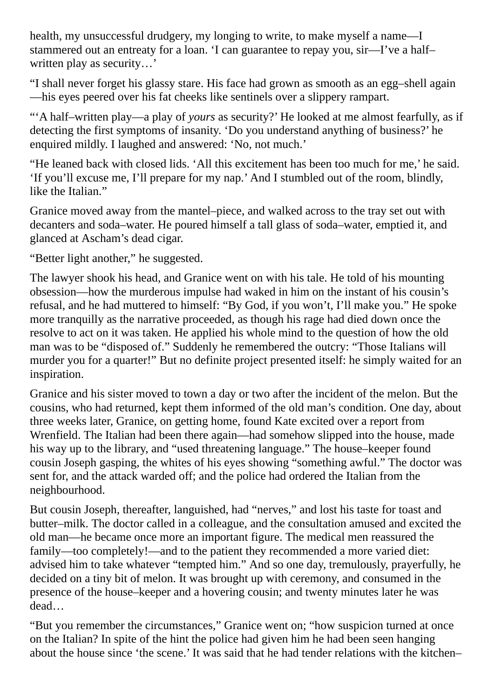health, my unsuccessful drudgery, my longing to write, to make myself a name—I stammered out an entreaty for a loan. 'I can guarantee to repay you, sir—I've a half– written play as security…'

"I shall never forget his glassy stare. His face had grown as smooth as an egg–shell again —his eyes peered over his fat cheeks like sentinels over a slippery rampart.

"'A half–written play—a play of *yours* as security?' He looked at me almost fearfully, as if detecting the first symptoms of insanity. 'Do you understand anything of business?' he enquired mildly. I laughed and answered: 'No, not much.'

"He leaned back with closed lids. 'All this excitement has been too much for me,' he said. 'If you'll excuse me, I'll prepare for my nap.' And I stumbled out of the room, blindly, like the Italian."

Granice moved away from the mantel–piece, and walked across to the tray set out with decanters and soda–water. He poured himself a tall glass of soda–water, emptied it, and glanced at Ascham's dead cigar.

"Better light another," he suggested.

The lawyer shook his head, and Granice went on with his tale. He told of his mounting obsession—how the murderous impulse had waked in him on the instant of his cousin's refusal, and he had muttered to himself: "By God, if you won't, I'll make you." He spoke more tranquilly as the narrative proceeded, as though his rage had died down once the resolve to act on it was taken. He applied his whole mind to the question of how the old man was to be "disposed of." Suddenly he remembered the outcry: "Those Italians will murder you for a quarter!" But no definite project presented itself: he simply waited for an inspiration.

Granice and his sister moved to town a day or two after the incident of the melon. But the cousins, who had returned, kept them informed of the old man's condition. One day, about three weeks later, Granice, on getting home, found Kate excited over a report from Wrenfield. The Italian had been there again—had somehow slipped into the house, made his way up to the library, and "used threatening language." The house–keeper found cousin Joseph gasping, the whites of his eyes showing "something awful." The doctor was sent for, and the attack warded off; and the police had ordered the Italian from the neighbourhood.

But cousin Joseph, thereafter, languished, had "nerves," and lost his taste for toast and butter–milk. The doctor called in a colleague, and the consultation amused and excited the old man—he became once more an important figure. The medical men reassured the family—too completely!—and to the patient they recommended a more varied diet: advised him to take whatever "tempted him." And so one day, tremulously, prayerfully, he decided on a tiny bit of melon. It was brought up with ceremony, and consumed in the presence of the house–keeper and a hovering cousin; and twenty minutes later he was dead…

"But you remember the circumstances," Granice went on; "how suspicion turned at once on the Italian? In spite of the hint the police had given him he had been seen hanging about the house since 'the scene.' It was said that he had tender relations with the kitchen–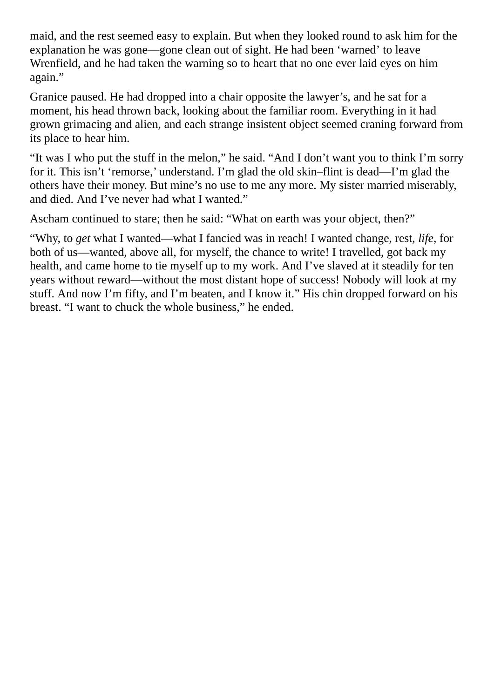maid, and the rest seemed easy to explain. But when they looked round to ask him for the explanation he was gone—gone clean out of sight. He had been 'warned' to leave Wrenfield, and he had taken the warning so to heart that no one ever laid eyes on him again."

Granice paused. He had dropped into a chair opposite the lawyer's, and he sat for a moment, his head thrown back, looking about the familiar room. Everything in it had grown grimacing and alien, and each strange insistent object seemed craning forward from its place to hear him.

"It was I who put the stuff in the melon," he said. "And I don't want you to think I'm sorry for it. This isn't 'remorse,' understand. I'm glad the old skin–flint is dead—I'm glad the others have their money. But mine's no use to me any more. My sister married miserably, and died. And I've never had what I wanted."

Ascham continued to stare; then he said: "What on earth was your object, then?"

"Why, to *get* what I wanted—what I fancied was in reach! I wanted change, rest, *life*, for both of us—wanted, above all, for myself, the chance to write! I travelled, got back my health, and came home to tie myself up to my work. And I've slaved at it steadily for ten years without reward—without the most distant hope of success! Nobody will look at my stuff. And now I'm fifty, and I'm beaten, and I know it." His chin dropped forward on his breast. "I want to chuck the whole business," he ended.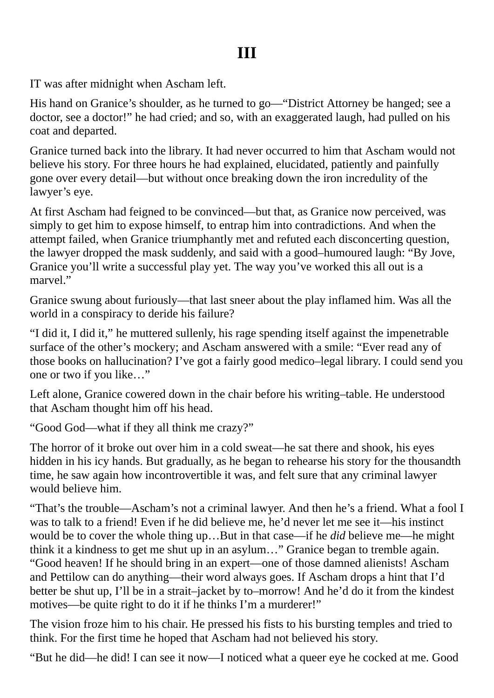<span id="page-15-0"></span>IT was after midnight when Ascham left.

His hand on Granice's shoulder, as he turned to go—"District Attorney be hanged; see a doctor, see a doctor!" he had cried; and so, with an exaggerated laugh, had pulled on his coat and departed.

Granice turned back into the library. It had never occurred to him that Ascham would not believe his story. For three hours he had explained, elucidated, patiently and painfully gone over every detail—but without once breaking down the iron incredulity of the lawyer's eye.

At first Ascham had feigned to be convinced—but that, as Granice now perceived, was simply to get him to expose himself, to entrap him into contradictions. And when the attempt failed, when Granice triumphantly met and refuted each disconcerting question, the lawyer dropped the mask suddenly, and said with a good–humoured laugh: "By Jove, Granice you'll write a successful play yet. The way you've worked this all out is a marvel."

Granice swung about furiously—that last sneer about the play inflamed him. Was all the world in a conspiracy to deride his failure?

"I did it, I did it," he muttered sullenly, his rage spending itself against the impenetrable surface of the other's mockery; and Ascham answered with a smile: "Ever read any of those books on hallucination? I've got a fairly good medico–legal library. I could send you one or two if you like…"

Left alone, Granice cowered down in the chair before his writing–table. He understood that Ascham thought him off his head.

"Good God—what if they all think me crazy?"

The horror of it broke out over him in a cold sweat—he sat there and shook, his eyes hidden in his icy hands. But gradually, as he began to rehearse his story for the thousandth time, he saw again how incontrovertible it was, and felt sure that any criminal lawyer would believe him.

"That's the trouble—Ascham's not a criminal lawyer. And then he's a friend. What a fool I was to talk to a friend! Even if he did believe me, he'd never let me see it—his instinct would be to cover the whole thing up…But in that case—if he *did* believe me—he might think it a kindness to get me shut up in an asylum…" Granice began to tremble again. "Good heaven! If he should bring in an expert—one of those damned alienists! Ascham and Pettilow can do anything—their word always goes. If Ascham drops a hint that I'd better be shut up, I'll be in a strait–jacket by to–morrow! And he'd do it from the kindest motives—be quite right to do it if he thinks I'm a murderer!"

The vision froze him to his chair. He pressed his fists to his bursting temples and tried to think. For the first time he hoped that Ascham had not believed his story.

"But he did—he did! I can see it now—I noticed what a queer eye he cocked at me. Good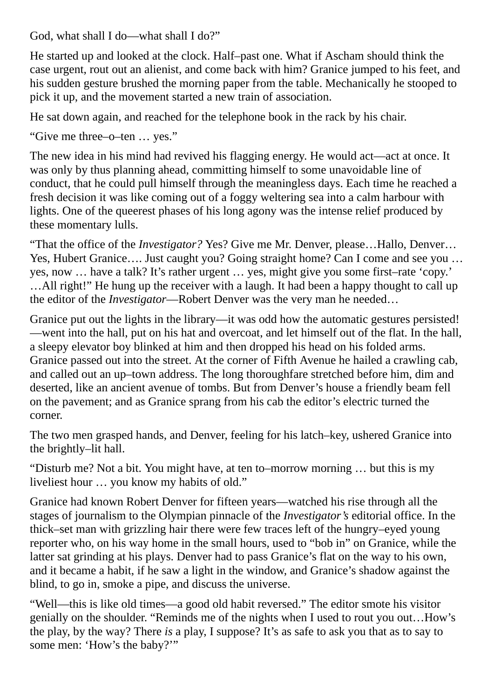God, what shall I do—what shall I do?"

He started up and looked at the clock. Half–past one. What if Ascham should think the case urgent, rout out an alienist, and come back with him? Granice jumped to his feet, and his sudden gesture brushed the morning paper from the table. Mechanically he stooped to pick it up, and the movement started a new train of association.

He sat down again, and reached for the telephone book in the rack by his chair.

"Give me three–o–ten … yes."

The new idea in his mind had revived his flagging energy. He would act—act at once. It was only by thus planning ahead, committing himself to some unavoidable line of conduct, that he could pull himself through the meaningless days. Each time he reached a fresh decision it was like coming out of a foggy weltering sea into a calm harbour with lights. One of the queerest phases of his long agony was the intense relief produced by these momentary lulls.

"That the office of the *Investigator?* Yes? Give me Mr. Denver, please…Hallo, Denver… Yes, Hubert Granice…. Just caught you? Going straight home? Can I come and see you … yes, now … have a talk? It's rather urgent … yes, might give you some first–rate 'copy.' …All right!" He hung up the receiver with a laugh. It had been a happy thought to call up the editor of the *Investigator*—Robert Denver was the very man he needed…

Granice put out the lights in the library—it was odd how the automatic gestures persisted! —went into the hall, put on his hat and overcoat, and let himself out of the flat. In the hall, a sleepy elevator boy blinked at him and then dropped his head on his folded arms. Granice passed out into the street. At the corner of Fifth Avenue he hailed a crawling cab, and called out an up–town address. The long thoroughfare stretched before him, dim and deserted, like an ancient avenue of tombs. But from Denver's house a friendly beam fell on the pavement; and as Granice sprang from his cab the editor's electric turned the corner.

The two men grasped hands, and Denver, feeling for his latch–key, ushered Granice into the brightly–lit hall.

"Disturb me? Not a bit. You might have, at ten to–morrow morning … but this is my liveliest hour … you know my habits of old."

Granice had known Robert Denver for fifteen years—watched his rise through all the stages of journalism to the Olympian pinnacle of the *Investigator's* editorial office. In the thick–set man with grizzling hair there were few traces left of the hungry–eyed young reporter who, on his way home in the small hours, used to "bob in" on Granice, while the latter sat grinding at his plays. Denver had to pass Granice's flat on the way to his own, and it became a habit, if he saw a light in the window, and Granice's shadow against the blind, to go in, smoke a pipe, and discuss the universe.

"Well—this is like old times—a good old habit reversed." The editor smote his visitor genially on the shoulder. "Reminds me of the nights when I used to rout you out…How's the play, by the way? There *is* a play, I suppose? It's as safe to ask you that as to say to some men: 'How's the baby?'"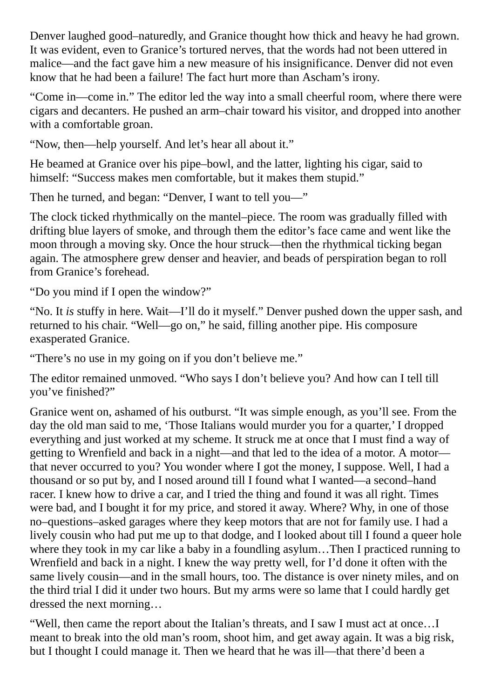Denver laughed good–naturedly, and Granice thought how thick and heavy he had grown. It was evident, even to Granice's tortured nerves, that the words had not been uttered in malice—and the fact gave him a new measure of his insignificance. Denver did not even know that he had been a failure! The fact hurt more than Ascham's irony.

"Come in—come in." The editor led the way into a small cheerful room, where there were cigars and decanters. He pushed an arm–chair toward his visitor, and dropped into another with a comfortable groan.

"Now, then—help yourself. And let's hear all about it."

He beamed at Granice over his pipe–bowl, and the latter, lighting his cigar, said to himself: "Success makes men comfortable, but it makes them stupid."

Then he turned, and began: "Denver, I want to tell you—"

The clock ticked rhythmically on the mantel–piece. The room was gradually filled with drifting blue layers of smoke, and through them the editor's face came and went like the moon through a moving sky. Once the hour struck—then the rhythmical ticking began again. The atmosphere grew denser and heavier, and beads of perspiration began to roll from Granice's forehead.

"Do you mind if I open the window?"

"No. It *is* stuffy in here. Wait—I'll do it myself." Denver pushed down the upper sash, and returned to his chair. "Well—go on," he said, filling another pipe. His composure exasperated Granice.

"There's no use in my going on if you don't believe me."

The editor remained unmoved. "Who says I don't believe you? And how can I tell till you've finished?"

Granice went on, ashamed of his outburst. "It was simple enough, as you'll see. From the day the old man said to me, 'Those Italians would murder you for a quarter,' I dropped everything and just worked at my scheme. It struck me at once that I must find a way of getting to Wrenfield and back in a night—and that led to the idea of a motor. A motor that never occurred to you? You wonder where I got the money, I suppose. Well, I had a thousand or so put by, and I nosed around till I found what I wanted—a second–hand racer. I knew how to drive a car, and I tried the thing and found it was all right. Times were bad, and I bought it for my price, and stored it away. Where? Why, in one of those no–questions–asked garages where they keep motors that are not for family use. I had a lively cousin who had put me up to that dodge, and I looked about till I found a queer hole where they took in my car like a baby in a foundling asylum…Then I practiced running to Wrenfield and back in a night. I knew the way pretty well, for I'd done it often with the same lively cousin—and in the small hours, too. The distance is over ninety miles, and on the third trial I did it under two hours. But my arms were so lame that I could hardly get dressed the next morning…

"Well, then came the report about the Italian's threats, and I saw I must act at once…I meant to break into the old man's room, shoot him, and get away again. It was a big risk, but I thought I could manage it. Then we heard that he was ill—that there'd been a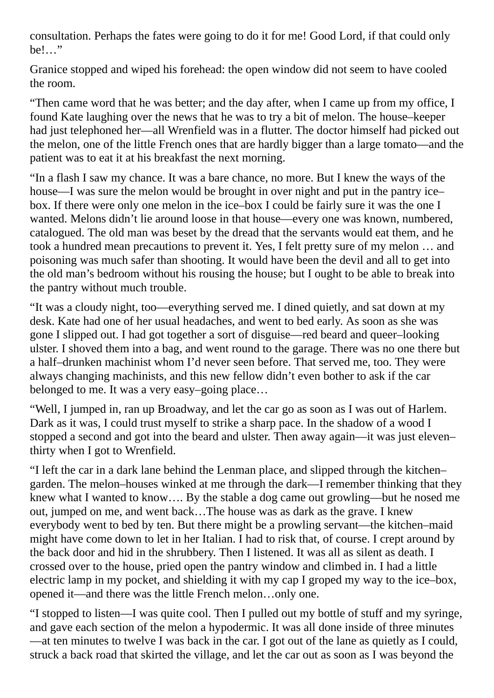consultation. Perhaps the fates were going to do it for me! Good Lord, if that could only be!…"

Granice stopped and wiped his forehead: the open window did not seem to have cooled the room.

"Then came word that he was better; and the day after, when I came up from my office, I found Kate laughing over the news that he was to try a bit of melon. The house–keeper had just telephoned her—all Wrenfield was in a flutter. The doctor himself had picked out the melon, one of the little French ones that are hardly bigger than a large tomato—and the patient was to eat it at his breakfast the next morning.

"In a flash I saw my chance. It was a bare chance, no more. But I knew the ways of the house—I was sure the melon would be brought in over night and put in the pantry ice– box. If there were only one melon in the ice–box I could be fairly sure it was the one I wanted. Melons didn't lie around loose in that house—every one was known, numbered, catalogued. The old man was beset by the dread that the servants would eat them, and he took a hundred mean precautions to prevent it. Yes, I felt pretty sure of my melon … and poisoning was much safer than shooting. It would have been the devil and all to get into the old man's bedroom without his rousing the house; but I ought to be able to break into the pantry without much trouble.

"It was a cloudy night, too—everything served me. I dined quietly, and sat down at my desk. Kate had one of her usual headaches, and went to bed early. As soon as she was gone I slipped out. I had got together a sort of disguise—red beard and queer–looking ulster. I shoved them into a bag, and went round to the garage. There was no one there but a half–drunken machinist whom I'd never seen before. That served me, too. They were always changing machinists, and this new fellow didn't even bother to ask if the car belonged to me. It was a very easy–going place…

"Well, I jumped in, ran up Broadway, and let the car go as soon as I was out of Harlem. Dark as it was, I could trust myself to strike a sharp pace. In the shadow of a wood I stopped a second and got into the beard and ulster. Then away again—it was just eleven– thirty when I got to Wrenfield.

"I left the car in a dark lane behind the Lenman place, and slipped through the kitchen– garden. The melon–houses winked at me through the dark—I remember thinking that they knew what I wanted to know…. By the stable a dog came out growling—but he nosed me out, jumped on me, and went back…The house was as dark as the grave. I knew everybody went to bed by ten. But there might be a prowling servant—the kitchen–maid might have come down to let in her Italian. I had to risk that, of course. I crept around by the back door and hid in the shrubbery. Then I listened. It was all as silent as death. I crossed over to the house, pried open the pantry window and climbed in. I had a little electric lamp in my pocket, and shielding it with my cap I groped my way to the ice–box, opened it—and there was the little French melon…only one.

"I stopped to listen—I was quite cool. Then I pulled out my bottle of stuff and my syringe, and gave each section of the melon a hypodermic. It was all done inside of three minutes —at ten minutes to twelve I was back in the car. I got out of the lane as quietly as I could, struck a back road that skirted the village, and let the car out as soon as I was beyond the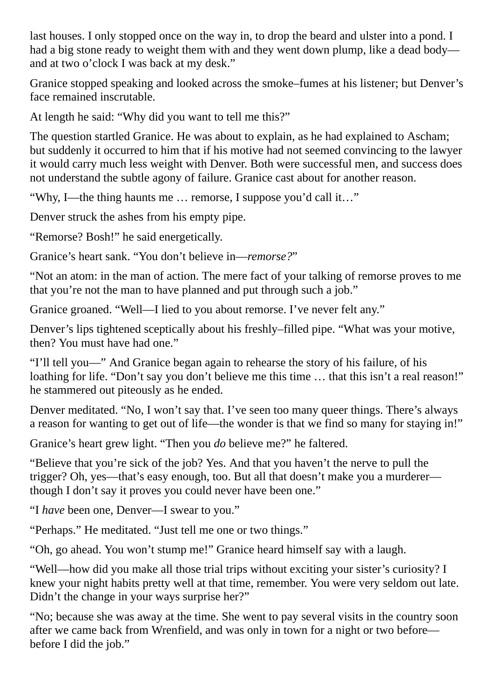last houses. I only stopped once on the way in, to drop the beard and ulster into a pond. I had a big stone ready to weight them with and they went down plump, like a dead body and at two o'clock I was back at my desk."

Granice stopped speaking and looked across the smoke–fumes at his listener; but Denver's face remained inscrutable.

At length he said: "Why did you want to tell me this?"

The question startled Granice. He was about to explain, as he had explained to Ascham; but suddenly it occurred to him that if his motive had not seemed convincing to the lawyer it would carry much less weight with Denver. Both were successful men, and success does not understand the subtle agony of failure. Granice cast about for another reason.

"Why, I—the thing haunts me … remorse, I suppose you'd call it…"

Denver struck the ashes from his empty pipe.

"Remorse? Bosh!" he said energetically.

Granice's heart sank. "You don't believe in—*remorse?*"

"Not an atom: in the man of action. The mere fact of your talking of remorse proves to me that you're not the man to have planned and put through such a job."

Granice groaned. "Well—I lied to you about remorse. I've never felt any."

Denver's lips tightened sceptically about his freshly–filled pipe. "What was your motive, then? You must have had one."

"I'll tell you—" And Granice began again to rehearse the story of his failure, of his loathing for life. "Don't say you don't believe me this time ... that this isn't a real reason!" he stammered out piteously as he ended.

Denver meditated. "No, I won't say that. I've seen too many queer things. There's always a reason for wanting to get out of life—the wonder is that we find so many for staying in!"

Granice's heart grew light. "Then you *do* believe me?" he faltered.

"Believe that you're sick of the job? Yes. And that you haven't the nerve to pull the trigger? Oh, yes—that's easy enough, too. But all that doesn't make you a murderer though I don't say it proves you could never have been one."

"I *have* been one, Denver—I swear to you."

"Perhaps." He meditated. "Just tell me one or two things."

"Oh, go ahead. You won't stump me!" Granice heard himself say with a laugh.

"Well—how did you make all those trial trips without exciting your sister's curiosity? I knew your night habits pretty well at that time, remember. You were very seldom out late. Didn't the change in your ways surprise her?"

"No; because she was away at the time. She went to pay several visits in the country soon after we came back from Wrenfield, and was only in town for a night or two before before I did the job."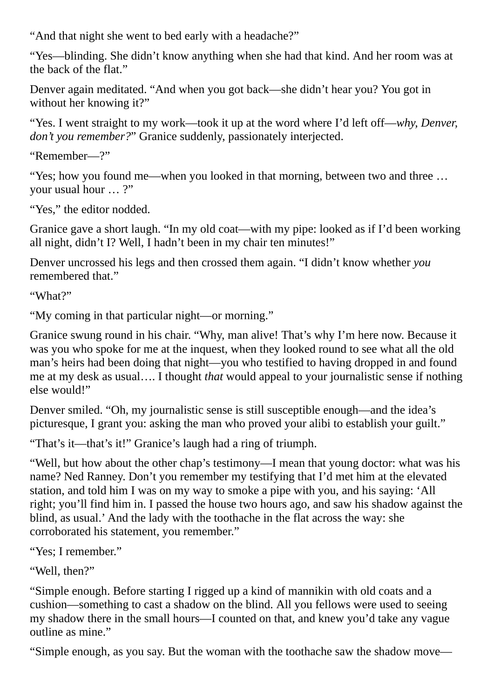"And that night she went to bed early with a headache?"

"Yes—blinding. She didn't know anything when she had that kind. And her room was at the back of the flat."

Denver again meditated. "And when you got back—she didn't hear you? You got in without her knowing it?"

"Yes. I went straight to my work—took it up at the word where I'd left off—*why, Denver, don't you remember?*" Granice suddenly, passionately interjected.

```
"Remember—?"
```
"Yes; how you found me—when you looked in that morning, between two and three … your usual hour … ?"

"Yes," the editor nodded.

Granice gave a short laugh. "In my old coat—with my pipe: looked as if I'd been working all night, didn't I? Well, I hadn't been in my chair ten minutes!"

Denver uncrossed his legs and then crossed them again. "I didn't know whether *you* remembered that."

"What?"

"My coming in that particular night—or morning."

Granice swung round in his chair. "Why, man alive! That's why I'm here now. Because it was you who spoke for me at the inquest, when they looked round to see what all the old man's heirs had been doing that night—you who testified to having dropped in and found me at my desk as usual…. I thought *that* would appeal to your journalistic sense if nothing else would!"

Denver smiled. "Oh, my journalistic sense is still susceptible enough—and the idea's picturesque, I grant you: asking the man who proved your alibi to establish your guilt."

"That's it—that's it!" Granice's laugh had a ring of triumph.

"Well, but how about the other chap's testimony—I mean that young doctor: what was his name? Ned Ranney. Don't you remember my testifying that I'd met him at the elevated station, and told him I was on my way to smoke a pipe with you, and his saying: 'All right; you'll find him in. I passed the house two hours ago, and saw his shadow against the blind, as usual.' And the lady with the toothache in the flat across the way: she corroborated his statement, you remember."

"Yes; I remember."

"Well, then?"

"Simple enough. Before starting I rigged up a kind of mannikin with old coats and a cushion—something to cast a shadow on the blind. All you fellows were used to seeing my shadow there in the small hours—I counted on that, and knew you'd take any vague outline as mine."

"Simple enough, as you say. But the woman with the toothache saw the shadow move—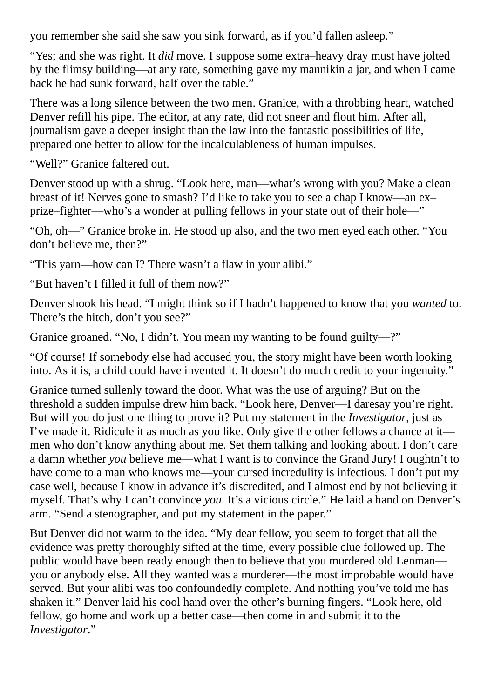you remember she said she saw you sink forward, as if you'd fallen asleep."

"Yes; and she was right. It *did* move. I suppose some extra–heavy dray must have jolted by the flimsy building—at any rate, something gave my mannikin a jar, and when I came back he had sunk forward, half over the table."

There was a long silence between the two men. Granice, with a throbbing heart, watched Denver refill his pipe. The editor, at any rate, did not sneer and flout him. After all, journalism gave a deeper insight than the law into the fantastic possibilities of life, prepared one better to allow for the incalculableness of human impulses.

"Well?" Granice faltered out.

Denver stood up with a shrug. "Look here, man—what's wrong with you? Make a clean breast of it! Nerves gone to smash? I'd like to take you to see a chap I know—an ex– prize–fighter—who's a wonder at pulling fellows in your state out of their hole—"

"Oh, oh—" Granice broke in. He stood up also, and the two men eyed each other. "You don't believe me, then?"

"This yarn—how can I? There wasn't a flaw in your alibi."

"But haven't I filled it full of them now?"

Denver shook his head. "I might think so if I hadn't happened to know that you *wanted* to. There's the hitch, don't you see?"

Granice groaned. "No, I didn't. You mean my wanting to be found guilty—?"

"Of course! If somebody else had accused you, the story might have been worth looking into. As it is, a child could have invented it. It doesn't do much credit to your ingenuity."

Granice turned sullenly toward the door. What was the use of arguing? But on the threshold a sudden impulse drew him back. "Look here, Denver—I daresay you're right. But will you do just one thing to prove it? Put my statement in the *Investigator*, just as I've made it. Ridicule it as much as you like. Only give the other fellows a chance at it men who don't know anything about me. Set them talking and looking about. I don't care a damn whether *you* believe me—what I want is to convince the Grand Jury! I oughtn't to have come to a man who knows me—your cursed incredulity is infectious. I don't put my case well, because I know in advance it's discredited, and I almost end by not believing it myself. That's why I can't convince *you*. It's a vicious circle." He laid a hand on Denver's arm. "Send a stenographer, and put my statement in the paper."

But Denver did not warm to the idea. "My dear fellow, you seem to forget that all the evidence was pretty thoroughly sifted at the time, every possible clue followed up. The public would have been ready enough then to believe that you murdered old Lenman you or anybody else. All they wanted was a murderer—the most improbable would have served. But your alibi was too confoundedly complete. And nothing you've told me has shaken it." Denver laid his cool hand over the other's burning fingers. "Look here, old fellow, go home and work up a better case—then come in and submit it to the *Investigator*."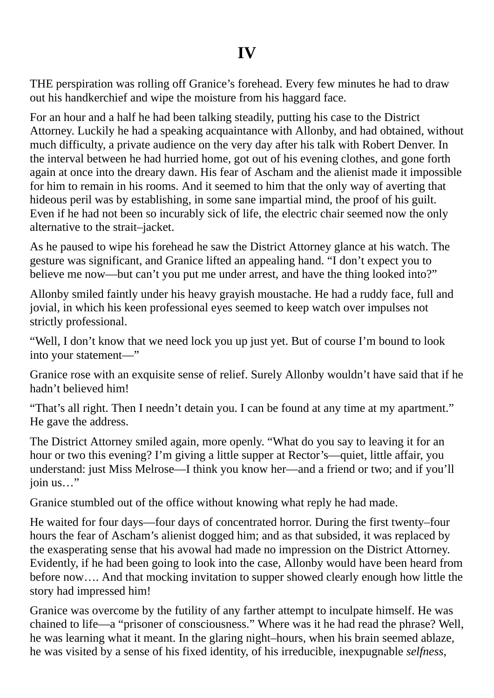<span id="page-22-0"></span>THE perspiration was rolling off Granice's forehead. Every few minutes he had to draw out his handkerchief and wipe the moisture from his haggard face.

For an hour and a half he had been talking steadily, putting his case to the District Attorney. Luckily he had a speaking acquaintance with Allonby, and had obtained, without much difficulty, a private audience on the very day after his talk with Robert Denver. In the interval between he had hurried home, got out of his evening clothes, and gone forth again at once into the dreary dawn. His fear of Ascham and the alienist made it impossible for him to remain in his rooms. And it seemed to him that the only way of averting that hideous peril was by establishing, in some sane impartial mind, the proof of his guilt. Even if he had not been so incurably sick of life, the electric chair seemed now the only alternative to the strait–jacket.

As he paused to wipe his forehead he saw the District Attorney glance at his watch. The gesture was significant, and Granice lifted an appealing hand. "I don't expect you to believe me now—but can't you put me under arrest, and have the thing looked into?"

Allonby smiled faintly under his heavy grayish moustache. He had a ruddy face, full and jovial, in which his keen professional eyes seemed to keep watch over impulses not strictly professional.

"Well, I don't know that we need lock you up just yet. But of course I'm bound to look into your statement—"

Granice rose with an exquisite sense of relief. Surely Allonby wouldn't have said that if he hadn't believed him!

"That's all right. Then I needn't detain you. I can be found at any time at my apartment." He gave the address.

The District Attorney smiled again, more openly. "What do you say to leaving it for an hour or two this evening? I'm giving a little supper at Rector's—quiet, little affair, you understand: just Miss Melrose—I think you know her—and a friend or two; and if you'll join us…"

Granice stumbled out of the office without knowing what reply he had made.

He waited for four days—four days of concentrated horror. During the first twenty–four hours the fear of Ascham's alienist dogged him; and as that subsided, it was replaced by the exasperating sense that his avowal had made no impression on the District Attorney. Evidently, if he had been going to look into the case, Allonby would have been heard from before now…. And that mocking invitation to supper showed clearly enough how little the story had impressed him!

Granice was overcome by the futility of any farther attempt to inculpate himself. He was chained to life—a "prisoner of consciousness." Where was it he had read the phrase? Well, he was learning what it meant. In the glaring night–hours, when his brain seemed ablaze, he was visited by a sense of his fixed identity, of his irreducible, inexpugnable *selfness*,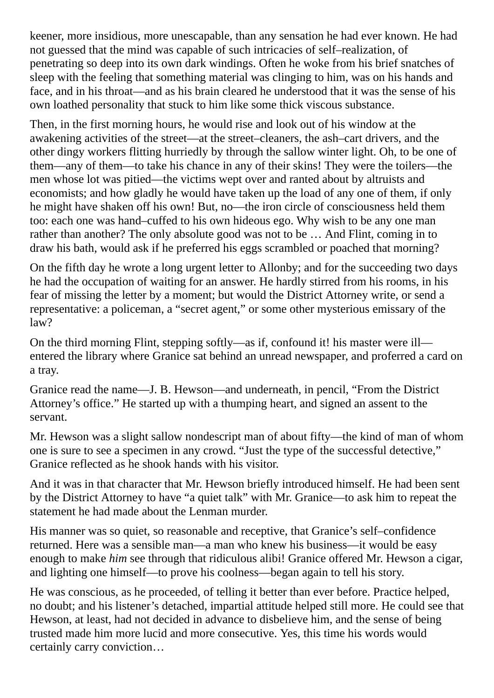keener, more insidious, more unescapable, than any sensation he had ever known. He had not guessed that the mind was capable of such intricacies of self–realization, of penetrating so deep into its own dark windings. Often he woke from his brief snatches of sleep with the feeling that something material was clinging to him, was on his hands and face, and in his throat—and as his brain cleared he understood that it was the sense of his own loathed personality that stuck to him like some thick viscous substance.

Then, in the first morning hours, he would rise and look out of his window at the awakening activities of the street—at the street–cleaners, the ash–cart drivers, and the other dingy workers flitting hurriedly by through the sallow winter light. Oh, to be one of them—any of them—to take his chance in any of their skins! They were the toilers—the men whose lot was pitied—the victims wept over and ranted about by altruists and economists; and how gladly he would have taken up the load of any one of them, if only he might have shaken off his own! But, no—the iron circle of consciousness held them too: each one was hand–cuffed to his own hideous ego. Why wish to be any one man rather than another? The only absolute good was not to be … And Flint, coming in to draw his bath, would ask if he preferred his eggs scrambled or poached that morning?

On the fifth day he wrote a long urgent letter to Allonby; and for the succeeding two days he had the occupation of waiting for an answer. He hardly stirred from his rooms, in his fear of missing the letter by a moment; but would the District Attorney write, or send a representative: a policeman, a "secret agent," or some other mysterious emissary of the law?

On the third morning Flint, stepping softly—as if, confound it! his master were ill entered the library where Granice sat behind an unread newspaper, and proferred a card on a tray.

Granice read the name—J. B. Hewson—and underneath, in pencil, "From the District Attorney's office." He started up with a thumping heart, and signed an assent to the servant.

Mr. Hewson was a slight sallow nondescript man of about fifty—the kind of man of whom one is sure to see a specimen in any crowd. "Just the type of the successful detective," Granice reflected as he shook hands with his visitor.

And it was in that character that Mr. Hewson briefly introduced himself. He had been sent by the District Attorney to have "a quiet talk" with Mr. Granice—to ask him to repeat the statement he had made about the Lenman murder.

His manner was so quiet, so reasonable and receptive, that Granice's self–confidence returned. Here was a sensible man—a man who knew his business—it would be easy enough to make *him* see through that ridiculous alibi! Granice offered Mr. Hewson a cigar, and lighting one himself—to prove his coolness—began again to tell his story.

He was conscious, as he proceeded, of telling it better than ever before. Practice helped, no doubt; and his listener's detached, impartial attitude helped still more. He could see that Hewson, at least, had not decided in advance to disbelieve him, and the sense of being trusted made him more lucid and more consecutive. Yes, this time his words would certainly carry conviction…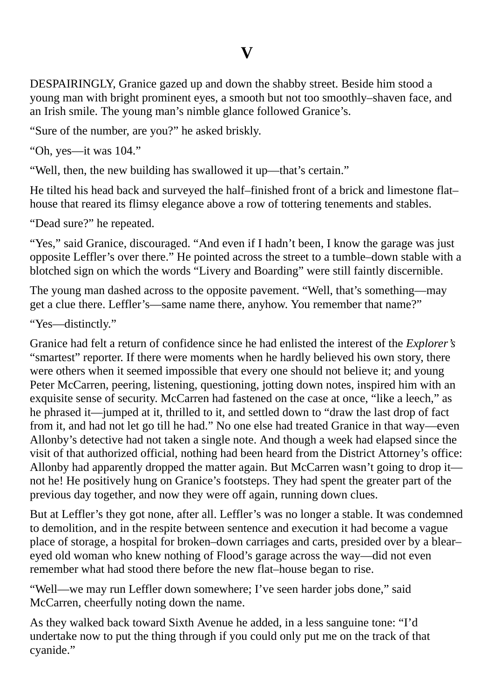### **V**

<span id="page-24-0"></span>DESPAIRINGLY, Granice gazed up and down the shabby street. Beside him stood a young man with bright prominent eyes, a smooth but not too smoothly–shaven face, and an Irish smile. The young man's nimble glance followed Granice's.

"Sure of the number, are you?" he asked briskly.

"Oh, yes—it was 104."

"Well, then, the new building has swallowed it up—that's certain."

He tilted his head back and surveyed the half–finished front of a brick and limestone flat– house that reared its flimsy elegance above a row of tottering tenements and stables.

"Dead sure?" he repeated.

"Yes," said Granice, discouraged. "And even if I hadn't been, I know the garage was just opposite Leffler's over there." He pointed across the street to a tumble–down stable with a blotched sign on which the words "Livery and Boarding" were still faintly discernible.

The young man dashed across to the opposite pavement. "Well, that's something—may get a clue there. Leffler's—same name there, anyhow. You remember that name?"

"Yes—distinctly."

Granice had felt a return of confidence since he had enlisted the interest of the *Explorer's* "smartest" reporter. If there were moments when he hardly believed his own story, there were others when it seemed impossible that every one should not believe it; and young Peter McCarren, peering, listening, questioning, jotting down notes, inspired him with an exquisite sense of security. McCarren had fastened on the case at once, "like a leech," as he phrased it—jumped at it, thrilled to it, and settled down to "draw the last drop of fact from it, and had not let go till he had." No one else had treated Granice in that way—even Allonby's detective had not taken a single note. And though a week had elapsed since the visit of that authorized official, nothing had been heard from the District Attorney's office: Allonby had apparently dropped the matter again. But McCarren wasn't going to drop it not he! He positively hung on Granice's footsteps. They had spent the greater part of the previous day together, and now they were off again, running down clues.

But at Leffler's they got none, after all. Leffler's was no longer a stable. It was condemned to demolition, and in the respite between sentence and execution it had become a vague place of storage, a hospital for broken–down carriages and carts, presided over by a blear– eyed old woman who knew nothing of Flood's garage across the way—did not even remember what had stood there before the new flat–house began to rise.

"Well—we may run Leffler down somewhere; I've seen harder jobs done," said McCarren, cheerfully noting down the name.

As they walked back toward Sixth Avenue he added, in a less sanguine tone: "I'd undertake now to put the thing through if you could only put me on the track of that cyanide."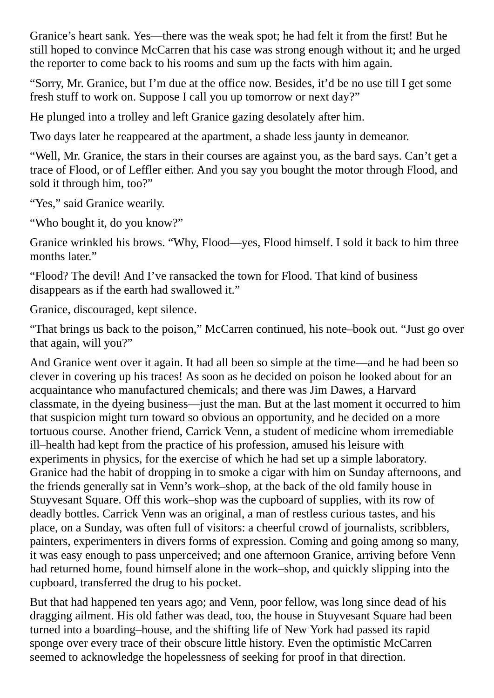Granice's heart sank. Yes—there was the weak spot; he had felt it from the first! But he still hoped to convince McCarren that his case was strong enough without it; and he urged the reporter to come back to his rooms and sum up the facts with him again.

"Sorry, Mr. Granice, but I'm due at the office now. Besides, it'd be no use till I get some fresh stuff to work on. Suppose I call you up tomorrow or next day?"

He plunged into a trolley and left Granice gazing desolately after him.

Two days later he reappeared at the apartment, a shade less jaunty in demeanor.

"Well, Mr. Granice, the stars in their courses are against you, as the bard says. Can't get a trace of Flood, or of Leffler either. And you say you bought the motor through Flood, and sold it through him, too?"

"Yes," said Granice wearily.

"Who bought it, do you know?"

Granice wrinkled his brows. "Why, Flood—yes, Flood himself. I sold it back to him three months later."

"Flood? The devil! And I've ransacked the town for Flood. That kind of business disappears as if the earth had swallowed it."

Granice, discouraged, kept silence.

"That brings us back to the poison," McCarren continued, his note–book out. "Just go over that again, will you?"

And Granice went over it again. It had all been so simple at the time—and he had been so clever in covering up his traces! As soon as he decided on poison he looked about for an acquaintance who manufactured chemicals; and there was Jim Dawes, a Harvard classmate, in the dyeing business—just the man. But at the last moment it occurred to him that suspicion might turn toward so obvious an opportunity, and he decided on a more tortuous course. Another friend, Carrick Venn, a student of medicine whom irremediable ill–health had kept from the practice of his profession, amused his leisure with experiments in physics, for the exercise of which he had set up a simple laboratory. Granice had the habit of dropping in to smoke a cigar with him on Sunday afternoons, and the friends generally sat in Venn's work–shop, at the back of the old family house in Stuyvesant Square. Off this work–shop was the cupboard of supplies, with its row of deadly bottles. Carrick Venn was an original, a man of restless curious tastes, and his place, on a Sunday, was often full of visitors: a cheerful crowd of journalists, scribblers, painters, experimenters in divers forms of expression. Coming and going among so many, it was easy enough to pass unperceived; and one afternoon Granice, arriving before Venn had returned home, found himself alone in the work–shop, and quickly slipping into the cupboard, transferred the drug to his pocket.

But that had happened ten years ago; and Venn, poor fellow, was long since dead of his dragging ailment. His old father was dead, too, the house in Stuyvesant Square had been turned into a boarding–house, and the shifting life of New York had passed its rapid sponge over every trace of their obscure little history. Even the optimistic McCarren seemed to acknowledge the hopelessness of seeking for proof in that direction.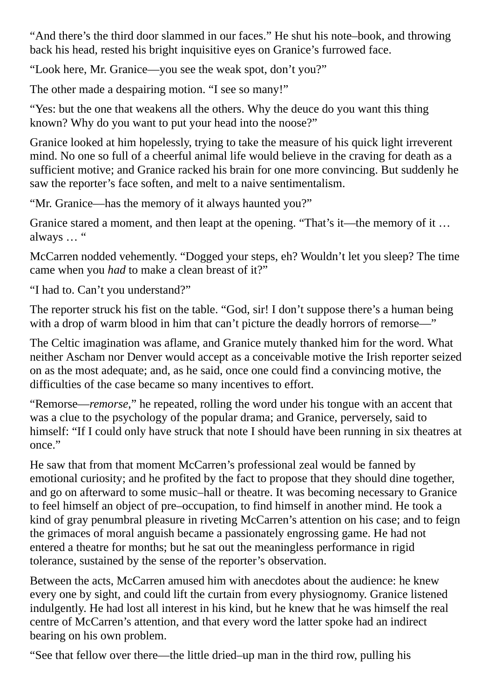"And there's the third door slammed in our faces." He shut his note–book, and throwing back his head, rested his bright inquisitive eyes on Granice's furrowed face.

"Look here, Mr. Granice—you see the weak spot, don't you?"

The other made a despairing motion. "I see so many!"

"Yes: but the one that weakens all the others. Why the deuce do you want this thing known? Why do you want to put your head into the noose?"

Granice looked at him hopelessly, trying to take the measure of his quick light irreverent mind. No one so full of a cheerful animal life would believe in the craving for death as a sufficient motive; and Granice racked his brain for one more convincing. But suddenly he saw the reporter's face soften, and melt to a naive sentimentalism.

"Mr. Granice—has the memory of it always haunted you?"

Granice stared a moment, and then leapt at the opening. "That's it—the memory of it … always … "

McCarren nodded vehemently. "Dogged your steps, eh? Wouldn't let you sleep? The time came when you *had* to make a clean breast of it?"

"I had to. Can't you understand?"

The reporter struck his fist on the table. "God, sir! I don't suppose there's a human being with a drop of warm blood in him that can't picture the deadly horrors of remorse—"

The Celtic imagination was aflame, and Granice mutely thanked him for the word. What neither Ascham nor Denver would accept as a conceivable motive the Irish reporter seized on as the most adequate; and, as he said, once one could find a convincing motive, the difficulties of the case became so many incentives to effort.

"Remorse—*remorse*," he repeated, rolling the word under his tongue with an accent that was a clue to the psychology of the popular drama; and Granice, perversely, said to himself: "If I could only have struck that note I should have been running in six theatres at once."

He saw that from that moment McCarren's professional zeal would be fanned by emotional curiosity; and he profited by the fact to propose that they should dine together, and go on afterward to some music–hall or theatre. It was becoming necessary to Granice to feel himself an object of pre–occupation, to find himself in another mind. He took a kind of gray penumbral pleasure in riveting McCarren's attention on his case; and to feign the grimaces of moral anguish became a passionately engrossing game. He had not entered a theatre for months; but he sat out the meaningless performance in rigid tolerance, sustained by the sense of the reporter's observation.

Between the acts, McCarren amused him with anecdotes about the audience: he knew every one by sight, and could lift the curtain from every physiognomy. Granice listened indulgently. He had lost all interest in his kind, but he knew that he was himself the real centre of McCarren's attention, and that every word the latter spoke had an indirect bearing on his own problem.

"See that fellow over there—the little dried–up man in the third row, pulling his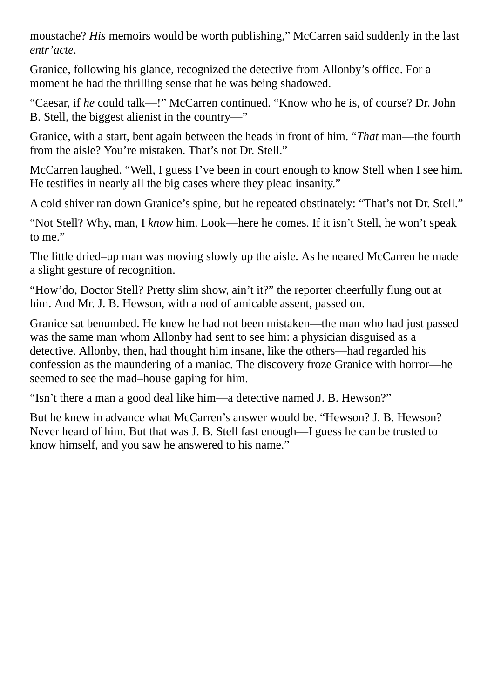moustache? *His* memoirs would be worth publishing," McCarren said suddenly in the last *entr'acte*.

Granice, following his glance, recognized the detective from Allonby's office. For a moment he had the thrilling sense that he was being shadowed.

"Caesar, if *he* could talk—!" McCarren continued. "Know who he is, of course? Dr. John B. Stell, the biggest alienist in the country—"

Granice, with a start, bent again between the heads in front of him. "*That* man—the fourth from the aisle? You're mistaken. That's not Dr. Stell."

McCarren laughed. "Well, I guess I've been in court enough to know Stell when I see him. He testifies in nearly all the big cases where they plead insanity."

A cold shiver ran down Granice's spine, but he repeated obstinately: "That's not Dr. Stell."

"Not Stell? Why, man, I *know* him. Look—here he comes. If it isn't Stell, he won't speak to me."

The little dried–up man was moving slowly up the aisle. As he neared McCarren he made a slight gesture of recognition.

"How'do, Doctor Stell? Pretty slim show, ain't it?" the reporter cheerfully flung out at him. And Mr. J. B. Hewson, with a nod of amicable assent, passed on.

Granice sat benumbed. He knew he had not been mistaken—the man who had just passed was the same man whom Allonby had sent to see him: a physician disguised as a detective. Allonby, then, had thought him insane, like the others—had regarded his confession as the maundering of a maniac. The discovery froze Granice with horror—he seemed to see the mad–house gaping for him.

"Isn't there a man a good deal like him—a detective named J. B. Hewson?"

But he knew in advance what McCarren's answer would be. "Hewson? J. B. Hewson? Never heard of him. But that was J. B. Stell fast enough—I guess he can be trusted to know himself, and you saw he answered to his name."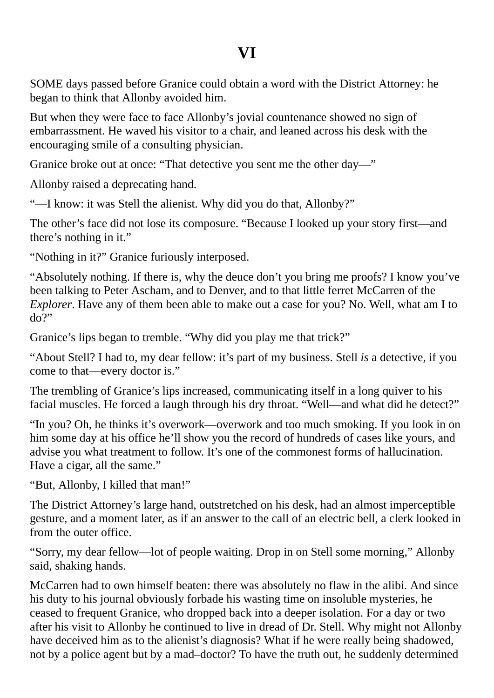## **VI**

<span id="page-28-0"></span>SOME days passed before Granice could obtain a word with the District Attorney: he began to think that Allonby avoided him.

But when they were face to face Allonby's jovial countenance showed no sign of embarrassment. He waved his visitor to a chair, and leaned across his desk with the encouraging smile of a consulting physician.

Granice broke out at once: "That detective you sent me the other day—"

Allonby raised a deprecating hand.

"—I know: it was Stell the alienist. Why did you do that, Allonby?"

The other's face did not lose its composure. "Because I looked up your story first—and there's nothing in it."

"Nothing in it?" Granice furiously interposed.

"Absolutely nothing. If there is, why the deuce don't you bring me proofs? I know you've been talking to Peter Ascham, and to Denver, and to that little ferret McCarren of the *Explorer*. Have any of them been able to make out a case for you? No. Well, what am I to do?"

Granice's lips began to tremble. "Why did you play me that trick?"

"About Stell? I had to, my dear fellow: it's part of my business. Stell *is* a detective, if you come to that—every doctor is."

The trembling of Granice's lips increased, communicating itself in a long quiver to his facial muscles. He forced a laugh through his dry throat. "Well—and what did he detect?"

"In you? Oh, he thinks it's overwork—overwork and too much smoking. If you look in on him some day at his office he'll show you the record of hundreds of cases like yours, and advise you what treatment to follow. It's one of the commonest forms of hallucination. Have a cigar, all the same."

"But, Allonby, I killed that man!"

The District Attorney's large hand, outstretched on his desk, had an almost imperceptible gesture, and a moment later, as if an answer to the call of an electric bell, a clerk looked in from the outer office.

"Sorry, my dear fellow—lot of people waiting. Drop in on Stell some morning," Allonby said, shaking hands.

McCarren had to own himself beaten: there was absolutely no flaw in the alibi. And since his duty to his journal obviously forbade his wasting time on insoluble mysteries, he ceased to frequent Granice, who dropped back into a deeper isolation. For a day or two after his visit to Allonby he continued to live in dread of Dr. Stell. Why might not Allonby have deceived him as to the alienist's diagnosis? What if he were really being shadowed, not by a police agent but by a mad–doctor? To have the truth out, he suddenly determined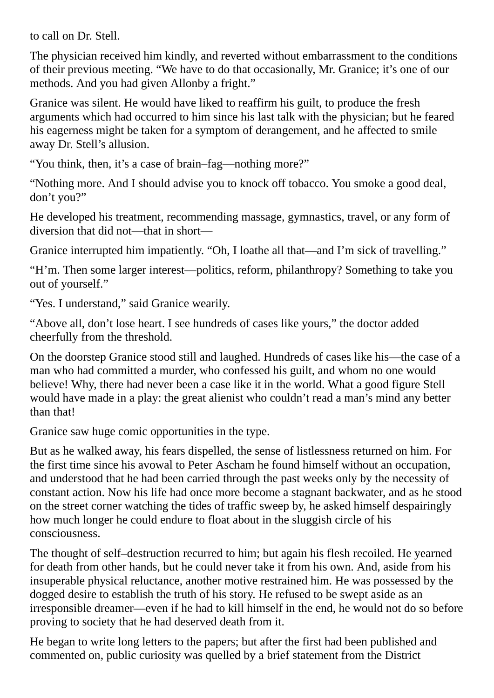to call on Dr. Stell.

The physician received him kindly, and reverted without embarrassment to the conditions of their previous meeting. "We have to do that occasionally, Mr. Granice; it's one of our methods. And you had given Allonby a fright."

Granice was silent. He would have liked to reaffirm his guilt, to produce the fresh arguments which had occurred to him since his last talk with the physician; but he feared his eagerness might be taken for a symptom of derangement, and he affected to smile away Dr. Stell's allusion.

"You think, then, it's a case of brain–fag—nothing more?"

"Nothing more. And I should advise you to knock off tobacco. You smoke a good deal, don't you?"

He developed his treatment, recommending massage, gymnastics, travel, or any form of diversion that did not—that in short—

Granice interrupted him impatiently. "Oh, I loathe all that—and I'm sick of travelling."

"H'm. Then some larger interest—politics, reform, philanthropy? Something to take you out of yourself."

"Yes. I understand," said Granice wearily.

"Above all, don't lose heart. I see hundreds of cases like yours," the doctor added cheerfully from the threshold.

On the doorstep Granice stood still and laughed. Hundreds of cases like his—the case of a man who had committed a murder, who confessed his guilt, and whom no one would believe! Why, there had never been a case like it in the world. What a good figure Stell would have made in a play: the great alienist who couldn't read a man's mind any better than that!

Granice saw huge comic opportunities in the type.

But as he walked away, his fears dispelled, the sense of listlessness returned on him. For the first time since his avowal to Peter Ascham he found himself without an occupation, and understood that he had been carried through the past weeks only by the necessity of constant action. Now his life had once more become a stagnant backwater, and as he stood on the street corner watching the tides of traffic sweep by, he asked himself despairingly how much longer he could endure to float about in the sluggish circle of his consciousness.

The thought of self–destruction recurred to him; but again his flesh recoiled. He yearned for death from other hands, but he could never take it from his own. And, aside from his insuperable physical reluctance, another motive restrained him. He was possessed by the dogged desire to establish the truth of his story. He refused to be swept aside as an irresponsible dreamer—even if he had to kill himself in the end, he would not do so before proving to society that he had deserved death from it.

He began to write long letters to the papers; but after the first had been published and commented on, public curiosity was quelled by a brief statement from the District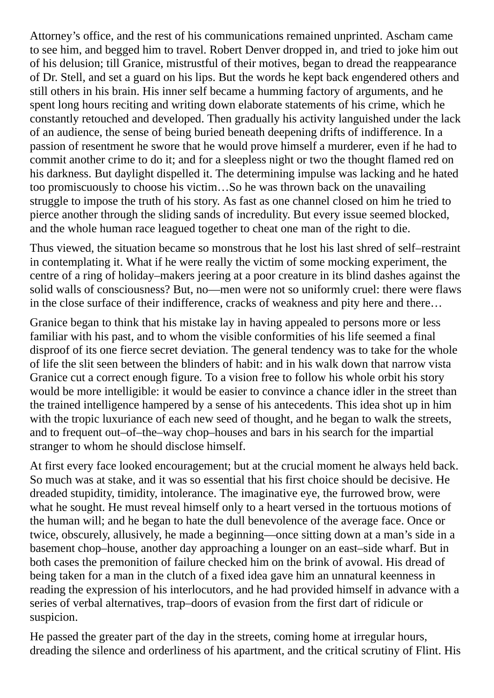Attorney's office, and the rest of his communications remained unprinted. Ascham came to see him, and begged him to travel. Robert Denver dropped in, and tried to joke him out of his delusion; till Granice, mistrustful of their motives, began to dread the reappearance of Dr. Stell, and set a guard on his lips. But the words he kept back engendered others and still others in his brain. His inner self became a humming factory of arguments, and he spent long hours reciting and writing down elaborate statements of his crime, which he constantly retouched and developed. Then gradually his activity languished under the lack of an audience, the sense of being buried beneath deepening drifts of indifference. In a passion of resentment he swore that he would prove himself a murderer, even if he had to commit another crime to do it; and for a sleepless night or two the thought flamed red on his darkness. But daylight dispelled it. The determining impulse was lacking and he hated too promiscuously to choose his victim…So he was thrown back on the unavailing struggle to impose the truth of his story. As fast as one channel closed on him he tried to pierce another through the sliding sands of incredulity. But every issue seemed blocked, and the whole human race leagued together to cheat one man of the right to die.

Thus viewed, the situation became so monstrous that he lost his last shred of self–restraint in contemplating it. What if he were really the victim of some mocking experiment, the centre of a ring of holiday–makers jeering at a poor creature in its blind dashes against the solid walls of consciousness? But, no—men were not so uniformly cruel: there were flaws in the close surface of their indifference, cracks of weakness and pity here and there…

Granice began to think that his mistake lay in having appealed to persons more or less familiar with his past, and to whom the visible conformities of his life seemed a final disproof of its one fierce secret deviation. The general tendency was to take for the whole of life the slit seen between the blinders of habit: and in his walk down that narrow vista Granice cut a correct enough figure. To a vision free to follow his whole orbit his story would be more intelligible: it would be easier to convince a chance idler in the street than the trained intelligence hampered by a sense of his antecedents. This idea shot up in him with the tropic luxuriance of each new seed of thought, and he began to walk the streets, and to frequent out–of–the–way chop–houses and bars in his search for the impartial stranger to whom he should disclose himself.

At first every face looked encouragement; but at the crucial moment he always held back. So much was at stake, and it was so essential that his first choice should be decisive. He dreaded stupidity, timidity, intolerance. The imaginative eye, the furrowed brow, were what he sought. He must reveal himself only to a heart versed in the tortuous motions of the human will; and he began to hate the dull benevolence of the average face. Once or twice, obscurely, allusively, he made a beginning—once sitting down at a man's side in a basement chop–house, another day approaching a lounger on an east–side wharf. But in both cases the premonition of failure checked him on the brink of avowal. His dread of being taken for a man in the clutch of a fixed idea gave him an unnatural keenness in reading the expression of his interlocutors, and he had provided himself in advance with a series of verbal alternatives, trap–doors of evasion from the first dart of ridicule or suspicion.

He passed the greater part of the day in the streets, coming home at irregular hours, dreading the silence and orderliness of his apartment, and the critical scrutiny of Flint. His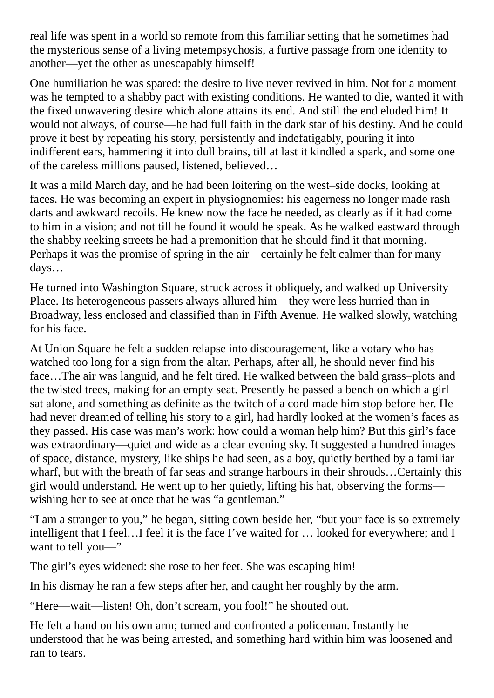real life was spent in a world so remote from this familiar setting that he sometimes had the mysterious sense of a living metempsychosis, a furtive passage from one identity to another—yet the other as unescapably himself!

One humiliation he was spared: the desire to live never revived in him. Not for a moment was he tempted to a shabby pact with existing conditions. He wanted to die, wanted it with the fixed unwavering desire which alone attains its end. And still the end eluded him! It would not always, of course—he had full faith in the dark star of his destiny. And he could prove it best by repeating his story, persistently and indefatigably, pouring it into indifferent ears, hammering it into dull brains, till at last it kindled a spark, and some one of the careless millions paused, listened, believed…

It was a mild March day, and he had been loitering on the west–side docks, looking at faces. He was becoming an expert in physiognomies: his eagerness no longer made rash darts and awkward recoils. He knew now the face he needed, as clearly as if it had come to him in a vision; and not till he found it would he speak. As he walked eastward through the shabby reeking streets he had a premonition that he should find it that morning. Perhaps it was the promise of spring in the air—certainly he felt calmer than for many days…

He turned into Washington Square, struck across it obliquely, and walked up University Place. Its heterogeneous passers always allured him—they were less hurried than in Broadway, less enclosed and classified than in Fifth Avenue. He walked slowly, watching for his face.

At Union Square he felt a sudden relapse into discouragement, like a votary who has watched too long for a sign from the altar. Perhaps, after all, he should never find his face…The air was languid, and he felt tired. He walked between the bald grass–plots and the twisted trees, making for an empty seat. Presently he passed a bench on which a girl sat alone, and something as definite as the twitch of a cord made him stop before her. He had never dreamed of telling his story to a girl, had hardly looked at the women's faces as they passed. His case was man's work: how could a woman help him? But this girl's face was extraordinary—quiet and wide as a clear evening sky. It suggested a hundred images of space, distance, mystery, like ships he had seen, as a boy, quietly berthed by a familiar wharf, but with the breath of far seas and strange harbours in their shrouds…Certainly this girl would understand. He went up to her quietly, lifting his hat, observing the forms wishing her to see at once that he was "a gentleman."

"I am a stranger to you," he began, sitting down beside her, "but your face is so extremely intelligent that I feel…I feel it is the face I've waited for … looked for everywhere; and I want to tell you-"

The girl's eyes widened: she rose to her feet. She was escaping him!

In his dismay he ran a few steps after her, and caught her roughly by the arm.

"Here—wait—listen! Oh, don't scream, you fool!" he shouted out.

He felt a hand on his own arm; turned and confronted a policeman. Instantly he understood that he was being arrested, and something hard within him was loosened and ran to tears.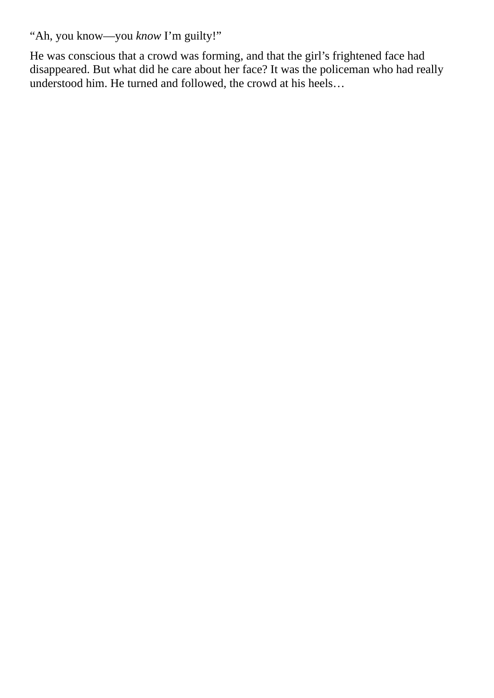"Ah, you know—you *know* I'm guilty!"

He was conscious that a crowd was forming, and that the girl's frightened face had disappeared. But what did he care about her face? It was the policeman who had really understood him. He turned and followed, the crowd at his heels…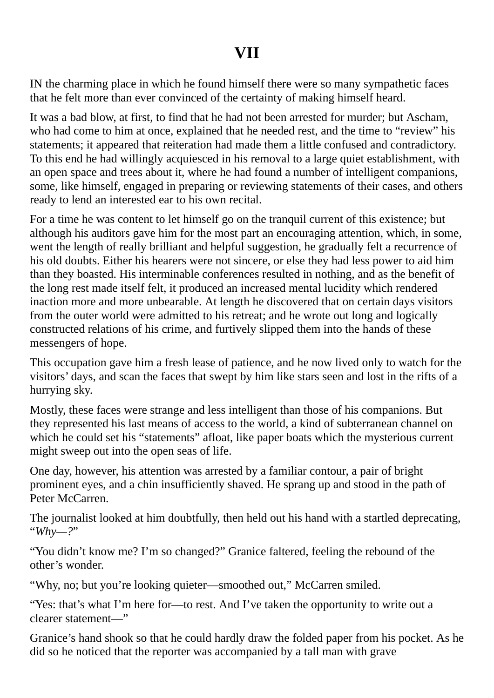## **VII**

<span id="page-33-0"></span>IN the charming place in which he found himself there were so many sympathetic faces that he felt more than ever convinced of the certainty of making himself heard.

It was a bad blow, at first, to find that he had not been arrested for murder; but Ascham, who had come to him at once, explained that he needed rest, and the time to "review" his statements; it appeared that reiteration had made them a little confused and contradictory. To this end he had willingly acquiesced in his removal to a large quiet establishment, with an open space and trees about it, where he had found a number of intelligent companions, some, like himself, engaged in preparing or reviewing statements of their cases, and others ready to lend an interested ear to his own recital.

For a time he was content to let himself go on the tranquil current of this existence; but although his auditors gave him for the most part an encouraging attention, which, in some, went the length of really brilliant and helpful suggestion, he gradually felt a recurrence of his old doubts. Either his hearers were not sincere, or else they had less power to aid him than they boasted. His interminable conferences resulted in nothing, and as the benefit of the long rest made itself felt, it produced an increased mental lucidity which rendered inaction more and more unbearable. At length he discovered that on certain days visitors from the outer world were admitted to his retreat; and he wrote out long and logically constructed relations of his crime, and furtively slipped them into the hands of these messengers of hope.

This occupation gave him a fresh lease of patience, and he now lived only to watch for the visitors' days, and scan the faces that swept by him like stars seen and lost in the rifts of a hurrying sky.

Mostly, these faces were strange and less intelligent than those of his companions. But they represented his last means of access to the world, a kind of subterranean channel on which he could set his "statements" afloat, like paper boats which the mysterious current might sweep out into the open seas of life.

One day, however, his attention was arrested by a familiar contour, a pair of bright prominent eyes, and a chin insufficiently shaved. He sprang up and stood in the path of Peter McCarren.

The journalist looked at him doubtfully, then held out his hand with a startled deprecating, "*Why—?*"

"You didn't know me? I'm so changed?" Granice faltered, feeling the rebound of the other's wonder.

"Why, no; but you're looking quieter—smoothed out," McCarren smiled.

"Yes: that's what I'm here for—to rest. And I've taken the opportunity to write out a clearer statement—"

Granice's hand shook so that he could hardly draw the folded paper from his pocket. As he did so he noticed that the reporter was accompanied by a tall man with grave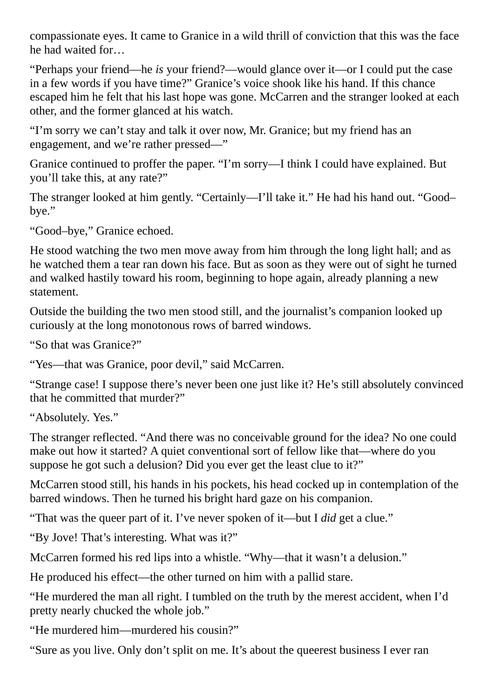compassionate eyes. It came to Granice in a wild thrill of conviction that this was the face he had waited for…

"Perhaps your friend—he *is* your friend?—would glance over it—or I could put the case in a few words if you have time?" Granice's voice shook like his hand. If this chance escaped him he felt that his last hope was gone. McCarren and the stranger looked at each other, and the former glanced at his watch.

"I'm sorry we can't stay and talk it over now, Mr. Granice; but my friend has an engagement, and we're rather pressed—"

Granice continued to proffer the paper. "I'm sorry—I think I could have explained. But you'll take this, at any rate?"

The stranger looked at him gently. "Certainly—I'll take it." He had his hand out. "Good– bye."

"Good–bye," Granice echoed.

He stood watching the two men move away from him through the long light hall; and as he watched them a tear ran down his face. But as soon as they were out of sight he turned and walked hastily toward his room, beginning to hope again, already planning a new statement.

Outside the building the two men stood still, and the journalist's companion looked up curiously at the long monotonous rows of barred windows.

"So that was Granice?"

"Yes—that was Granice, poor devil," said McCarren.

"Strange case! I suppose there's never been one just like it? He's still absolutely convinced that he committed that murder?"

"Absolutely. Yes."

The stranger reflected. "And there was no conceivable ground for the idea? No one could make out how it started? A quiet conventional sort of fellow like that—where do you suppose he got such a delusion? Did you ever get the least clue to it?"

McCarren stood still, his hands in his pockets, his head cocked up in contemplation of the barred windows. Then he turned his bright hard gaze on his companion.

"That was the queer part of it. I've never spoken of it—but I *did* get a clue."

"By Jove! That's interesting. What was it?"

McCarren formed his red lips into a whistle. "Why—that it wasn't a delusion."

He produced his effect—the other turned on him with a pallid stare.

"He murdered the man all right. I tumbled on the truth by the merest accident, when I'd pretty nearly chucked the whole job."

"He murdered him—murdered his cousin?"

"Sure as you live. Only don't split on me. It's about the queerest business I ever ran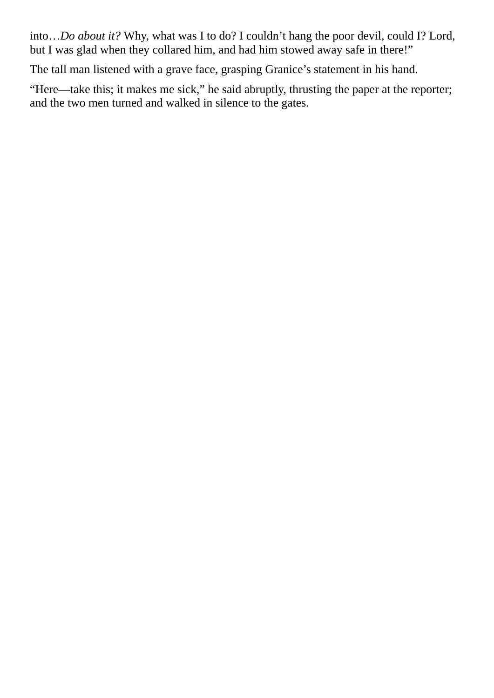into…*Do about it?* Why, what was I to do? I couldn't hang the poor devil, could I? Lord, but I was glad when they collared him, and had him stowed away safe in there!"

The tall man listened with a grave face, grasping Granice's statement in his hand.

"Here—take this; it makes me sick," he said abruptly, thrusting the paper at the reporter; and the two men turned and walked in silence to the gates.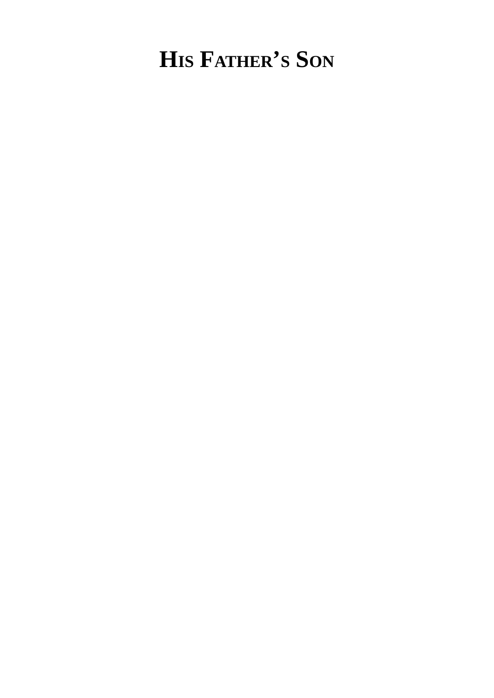## **HIS FATHER'S SON**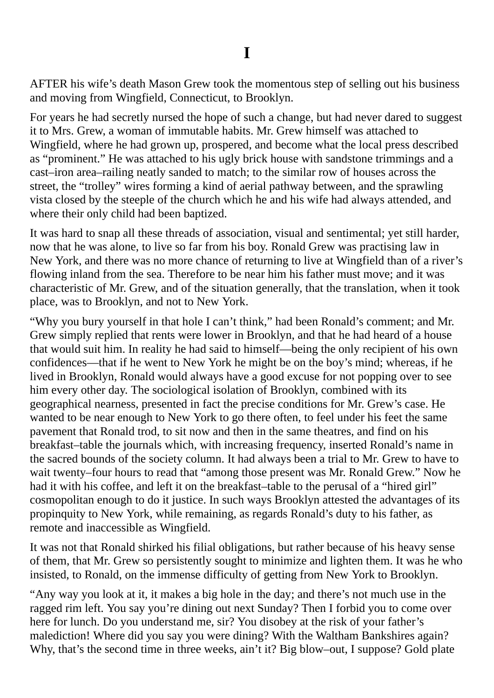AFTER his wife's death Mason Grew took the momentous step of selling out his business and moving from Wingfield, Connecticut, to Brooklyn.

For years he had secretly nursed the hope of such a change, but had never dared to suggest it to Mrs. Grew, a woman of immutable habits. Mr. Grew himself was attached to Wingfield, where he had grown up, prospered, and become what the local press described as "prominent." He was attached to his ugly brick house with sandstone trimmings and a cast–iron area–railing neatly sanded to match; to the similar row of houses across the street, the "trolley" wires forming a kind of aerial pathway between, and the sprawling vista closed by the steeple of the church which he and his wife had always attended, and where their only child had been baptized.

It was hard to snap all these threads of association, visual and sentimental; yet still harder, now that he was alone, to live so far from his boy. Ronald Grew was practising law in New York, and there was no more chance of returning to live at Wingfield than of a river's flowing inland from the sea. Therefore to be near him his father must move; and it was characteristic of Mr. Grew, and of the situation generally, that the translation, when it took place, was to Brooklyn, and not to New York.

"Why you bury yourself in that hole I can't think," had been Ronald's comment; and Mr. Grew simply replied that rents were lower in Brooklyn, and that he had heard of a house that would suit him. In reality he had said to himself—being the only recipient of his own confidences—that if he went to New York he might be on the boy's mind; whereas, if he lived in Brooklyn, Ronald would always have a good excuse for not popping over to see him every other day. The sociological isolation of Brooklyn, combined with its geographical nearness, presented in fact the precise conditions for Mr. Grew's case. He wanted to be near enough to New York to go there often, to feel under his feet the same pavement that Ronald trod, to sit now and then in the same theatres, and find on his breakfast–table the journals which, with increasing frequency, inserted Ronald's name in the sacred bounds of the society column. It had always been a trial to Mr. Grew to have to wait twenty–four hours to read that "among those present was Mr. Ronald Grew." Now he had it with his coffee, and left it on the breakfast–table to the perusal of a "hired girl" cosmopolitan enough to do it justice. In such ways Brooklyn attested the advantages of its propinquity to New York, while remaining, as regards Ronald's duty to his father, as remote and inaccessible as Wingfield.

It was not that Ronald shirked his filial obligations, but rather because of his heavy sense of them, that Mr. Grew so persistently sought to minimize and lighten them. It was he who insisted, to Ronald, on the immense difficulty of getting from New York to Brooklyn.

"Any way you look at it, it makes a big hole in the day; and there's not much use in the ragged rim left. You say you're dining out next Sunday? Then I forbid you to come over here for lunch. Do you understand me, sir? You disobey at the risk of your father's malediction! Where did you say you were dining? With the Waltham Bankshires again? Why, that's the second time in three weeks, ain't it? Big blow–out, I suppose? Gold plate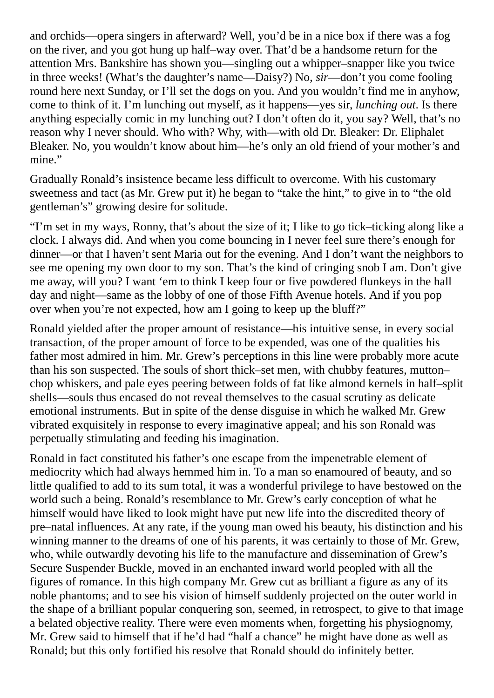and orchids—opera singers in afterward? Well, you'd be in a nice box if there was a fog on the river, and you got hung up half–way over. That'd be a handsome return for the attention Mrs. Bankshire has shown you—singling out a whipper–snapper like you twice in three weeks! (What's the daughter's name—Daisy?) No, *sir*—don't you come fooling round here next Sunday, or I'll set the dogs on you. And you wouldn't find me in anyhow, come to think of it. I'm lunching out myself, as it happens—yes sir, *lunching out*. Is there anything especially comic in my lunching out? I don't often do it, you say? Well, that's no reason why I never should. Who with? Why, with—with old Dr. Bleaker: Dr. Eliphalet Bleaker. No, you wouldn't know about him—he's only an old friend of your mother's and mine."

Gradually Ronald's insistence became less difficult to overcome. With his customary sweetness and tact (as Mr. Grew put it) he began to "take the hint," to give in to "the old gentleman's" growing desire for solitude.

"I'm set in my ways, Ronny, that's about the size of it; I like to go tick–ticking along like a clock. I always did. And when you come bouncing in I never feel sure there's enough for dinner—or that I haven't sent Maria out for the evening. And I don't want the neighbors to see me opening my own door to my son. That's the kind of cringing snob I am. Don't give me away, will you? I want 'em to think I keep four or five powdered flunkeys in the hall day and night—same as the lobby of one of those Fifth Avenue hotels. And if you pop over when you're not expected, how am I going to keep up the bluff?"

Ronald yielded after the proper amount of resistance—his intuitive sense, in every social transaction, of the proper amount of force to be expended, was one of the qualities his father most admired in him. Mr. Grew's perceptions in this line were probably more acute than his son suspected. The souls of short thick–set men, with chubby features, mutton– chop whiskers, and pale eyes peering between folds of fat like almond kernels in half–split shells—souls thus encased do not reveal themselves to the casual scrutiny as delicate emotional instruments. But in spite of the dense disguise in which he walked Mr. Grew vibrated exquisitely in response to every imaginative appeal; and his son Ronald was perpetually stimulating and feeding his imagination.

Ronald in fact constituted his father's one escape from the impenetrable element of mediocrity which had always hemmed him in. To a man so enamoured of beauty, and so little qualified to add to its sum total, it was a wonderful privilege to have bestowed on the world such a being. Ronald's resemblance to Mr. Grew's early conception of what he himself would have liked to look might have put new life into the discredited theory of pre–natal influences. At any rate, if the young man owed his beauty, his distinction and his winning manner to the dreams of one of his parents, it was certainly to those of Mr. Grew, who, while outwardly devoting his life to the manufacture and dissemination of Grew's Secure Suspender Buckle, moved in an enchanted inward world peopled with all the figures of romance. In this high company Mr. Grew cut as brilliant a figure as any of its noble phantoms; and to see his vision of himself suddenly projected on the outer world in the shape of a brilliant popular conquering son, seemed, in retrospect, to give to that image a belated objective reality. There were even moments when, forgetting his physiognomy, Mr. Grew said to himself that if he'd had "half a chance" he might have done as well as Ronald; but this only fortified his resolve that Ronald should do infinitely better.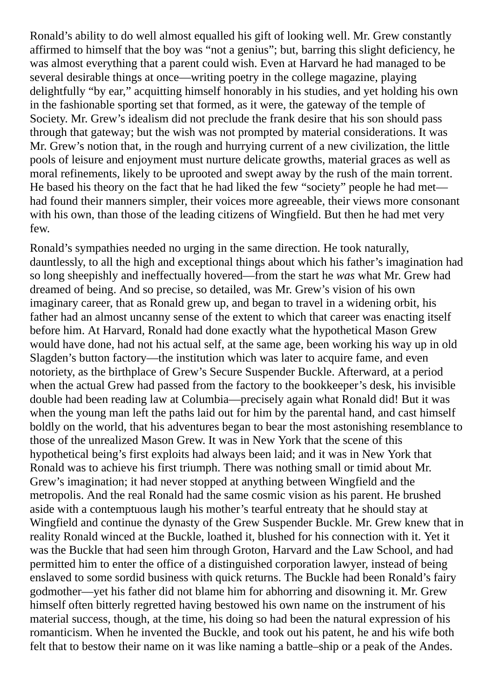Ronald's ability to do well almost equalled his gift of looking well. Mr. Grew constantly affirmed to himself that the boy was "not a genius"; but, barring this slight deficiency, he was almost everything that a parent could wish. Even at Harvard he had managed to be several desirable things at once—writing poetry in the college magazine, playing delightfully "by ear," acquitting himself honorably in his studies, and yet holding his own in the fashionable sporting set that formed, as it were, the gateway of the temple of Society. Mr. Grew's idealism did not preclude the frank desire that his son should pass through that gateway; but the wish was not prompted by material considerations. It was Mr. Grew's notion that, in the rough and hurrying current of a new civilization, the little pools of leisure and enjoyment must nurture delicate growths, material graces as well as moral refinements, likely to be uprooted and swept away by the rush of the main torrent. He based his theory on the fact that he had liked the few "society" people he had met had found their manners simpler, their voices more agreeable, their views more consonant with his own, than those of the leading citizens of Wingfield. But then he had met very few.

Ronald's sympathies needed no urging in the same direction. He took naturally, dauntlessly, to all the high and exceptional things about which his father's imagination had so long sheepishly and ineffectually hovered—from the start he *was* what Mr. Grew had dreamed of being. And so precise, so detailed, was Mr. Grew's vision of his own imaginary career, that as Ronald grew up, and began to travel in a widening orbit, his father had an almost uncanny sense of the extent to which that career was enacting itself before him. At Harvard, Ronald had done exactly what the hypothetical Mason Grew would have done, had not his actual self, at the same age, been working his way up in old Slagden's button factory—the institution which was later to acquire fame, and even notoriety, as the birthplace of Grew's Secure Suspender Buckle. Afterward, at a period when the actual Grew had passed from the factory to the bookkeeper's desk, his invisible double had been reading law at Columbia—precisely again what Ronald did! But it was when the young man left the paths laid out for him by the parental hand, and cast himself boldly on the world, that his adventures began to bear the most astonishing resemblance to those of the unrealized Mason Grew. It was in New York that the scene of this hypothetical being's first exploits had always been laid; and it was in New York that Ronald was to achieve his first triumph. There was nothing small or timid about Mr. Grew's imagination; it had never stopped at anything between Wingfield and the metropolis. And the real Ronald had the same cosmic vision as his parent. He brushed aside with a contemptuous laugh his mother's tearful entreaty that he should stay at Wingfield and continue the dynasty of the Grew Suspender Buckle. Mr. Grew knew that in reality Ronald winced at the Buckle, loathed it, blushed for his connection with it. Yet it was the Buckle that had seen him through Groton, Harvard and the Law School, and had permitted him to enter the office of a distinguished corporation lawyer, instead of being enslaved to some sordid business with quick returns. The Buckle had been Ronald's fairy godmother—yet his father did not blame him for abhorring and disowning it. Mr. Grew himself often bitterly regretted having bestowed his own name on the instrument of his material success, though, at the time, his doing so had been the natural expression of his romanticism. When he invented the Buckle, and took out his patent, he and his wife both felt that to bestow their name on it was like naming a battle–ship or a peak of the Andes.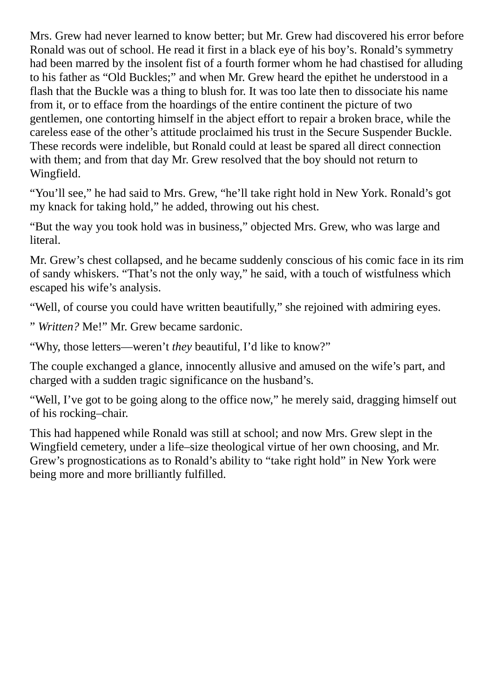Mrs. Grew had never learned to know better; but Mr. Grew had discovered his error before Ronald was out of school. He read it first in a black eye of his boy's. Ronald's symmetry had been marred by the insolent fist of a fourth former whom he had chastised for alluding to his father as "Old Buckles;" and when Mr. Grew heard the epithet he understood in a flash that the Buckle was a thing to blush for. It was too late then to dissociate his name from it, or to efface from the hoardings of the entire continent the picture of two gentlemen, one contorting himself in the abject effort to repair a broken brace, while the careless ease of the other's attitude proclaimed his trust in the Secure Suspender Buckle. These records were indelible, but Ronald could at least be spared all direct connection with them; and from that day Mr. Grew resolved that the boy should not return to Wingfield.

"You'll see," he had said to Mrs. Grew, "he'll take right hold in New York. Ronald's got my knack for taking hold," he added, throwing out his chest.

"But the way you took hold was in business," objected Mrs. Grew, who was large and literal.

Mr. Grew's chest collapsed, and he became suddenly conscious of his comic face in its rim of sandy whiskers. "That's not the only way," he said, with a touch of wistfulness which escaped his wife's analysis.

"Well, of course you could have written beautifully," she rejoined with admiring eyes.

" *Written?* Me!" Mr. Grew became sardonic.

"Why, those letters—weren't *they* beautiful, I'd like to know?"

The couple exchanged a glance, innocently allusive and amused on the wife's part, and charged with a sudden tragic significance on the husband's.

"Well, I've got to be going along to the office now," he merely said, dragging himself out of his rocking–chair.

This had happened while Ronald was still at school; and now Mrs. Grew slept in the Wingfield cemetery, under a life–size theological virtue of her own choosing, and Mr. Grew's prognostications as to Ronald's ability to "take right hold" in New York were being more and more brilliantly fulfilled.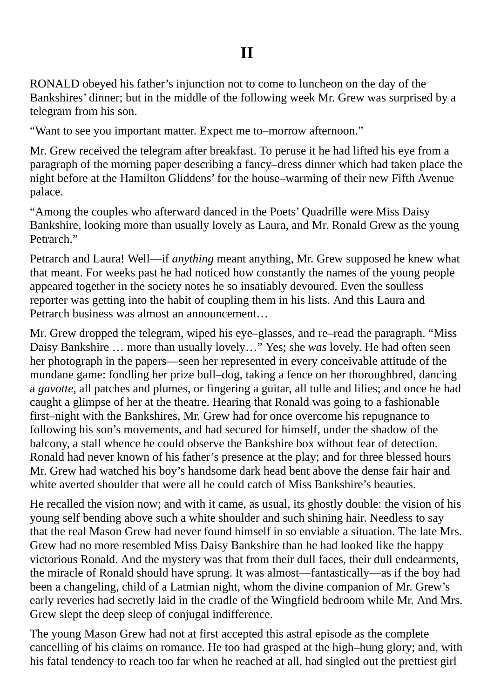RONALD obeyed his father's injunction not to come to luncheon on the day of the Bankshires' dinner; but in the middle of the following week Mr. Grew was surprised by a telegram from his son.

"Want to see you important matter. Expect me to–morrow afternoon."

Mr. Grew received the telegram after breakfast. To peruse it he had lifted his eye from a paragraph of the morning paper describing a fancy–dress dinner which had taken place the night before at the Hamilton Gliddens' for the house–warming of their new Fifth Avenue palace.

"Among the couples who afterward danced in the Poets' Quadrille were Miss Daisy Bankshire, looking more than usually lovely as Laura, and Mr. Ronald Grew as the young Petrarch."

Petrarch and Laura! Well—if *anything* meant anything, Mr. Grew supposed he knew what that meant. For weeks past he had noticed how constantly the names of the young people appeared together in the society notes he so insatiably devoured. Even the soulless reporter was getting into the habit of coupling them in his lists. And this Laura and Petrarch business was almost an announcement…

Mr. Grew dropped the telegram, wiped his eye–glasses, and re–read the paragraph. "Miss Daisy Bankshire … more than usually lovely…" Yes; she *was* lovely. He had often seen her photograph in the papers—seen her represented in every conceivable attitude of the mundane game: fondling her prize bull–dog, taking a fence on her thoroughbred, dancing a *gavotte*, all patches and plumes, or fingering a guitar, all tulle and lilies; and once he had caught a glimpse of her at the theatre. Hearing that Ronald was going to a fashionable first–night with the Bankshires, Mr. Grew had for once overcome his repugnance to following his son's movements, and had secured for himself, under the shadow of the balcony, a stall whence he could observe the Bankshire box without fear of detection. Ronald had never known of his father's presence at the play; and for three blessed hours Mr. Grew had watched his boy's handsome dark head bent above the dense fair hair and white averted shoulder that were all he could catch of Miss Bankshire's beauties.

He recalled the vision now; and with it came, as usual, its ghostly double: the vision of his young self bending above such a white shoulder and such shining hair. Needless to say that the real Mason Grew had never found himself in so enviable a situation. The late Mrs. Grew had no more resembled Miss Daisy Bankshire than he had looked like the happy victorious Ronald. And the mystery was that from their dull faces, their dull endearments, the miracle of Ronald should have sprung. It was almost—fantastically—as if the boy had been a changeling, child of a Latmian night, whom the divine companion of Mr. Grew's early reveries had secretly laid in the cradle of the Wingfield bedroom while Mr. And Mrs. Grew slept the deep sleep of conjugal indifference.

The young Mason Grew had not at first accepted this astral episode as the complete cancelling of his claims on romance. He too had grasped at the high–hung glory; and, with his fatal tendency to reach too far when he reached at all, had singled out the prettiest girl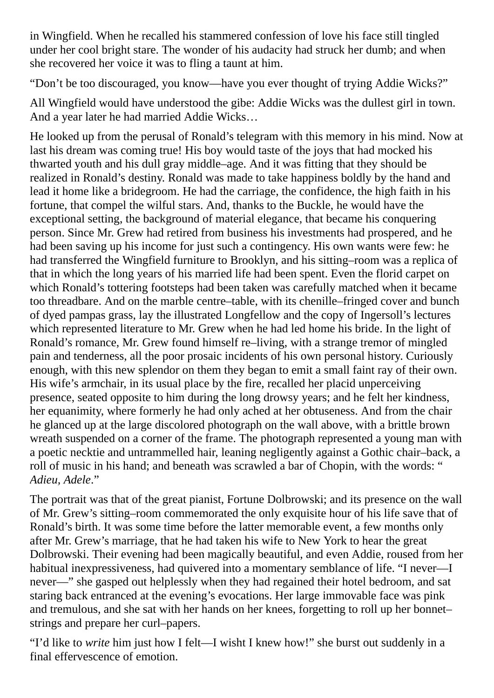in Wingfield. When he recalled his stammered confession of love his face still tingled under her cool bright stare. The wonder of his audacity had struck her dumb; and when she recovered her voice it was to fling a taunt at him.

"Don't be too discouraged, you know—have you ever thought of trying Addie Wicks?"

All Wingfield would have understood the gibe: Addie Wicks was the dullest girl in town. And a year later he had married Addie Wicks…

He looked up from the perusal of Ronald's telegram with this memory in his mind. Now at last his dream was coming true! His boy would taste of the joys that had mocked his thwarted youth and his dull gray middle–age. And it was fitting that they should be realized in Ronald's destiny. Ronald was made to take happiness boldly by the hand and lead it home like a bridegroom. He had the carriage, the confidence, the high faith in his fortune, that compel the wilful stars. And, thanks to the Buckle, he would have the exceptional setting, the background of material elegance, that became his conquering person. Since Mr. Grew had retired from business his investments had prospered, and he had been saving up his income for just such a contingency. His own wants were few: he had transferred the Wingfield furniture to Brooklyn, and his sitting–room was a replica of that in which the long years of his married life had been spent. Even the florid carpet on which Ronald's tottering footsteps had been taken was carefully matched when it became too threadbare. And on the marble centre–table, with its chenille–fringed cover and bunch of dyed pampas grass, lay the illustrated Longfellow and the copy of Ingersoll's lectures which represented literature to Mr. Grew when he had led home his bride. In the light of Ronald's romance, Mr. Grew found himself re–living, with a strange tremor of mingled pain and tenderness, all the poor prosaic incidents of his own personal history. Curiously enough, with this new splendor on them they began to emit a small faint ray of their own. His wife's armchair, in its usual place by the fire, recalled her placid unperceiving presence, seated opposite to him during the long drowsy years; and he felt her kindness, her equanimity, where formerly he had only ached at her obtuseness. And from the chair he glanced up at the large discolored photograph on the wall above, with a brittle brown wreath suspended on a corner of the frame. The photograph represented a young man with a poetic necktie and untrammelled hair, leaning negligently against a Gothic chair–back, a roll of music in his hand; and beneath was scrawled a bar of Chopin, with the words: " *Adieu, Adele*."

The portrait was that of the great pianist, Fortune Dolbrowski; and its presence on the wall of Mr. Grew's sitting–room commemorated the only exquisite hour of his life save that of Ronald's birth. It was some time before the latter memorable event, a few months only after Mr. Grew's marriage, that he had taken his wife to New York to hear the great Dolbrowski. Their evening had been magically beautiful, and even Addie, roused from her habitual inexpressiveness, had quivered into a momentary semblance of life. "I never—I never—" she gasped out helplessly when they had regained their hotel bedroom, and sat staring back entranced at the evening's evocations. Her large immovable face was pink and tremulous, and she sat with her hands on her knees, forgetting to roll up her bonnet– strings and prepare her curl–papers.

"I'd like to *write* him just how I felt—I wisht I knew how!" she burst out suddenly in a final effervescence of emotion.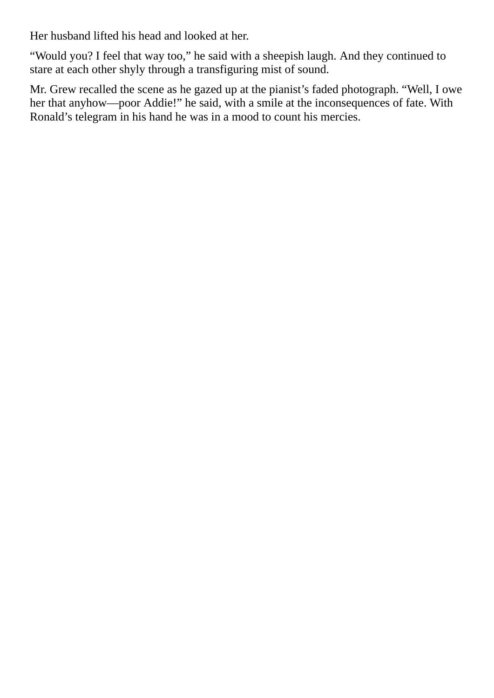Her husband lifted his head and looked at her.

"Would you? I feel that way too," he said with a sheepish laugh. And they continued to stare at each other shyly through a transfiguring mist of sound.

Mr. Grew recalled the scene as he gazed up at the pianist's faded photograph. "Well, I owe her that anyhow—poor Addie!" he said, with a smile at the inconsequences of fate. With Ronald's telegram in his hand he was in a mood to count his mercies.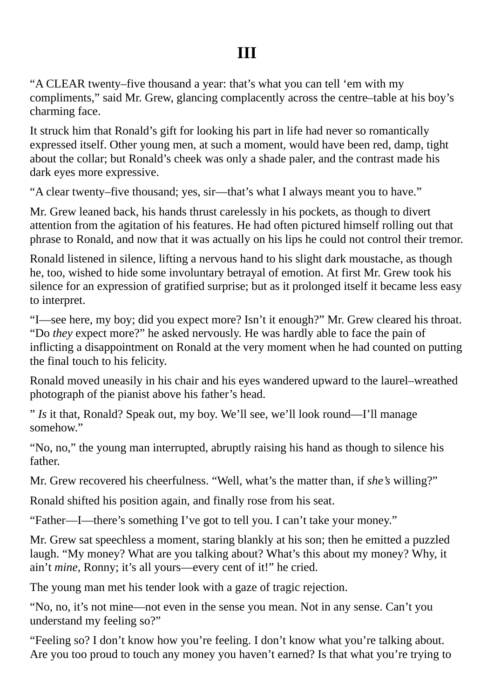### **III**

"A CLEAR twenty–five thousand a year: that's what you can tell 'em with my compliments," said Mr. Grew, glancing complacently across the centre–table at his boy's charming face.

It struck him that Ronald's gift for looking his part in life had never so romantically expressed itself. Other young men, at such a moment, would have been red, damp, tight about the collar; but Ronald's cheek was only a shade paler, and the contrast made his dark eyes more expressive.

"A clear twenty–five thousand; yes, sir—that's what I always meant you to have."

Mr. Grew leaned back, his hands thrust carelessly in his pockets, as though to divert attention from the agitation of his features. He had often pictured himself rolling out that phrase to Ronald, and now that it was actually on his lips he could not control their tremor.

Ronald listened in silence, lifting a nervous hand to his slight dark moustache, as though he, too, wished to hide some involuntary betrayal of emotion. At first Mr. Grew took his silence for an expression of gratified surprise; but as it prolonged itself it became less easy to interpret.

"I—see here, my boy; did you expect more? Isn't it enough?" Mr. Grew cleared his throat. "Do *they* expect more?" he asked nervously. He was hardly able to face the pain of inflicting a disappointment on Ronald at the very moment when he had counted on putting the final touch to his felicity.

Ronald moved uneasily in his chair and his eyes wandered upward to the laurel–wreathed photograph of the pianist above his father's head.

" *Is* it that, Ronald? Speak out, my boy. We'll see, we'll look round—I'll manage somehow."

"No, no," the young man interrupted, abruptly raising his hand as though to silence his father.

Mr. Grew recovered his cheerfulness. "Well, what's the matter than, if *she's* willing?"

Ronald shifted his position again, and finally rose from his seat.

"Father—I—there's something I've got to tell you. I can't take your money."

Mr. Grew sat speechless a moment, staring blankly at his son; then he emitted a puzzled laugh. "My money? What are you talking about? What's this about my money? Why, it ain't *mine*, Ronny; it's all yours—every cent of it!" he cried.

The young man met his tender look with a gaze of tragic rejection.

"No, no, it's not mine—not even in the sense you mean. Not in any sense. Can't you understand my feeling so?"

"Feeling so? I don't know how you're feeling. I don't know what you're talking about. Are you too proud to touch any money you haven't earned? Is that what you're trying to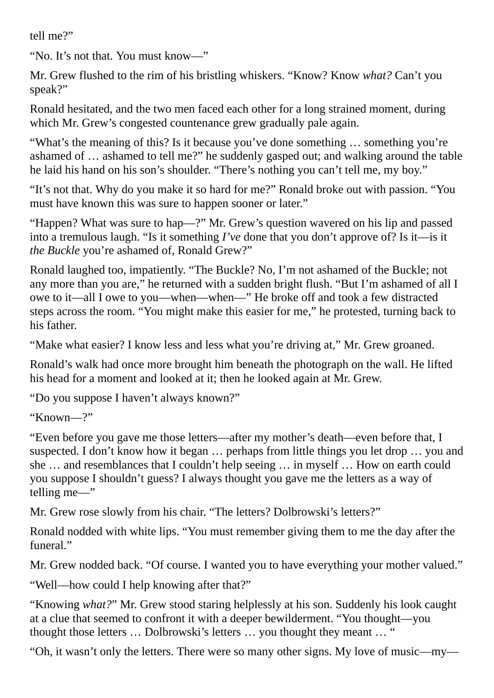tell me?"

"No. It's not that. You must know—"

Mr. Grew flushed to the rim of his bristling whiskers. "Know? Know *what?* Can't you speak?"

Ronald hesitated, and the two men faced each other for a long strained moment, during which Mr. Grew's congested countenance grew gradually pale again.

"What's the meaning of this? Is it because you've done something … something you're ashamed of … ashamed to tell me?" he suddenly gasped out; and walking around the table he laid his hand on his son's shoulder. "There's nothing you can't tell me, my boy."

"It's not that. Why do you make it so hard for me?" Ronald broke out with passion. "You must have known this was sure to happen sooner or later."

"Happen? What was sure to hap—?" Mr. Grew's question wavered on his lip and passed into a tremulous laugh. "Is it something *I've* done that you don't approve of? Is it—is it *the Buckle* you're ashamed of, Ronald Grew?"

Ronald laughed too, impatiently. "The Buckle? No, I'm not ashamed of the Buckle; not any more than you are," he returned with a sudden bright flush. "But I'm ashamed of all I owe to it—all I owe to you—when—when—" He broke off and took a few distracted steps across the room. "You might make this easier for me," he protested, turning back to his father.

"Make what easier? I know less and less what you're driving at," Mr. Grew groaned.

Ronald's walk had once more brought him beneath the photograph on the wall. He lifted his head for a moment and looked at it; then he looked again at Mr. Grew.

"Do you suppose I haven't always known?"

"Known—?"

"Even before you gave me those letters—after my mother's death—even before that, I suspected. I don't know how it began … perhaps from little things you let drop … you and she … and resemblances that I couldn't help seeing … in myself … How on earth could you suppose I shouldn't guess? I always thought you gave me the letters as a way of telling me—"

Mr. Grew rose slowly from his chair. "The letters? Dolbrowski's letters?"

Ronald nodded with white lips. "You must remember giving them to me the day after the funeral."

Mr. Grew nodded back. "Of course. I wanted you to have everything your mother valued."

"Well—how could I help knowing after that?"

"Knowing *what?*" Mr. Grew stood staring helplessly at his son. Suddenly his look caught at a clue that seemed to confront it with a deeper bewilderment. "You thought—you thought those letters … Dolbrowski's letters … you thought they meant … "

"Oh, it wasn't only the letters. There were so many other signs. My love of music—my—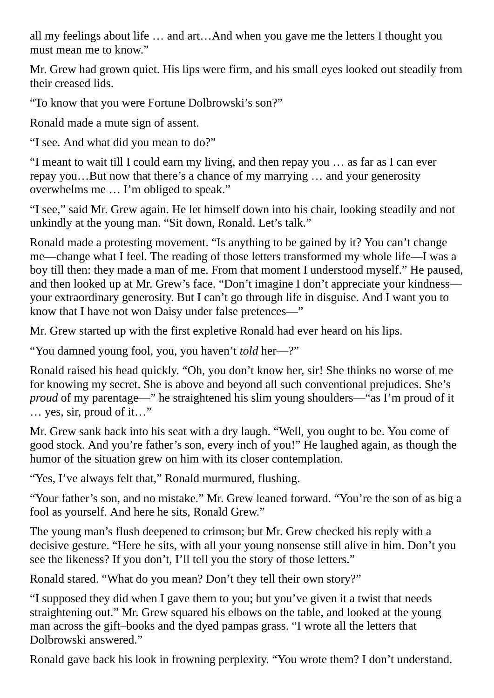all my feelings about life … and art…And when you gave me the letters I thought you must mean me to know."

Mr. Grew had grown quiet. His lips were firm, and his small eyes looked out steadily from their creased lids.

"To know that you were Fortune Dolbrowski's son?"

Ronald made a mute sign of assent.

"I see. And what did you mean to do?"

"I meant to wait till I could earn my living, and then repay you … as far as I can ever repay you…But now that there's a chance of my marrying … and your generosity overwhelms me … I'm obliged to speak."

"I see," said Mr. Grew again. He let himself down into his chair, looking steadily and not unkindly at the young man. "Sit down, Ronald. Let's talk."

Ronald made a protesting movement. "Is anything to be gained by it? You can't change me—change what I feel. The reading of those letters transformed my whole life—I was a boy till then: they made a man of me. From that moment I understood myself." He paused, and then looked up at Mr. Grew's face. "Don't imagine I don't appreciate your kindness your extraordinary generosity. But I can't go through life in disguise. And I want you to know that I have not won Daisy under false pretences—"

Mr. Grew started up with the first expletive Ronald had ever heard on his lips.

"You damned young fool, you, you haven't *told* her—?"

Ronald raised his head quickly. "Oh, you don't know her, sir! She thinks no worse of me for knowing my secret. She is above and beyond all such conventional prejudices. She's *proud* of my parentage—" he straightened his slim young shoulders—"as I'm proud of it … yes, sir, proud of it…"

Mr. Grew sank back into his seat with a dry laugh. "Well, you ought to be. You come of good stock. And you're father's son, every inch of you!" He laughed again, as though the humor of the situation grew on him with its closer contemplation.

"Yes, I've always felt that," Ronald murmured, flushing.

"Your father's son, and no mistake." Mr. Grew leaned forward. "You're the son of as big a fool as yourself. And here he sits, Ronald Grew."

The young man's flush deepened to crimson; but Mr. Grew checked his reply with a decisive gesture. "Here he sits, with all your young nonsense still alive in him. Don't you see the likeness? If you don't, I'll tell you the story of those letters."

Ronald stared. "What do you mean? Don't they tell their own story?"

"I supposed they did when I gave them to you; but you've given it a twist that needs straightening out." Mr. Grew squared his elbows on the table, and looked at the young man across the gift–books and the dyed pampas grass. "I wrote all the letters that Dolbrowski answered."

Ronald gave back his look in frowning perplexity. "You wrote them? I don't understand.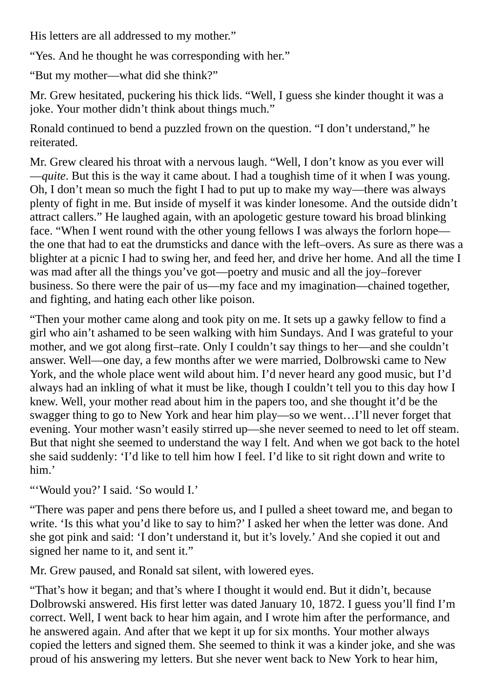His letters are all addressed to my mother."

"Yes. And he thought he was corresponding with her."

"But my mother—what did she think?"

Mr. Grew hesitated, puckering his thick lids. "Well, I guess she kinder thought it was a joke. Your mother didn't think about things much."

Ronald continued to bend a puzzled frown on the question. "I don't understand," he reiterated.

Mr. Grew cleared his throat with a nervous laugh. "Well, I don't know as you ever will —*quite*. But this is the way it came about. I had a toughish time of it when I was young. Oh, I don't mean so much the fight I had to put up to make my way—there was always plenty of fight in me. But inside of myself it was kinder lonesome. And the outside didn't attract callers." He laughed again, with an apologetic gesture toward his broad blinking face. "When I went round with the other young fellows I was always the forlorn hope the one that had to eat the drumsticks and dance with the left–overs. As sure as there was a blighter at a picnic I had to swing her, and feed her, and drive her home. And all the time I was mad after all the things you've got—poetry and music and all the joy–forever business. So there were the pair of us—my face and my imagination—chained together, and fighting, and hating each other like poison.

"Then your mother came along and took pity on me. It sets up a gawky fellow to find a girl who ain't ashamed to be seen walking with him Sundays. And I was grateful to your mother, and we got along first–rate. Only I couldn't say things to her—and she couldn't answer. Well—one day, a few months after we were married, Dolbrowski came to New York, and the whole place went wild about him. I'd never heard any good music, but I'd always had an inkling of what it must be like, though I couldn't tell you to this day how I knew. Well, your mother read about him in the papers too, and she thought it'd be the swagger thing to go to New York and hear him play—so we went…I'll never forget that evening. Your mother wasn't easily stirred up—she never seemed to need to let off steam. But that night she seemed to understand the way I felt. And when we got back to the hotel she said suddenly: 'I'd like to tell him how I feel. I'd like to sit right down and write to him.'

"'Would you?' I said. 'So would I.'

"There was paper and pens there before us, and I pulled a sheet toward me, and began to write. 'Is this what you'd like to say to him?' I asked her when the letter was done. And she got pink and said: 'I don't understand it, but it's lovely.' And she copied it out and signed her name to it, and sent it."

Mr. Grew paused, and Ronald sat silent, with lowered eyes.

"That's how it began; and that's where I thought it would end. But it didn't, because Dolbrowski answered. His first letter was dated January 10, 1872. I guess you'll find I'm correct. Well, I went back to hear him again, and I wrote him after the performance, and he answered again. And after that we kept it up for six months. Your mother always copied the letters and signed them. She seemed to think it was a kinder joke, and she was proud of his answering my letters. But she never went back to New York to hear him,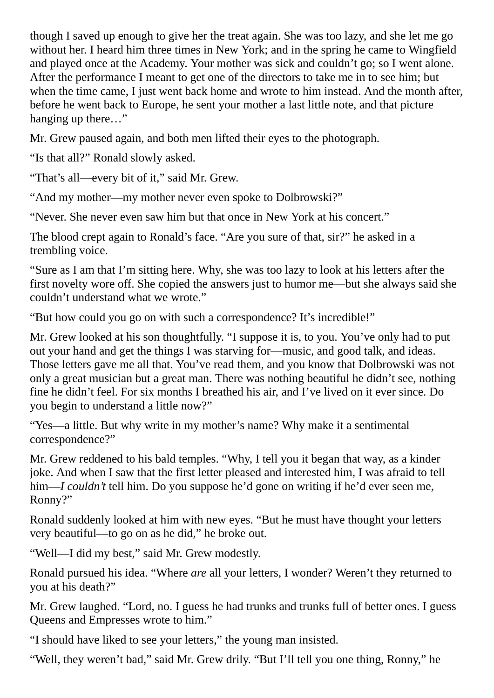though I saved up enough to give her the treat again. She was too lazy, and she let me go without her. I heard him three times in New York; and in the spring he came to Wingfield and played once at the Academy. Your mother was sick and couldn't go; so I went alone. After the performance I meant to get one of the directors to take me in to see him; but when the time came, I just went back home and wrote to him instead. And the month after, before he went back to Europe, he sent your mother a last little note, and that picture hanging up there…"

Mr. Grew paused again, and both men lifted their eyes to the photograph.

"Is that all?" Ronald slowly asked.

"That's all—every bit of it," said Mr. Grew.

"And my mother—my mother never even spoke to Dolbrowski?"

"Never. She never even saw him but that once in New York at his concert."

The blood crept again to Ronald's face. "Are you sure of that, sir?" he asked in a trembling voice.

"Sure as I am that I'm sitting here. Why, she was too lazy to look at his letters after the first novelty wore off. She copied the answers just to humor me—but she always said she couldn't understand what we wrote."

"But how could you go on with such a correspondence? It's incredible!"

Mr. Grew looked at his son thoughtfully. "I suppose it is, to you. You've only had to put out your hand and get the things I was starving for—music, and good talk, and ideas. Those letters gave me all that. You've read them, and you know that Dolbrowski was not only a great musician but a great man. There was nothing beautiful he didn't see, nothing fine he didn't feel. For six months I breathed his air, and I've lived on it ever since. Do you begin to understand a little now?"

"Yes—a little. But why write in my mother's name? Why make it a sentimental correspondence?"

Mr. Grew reddened to his bald temples. "Why, I tell you it began that way, as a kinder joke. And when I saw that the first letter pleased and interested him, I was afraid to tell him—*I couldn't* tell him. Do you suppose he'd gone on writing if he'd ever seen me, Ronny?"

Ronald suddenly looked at him with new eyes. "But he must have thought your letters very beautiful—to go on as he did," he broke out.

"Well—I did my best," said Mr. Grew modestly.

Ronald pursued his idea. "Where *are* all your letters, I wonder? Weren't they returned to you at his death?"

Mr. Grew laughed. "Lord, no. I guess he had trunks and trunks full of better ones. I guess Queens and Empresses wrote to him."

"I should have liked to see your letters," the young man insisted.

"Well, they weren't bad," said Mr. Grew drily. "But I'll tell you one thing, Ronny," he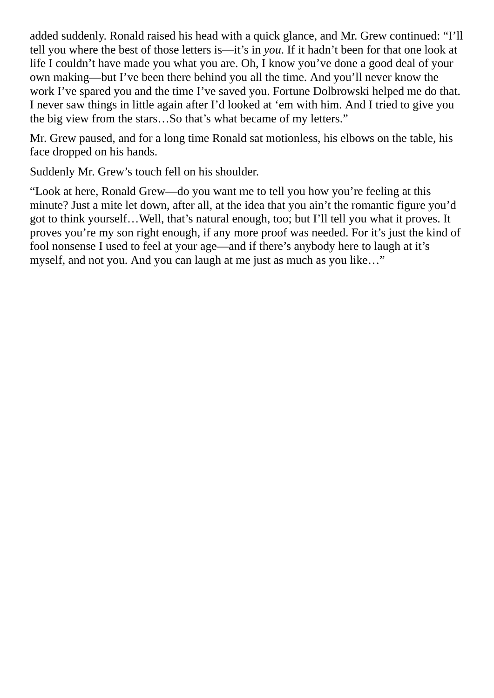added suddenly. Ronald raised his head with a quick glance, and Mr. Grew continued: "I'll tell you where the best of those letters is—it's in *you*. If it hadn't been for that one look at life I couldn't have made you what you are. Oh, I know you've done a good deal of your own making—but I've been there behind you all the time. And you'll never know the work I've spared you and the time I've saved you. Fortune Dolbrowski helped me do that. I never saw things in little again after I'd looked at 'em with him. And I tried to give you the big view from the stars…So that's what became of my letters."

Mr. Grew paused, and for a long time Ronald sat motionless, his elbows on the table, his face dropped on his hands.

Suddenly Mr. Grew's touch fell on his shoulder.

"Look at here, Ronald Grew—do you want me to tell you how you're feeling at this minute? Just a mite let down, after all, at the idea that you ain't the romantic figure you'd got to think yourself…Well, that's natural enough, too; but I'll tell you what it proves. It proves you're my son right enough, if any more proof was needed. For it's just the kind of fool nonsense I used to feel at your age—and if there's anybody here to laugh at it's myself, and not you. And you can laugh at me just as much as you like…"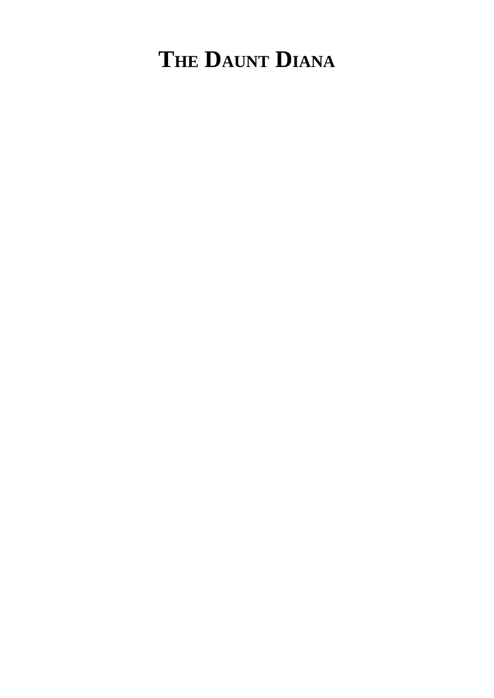# **THE DAUNT DIANA**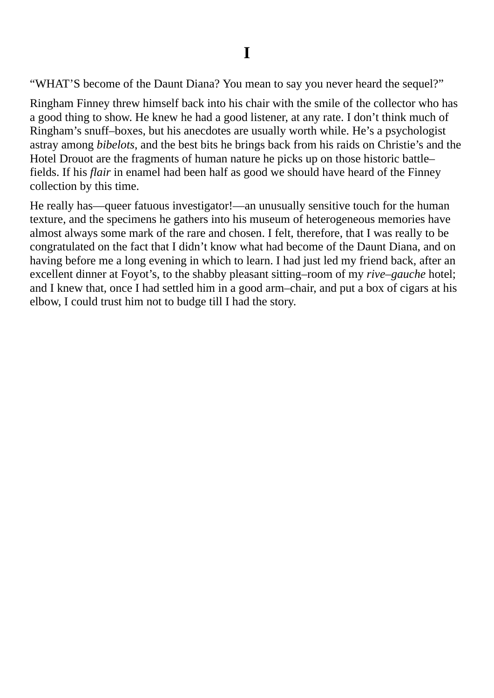"WHAT'S become of the Daunt Diana? You mean to say you never heard the sequel?"

Ringham Finney threw himself back into his chair with the smile of the collector who has a good thing to show. He knew he had a good listener, at any rate. I don't think much of Ringham's snuff–boxes, but his anecdotes are usually worth while. He's a psychologist astray among *bibelots*, and the best bits he brings back from his raids on Christie's and the Hotel Drouot are the fragments of human nature he picks up on those historic battle– fields. If his *flair* in enamel had been half as good we should have heard of the Finney collection by this time.

He really has—queer fatuous investigator!—an unusually sensitive touch for the human texture, and the specimens he gathers into his museum of heterogeneous memories have almost always some mark of the rare and chosen. I felt, therefore, that I was really to be congratulated on the fact that I didn't know what had become of the Daunt Diana, and on having before me a long evening in which to learn. I had just led my friend back, after an excellent dinner at Foyot's, to the shabby pleasant sitting–room of my *rive–gauche* hotel; and I knew that, once I had settled him in a good arm–chair, and put a box of cigars at his elbow, I could trust him not to budge till I had the story.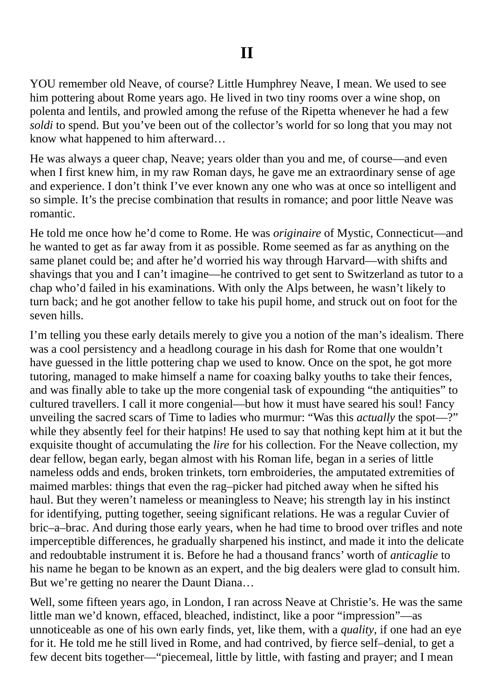YOU remember old Neave, of course? Little Humphrey Neave, I mean. We used to see him pottering about Rome years ago. He lived in two tiny rooms over a wine shop, on polenta and lentils, and prowled among the refuse of the Ripetta whenever he had a few *soldi* to spend. But you've been out of the collector's world for so long that you may not know what happened to him afterward…

He was always a queer chap, Neave; years older than you and me, of course—and even when I first knew him, in my raw Roman days, he gave me an extraordinary sense of age and experience. I don't think I've ever known any one who was at once so intelligent and so simple. It's the precise combination that results in romance; and poor little Neave was romantic.

He told me once how he'd come to Rome. He was *originaire* of Mystic, Connecticut—and he wanted to get as far away from it as possible. Rome seemed as far as anything on the same planet could be; and after he'd worried his way through Harvard—with shifts and shavings that you and I can't imagine—he contrived to get sent to Switzerland as tutor to a chap who'd failed in his examinations. With only the Alps between, he wasn't likely to turn back; and he got another fellow to take his pupil home, and struck out on foot for the seven hills.

I'm telling you these early details merely to give you a notion of the man's idealism. There was a cool persistency and a headlong courage in his dash for Rome that one wouldn't have guessed in the little pottering chap we used to know. Once on the spot, he got more tutoring, managed to make himself a name for coaxing balky youths to take their fences, and was finally able to take up the more congenial task of expounding "the antiquities" to cultured travellers. I call it more congenial—but how it must have seared his soul! Fancy unveiling the sacred scars of Time to ladies who murmur: "Was this *actually* the spot—?" while they absently feel for their hatpins! He used to say that nothing kept him at it but the exquisite thought of accumulating the *lire* for his collection. For the Neave collection, my dear fellow, began early, began almost with his Roman life, began in a series of little nameless odds and ends, broken trinkets, torn embroideries, the amputated extremities of maimed marbles: things that even the rag–picker had pitched away when he sifted his haul. But they weren't nameless or meaningless to Neave; his strength lay in his instinct for identifying, putting together, seeing significant relations. He was a regular Cuvier of bric–a–brac. And during those early years, when he had time to brood over trifles and note imperceptible differences, he gradually sharpened his instinct, and made it into the delicate and redoubtable instrument it is. Before he had a thousand francs' worth of *anticaglie* to his name he began to be known as an expert, and the big dealers were glad to consult him. But we're getting no nearer the Daunt Diana…

Well, some fifteen years ago, in London, I ran across Neave at Christie's. He was the same little man we'd known, effaced, bleached, indistinct, like a poor "impression"—as unnoticeable as one of his own early finds, yet, like them, with a *quality*, if one had an eye for it. He told me he still lived in Rome, and had contrived, by fierce self–denial, to get a few decent bits together—"piecemeal, little by little, with fasting and prayer; and I mean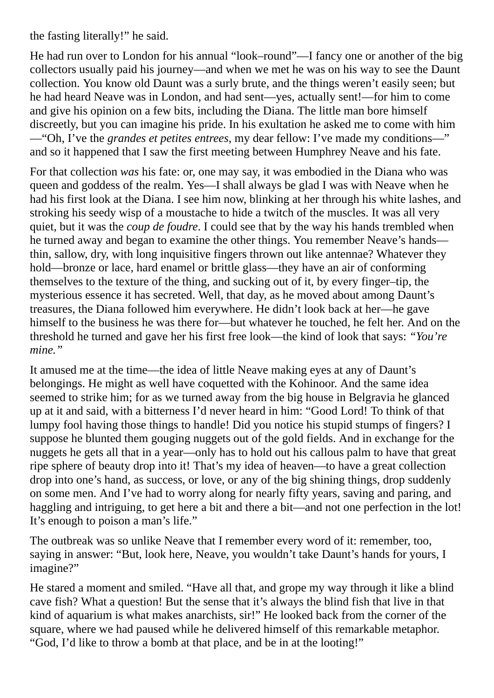the fasting literally!" he said.

He had run over to London for his annual "look–round"—I fancy one or another of the big collectors usually paid his journey—and when we met he was on his way to see the Daunt collection. You know old Daunt was a surly brute, and the things weren't easily seen; but he had heard Neave was in London, and had sent—yes, actually sent!—for him to come and give his opinion on a few bits, including the Diana. The little man bore himself discreetly, but you can imagine his pride. In his exultation he asked me to come with him —"Oh, I've the *grandes et petites entrees*, my dear fellow: I've made my conditions—" and so it happened that I saw the first meeting between Humphrey Neave and his fate.

For that collection *was* his fate: or, one may say, it was embodied in the Diana who was queen and goddess of the realm. Yes—I shall always be glad I was with Neave when he had his first look at the Diana. I see him now, blinking at her through his white lashes, and stroking his seedy wisp of a moustache to hide a twitch of the muscles. It was all very quiet, but it was the *coup de foudre*. I could see that by the way his hands trembled when he turned away and began to examine the other things. You remember Neave's hands thin, sallow, dry, with long inquisitive fingers thrown out like antennae? Whatever they hold—bronze or lace, hard enamel or brittle glass—they have an air of conforming themselves to the texture of the thing, and sucking out of it, by every finger–tip, the mysterious essence it has secreted. Well, that day, as he moved about among Daunt's treasures, the Diana followed him everywhere. He didn't look back at her—he gave himself to the business he was there for—but whatever he touched, he felt her. And on the threshold he turned and gave her his first free look—the kind of look that says: *"You're mine."*

It amused me at the time—the idea of little Neave making eyes at any of Daunt's belongings. He might as well have coquetted with the Kohinoor. And the same idea seemed to strike him; for as we turned away from the big house in Belgravia he glanced up at it and said, with a bitterness I'd never heard in him: "Good Lord! To think of that lumpy fool having those things to handle! Did you notice his stupid stumps of fingers? I suppose he blunted them gouging nuggets out of the gold fields. And in exchange for the nuggets he gets all that in a year—only has to hold out his callous palm to have that great ripe sphere of beauty drop into it! That's my idea of heaven—to have a great collection drop into one's hand, as success, or love, or any of the big shining things, drop suddenly on some men. And I've had to worry along for nearly fifty years, saving and paring, and haggling and intriguing, to get here a bit and there a bit—and not one perfection in the lot! It's enough to poison a man's life."

The outbreak was so unlike Neave that I remember every word of it: remember, too, saying in answer: "But, look here, Neave, you wouldn't take Daunt's hands for yours, I imagine?"

He stared a moment and smiled. "Have all that, and grope my way through it like a blind cave fish? What a question! But the sense that it's always the blind fish that live in that kind of aquarium is what makes anarchists, sir!" He looked back from the corner of the square, where we had paused while he delivered himself of this remarkable metaphor. "God, I'd like to throw a bomb at that place, and be in at the looting!"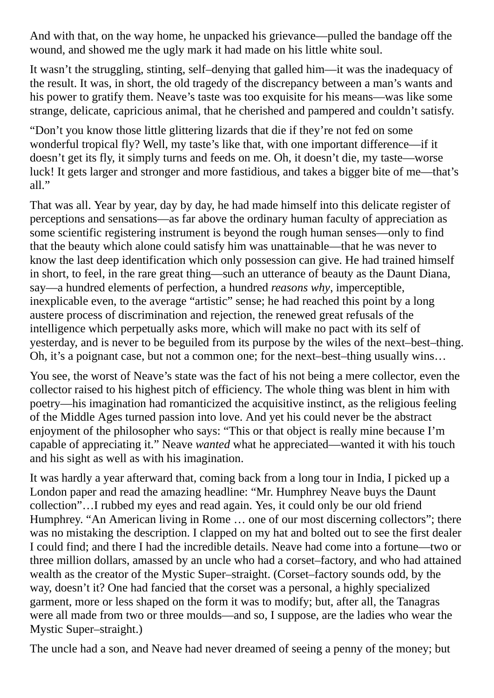And with that, on the way home, he unpacked his grievance—pulled the bandage off the wound, and showed me the ugly mark it had made on his little white soul.

It wasn't the struggling, stinting, self–denying that galled him—it was the inadequacy of the result. It was, in short, the old tragedy of the discrepancy between a man's wants and his power to gratify them. Neave's taste was too exquisite for his means—was like some strange, delicate, capricious animal, that he cherished and pampered and couldn't satisfy.

"Don't you know those little glittering lizards that die if they're not fed on some wonderful tropical fly? Well, my taste's like that, with one important difference—if it doesn't get its fly, it simply turns and feeds on me. Oh, it doesn't die, my taste—worse luck! It gets larger and stronger and more fastidious, and takes a bigger bite of me—that's all."

That was all. Year by year, day by day, he had made himself into this delicate register of perceptions and sensations—as far above the ordinary human faculty of appreciation as some scientific registering instrument is beyond the rough human senses—only to find that the beauty which alone could satisfy him was unattainable—that he was never to know the last deep identification which only possession can give. He had trained himself in short, to feel, in the rare great thing—such an utterance of beauty as the Daunt Diana, say—a hundred elements of perfection, a hundred *reasons why*, imperceptible, inexplicable even, to the average "artistic" sense; he had reached this point by a long austere process of discrimination and rejection, the renewed great refusals of the intelligence which perpetually asks more, which will make no pact with its self of yesterday, and is never to be beguiled from its purpose by the wiles of the next–best–thing. Oh, it's a poignant case, but not a common one; for the next–best–thing usually wins…

You see, the worst of Neave's state was the fact of his not being a mere collector, even the collector raised to his highest pitch of efficiency. The whole thing was blent in him with poetry—his imagination had romanticized the acquisitive instinct, as the religious feeling of the Middle Ages turned passion into love. And yet his could never be the abstract enjoyment of the philosopher who says: "This or that object is really mine because I'm capable of appreciating it." Neave *wanted* what he appreciated—wanted it with his touch and his sight as well as with his imagination.

It was hardly a year afterward that, coming back from a long tour in India, I picked up a London paper and read the amazing headline: "Mr. Humphrey Neave buys the Daunt collection"…I rubbed my eyes and read again. Yes, it could only be our old friend Humphrey. "An American living in Rome … one of our most discerning collectors"; there was no mistaking the description. I clapped on my hat and bolted out to see the first dealer I could find; and there I had the incredible details. Neave had come into a fortune—two or three million dollars, amassed by an uncle who had a corset–factory, and who had attained wealth as the creator of the Mystic Super–straight. (Corset–factory sounds odd, by the way, doesn't it? One had fancied that the corset was a personal, a highly specialized garment, more or less shaped on the form it was to modify; but, after all, the Tanagras were all made from two or three moulds—and so, I suppose, are the ladies who wear the Mystic Super–straight.)

The uncle had a son, and Neave had never dreamed of seeing a penny of the money; but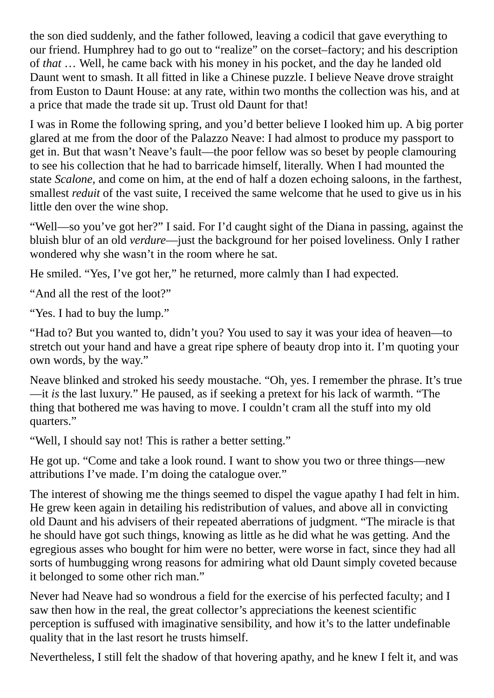the son died suddenly, and the father followed, leaving a codicil that gave everything to our friend. Humphrey had to go out to "realize" on the corset–factory; and his description of *that* … Well, he came back with his money in his pocket, and the day he landed old Daunt went to smash. It all fitted in like a Chinese puzzle. I believe Neave drove straight from Euston to Daunt House: at any rate, within two months the collection was his, and at a price that made the trade sit up. Trust old Daunt for that!

I was in Rome the following spring, and you'd better believe I looked him up. A big porter glared at me from the door of the Palazzo Neave: I had almost to produce my passport to get in. But that wasn't Neave's fault—the poor fellow was so beset by people clamouring to see his collection that he had to barricade himself, literally. When I had mounted the state *Scalone*, and come on him, at the end of half a dozen echoing saloons, in the farthest, smallest *reduit* of the vast suite, I received the same welcome that he used to give us in his little den over the wine shop.

"Well—so you've got her?" I said. For I'd caught sight of the Diana in passing, against the bluish blur of an old *verdure*—just the background for her poised loveliness. Only I rather wondered why she wasn't in the room where he sat.

He smiled. "Yes, I've got her," he returned, more calmly than I had expected.

"And all the rest of the loot?"

"Yes. I had to buy the lump."

"Had to? But you wanted to, didn't you? You used to say it was your idea of heaven—to stretch out your hand and have a great ripe sphere of beauty drop into it. I'm quoting your own words, by the way."

Neave blinked and stroked his seedy moustache. "Oh, yes. I remember the phrase. It's true —it *is* the last luxury." He paused, as if seeking a pretext for his lack of warmth. "The thing that bothered me was having to move. I couldn't cram all the stuff into my old quarters."

"Well, I should say not! This is rather a better setting."

He got up. "Come and take a look round. I want to show you two or three things—new attributions I've made. I'm doing the catalogue over."

The interest of showing me the things seemed to dispel the vague apathy I had felt in him. He grew keen again in detailing his redistribution of values, and above all in convicting old Daunt and his advisers of their repeated aberrations of judgment. "The miracle is that he should have got such things, knowing as little as he did what he was getting. And the egregious asses who bought for him were no better, were worse in fact, since they had all sorts of humbugging wrong reasons for admiring what old Daunt simply coveted because it belonged to some other rich man."

Never had Neave had so wondrous a field for the exercise of his perfected faculty; and I saw then how in the real, the great collector's appreciations the keenest scientific perception is suffused with imaginative sensibility, and how it's to the latter undefinable quality that in the last resort he trusts himself.

Nevertheless, I still felt the shadow of that hovering apathy, and he knew I felt it, and was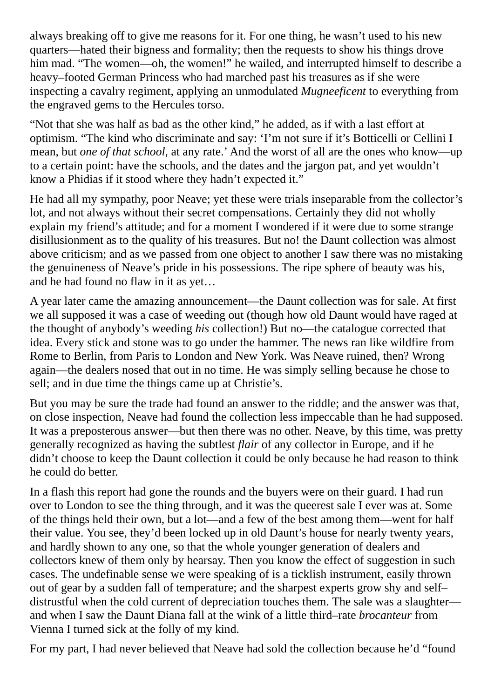always breaking off to give me reasons for it. For one thing, he wasn't used to his new quarters—hated their bigness and formality; then the requests to show his things drove him mad. "The women—oh, the women!" he wailed, and interrupted himself to describe a heavy–footed German Princess who had marched past his treasures as if she were inspecting a cavalry regiment, applying an unmodulated *Mugneeficent* to everything from the engraved gems to the Hercules torso.

"Not that she was half as bad as the other kind," he added, as if with a last effort at optimism. "The kind who discriminate and say: 'I'm not sure if it's Botticelli or Cellini I mean, but *one of that school*, at any rate.' And the worst of all are the ones who know—up to a certain point: have the schools, and the dates and the jargon pat, and yet wouldn't know a Phidias if it stood where they hadn't expected it."

He had all my sympathy, poor Neave; yet these were trials inseparable from the collector's lot, and not always without their secret compensations. Certainly they did not wholly explain my friend's attitude; and for a moment I wondered if it were due to some strange disillusionment as to the quality of his treasures. But no! the Daunt collection was almost above criticism; and as we passed from one object to another I saw there was no mistaking the genuineness of Neave's pride in his possessions. The ripe sphere of beauty was his, and he had found no flaw in it as yet…

A year later came the amazing announcement—the Daunt collection was for sale. At first we all supposed it was a case of weeding out (though how old Daunt would have raged at the thought of anybody's weeding *his* collection!) But no—the catalogue corrected that idea. Every stick and stone was to go under the hammer. The news ran like wildfire from Rome to Berlin, from Paris to London and New York. Was Neave ruined, then? Wrong again—the dealers nosed that out in no time. He was simply selling because he chose to sell; and in due time the things came up at Christie's.

But you may be sure the trade had found an answer to the riddle; and the answer was that, on close inspection, Neave had found the collection less impeccable than he had supposed. It was a preposterous answer—but then there was no other. Neave, by this time, was pretty generally recognized as having the subtlest *flair* of any collector in Europe, and if he didn't choose to keep the Daunt collection it could be only because he had reason to think he could do better.

In a flash this report had gone the rounds and the buyers were on their guard. I had run over to London to see the thing through, and it was the queerest sale I ever was at. Some of the things held their own, but a lot—and a few of the best among them—went for half their value. You see, they'd been locked up in old Daunt's house for nearly twenty years, and hardly shown to any one, so that the whole younger generation of dealers and collectors knew of them only by hearsay. Then you know the effect of suggestion in such cases. The undefinable sense we were speaking of is a ticklish instrument, easily thrown out of gear by a sudden fall of temperature; and the sharpest experts grow shy and self– distrustful when the cold current of depreciation touches them. The sale was a slaughter and when I saw the Daunt Diana fall at the wink of a little third–rate *brocanteur* from Vienna I turned sick at the folly of my kind.

For my part, I had never believed that Neave had sold the collection because he'd "found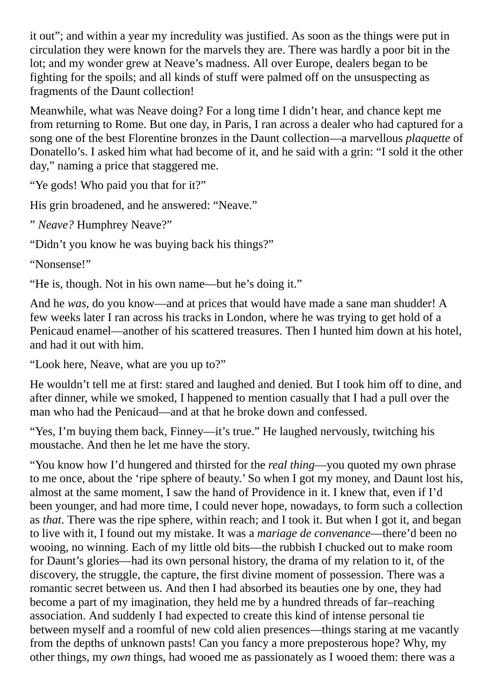it out"; and within a year my incredulity was justified. As soon as the things were put in circulation they were known for the marvels they are. There was hardly a poor bit in the lot; and my wonder grew at Neave's madness. All over Europe, dealers began to be fighting for the spoils; and all kinds of stuff were palmed off on the unsuspecting as fragments of the Daunt collection!

Meanwhile, what was Neave doing? For a long time I didn't hear, and chance kept me from returning to Rome. But one day, in Paris, I ran across a dealer who had captured for a song one of the best Florentine bronzes in the Daunt collection—a marvellous *plaquette* of Donatello's. I asked him what had become of it, and he said with a grin: "I sold it the other day," naming a price that staggered me.

"Ye gods! Who paid you that for it?"

His grin broadened, and he answered: "Neave."

" *Neave?* Humphrey Neave?"

"Didn't you know he was buying back his things?"

"Nonsense!"

"He is, though. Not in his own name—but he's doing it."

And he *was*, do you know—and at prices that would have made a sane man shudder! A few weeks later I ran across his tracks in London, where he was trying to get hold of a Penicaud enamel—another of his scattered treasures. Then I hunted him down at his hotel, and had it out with him.

"Look here, Neave, what are you up to?"

He wouldn't tell me at first: stared and laughed and denied. But I took him off to dine, and after dinner, while we smoked, I happened to mention casually that I had a pull over the man who had the Penicaud—and at that he broke down and confessed.

"Yes, I'm buying them back, Finney—it's true." He laughed nervously, twitching his moustache. And then he let me have the story.

"You know how I'd hungered and thirsted for the *real thing*—you quoted my own phrase to me once, about the 'ripe sphere of beauty.' So when I got my money, and Daunt lost his, almost at the same moment, I saw the hand of Providence in it. I knew that, even if I'd been younger, and had more time, I could never hope, nowadays, to form such a collection as *that*. There was the ripe sphere, within reach; and I took it. But when I got it, and began to live with it, I found out my mistake. It was a *mariage de convenance*—there'd been no wooing, no winning. Each of my little old bits—the rubbish I chucked out to make room for Daunt's glories—had its own personal history, the drama of my relation to it, of the discovery, the struggle, the capture, the first divine moment of possession. There was a romantic secret between us. And then I had absorbed its beauties one by one, they had become a part of my imagination, they held me by a hundred threads of far–reaching association. And suddenly I had expected to create this kind of intense personal tie between myself and a roomful of new cold alien presences—things staring at me vacantly from the depths of unknown pasts! Can you fancy a more preposterous hope? Why, my other things, my *own* things, had wooed me as passionately as I wooed them: there was a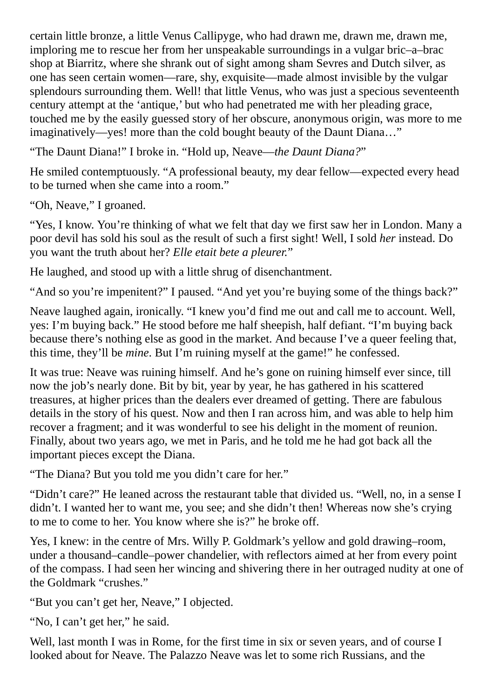certain little bronze, a little Venus Callipyge, who had drawn me, drawn me, drawn me, imploring me to rescue her from her unspeakable surroundings in a vulgar bric–a–brac shop at Biarritz, where she shrank out of sight among sham Sevres and Dutch silver, as one has seen certain women—rare, shy, exquisite—made almost invisible by the vulgar splendours surrounding them. Well! that little Venus, who was just a specious seventeenth century attempt at the 'antique,' but who had penetrated me with her pleading grace, touched me by the easily guessed story of her obscure, anonymous origin, was more to me imaginatively—yes! more than the cold bought beauty of the Daunt Diana…"

"The Daunt Diana!" I broke in. "Hold up, Neave—*the Daunt Diana?*"

He smiled contemptuously. "A professional beauty, my dear fellow—expected every head to be turned when she came into a room."

"Oh, Neave," I groaned.

"Yes, I know. You're thinking of what we felt that day we first saw her in London. Many a poor devil has sold his soul as the result of such a first sight! Well, I sold *her* instead. Do you want the truth about her? *Elle etait bete a pleurer.*"

He laughed, and stood up with a little shrug of disenchantment.

"And so you're impenitent?" I paused. "And yet you're buying some of the things back?"

Neave laughed again, ironically. "I knew you'd find me out and call me to account. Well, yes: I'm buying back." He stood before me half sheepish, half defiant. "I'm buying back because there's nothing else as good in the market. And because I've a queer feeling that, this time, they'll be *mine*. But I'm ruining myself at the game!" he confessed.

It was true: Neave was ruining himself. And he's gone on ruining himself ever since, till now the job's nearly done. Bit by bit, year by year, he has gathered in his scattered treasures, at higher prices than the dealers ever dreamed of getting. There are fabulous details in the story of his quest. Now and then I ran across him, and was able to help him recover a fragment; and it was wonderful to see his delight in the moment of reunion. Finally, about two years ago, we met in Paris, and he told me he had got back all the important pieces except the Diana.

"The Diana? But you told me you didn't care for her."

"Didn't care?" He leaned across the restaurant table that divided us. "Well, no, in a sense I didn't. I wanted her to want me, you see; and she didn't then! Whereas now she's crying to me to come to her. You know where she is?" he broke off.

Yes, I knew: in the centre of Mrs. Willy P. Goldmark's yellow and gold drawing–room, under a thousand–candle–power chandelier, with reflectors aimed at her from every point of the compass. I had seen her wincing and shivering there in her outraged nudity at one of the Goldmark "crushes."

"But you can't get her, Neave," I objected.

"No, I can't get her," he said.

Well, last month I was in Rome, for the first time in six or seven years, and of course I looked about for Neave. The Palazzo Neave was let to some rich Russians, and the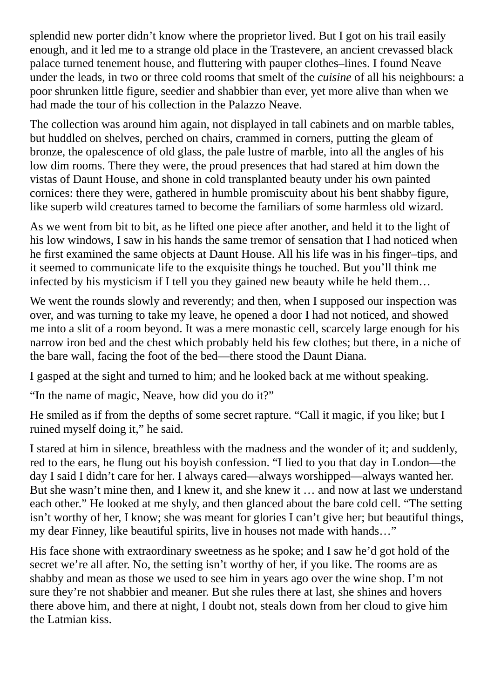splendid new porter didn't know where the proprietor lived. But I got on his trail easily enough, and it led me to a strange old place in the Trastevere, an ancient crevassed black palace turned tenement house, and fluttering with pauper clothes–lines. I found Neave under the leads, in two or three cold rooms that smelt of the *cuisine* of all his neighbours: a poor shrunken little figure, seedier and shabbier than ever, yet more alive than when we had made the tour of his collection in the Palazzo Neave.

The collection was around him again, not displayed in tall cabinets and on marble tables, but huddled on shelves, perched on chairs, crammed in corners, putting the gleam of bronze, the opalescence of old glass, the pale lustre of marble, into all the angles of his low dim rooms. There they were, the proud presences that had stared at him down the vistas of Daunt House, and shone in cold transplanted beauty under his own painted cornices: there they were, gathered in humble promiscuity about his bent shabby figure, like superb wild creatures tamed to become the familiars of some harmless old wizard.

As we went from bit to bit, as he lifted one piece after another, and held it to the light of his low windows, I saw in his hands the same tremor of sensation that I had noticed when he first examined the same objects at Daunt House. All his life was in his finger–tips, and it seemed to communicate life to the exquisite things he touched. But you'll think me infected by his mysticism if I tell you they gained new beauty while he held them…

We went the rounds slowly and reverently; and then, when I supposed our inspection was over, and was turning to take my leave, he opened a door I had not noticed, and showed me into a slit of a room beyond. It was a mere monastic cell, scarcely large enough for his narrow iron bed and the chest which probably held his few clothes; but there, in a niche of the bare wall, facing the foot of the bed—there stood the Daunt Diana.

I gasped at the sight and turned to him; and he looked back at me without speaking.

"In the name of magic, Neave, how did you do it?"

He smiled as if from the depths of some secret rapture. "Call it magic, if you like; but I ruined myself doing it," he said.

I stared at him in silence, breathless with the madness and the wonder of it; and suddenly, red to the ears, he flung out his boyish confession. "I lied to you that day in London—the day I said I didn't care for her. I always cared—always worshipped—always wanted her. But she wasn't mine then, and I knew it, and she knew it … and now at last we understand each other." He looked at me shyly, and then glanced about the bare cold cell. "The setting isn't worthy of her, I know; she was meant for glories I can't give her; but beautiful things, my dear Finney, like beautiful spirits, live in houses not made with hands…"

His face shone with extraordinary sweetness as he spoke; and I saw he'd got hold of the secret we're all after. No, the setting isn't worthy of her, if you like. The rooms are as shabby and mean as those we used to see him in years ago over the wine shop. I'm not sure they're not shabbier and meaner. But she rules there at last, she shines and hovers there above him, and there at night, I doubt not, steals down from her cloud to give him the Latmian kiss.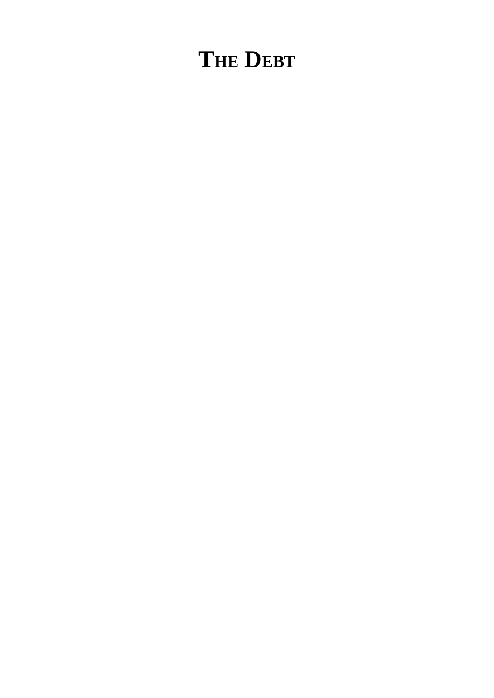# **THE DEBT**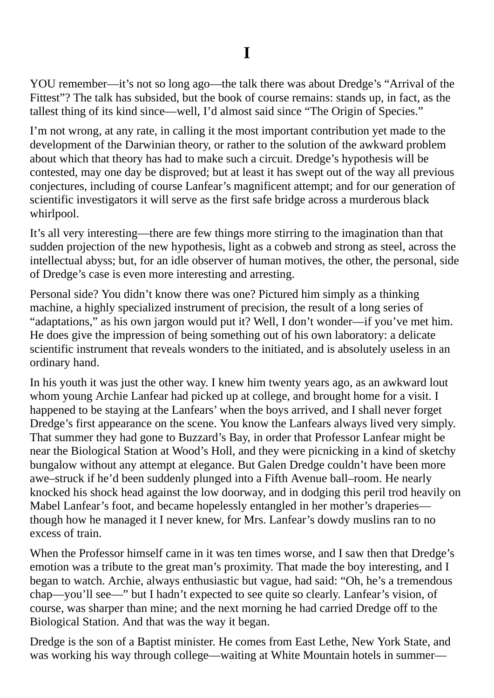YOU remember—it's not so long ago—the talk there was about Dredge's "Arrival of the Fittest"? The talk has subsided, but the book of course remains: stands up, in fact, as the tallest thing of its kind since—well, I'd almost said since "The Origin of Species."

I'm not wrong, at any rate, in calling it the most important contribution yet made to the development of the Darwinian theory, or rather to the solution of the awkward problem about which that theory has had to make such a circuit. Dredge's hypothesis will be contested, may one day be disproved; but at least it has swept out of the way all previous conjectures, including of course Lanfear's magnificent attempt; and for our generation of scientific investigators it will serve as the first safe bridge across a murderous black whirlpool.

It's all very interesting—there are few things more stirring to the imagination than that sudden projection of the new hypothesis, light as a cobweb and strong as steel, across the intellectual abyss; but, for an idle observer of human motives, the other, the personal, side of Dredge's case is even more interesting and arresting.

Personal side? You didn't know there was one? Pictured him simply as a thinking machine, a highly specialized instrument of precision, the result of a long series of "adaptations," as his own jargon would put it? Well, I don't wonder—if you've met him. He does give the impression of being something out of his own laboratory: a delicate scientific instrument that reveals wonders to the initiated, and is absolutely useless in an ordinary hand.

In his youth it was just the other way. I knew him twenty years ago, as an awkward lout whom young Archie Lanfear had picked up at college, and brought home for a visit. I happened to be staying at the Lanfears' when the boys arrived, and I shall never forget Dredge's first appearance on the scene. You know the Lanfears always lived very simply. That summer they had gone to Buzzard's Bay, in order that Professor Lanfear might be near the Biological Station at Wood's Holl, and they were picnicking in a kind of sketchy bungalow without any attempt at elegance. But Galen Dredge couldn't have been more awe–struck if he'd been suddenly plunged into a Fifth Avenue ball–room. He nearly knocked his shock head against the low doorway, and in dodging this peril trod heavily on Mabel Lanfear's foot, and became hopelessly entangled in her mother's draperies though how he managed it I never knew, for Mrs. Lanfear's dowdy muslins ran to no excess of train.

When the Professor himself came in it was ten times worse, and I saw then that Dredge's emotion was a tribute to the great man's proximity. That made the boy interesting, and I began to watch. Archie, always enthusiastic but vague, had said: "Oh, he's a tremendous chap—you'll see—" but I hadn't expected to see quite so clearly. Lanfear's vision, of course, was sharper than mine; and the next morning he had carried Dredge off to the Biological Station. And that was the way it began.

Dredge is the son of a Baptist minister. He comes from East Lethe, New York State, and was working his way through college—waiting at White Mountain hotels in summer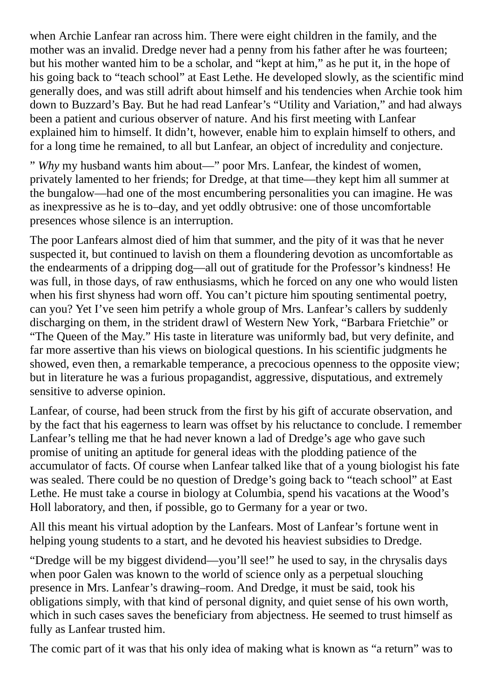when Archie Lanfear ran across him. There were eight children in the family, and the mother was an invalid. Dredge never had a penny from his father after he was fourteen; but his mother wanted him to be a scholar, and "kept at him," as he put it, in the hope of his going back to "teach school" at East Lethe. He developed slowly, as the scientific mind generally does, and was still adrift about himself and his tendencies when Archie took him down to Buzzard's Bay. But he had read Lanfear's "Utility and Variation," and had always been a patient and curious observer of nature. And his first meeting with Lanfear explained him to himself. It didn't, however, enable him to explain himself to others, and for a long time he remained, to all but Lanfear, an object of incredulity and conjecture.

" *Why* my husband wants him about—" poor Mrs. Lanfear, the kindest of women, privately lamented to her friends; for Dredge, at that time—they kept him all summer at the bungalow—had one of the most encumbering personalities you can imagine. He was as inexpressive as he is to–day, and yet oddly obtrusive: one of those uncomfortable presences whose silence is an interruption.

The poor Lanfears almost died of him that summer, and the pity of it was that he never suspected it, but continued to lavish on them a floundering devotion as uncomfortable as the endearments of a dripping dog—all out of gratitude for the Professor's kindness! He was full, in those days, of raw enthusiasms, which he forced on any one who would listen when his first shyness had worn off. You can't picture him spouting sentimental poetry, can you? Yet I've seen him petrify a whole group of Mrs. Lanfear's callers by suddenly discharging on them, in the strident drawl of Western New York, "Barbara Frietchie" or "The Queen of the May." His taste in literature was uniformly bad, but very definite, and far more assertive than his views on biological questions. In his scientific judgments he showed, even then, a remarkable temperance, a precocious openness to the opposite view; but in literature he was a furious propagandist, aggressive, disputatious, and extremely sensitive to adverse opinion.

Lanfear, of course, had been struck from the first by his gift of accurate observation, and by the fact that his eagerness to learn was offset by his reluctance to conclude. I remember Lanfear's telling me that he had never known a lad of Dredge's age who gave such promise of uniting an aptitude for general ideas with the plodding patience of the accumulator of facts. Of course when Lanfear talked like that of a young biologist his fate was sealed. There could be no question of Dredge's going back to "teach school" at East Lethe. He must take a course in biology at Columbia, spend his vacations at the Wood's Holl laboratory, and then, if possible, go to Germany for a year or two.

All this meant his virtual adoption by the Lanfears. Most of Lanfear's fortune went in helping young students to a start, and he devoted his heaviest subsidies to Dredge.

"Dredge will be my biggest dividend—you'll see!" he used to say, in the chrysalis days when poor Galen was known to the world of science only as a perpetual slouching presence in Mrs. Lanfear's drawing–room. And Dredge, it must be said, took his obligations simply, with that kind of personal dignity, and quiet sense of his own worth, which in such cases saves the beneficiary from abjectness. He seemed to trust himself as fully as Lanfear trusted him.

The comic part of it was that his only idea of making what is known as "a return" was to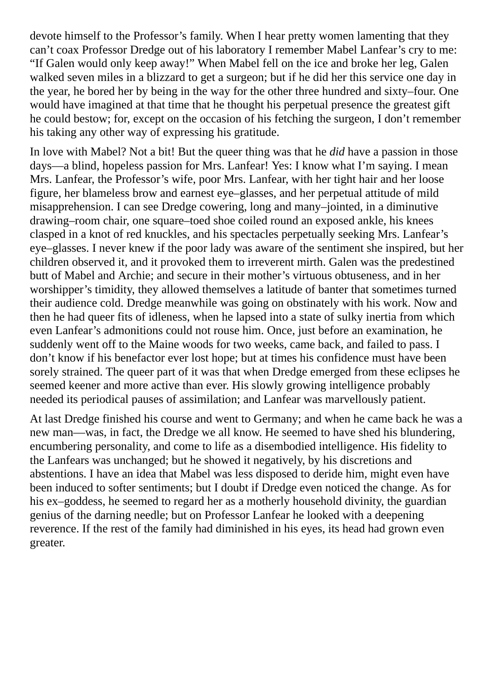devote himself to the Professor's family. When I hear pretty women lamenting that they can't coax Professor Dredge out of his laboratory I remember Mabel Lanfear's cry to me: "If Galen would only keep away!" When Mabel fell on the ice and broke her leg, Galen walked seven miles in a blizzard to get a surgeon; but if he did her this service one day in the year, he bored her by being in the way for the other three hundred and sixty–four. One would have imagined at that time that he thought his perpetual presence the greatest gift he could bestow; for, except on the occasion of his fetching the surgeon, I don't remember his taking any other way of expressing his gratitude.

In love with Mabel? Not a bit! But the queer thing was that he *did* have a passion in those days—a blind, hopeless passion for Mrs. Lanfear! Yes: I know what I'm saying. I mean Mrs. Lanfear, the Professor's wife, poor Mrs. Lanfear, with her tight hair and her loose figure, her blameless brow and earnest eye–glasses, and her perpetual attitude of mild misapprehension. I can see Dredge cowering, long and many–jointed, in a diminutive drawing–room chair, one square–toed shoe coiled round an exposed ankle, his knees clasped in a knot of red knuckles, and his spectacles perpetually seeking Mrs. Lanfear's eye–glasses. I never knew if the poor lady was aware of the sentiment she inspired, but her children observed it, and it provoked them to irreverent mirth. Galen was the predestined butt of Mabel and Archie; and secure in their mother's virtuous obtuseness, and in her worshipper's timidity, they allowed themselves a latitude of banter that sometimes turned their audience cold. Dredge meanwhile was going on obstinately with his work. Now and then he had queer fits of idleness, when he lapsed into a state of sulky inertia from which even Lanfear's admonitions could not rouse him. Once, just before an examination, he suddenly went off to the Maine woods for two weeks, came back, and failed to pass. I don't know if his benefactor ever lost hope; but at times his confidence must have been sorely strained. The queer part of it was that when Dredge emerged from these eclipses he seemed keener and more active than ever. His slowly growing intelligence probably needed its periodical pauses of assimilation; and Lanfear was marvellously patient.

At last Dredge finished his course and went to Germany; and when he came back he was a new man—was, in fact, the Dredge we all know. He seemed to have shed his blundering, encumbering personality, and come to life as a disembodied intelligence. His fidelity to the Lanfears was unchanged; but he showed it negatively, by his discretions and abstentions. I have an idea that Mabel was less disposed to deride him, might even have been induced to softer sentiments; but I doubt if Dredge even noticed the change. As for his ex–goddess, he seemed to regard her as a motherly household divinity, the guardian genius of the darning needle; but on Professor Lanfear he looked with a deepening reverence. If the rest of the family had diminished in his eyes, its head had grown even greater.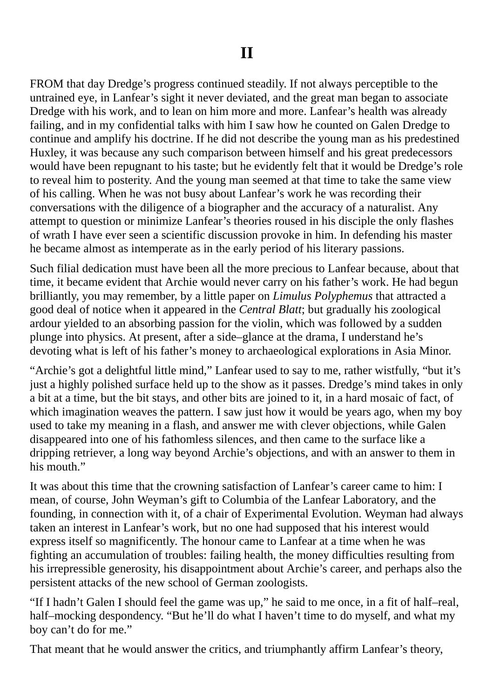FROM that day Dredge's progress continued steadily. If not always perceptible to the untrained eye, in Lanfear's sight it never deviated, and the great man began to associate Dredge with his work, and to lean on him more and more. Lanfear's health was already failing, and in my confidential talks with him I saw how he counted on Galen Dredge to continue and amplify his doctrine. If he did not describe the young man as his predestined Huxley, it was because any such comparison between himself and his great predecessors would have been repugnant to his taste; but he evidently felt that it would be Dredge's role to reveal him to posterity. And the young man seemed at that time to take the same view of his calling. When he was not busy about Lanfear's work he was recording their conversations with the diligence of a biographer and the accuracy of a naturalist. Any attempt to question or minimize Lanfear's theories roused in his disciple the only flashes of wrath I have ever seen a scientific discussion provoke in him. In defending his master he became almost as intemperate as in the early period of his literary passions.

Such filial dedication must have been all the more precious to Lanfear because, about that time, it became evident that Archie would never carry on his father's work. He had begun brilliantly, you may remember, by a little paper on *Limulus Polyphemus* that attracted a good deal of notice when it appeared in the *Central Blatt*; but gradually his zoological ardour yielded to an absorbing passion for the violin, which was followed by a sudden plunge into physics. At present, after a side–glance at the drama, I understand he's devoting what is left of his father's money to archaeological explorations in Asia Minor.

"Archie's got a delightful little mind," Lanfear used to say to me, rather wistfully, "but it's just a highly polished surface held up to the show as it passes. Dredge's mind takes in only a bit at a time, but the bit stays, and other bits are joined to it, in a hard mosaic of fact, of which imagination weaves the pattern. I saw just how it would be years ago, when my boy used to take my meaning in a flash, and answer me with clever objections, while Galen disappeared into one of his fathomless silences, and then came to the surface like a dripping retriever, a long way beyond Archie's objections, and with an answer to them in his mouth."

It was about this time that the crowning satisfaction of Lanfear's career came to him: I mean, of course, John Weyman's gift to Columbia of the Lanfear Laboratory, and the founding, in connection with it, of a chair of Experimental Evolution. Weyman had always taken an interest in Lanfear's work, but no one had supposed that his interest would express itself so magnificently. The honour came to Lanfear at a time when he was fighting an accumulation of troubles: failing health, the money difficulties resulting from his irrepressible generosity, his disappointment about Archie's career, and perhaps also the persistent attacks of the new school of German zoologists.

"If I hadn't Galen I should feel the game was up," he said to me once, in a fit of half–real, half–mocking despondency. "But he'll do what I haven't time to do myself, and what my boy can't do for me."

That meant that he would answer the critics, and triumphantly affirm Lanfear's theory,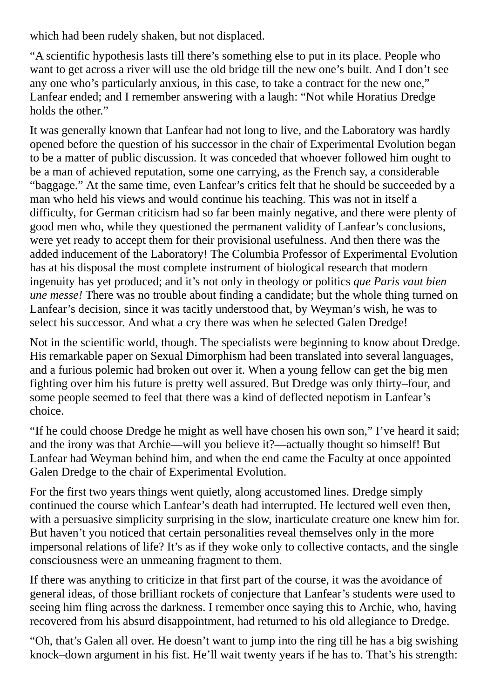which had been rudely shaken, but not displaced.

"A scientific hypothesis lasts till there's something else to put in its place. People who want to get across a river will use the old bridge till the new one's built. And I don't see any one who's particularly anxious, in this case, to take a contract for the new one," Lanfear ended; and I remember answering with a laugh: "Not while Horatius Dredge holds the other."

It was generally known that Lanfear had not long to live, and the Laboratory was hardly opened before the question of his successor in the chair of Experimental Evolution began to be a matter of public discussion. It was conceded that whoever followed him ought to be a man of achieved reputation, some one carrying, as the French say, a considerable "baggage." At the same time, even Lanfear's critics felt that he should be succeeded by a man who held his views and would continue his teaching. This was not in itself a difficulty, for German criticism had so far been mainly negative, and there were plenty of good men who, while they questioned the permanent validity of Lanfear's conclusions, were yet ready to accept them for their provisional usefulness. And then there was the added inducement of the Laboratory! The Columbia Professor of Experimental Evolution has at his disposal the most complete instrument of biological research that modern ingenuity has yet produced; and it's not only in theology or politics *que Paris vaut bien une messe!* There was no trouble about finding a candidate; but the whole thing turned on Lanfear's decision, since it was tacitly understood that, by Weyman's wish, he was to select his successor. And what a cry there was when he selected Galen Dredge!

Not in the scientific world, though. The specialists were beginning to know about Dredge. His remarkable paper on Sexual Dimorphism had been translated into several languages, and a furious polemic had broken out over it. When a young fellow can get the big men fighting over him his future is pretty well assured. But Dredge was only thirty–four, and some people seemed to feel that there was a kind of deflected nepotism in Lanfear's choice.

"If he could choose Dredge he might as well have chosen his own son," I've heard it said; and the irony was that Archie—will you believe it?—actually thought so himself! But Lanfear had Weyman behind him, and when the end came the Faculty at once appointed Galen Dredge to the chair of Experimental Evolution.

For the first two years things went quietly, along accustomed lines. Dredge simply continued the course which Lanfear's death had interrupted. He lectured well even then, with a persuasive simplicity surprising in the slow, inarticulate creature one knew him for. But haven't you noticed that certain personalities reveal themselves only in the more impersonal relations of life? It's as if they woke only to collective contacts, and the single consciousness were an unmeaning fragment to them.

If there was anything to criticize in that first part of the course, it was the avoidance of general ideas, of those brilliant rockets of conjecture that Lanfear's students were used to seeing him fling across the darkness. I remember once saying this to Archie, who, having recovered from his absurd disappointment, had returned to his old allegiance to Dredge.

"Oh, that's Galen all over. He doesn't want to jump into the ring till he has a big swishing knock–down argument in his fist. He'll wait twenty years if he has to. That's his strength: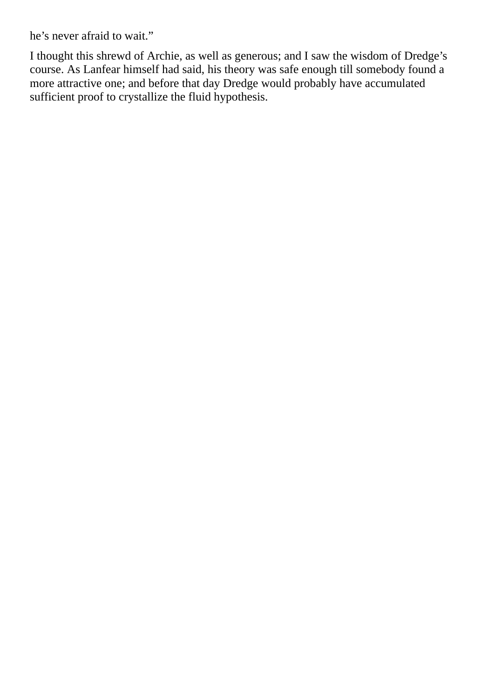he's never afraid to wait."

I thought this shrewd of Archie, as well as generous; and I saw the wisdom of Dredge's course. As Lanfear himself had said, his theory was safe enough till somebody found a more attractive one; and before that day Dredge would probably have accumulated sufficient proof to crystallize the fluid hypothesis.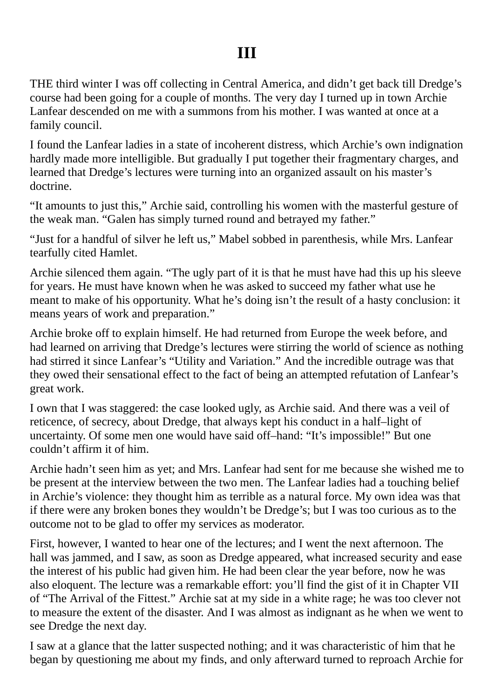### **III**

THE third winter I was off collecting in Central America, and didn't get back till Dredge's course had been going for a couple of months. The very day I turned up in town Archie Lanfear descended on me with a summons from his mother. I was wanted at once at a family council.

I found the Lanfear ladies in a state of incoherent distress, which Archie's own indignation hardly made more intelligible. But gradually I put together their fragmentary charges, and learned that Dredge's lectures were turning into an organized assault on his master's doctrine.

"It amounts to just this," Archie said, controlling his women with the masterful gesture of the weak man. "Galen has simply turned round and betrayed my father."

"Just for a handful of silver he left us," Mabel sobbed in parenthesis, while Mrs. Lanfear tearfully cited Hamlet.

Archie silenced them again. "The ugly part of it is that he must have had this up his sleeve for years. He must have known when he was asked to succeed my father what use he meant to make of his opportunity. What he's doing isn't the result of a hasty conclusion: it means years of work and preparation."

Archie broke off to explain himself. He had returned from Europe the week before, and had learned on arriving that Dredge's lectures were stirring the world of science as nothing had stirred it since Lanfear's "Utility and Variation." And the incredible outrage was that they owed their sensational effect to the fact of being an attempted refutation of Lanfear's great work.

I own that I was staggered: the case looked ugly, as Archie said. And there was a veil of reticence, of secrecy, about Dredge, that always kept his conduct in a half–light of uncertainty. Of some men one would have said off–hand: "It's impossible!" But one couldn't affirm it of him.

Archie hadn't seen him as yet; and Mrs. Lanfear had sent for me because she wished me to be present at the interview between the two men. The Lanfear ladies had a touching belief in Archie's violence: they thought him as terrible as a natural force. My own idea was that if there were any broken bones they wouldn't be Dredge's; but I was too curious as to the outcome not to be glad to offer my services as moderator.

First, however, I wanted to hear one of the lectures; and I went the next afternoon. The hall was jammed, and I saw, as soon as Dredge appeared, what increased security and ease the interest of his public had given him. He had been clear the year before, now he was also eloquent. The lecture was a remarkable effort: you'll find the gist of it in Chapter VII of "The Arrival of the Fittest." Archie sat at my side in a white rage; he was too clever not to measure the extent of the disaster. And I was almost as indignant as he when we went to see Dredge the next day.

I saw at a glance that the latter suspected nothing; and it was characteristic of him that he began by questioning me about my finds, and only afterward turned to reproach Archie for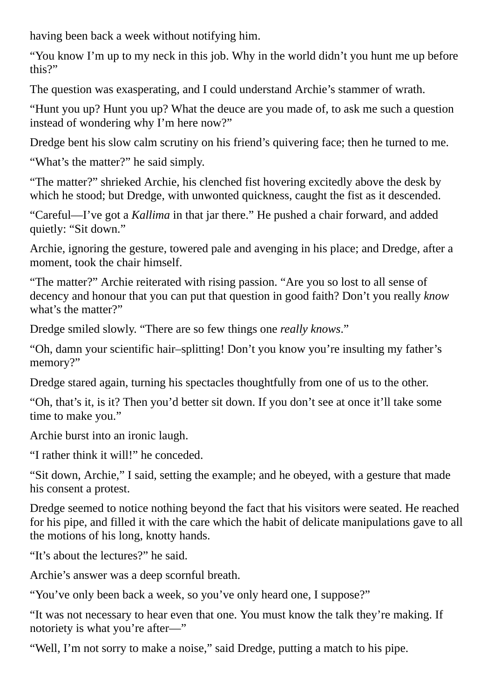having been back a week without notifying him.

"You know I'm up to my neck in this job. Why in the world didn't you hunt me up before this?"

The question was exasperating, and I could understand Archie's stammer of wrath.

"Hunt you up? Hunt you up? What the deuce are you made of, to ask me such a question instead of wondering why I'm here now?"

Dredge bent his slow calm scrutiny on his friend's quivering face; then he turned to me.

"What's the matter?" he said simply.

"The matter?" shrieked Archie, his clenched fist hovering excitedly above the desk by which he stood; but Dredge, with unwonted quickness, caught the fist as it descended.

"Careful—I've got a *Kallima* in that jar there." He pushed a chair forward, and added quietly: "Sit down."

Archie, ignoring the gesture, towered pale and avenging in his place; and Dredge, after a moment, took the chair himself.

"The matter?" Archie reiterated with rising passion. "Are you so lost to all sense of decency and honour that you can put that question in good faith? Don't you really *know* what's the matter?"

Dredge smiled slowly. "There are so few things one *really knows*."

"Oh, damn your scientific hair–splitting! Don't you know you're insulting my father's memory?"

Dredge stared again, turning his spectacles thoughtfully from one of us to the other.

"Oh, that's it, is it? Then you'd better sit down. If you don't see at once it'll take some time to make you."

Archie burst into an ironic laugh.

"I rather think it will!" he conceded.

"Sit down, Archie," I said, setting the example; and he obeyed, with a gesture that made his consent a protest.

Dredge seemed to notice nothing beyond the fact that his visitors were seated. He reached for his pipe, and filled it with the care which the habit of delicate manipulations gave to all the motions of his long, knotty hands.

"It's about the lectures?" he said.

Archie's answer was a deep scornful breath.

"You've only been back a week, so you've only heard one, I suppose?"

"It was not necessary to hear even that one. You must know the talk they're making. If notoriety is what you're after—"

"Well, I'm not sorry to make a noise," said Dredge, putting a match to his pipe.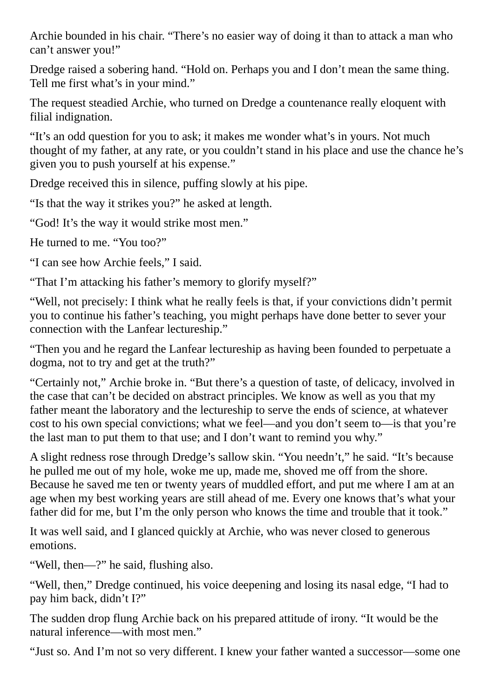Archie bounded in his chair. "There's no easier way of doing it than to attack a man who can't answer you!"

Dredge raised a sobering hand. "Hold on. Perhaps you and I don't mean the same thing. Tell me first what's in your mind."

The request steadied Archie, who turned on Dredge a countenance really eloquent with filial indignation.

"It's an odd question for you to ask; it makes me wonder what's in yours. Not much thought of my father, at any rate, or you couldn't stand in his place and use the chance he's given you to push yourself at his expense."

Dredge received this in silence, puffing slowly at his pipe.

"Is that the way it strikes you?" he asked at length.

"God! It's the way it would strike most men."

He turned to me. "You too?"

"I can see how Archie feels," I said.

"That I'm attacking his father's memory to glorify myself?"

"Well, not precisely: I think what he really feels is that, if your convictions didn't permit you to continue his father's teaching, you might perhaps have done better to sever your connection with the Lanfear lectureship."

"Then you and he regard the Lanfear lectureship as having been founded to perpetuate a dogma, not to try and get at the truth?"

"Certainly not," Archie broke in. "But there's a question of taste, of delicacy, involved in the case that can't be decided on abstract principles. We know as well as you that my father meant the laboratory and the lectureship to serve the ends of science, at whatever cost to his own special convictions; what we feel—and you don't seem to—is that you're the last man to put them to that use; and I don't want to remind you why."

A slight redness rose through Dredge's sallow skin. "You needn't," he said. "It's because he pulled me out of my hole, woke me up, made me, shoved me off from the shore. Because he saved me ten or twenty years of muddled effort, and put me where I am at an age when my best working years are still ahead of me. Every one knows that's what your father did for me, but I'm the only person who knows the time and trouble that it took."

It was well said, and I glanced quickly at Archie, who was never closed to generous emotions.

"Well, then—?" he said, flushing also.

"Well, then," Dredge continued, his voice deepening and losing its nasal edge, "I had to pay him back, didn't I?"

The sudden drop flung Archie back on his prepared attitude of irony. "It would be the natural inference—with most men."

"Just so. And I'm not so very different. I knew your father wanted a successor—some one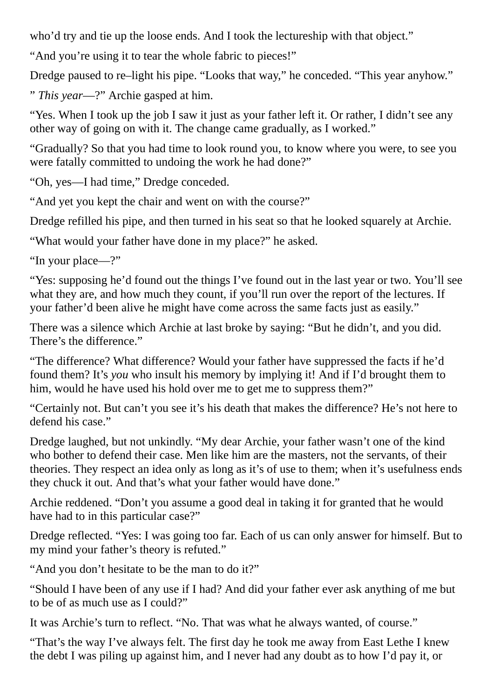who'd try and tie up the loose ends. And I took the lectureship with that object."

"And you're using it to tear the whole fabric to pieces!"

Dredge paused to re–light his pipe. "Looks that way," he conceded. "This year anyhow."

" *This year*—?" Archie gasped at him.

"Yes. When I took up the job I saw it just as your father left it. Or rather, I didn't see any other way of going on with it. The change came gradually, as I worked."

"Gradually? So that you had time to look round you, to know where you were, to see you were fatally committed to undoing the work he had done?"

"Oh, yes—I had time," Dredge conceded.

"And yet you kept the chair and went on with the course?"

Dredge refilled his pipe, and then turned in his seat so that he looked squarely at Archie.

"What would your father have done in my place?" he asked.

"In your place—?"

"Yes: supposing he'd found out the things I've found out in the last year or two. You'll see what they are, and how much they count, if you'll run over the report of the lectures. If your father'd been alive he might have come across the same facts just as easily."

There was a silence which Archie at last broke by saying: "But he didn't, and you did. There's the difference."

"The difference? What difference? Would your father have suppressed the facts if he'd found them? It's *you* who insult his memory by implying it! And if I'd brought them to him, would he have used his hold over me to get me to suppress them?"

"Certainly not. But can't you see it's his death that makes the difference? He's not here to defend his case."

Dredge laughed, but not unkindly. "My dear Archie, your father wasn't one of the kind who bother to defend their case. Men like him are the masters, not the servants, of their theories. They respect an idea only as long as it's of use to them; when it's usefulness ends they chuck it out. And that's what your father would have done."

Archie reddened. "Don't you assume a good deal in taking it for granted that he would have had to in this particular case?"

Dredge reflected. "Yes: I was going too far. Each of us can only answer for himself. But to my mind your father's theory is refuted."

"And you don't hesitate to be the man to do it?"

"Should I have been of any use if I had? And did your father ever ask anything of me but to be of as much use as I could?"

It was Archie's turn to reflect. "No. That was what he always wanted, of course."

"That's the way I've always felt. The first day he took me away from East Lethe I knew the debt I was piling up against him, and I never had any doubt as to how I'd pay it, or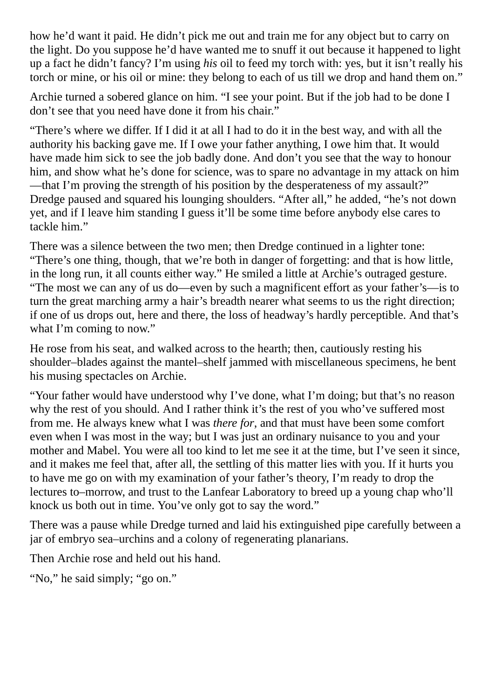how he'd want it paid. He didn't pick me out and train me for any object but to carry on the light. Do you suppose he'd have wanted me to snuff it out because it happened to light up a fact he didn't fancy? I'm using *his* oil to feed my torch with: yes, but it isn't really his torch or mine, or his oil or mine: they belong to each of us till we drop and hand them on."

Archie turned a sobered glance on him. "I see your point. But if the job had to be done I don't see that you need have done it from his chair."

"There's where we differ. If I did it at all I had to do it in the best way, and with all the authority his backing gave me. If I owe your father anything, I owe him that. It would have made him sick to see the job badly done. And don't you see that the way to honour him, and show what he's done for science, was to spare no advantage in my attack on him —that I'm proving the strength of his position by the desperateness of my assault?" Dredge paused and squared his lounging shoulders. "After all," he added, "he's not down yet, and if I leave him standing I guess it'll be some time before anybody else cares to tackle him."

There was a silence between the two men; then Dredge continued in a lighter tone: "There's one thing, though, that we're both in danger of forgetting: and that is how little, in the long run, it all counts either way." He smiled a little at Archie's outraged gesture. "The most we can any of us do—even by such a magnificent effort as your father's—is to turn the great marching army a hair's breadth nearer what seems to us the right direction; if one of us drops out, here and there, the loss of headway's hardly perceptible. And that's what I'm coming to now."

He rose from his seat, and walked across to the hearth; then, cautiously resting his shoulder–blades against the mantel–shelf jammed with miscellaneous specimens, he bent his musing spectacles on Archie.

"Your father would have understood why I've done, what I'm doing; but that's no reason why the rest of you should. And I rather think it's the rest of you who've suffered most from me. He always knew what I was *there for*, and that must have been some comfort even when I was most in the way; but I was just an ordinary nuisance to you and your mother and Mabel. You were all too kind to let me see it at the time, but I've seen it since, and it makes me feel that, after all, the settling of this matter lies with you. If it hurts you to have me go on with my examination of your father's theory, I'm ready to drop the lectures to–morrow, and trust to the Lanfear Laboratory to breed up a young chap who'll knock us both out in time. You've only got to say the word."

There was a pause while Dredge turned and laid his extinguished pipe carefully between a jar of embryo sea–urchins and a colony of regenerating planarians.

Then Archie rose and held out his hand.

```
"No," he said simply; "go on."
```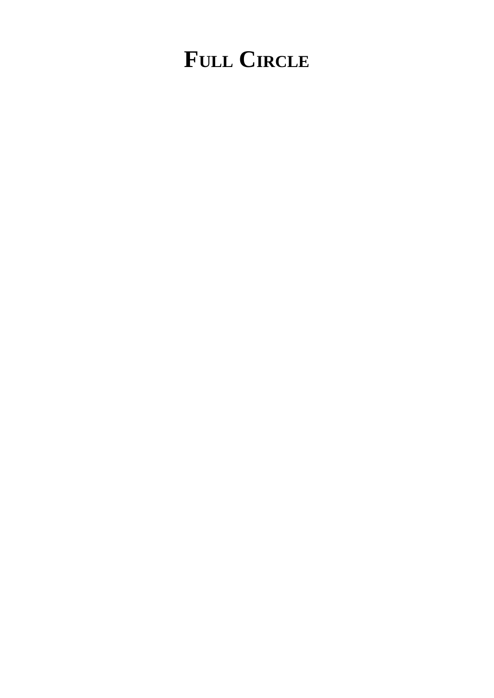# **FULL CIRCLE**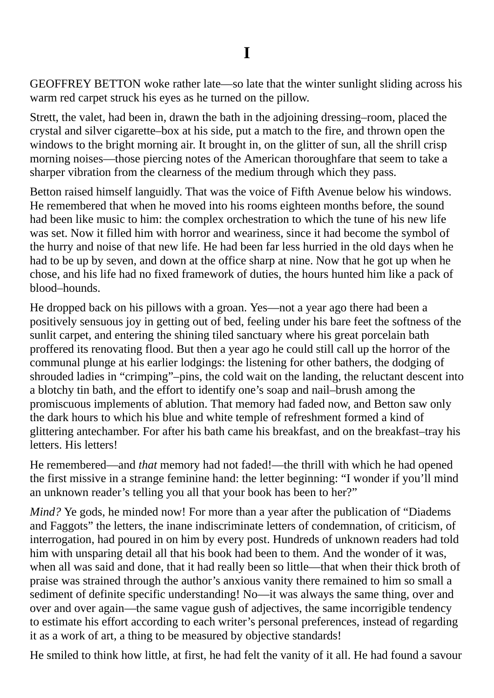**I**

GEOFFREY BETTON woke rather late—so late that the winter sunlight sliding across his warm red carpet struck his eyes as he turned on the pillow.

Strett, the valet, had been in, drawn the bath in the adjoining dressing–room, placed the crystal and silver cigarette–box at his side, put a match to the fire, and thrown open the windows to the bright morning air. It brought in, on the glitter of sun, all the shrill crisp morning noises—those piercing notes of the American thoroughfare that seem to take a sharper vibration from the clearness of the medium through which they pass.

Betton raised himself languidly. That was the voice of Fifth Avenue below his windows. He remembered that when he moved into his rooms eighteen months before, the sound had been like music to him: the complex orchestration to which the tune of his new life was set. Now it filled him with horror and weariness, since it had become the symbol of the hurry and noise of that new life. He had been far less hurried in the old days when he had to be up by seven, and down at the office sharp at nine. Now that he got up when he chose, and his life had no fixed framework of duties, the hours hunted him like a pack of blood–hounds.

He dropped back on his pillows with a groan. Yes—not a year ago there had been a positively sensuous joy in getting out of bed, feeling under his bare feet the softness of the sunlit carpet, and entering the shining tiled sanctuary where his great porcelain bath proffered its renovating flood. But then a year ago he could still call up the horror of the communal plunge at his earlier lodgings: the listening for other bathers, the dodging of shrouded ladies in "crimping"–pins, the cold wait on the landing, the reluctant descent into a blotchy tin bath, and the effort to identify one's soap and nail–brush among the promiscuous implements of ablution. That memory had faded now, and Betton saw only the dark hours to which his blue and white temple of refreshment formed a kind of glittering antechamber. For after his bath came his breakfast, and on the breakfast–tray his letters. His letters!

He remembered—and *that* memory had not faded!—the thrill with which he had opened the first missive in a strange feminine hand: the letter beginning: "I wonder if you'll mind an unknown reader's telling you all that your book has been to her?"

*Mind?* Ye gods, he minded now! For more than a year after the publication of "Diadems and Faggots" the letters, the inane indiscriminate letters of condemnation, of criticism, of interrogation, had poured in on him by every post. Hundreds of unknown readers had told him with unsparing detail all that his book had been to them. And the wonder of it was, when all was said and done, that it had really been so little—that when their thick broth of praise was strained through the author's anxious vanity there remained to him so small a sediment of definite specific understanding! No—it was always the same thing, over and over and over again—the same vague gush of adjectives, the same incorrigible tendency to estimate his effort according to each writer's personal preferences, instead of regarding it as a work of art, a thing to be measured by objective standards!

He smiled to think how little, at first, he had felt the vanity of it all. He had found a savour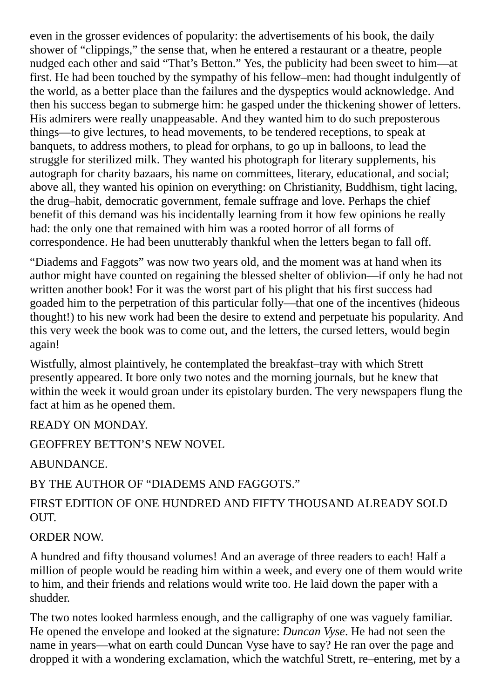even in the grosser evidences of popularity: the advertisements of his book, the daily shower of "clippings," the sense that, when he entered a restaurant or a theatre, people nudged each other and said "That's Betton." Yes, the publicity had been sweet to him—at first. He had been touched by the sympathy of his fellow–men: had thought indulgently of the world, as a better place than the failures and the dyspeptics would acknowledge. And then his success began to submerge him: he gasped under the thickening shower of letters. His admirers were really unappeasable. And they wanted him to do such preposterous things—to give lectures, to head movements, to be tendered receptions, to speak at banquets, to address mothers, to plead for orphans, to go up in balloons, to lead the struggle for sterilized milk. They wanted his photograph for literary supplements, his autograph for charity bazaars, his name on committees, literary, educational, and social; above all, they wanted his opinion on everything: on Christianity, Buddhism, tight lacing, the drug–habit, democratic government, female suffrage and love. Perhaps the chief benefit of this demand was his incidentally learning from it how few opinions he really had: the only one that remained with him was a rooted horror of all forms of correspondence. He had been unutterably thankful when the letters began to fall off.

"Diadems and Faggots" was now two years old, and the moment was at hand when its author might have counted on regaining the blessed shelter of oblivion—if only he had not written another book! For it was the worst part of his plight that his first success had goaded him to the perpetration of this particular folly—that one of the incentives (hideous thought!) to his new work had been the desire to extend and perpetuate his popularity. And this very week the book was to come out, and the letters, the cursed letters, would begin again!

Wistfully, almost plaintively, he contemplated the breakfast–tray with which Strett presently appeared. It bore only two notes and the morning journals, but he knew that within the week it would groan under its epistolary burden. The very newspapers flung the fact at him as he opened them.

READY ON MONDAY.

GEOFFREY BETTON'S NEW NOVEL

ABUNDANCE.

BY THE AUTHOR OF "DIADEMS AND FAGGOTS."

### FIRST EDITION OF ONE HUNDRED AND FIFTY THOUSAND ALREADY SOLD OUT.

### ORDER NOW.

A hundred and fifty thousand volumes! And an average of three readers to each! Half a million of people would be reading him within a week, and every one of them would write to him, and their friends and relations would write too. He laid down the paper with a shudder.

The two notes looked harmless enough, and the calligraphy of one was vaguely familiar. He opened the envelope and looked at the signature: *Duncan Vyse*. He had not seen the name in years—what on earth could Duncan Vyse have to say? He ran over the page and dropped it with a wondering exclamation, which the watchful Strett, re–entering, met by a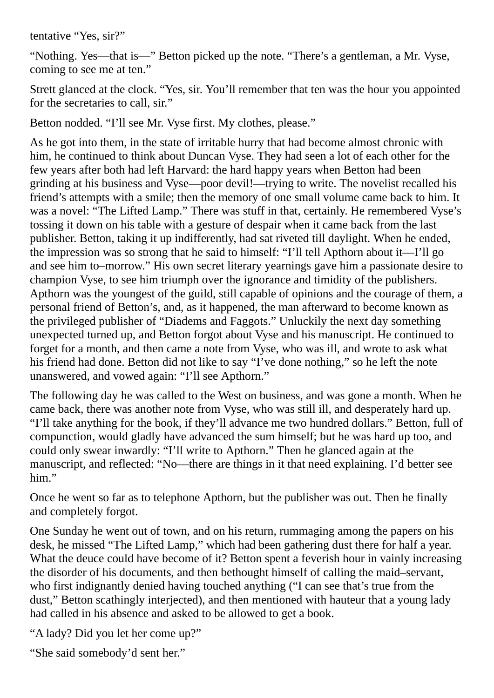tentative "Yes, sir?"

"Nothing. Yes—that is—" Betton picked up the note. "There's a gentleman, a Mr. Vyse, coming to see me at ten."

Strett glanced at the clock. "Yes, sir. You'll remember that ten was the hour you appointed for the secretaries to call, sir."

Betton nodded. "I'll see Mr. Vyse first. My clothes, please."

As he got into them, in the state of irritable hurry that had become almost chronic with him, he continued to think about Duncan Vyse. They had seen a lot of each other for the few years after both had left Harvard: the hard happy years when Betton had been grinding at his business and Vyse—poor devil!—trying to write. The novelist recalled his friend's attempts with a smile; then the memory of one small volume came back to him. It was a novel: "The Lifted Lamp." There was stuff in that, certainly. He remembered Vyse's tossing it down on his table with a gesture of despair when it came back from the last publisher. Betton, taking it up indifferently, had sat riveted till daylight. When he ended, the impression was so strong that he said to himself: "I'll tell Apthorn about it—I'll go and see him to–morrow." His own secret literary yearnings gave him a passionate desire to champion Vyse, to see him triumph over the ignorance and timidity of the publishers. Apthorn was the youngest of the guild, still capable of opinions and the courage of them, a personal friend of Betton's, and, as it happened, the man afterward to become known as the privileged publisher of "Diadems and Faggots." Unluckily the next day something unexpected turned up, and Betton forgot about Vyse and his manuscript. He continued to forget for a month, and then came a note from Vyse, who was ill, and wrote to ask what his friend had done. Betton did not like to say "I've done nothing," so he left the note unanswered, and vowed again: "I'll see Apthorn."

The following day he was called to the West on business, and was gone a month. When he came back, there was another note from Vyse, who was still ill, and desperately hard up. "I'll take anything for the book, if they'll advance me two hundred dollars." Betton, full of compunction, would gladly have advanced the sum himself; but he was hard up too, and could only swear inwardly: "I'll write to Apthorn." Then he glanced again at the manuscript, and reflected: "No—there are things in it that need explaining. I'd better see him."

Once he went so far as to telephone Apthorn, but the publisher was out. Then he finally and completely forgot.

One Sunday he went out of town, and on his return, rummaging among the papers on his desk, he missed "The Lifted Lamp," which had been gathering dust there for half a year. What the deuce could have become of it? Betton spent a feverish hour in vainly increasing the disorder of his documents, and then bethought himself of calling the maid–servant, who first indignantly denied having touched anything ("I can see that's true from the dust," Betton scathingly interjected), and then mentioned with hauteur that a young lady had called in his absence and asked to be allowed to get a book.

"A lady? Did you let her come up?"

"She said somebody'd sent her."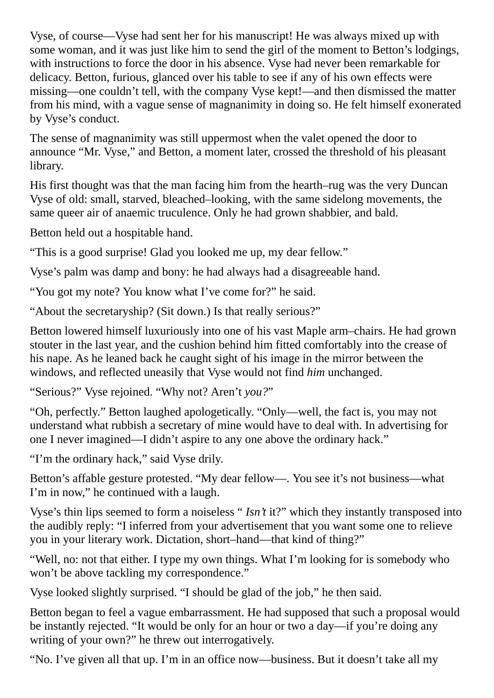Vyse, of course—Vyse had sent her for his manuscript! He was always mixed up with some woman, and it was just like him to send the girl of the moment to Betton's lodgings, with instructions to force the door in his absence. Vyse had never been remarkable for delicacy. Betton, furious, glanced over his table to see if any of his own effects were missing—one couldn't tell, with the company Vyse kept!—and then dismissed the matter from his mind, with a vague sense of magnanimity in doing so. He felt himself exonerated by Vyse's conduct.

The sense of magnanimity was still uppermost when the valet opened the door to announce "Mr. Vyse," and Betton, a moment later, crossed the threshold of his pleasant library.

His first thought was that the man facing him from the hearth–rug was the very Duncan Vyse of old: small, starved, bleached–looking, with the same sidelong movements, the same queer air of anaemic truculence. Only he had grown shabbier, and bald.

Betton held out a hospitable hand.

"This is a good surprise! Glad you looked me up, my dear fellow."

Vyse's palm was damp and bony: he had always had a disagreeable hand.

"You got my note? You know what I've come for?" he said.

"About the secretaryship? (Sit down.) Is that really serious?"

Betton lowered himself luxuriously into one of his vast Maple arm–chairs. He had grown stouter in the last year, and the cushion behind him fitted comfortably into the crease of his nape. As he leaned back he caught sight of his image in the mirror between the windows, and reflected uneasily that Vyse would not find *him* unchanged.

"Serious?" Vyse rejoined. "Why not? Aren't *you?*"

"Oh, perfectly." Betton laughed apologetically. "Only—well, the fact is, you may not understand what rubbish a secretary of mine would have to deal with. In advertising for one I never imagined—I didn't aspire to any one above the ordinary hack."

"I'm the ordinary hack," said Vyse drily.

Betton's affable gesture protested. "My dear fellow—. You see it's not business—what I'm in now," he continued with a laugh.

Vyse's thin lips seemed to form a noiseless " *Isn't* it?" which they instantly transposed into the audibly reply: "I inferred from your advertisement that you want some one to relieve you in your literary work. Dictation, short–hand—that kind of thing?"

"Well, no: not that either. I type my own things. What I'm looking for is somebody who won't be above tackling my correspondence."

Vyse looked slightly surprised. "I should be glad of the job," he then said.

Betton began to feel a vague embarrassment. He had supposed that such a proposal would be instantly rejected. "It would be only for an hour or two a day—if you're doing any writing of your own?" he threw out interrogatively.

"No. I've given all that up. I'm in an office now—business. But it doesn't take all my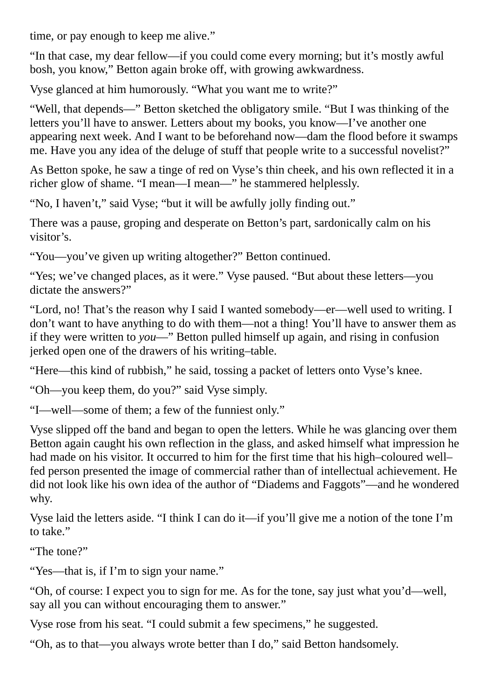time, or pay enough to keep me alive."

"In that case, my dear fellow—if you could come every morning; but it's mostly awful bosh, you know," Betton again broke off, with growing awkwardness.

Vyse glanced at him humorously. "What you want me to write?"

"Well, that depends—" Betton sketched the obligatory smile. "But I was thinking of the letters you'll have to answer. Letters about my books, you know—I've another one appearing next week. And I want to be beforehand now—dam the flood before it swamps me. Have you any idea of the deluge of stuff that people write to a successful novelist?"

As Betton spoke, he saw a tinge of red on Vyse's thin cheek, and his own reflected it in a richer glow of shame. "I mean—I mean—" he stammered helplessly.

"No, I haven't," said Vyse; "but it will be awfully jolly finding out."

There was a pause, groping and desperate on Betton's part, sardonically calm on his visitor's.

"You—you've given up writing altogether?" Betton continued.

"Yes; we've changed places, as it were." Vyse paused. "But about these letters—you dictate the answers?"

"Lord, no! That's the reason why I said I wanted somebody—er—well used to writing. I don't want to have anything to do with them—not a thing! You'll have to answer them as if they were written to *you*—" Betton pulled himself up again, and rising in confusion jerked open one of the drawers of his writing–table.

"Here—this kind of rubbish," he said, tossing a packet of letters onto Vyse's knee.

"Oh—you keep them, do you?" said Vyse simply.

"I—well—some of them; a few of the funniest only."

Vyse slipped off the band and began to open the letters. While he was glancing over them Betton again caught his own reflection in the glass, and asked himself what impression he had made on his visitor. It occurred to him for the first time that his high–coloured well– fed person presented the image of commercial rather than of intellectual achievement. He did not look like his own idea of the author of "Diadems and Faggots"—and he wondered why.

Vyse laid the letters aside. "I think I can do it—if you'll give me a notion of the tone I'm to take."

"The tone?"

"Yes—that is, if I'm to sign your name."

"Oh, of course: I expect you to sign for me. As for the tone, say just what you'd—well, say all you can without encouraging them to answer."

Vyse rose from his seat. "I could submit a few specimens," he suggested.

"Oh, as to that—you always wrote better than I do," said Betton handsomely.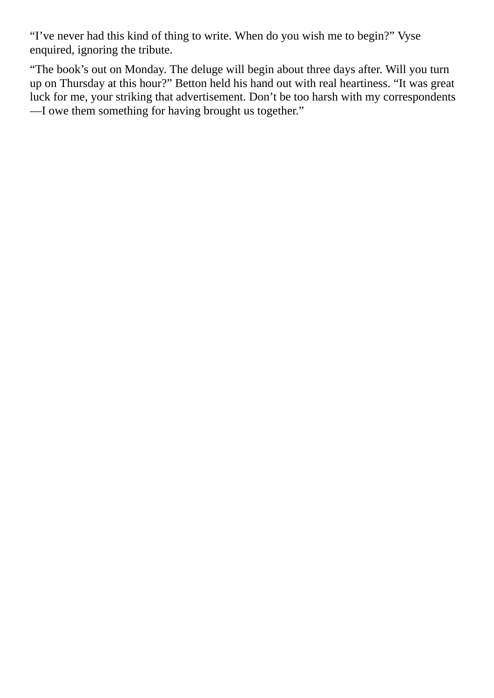"I've never had this kind of thing to write. When do you wish me to begin?" Vyse enquired, ignoring the tribute.

"The book's out on Monday. The deluge will begin about three days after. Will you turn up on Thursday at this hour?" Betton held his hand out with real heartiness. "It was great luck for me, your striking that advertisement. Don't be too harsh with my correspondents —I owe them something for having brought us together."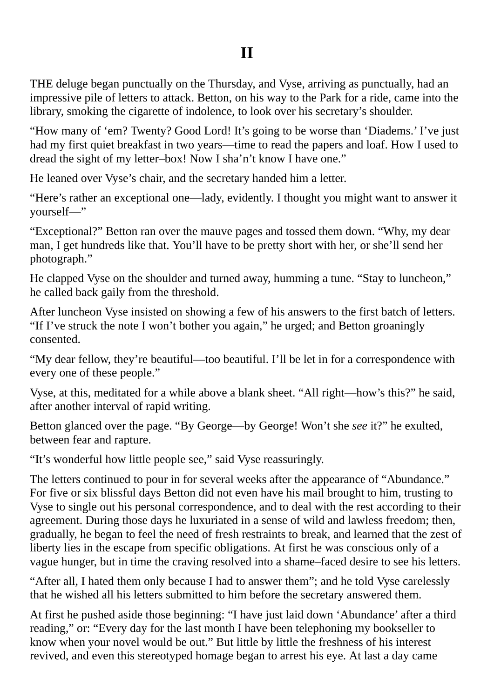THE deluge began punctually on the Thursday, and Vyse, arriving as punctually, had an impressive pile of letters to attack. Betton, on his way to the Park for a ride, came into the library, smoking the cigarette of indolence, to look over his secretary's shoulder.

"How many of 'em? Twenty? Good Lord! It's going to be worse than 'Diadems.' I've just had my first quiet breakfast in two years—time to read the papers and loaf. How I used to dread the sight of my letter–box! Now I sha'n't know I have one."

He leaned over Vyse's chair, and the secretary handed him a letter.

"Here's rather an exceptional one—lady, evidently. I thought you might want to answer it yourself—"

"Exceptional?" Betton ran over the mauve pages and tossed them down. "Why, my dear man, I get hundreds like that. You'll have to be pretty short with her, or she'll send her photograph."

He clapped Vyse on the shoulder and turned away, humming a tune. "Stay to luncheon," he called back gaily from the threshold.

After luncheon Vyse insisted on showing a few of his answers to the first batch of letters. "If I've struck the note I won't bother you again," he urged; and Betton groaningly consented.

"My dear fellow, they're beautiful—too beautiful. I'll be let in for a correspondence with every one of these people."

Vyse, at this, meditated for a while above a blank sheet. "All right—how's this?" he said, after another interval of rapid writing.

Betton glanced over the page. "By George—by George! Won't she *see* it?" he exulted, between fear and rapture.

"It's wonderful how little people see," said Vyse reassuringly.

The letters continued to pour in for several weeks after the appearance of "Abundance." For five or six blissful days Betton did not even have his mail brought to him, trusting to Vyse to single out his personal correspondence, and to deal with the rest according to their agreement. During those days he luxuriated in a sense of wild and lawless freedom; then, gradually, he began to feel the need of fresh restraints to break, and learned that the zest of liberty lies in the escape from specific obligations. At first he was conscious only of a vague hunger, but in time the craving resolved into a shame–faced desire to see his letters.

"After all, I hated them only because I had to answer them"; and he told Vyse carelessly that he wished all his letters submitted to him before the secretary answered them.

At first he pushed aside those beginning: "I have just laid down 'Abundance' after a third reading," or: "Every day for the last month I have been telephoning my bookseller to know when your novel would be out." But little by little the freshness of his interest revived, and even this stereotyped homage began to arrest his eye. At last a day came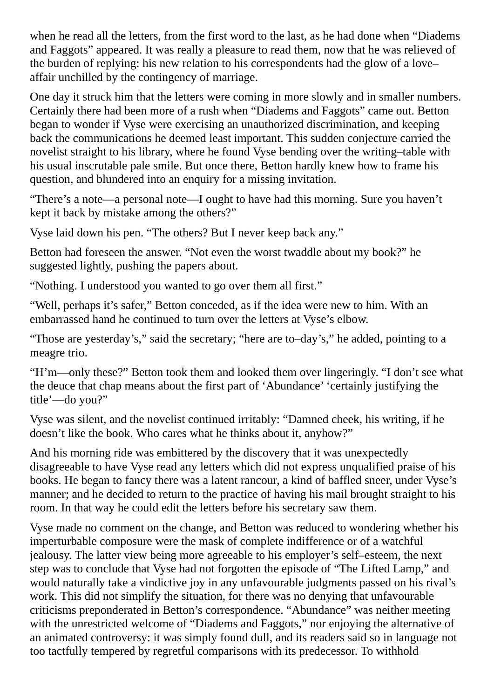when he read all the letters, from the first word to the last, as he had done when "Diadems and Faggots" appeared. It was really a pleasure to read them, now that he was relieved of the burden of replying: his new relation to his correspondents had the glow of a love– affair unchilled by the contingency of marriage.

One day it struck him that the letters were coming in more slowly and in smaller numbers. Certainly there had been more of a rush when "Diadems and Faggots" came out. Betton began to wonder if Vyse were exercising an unauthorized discrimination, and keeping back the communications he deemed least important. This sudden conjecture carried the novelist straight to his library, where he found Vyse bending over the writing–table with his usual inscrutable pale smile. But once there, Betton hardly knew how to frame his question, and blundered into an enquiry for a missing invitation.

"There's a note—a personal note—I ought to have had this morning. Sure you haven't kept it back by mistake among the others?"

Vyse laid down his pen. "The others? But I never keep back any."

Betton had foreseen the answer. "Not even the worst twaddle about my book?" he suggested lightly, pushing the papers about.

"Nothing. I understood you wanted to go over them all first."

"Well, perhaps it's safer," Betton conceded, as if the idea were new to him. With an embarrassed hand he continued to turn over the letters at Vyse's elbow.

"Those are yesterday's," said the secretary; "here are to–day's," he added, pointing to a meagre trio.

"H'm—only these?" Betton took them and looked them over lingeringly. "I don't see what the deuce that chap means about the first part of 'Abundance' 'certainly justifying the title'—do you?"

Vyse was silent, and the novelist continued irritably: "Damned cheek, his writing, if he doesn't like the book. Who cares what he thinks about it, anyhow?"

And his morning ride was embittered by the discovery that it was unexpectedly disagreeable to have Vyse read any letters which did not express unqualified praise of his books. He began to fancy there was a latent rancour, a kind of baffled sneer, under Vyse's manner; and he decided to return to the practice of having his mail brought straight to his room. In that way he could edit the letters before his secretary saw them.

Vyse made no comment on the change, and Betton was reduced to wondering whether his imperturbable composure were the mask of complete indifference or of a watchful jealousy. The latter view being more agreeable to his employer's self–esteem, the next step was to conclude that Vyse had not forgotten the episode of "The Lifted Lamp," and would naturally take a vindictive joy in any unfavourable judgments passed on his rival's work. This did not simplify the situation, for there was no denying that unfavourable criticisms preponderated in Betton's correspondence. "Abundance" was neither meeting with the unrestricted welcome of "Diadems and Faggots," nor enjoying the alternative of an animated controversy: it was simply found dull, and its readers said so in language not too tactfully tempered by regretful comparisons with its predecessor. To withhold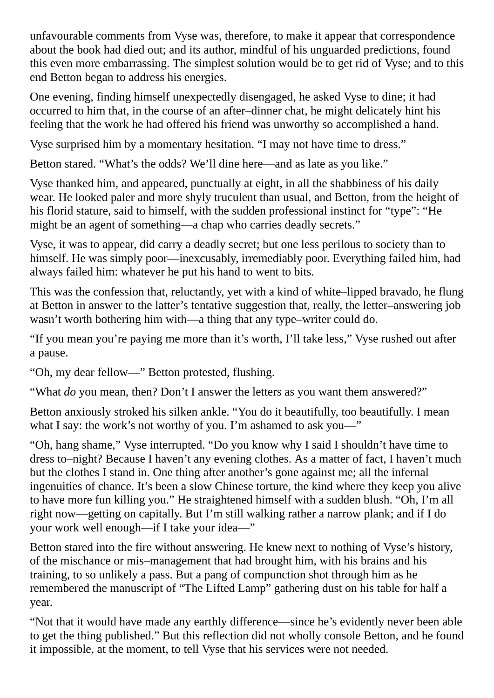unfavourable comments from Vyse was, therefore, to make it appear that correspondence about the book had died out; and its author, mindful of his unguarded predictions, found this even more embarrassing. The simplest solution would be to get rid of Vyse; and to this end Betton began to address his energies.

One evening, finding himself unexpectedly disengaged, he asked Vyse to dine; it had occurred to him that, in the course of an after–dinner chat, he might delicately hint his feeling that the work he had offered his friend was unworthy so accomplished a hand.

Vyse surprised him by a momentary hesitation. "I may not have time to dress."

Betton stared. "What's the odds? We'll dine here—and as late as you like."

Vyse thanked him, and appeared, punctually at eight, in all the shabbiness of his daily wear. He looked paler and more shyly truculent than usual, and Betton, from the height of his florid stature, said to himself, with the sudden professional instinct for "type": "He might be an agent of something—a chap who carries deadly secrets."

Vyse, it was to appear, did carry a deadly secret; but one less perilous to society than to himself. He was simply poor—inexcusably, irremediably poor. Everything failed him, had always failed him: whatever he put his hand to went to bits.

This was the confession that, reluctantly, yet with a kind of white–lipped bravado, he flung at Betton in answer to the latter's tentative suggestion that, really, the letter–answering job wasn't worth bothering him with—a thing that any type–writer could do.

"If you mean you're paying me more than it's worth, I'll take less," Vyse rushed out after a pause.

"Oh, my dear fellow—" Betton protested, flushing.

"What *do* you mean, then? Don't I answer the letters as you want them answered?"

Betton anxiously stroked his silken ankle. "You do it beautifully, too beautifully. I mean what I say: the work's not worthy of you. I'm ashamed to ask you—"

"Oh, hang shame," Vyse interrupted. "Do you know why I said I shouldn't have time to dress to–night? Because I haven't any evening clothes. As a matter of fact, I haven't much but the clothes I stand in. One thing after another's gone against me; all the infernal ingenuities of chance. It's been a slow Chinese torture, the kind where they keep you alive to have more fun killing you." He straightened himself with a sudden blush. "Oh, I'm all right now—getting on capitally. But I'm still walking rather a narrow plank; and if I do your work well enough—if I take your idea—"

Betton stared into the fire without answering. He knew next to nothing of Vyse's history, of the mischance or mis–management that had brought him, with his brains and his training, to so unlikely a pass. But a pang of compunction shot through him as he remembered the manuscript of "The Lifted Lamp" gathering dust on his table for half a year.

"Not that it would have made any earthly difference—since he's evidently never been able to get the thing published." But this reflection did not wholly console Betton, and he found it impossible, at the moment, to tell Vyse that his services were not needed.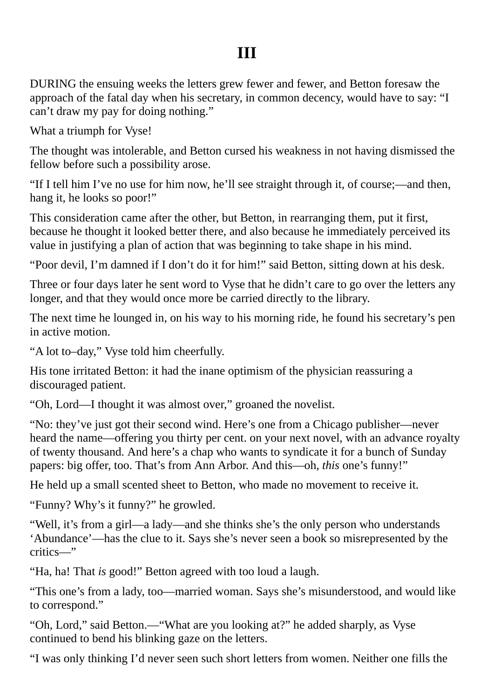## **III**

DURING the ensuing weeks the letters grew fewer and fewer, and Betton foresaw the approach of the fatal day when his secretary, in common decency, would have to say: "I can't draw my pay for doing nothing."

What a triumph for Vyse!

The thought was intolerable, and Betton cursed his weakness in not having dismissed the fellow before such a possibility arose.

"If I tell him I've no use for him now, he'll see straight through it, of course;—and then, hang it, he looks so poor!"

This consideration came after the other, but Betton, in rearranging them, put it first, because he thought it looked better there, and also because he immediately perceived its value in justifying a plan of action that was beginning to take shape in his mind.

"Poor devil, I'm damned if I don't do it for him!" said Betton, sitting down at his desk.

Three or four days later he sent word to Vyse that he didn't care to go over the letters any longer, and that they would once more be carried directly to the library.

The next time he lounged in, on his way to his morning ride, he found his secretary's pen in active motion.

"A lot to–day," Vyse told him cheerfully.

His tone irritated Betton: it had the inane optimism of the physician reassuring a discouraged patient.

"Oh, Lord—I thought it was almost over," groaned the novelist.

"No: they've just got their second wind. Here's one from a Chicago publisher—never heard the name—offering you thirty per cent. on your next novel, with an advance royalty of twenty thousand. And here's a chap who wants to syndicate it for a bunch of Sunday papers: big offer, too. That's from Ann Arbor. And this—oh, *this* one's funny!"

He held up a small scented sheet to Betton, who made no movement to receive it.

"Funny? Why's it funny?" he growled.

"Well, it's from a girl—a lady—and she thinks she's the only person who understands 'Abundance'—has the clue to it. Says she's never seen a book so misrepresented by the critics—"

"Ha, ha! That *is* good!" Betton agreed with too loud a laugh.

"This one's from a lady, too—married woman. Says she's misunderstood, and would like to correspond."

"Oh, Lord," said Betton.—"What are you looking at?" he added sharply, as Vyse continued to bend his blinking gaze on the letters.

"I was only thinking I'd never seen such short letters from women. Neither one fills the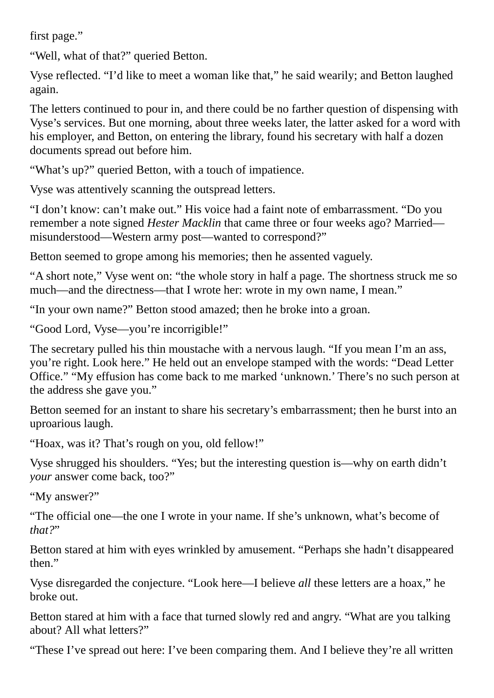first page."

"Well, what of that?" queried Betton.

Vyse reflected. "I'd like to meet a woman like that," he said wearily; and Betton laughed again.

The letters continued to pour in, and there could be no farther question of dispensing with Vyse's services. But one morning, about three weeks later, the latter asked for a word with his employer, and Betton, on entering the library, found his secretary with half a dozen documents spread out before him.

"What's up?" queried Betton, with a touch of impatience.

Vyse was attentively scanning the outspread letters.

"I don't know: can't make out." His voice had a faint note of embarrassment. "Do you remember a note signed *Hester Macklin* that came three or four weeks ago? Married misunderstood—Western army post—wanted to correspond?"

Betton seemed to grope among his memories; then he assented vaguely.

"A short note," Vyse went on: "the whole story in half a page. The shortness struck me so much—and the directness—that I wrote her: wrote in my own name, I mean."

"In your own name?" Betton stood amazed; then he broke into a groan.

"Good Lord, Vyse—you're incorrigible!"

The secretary pulled his thin moustache with a nervous laugh. "If you mean I'm an ass, you're right. Look here." He held out an envelope stamped with the words: "Dead Letter Office." "My effusion has come back to me marked 'unknown.' There's no such person at the address she gave you."

Betton seemed for an instant to share his secretary's embarrassment; then he burst into an uproarious laugh.

"Hoax, was it? That's rough on you, old fellow!"

Vyse shrugged his shoulders. "Yes; but the interesting question is—why on earth didn't *your* answer come back, too?"

"My answer?"

"The official one—the one I wrote in your name. If she's unknown, what's become of *that?*"

Betton stared at him with eyes wrinkled by amusement. "Perhaps she hadn't disappeared then."

Vyse disregarded the conjecture. "Look here—I believe *all* these letters are a hoax," he broke out.

Betton stared at him with a face that turned slowly red and angry. "What are you talking about? All what letters?"

"These I've spread out here: I've been comparing them. And I believe they're all written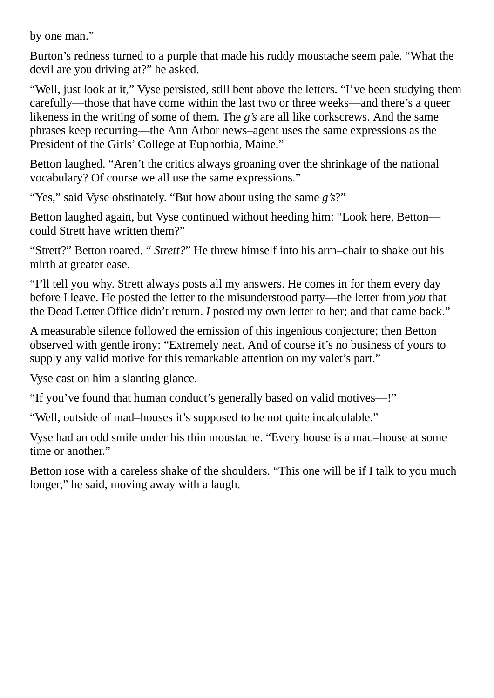by one man."

Burton's redness turned to a purple that made his ruddy moustache seem pale. "What the devil are you driving at?" he asked.

"Well, just look at it," Vyse persisted, still bent above the letters. "I've been studying them carefully—those that have come within the last two or three weeks—and there's a queer likeness in the writing of some of them. The *g's* are all like corkscrews. And the same phrases keep recurring—the Ann Arbor news–agent uses the same expressions as the President of the Girls' College at Euphorbia, Maine."

Betton laughed. "Aren't the critics always groaning over the shrinkage of the national vocabulary? Of course we all use the same expressions."

"Yes," said Vyse obstinately. "But how about using the same *g's*?"

Betton laughed again, but Vyse continued without heeding him: "Look here, Betton could Strett have written them?"

"Strett?" Betton roared. " *Strett?*" He threw himself into his arm–chair to shake out his mirth at greater ease.

"I'll tell you why. Strett always posts all my answers. He comes in for them every day before I leave. He posted the letter to the misunderstood party—the letter from *you* that the Dead Letter Office didn't return. *I* posted my own letter to her; and that came back."

A measurable silence followed the emission of this ingenious conjecture; then Betton observed with gentle irony: "Extremely neat. And of course it's no business of yours to supply any valid motive for this remarkable attention on my valet's part."

Vyse cast on him a slanting glance.

"If you've found that human conduct's generally based on valid motives—!"

"Well, outside of mad–houses it's supposed to be not quite incalculable."

Vyse had an odd smile under his thin moustache. "Every house is a mad–house at some time or another."

Betton rose with a careless shake of the shoulders. "This one will be if I talk to you much longer," he said, moving away with a laugh.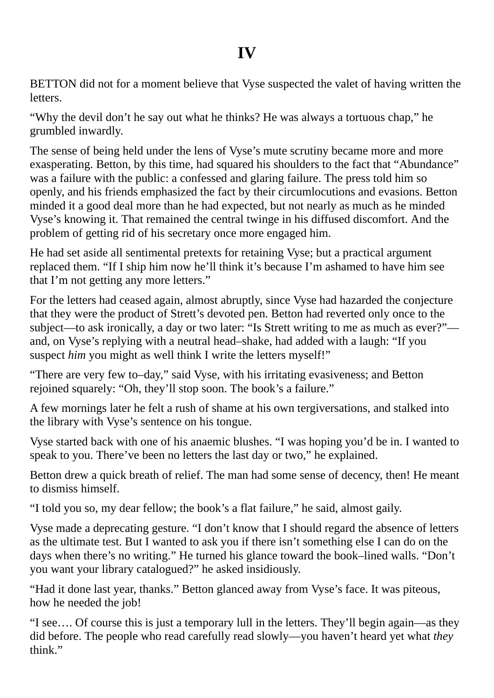BETTON did not for a moment believe that Vyse suspected the valet of having written the letters.

"Why the devil don't he say out what he thinks? He was always a tortuous chap," he grumbled inwardly.

The sense of being held under the lens of Vyse's mute scrutiny became more and more exasperating. Betton, by this time, had squared his shoulders to the fact that "Abundance" was a failure with the public: a confessed and glaring failure. The press told him so openly, and his friends emphasized the fact by their circumlocutions and evasions. Betton minded it a good deal more than he had expected, but not nearly as much as he minded Vyse's knowing it. That remained the central twinge in his diffused discomfort. And the problem of getting rid of his secretary once more engaged him.

He had set aside all sentimental pretexts for retaining Vyse; but a practical argument replaced them. "If I ship him now he'll think it's because I'm ashamed to have him see that I'm not getting any more letters."

For the letters had ceased again, almost abruptly, since Vyse had hazarded the conjecture that they were the product of Strett's devoted pen. Betton had reverted only once to the subject—to ask ironically, a day or two later: "Is Strett writing to me as much as ever?" and, on Vyse's replying with a neutral head–shake, had added with a laugh: "If you suspect *him* you might as well think I write the letters myself!"

"There are very few to–day," said Vyse, with his irritating evasiveness; and Betton rejoined squarely: "Oh, they'll stop soon. The book's a failure."

A few mornings later he felt a rush of shame at his own tergiversations, and stalked into the library with Vyse's sentence on his tongue.

Vyse started back with one of his anaemic blushes. "I was hoping you'd be in. I wanted to speak to you. There've been no letters the last day or two," he explained.

Betton drew a quick breath of relief. The man had some sense of decency, then! He meant to dismiss himself.

"I told you so, my dear fellow; the book's a flat failure," he said, almost gaily.

Vyse made a deprecating gesture. "I don't know that I should regard the absence of letters as the ultimate test. But I wanted to ask you if there isn't something else I can do on the days when there's no writing." He turned his glance toward the book–lined walls. "Don't you want your library catalogued?" he asked insidiously.

"Had it done last year, thanks." Betton glanced away from Vyse's face. It was piteous, how he needed the job!

"I see…. Of course this is just a temporary lull in the letters. They'll begin again—as they did before. The people who read carefully read slowly—you haven't heard yet what *they* think."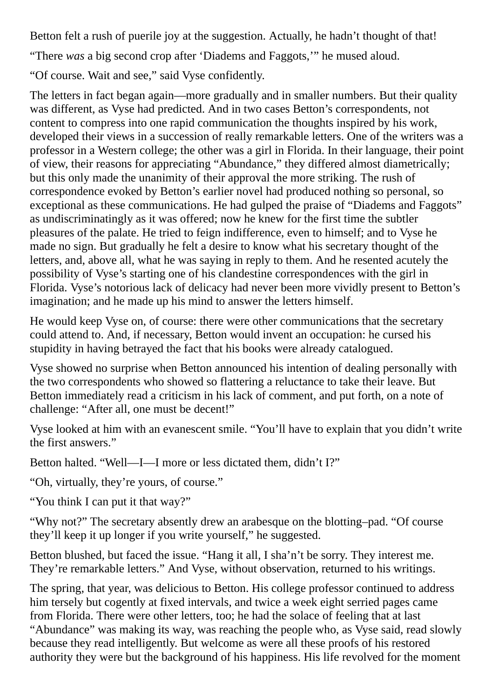Betton felt a rush of puerile joy at the suggestion. Actually, he hadn't thought of that!

"There *was* a big second crop after 'Diadems and Faggots,'" he mused aloud.

"Of course. Wait and see," said Vyse confidently.

The letters in fact began again—more gradually and in smaller numbers. But their quality was different, as Vyse had predicted. And in two cases Betton's correspondents, not content to compress into one rapid communication the thoughts inspired by his work, developed their views in a succession of really remarkable letters. One of the writers was a professor in a Western college; the other was a girl in Florida. In their language, their point of view, their reasons for appreciating "Abundance," they differed almost diametrically; but this only made the unanimity of their approval the more striking. The rush of correspondence evoked by Betton's earlier novel had produced nothing so personal, so exceptional as these communications. He had gulped the praise of "Diadems and Faggots" as undiscriminatingly as it was offered; now he knew for the first time the subtler pleasures of the palate. He tried to feign indifference, even to himself; and to Vyse he made no sign. But gradually he felt a desire to know what his secretary thought of the letters, and, above all, what he was saying in reply to them. And he resented acutely the possibility of Vyse's starting one of his clandestine correspondences with the girl in Florida. Vyse's notorious lack of delicacy had never been more vividly present to Betton's imagination; and he made up his mind to answer the letters himself.

He would keep Vyse on, of course: there were other communications that the secretary could attend to. And, if necessary, Betton would invent an occupation: he cursed his stupidity in having betrayed the fact that his books were already catalogued.

Vyse showed no surprise when Betton announced his intention of dealing personally with the two correspondents who showed so flattering a reluctance to take their leave. But Betton immediately read a criticism in his lack of comment, and put forth, on a note of challenge: "After all, one must be decent!"

Vyse looked at him with an evanescent smile. "You'll have to explain that you didn't write the first answers."

Betton halted. "Well—I—I more or less dictated them, didn't I?"

"Oh, virtually, they're yours, of course."

"You think I can put it that way?"

"Why not?" The secretary absently drew an arabesque on the blotting–pad. "Of course they'll keep it up longer if you write yourself," he suggested.

Betton blushed, but faced the issue. "Hang it all, I sha'n't be sorry. They interest me. They're remarkable letters." And Vyse, without observation, returned to his writings.

The spring, that year, was delicious to Betton. His college professor continued to address him tersely but cogently at fixed intervals, and twice a week eight serried pages came from Florida. There were other letters, too; he had the solace of feeling that at last "Abundance" was making its way, was reaching the people who, as Vyse said, read slowly because they read intelligently. But welcome as were all these proofs of his restored authority they were but the background of his happiness. His life revolved for the moment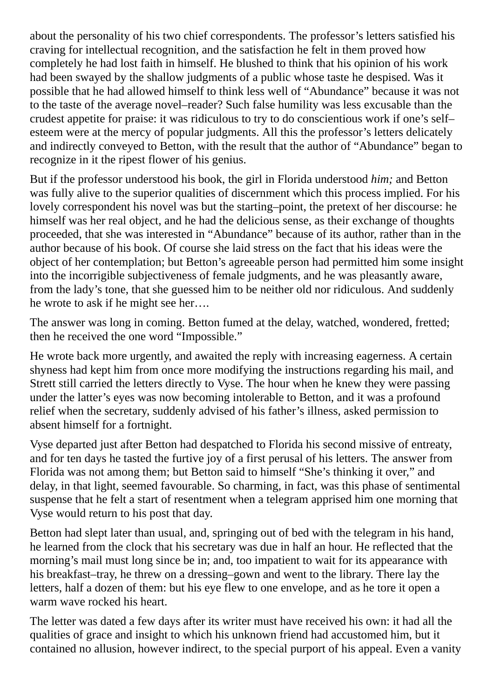about the personality of his two chief correspondents. The professor's letters satisfied his craving for intellectual recognition, and the satisfaction he felt in them proved how completely he had lost faith in himself. He blushed to think that his opinion of his work had been swayed by the shallow judgments of a public whose taste he despised. Was it possible that he had allowed himself to think less well of "Abundance" because it was not to the taste of the average novel–reader? Such false humility was less excusable than the crudest appetite for praise: it was ridiculous to try to do conscientious work if one's self– esteem were at the mercy of popular judgments. All this the professor's letters delicately and indirectly conveyed to Betton, with the result that the author of "Abundance" began to recognize in it the ripest flower of his genius.

But if the professor understood his book, the girl in Florida understood *him;* and Betton was fully alive to the superior qualities of discernment which this process implied. For his lovely correspondent his novel was but the starting–point, the pretext of her discourse: he himself was her real object, and he had the delicious sense, as their exchange of thoughts proceeded, that she was interested in "Abundance" because of its author, rather than in the author because of his book. Of course she laid stress on the fact that his ideas were the object of her contemplation; but Betton's agreeable person had permitted him some insight into the incorrigible subjectiveness of female judgments, and he was pleasantly aware, from the lady's tone, that she guessed him to be neither old nor ridiculous. And suddenly he wrote to ask if he might see her….

The answer was long in coming. Betton fumed at the delay, watched, wondered, fretted; then he received the one word "Impossible."

He wrote back more urgently, and awaited the reply with increasing eagerness. A certain shyness had kept him from once more modifying the instructions regarding his mail, and Strett still carried the letters directly to Vyse. The hour when he knew they were passing under the latter's eyes was now becoming intolerable to Betton, and it was a profound relief when the secretary, suddenly advised of his father's illness, asked permission to absent himself for a fortnight.

Vyse departed just after Betton had despatched to Florida his second missive of entreaty, and for ten days he tasted the furtive joy of a first perusal of his letters. The answer from Florida was not among them; but Betton said to himself "She's thinking it over," and delay, in that light, seemed favourable. So charming, in fact, was this phase of sentimental suspense that he felt a start of resentment when a telegram apprised him one morning that Vyse would return to his post that day.

Betton had slept later than usual, and, springing out of bed with the telegram in his hand, he learned from the clock that his secretary was due in half an hour. He reflected that the morning's mail must long since be in; and, too impatient to wait for its appearance with his breakfast–tray, he threw on a dressing–gown and went to the library. There lay the letters, half a dozen of them: but his eye flew to one envelope, and as he tore it open a warm wave rocked his heart.

The letter was dated a few days after its writer must have received his own: it had all the qualities of grace and insight to which his unknown friend had accustomed him, but it contained no allusion, however indirect, to the special purport of his appeal. Even a vanity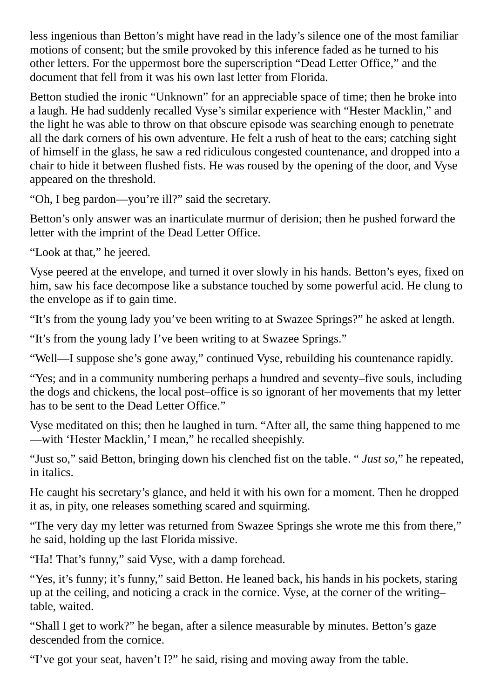less ingenious than Betton's might have read in the lady's silence one of the most familiar motions of consent; but the smile provoked by this inference faded as he turned to his other letters. For the uppermost bore the superscription "Dead Letter Office," and the document that fell from it was his own last letter from Florida.

Betton studied the ironic "Unknown" for an appreciable space of time; then he broke into a laugh. He had suddenly recalled Vyse's similar experience with "Hester Macklin," and the light he was able to throw on that obscure episode was searching enough to penetrate all the dark corners of his own adventure. He felt a rush of heat to the ears; catching sight of himself in the glass, he saw a red ridiculous congested countenance, and dropped into a chair to hide it between flushed fists. He was roused by the opening of the door, and Vyse appeared on the threshold.

"Oh, I beg pardon—you're ill?" said the secretary.

Betton's only answer was an inarticulate murmur of derision; then he pushed forward the letter with the imprint of the Dead Letter Office.

"Look at that," he jeered.

Vyse peered at the envelope, and turned it over slowly in his hands. Betton's eyes, fixed on him, saw his face decompose like a substance touched by some powerful acid. He clung to the envelope as if to gain time.

"It's from the young lady you've been writing to at Swazee Springs?" he asked at length.

"It's from the young lady I've been writing to at Swazee Springs."

"Well—I suppose she's gone away," continued Vyse, rebuilding his countenance rapidly.

"Yes; and in a community numbering perhaps a hundred and seventy–five souls, including the dogs and chickens, the local post–office is so ignorant of her movements that my letter has to be sent to the Dead Letter Office."

Vyse meditated on this; then he laughed in turn. "After all, the same thing happened to me —with 'Hester Macklin,' I mean," he recalled sheepishly.

"Just so," said Betton, bringing down his clenched fist on the table. " *Just so*," he repeated, in italics.

He caught his secretary's glance, and held it with his own for a moment. Then he dropped it as, in pity, one releases something scared and squirming.

"The very day my letter was returned from Swazee Springs she wrote me this from there," he said, holding up the last Florida missive.

"Ha! That's funny," said Vyse, with a damp forehead.

"Yes, it's funny; it's funny," said Betton. He leaned back, his hands in his pockets, staring up at the ceiling, and noticing a crack in the cornice. Vyse, at the corner of the writing– table, waited.

"Shall I get to work?" he began, after a silence measurable by minutes. Betton's gaze descended from the cornice.

"I've got your seat, haven't I?" he said, rising and moving away from the table.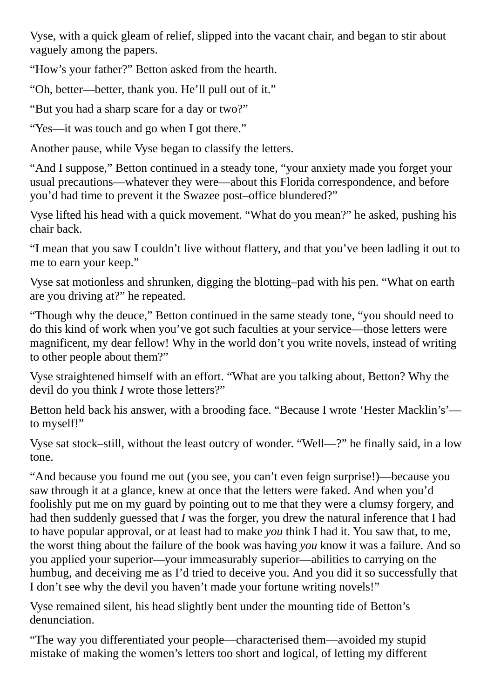Vyse, with a quick gleam of relief, slipped into the vacant chair, and began to stir about vaguely among the papers.

"How's your father?" Betton asked from the hearth.

"Oh, better—better, thank you. He'll pull out of it."

"But you had a sharp scare for a day or two?"

"Yes—it was touch and go when I got there."

Another pause, while Vyse began to classify the letters.

"And I suppose," Betton continued in a steady tone, "your anxiety made you forget your usual precautions—whatever they were—about this Florida correspondence, and before you'd had time to prevent it the Swazee post–office blundered?"

Vyse lifted his head with a quick movement. "What do you mean?" he asked, pushing his chair back.

"I mean that you saw I couldn't live without flattery, and that you've been ladling it out to me to earn your keep."

Vyse sat motionless and shrunken, digging the blotting–pad with his pen. "What on earth are you driving at?" he repeated.

"Though why the deuce," Betton continued in the same steady tone, "you should need to do this kind of work when you've got such faculties at your service—those letters were magnificent, my dear fellow! Why in the world don't you write novels, instead of writing to other people about them?"

Vyse straightened himself with an effort. "What are you talking about, Betton? Why the devil do you think *I* wrote those letters?"

Betton held back his answer, with a brooding face. "Because I wrote 'Hester Macklin's' to myself!"

Vyse sat stock–still, without the least outcry of wonder. "Well—?" he finally said, in a low tone.

"And because you found me out (you see, you can't even feign surprise!)—because you saw through it at a glance, knew at once that the letters were faked. And when you'd foolishly put me on my guard by pointing out to me that they were a clumsy forgery, and had then suddenly guessed that *I* was the forger, you drew the natural inference that I had to have popular approval, or at least had to make *you* think I had it. You saw that, to me, the worst thing about the failure of the book was having *you* know it was a failure. And so you applied your superior—your immeasurably superior—abilities to carrying on the humbug, and deceiving me as I'd tried to deceive you. And you did it so successfully that I don't see why the devil you haven't made your fortune writing novels!"

Vyse remained silent, his head slightly bent under the mounting tide of Betton's denunciation.

"The way you differentiated your people—characterised them—avoided my stupid mistake of making the women's letters too short and logical, of letting my different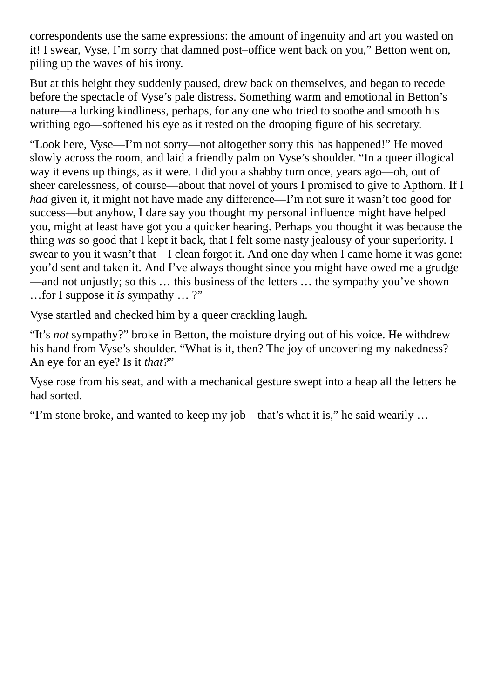correspondents use the same expressions: the amount of ingenuity and art you wasted on it! I swear, Vyse, I'm sorry that damned post–office went back on you," Betton went on, piling up the waves of his irony.

But at this height they suddenly paused, drew back on themselves, and began to recede before the spectacle of Vyse's pale distress. Something warm and emotional in Betton's nature—a lurking kindliness, perhaps, for any one who tried to soothe and smooth his writhing ego—softened his eye as it rested on the drooping figure of his secretary.

"Look here, Vyse—I'm not sorry—not altogether sorry this has happened!" He moved slowly across the room, and laid a friendly palm on Vyse's shoulder. "In a queer illogical way it evens up things, as it were. I did you a shabby turn once, years ago—oh, out of sheer carelessness, of course—about that novel of yours I promised to give to Apthorn. If I *had* given it, it might not have made any difference—I'm not sure it wasn't too good for success—but anyhow, I dare say you thought my personal influence might have helped you, might at least have got you a quicker hearing. Perhaps you thought it was because the thing *was* so good that I kept it back, that I felt some nasty jealousy of your superiority. I swear to you it wasn't that—I clean forgot it. And one day when I came home it was gone: you'd sent and taken it. And I've always thought since you might have owed me a grudge —and not unjustly; so this … this business of the letters … the sympathy you've shown …for I suppose it *is* sympathy … ?"

Vyse startled and checked him by a queer crackling laugh.

"It's *not* sympathy?" broke in Betton, the moisture drying out of his voice. He withdrew his hand from Vyse's shoulder. "What is it, then? The joy of uncovering my nakedness? An eye for an eye? Is it *that?*"

Vyse rose from his seat, and with a mechanical gesture swept into a heap all the letters he had sorted.

"I'm stone broke, and wanted to keep my job—that's what it is," he said wearily …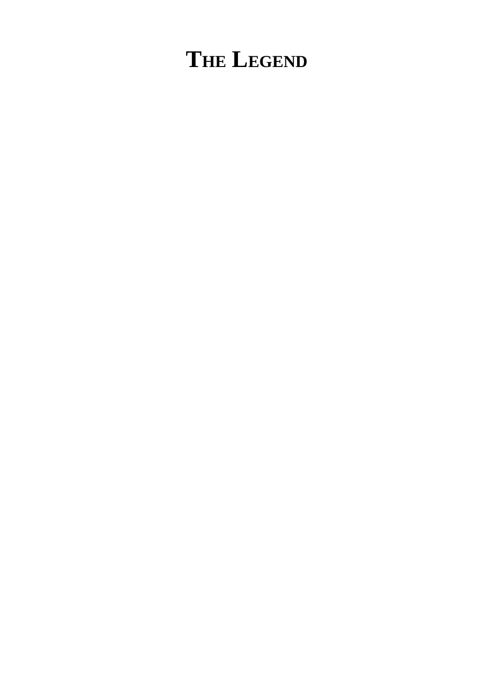# **THE LEGEND**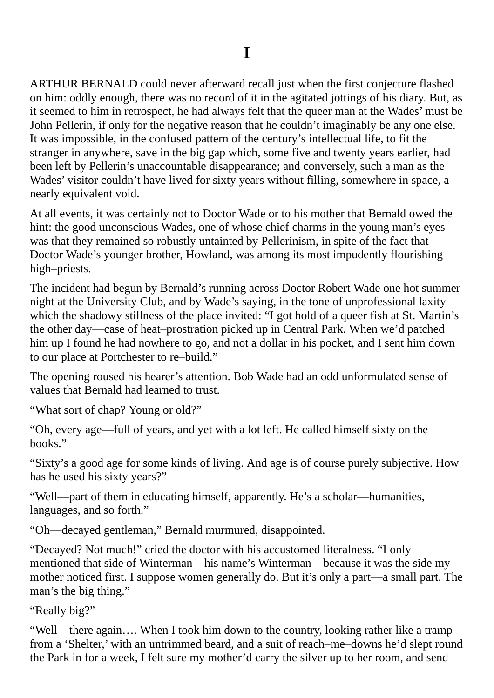ARTHUR BERNALD could never afterward recall just when the first conjecture flashed on him: oddly enough, there was no record of it in the agitated jottings of his diary. But, as it seemed to him in retrospect, he had always felt that the queer man at the Wades' must be John Pellerin, if only for the negative reason that he couldn't imaginably be any one else. It was impossible, in the confused pattern of the century's intellectual life, to fit the stranger in anywhere, save in the big gap which, some five and twenty years earlier, had been left by Pellerin's unaccountable disappearance; and conversely, such a man as the Wades' visitor couldn't have lived for sixty years without filling, somewhere in space, a nearly equivalent void.

At all events, it was certainly not to Doctor Wade or to his mother that Bernald owed the hint: the good unconscious Wades, one of whose chief charms in the young man's eyes was that they remained so robustly untainted by Pellerinism, in spite of the fact that Doctor Wade's younger brother, Howland, was among its most impudently flourishing high–priests.

The incident had begun by Bernald's running across Doctor Robert Wade one hot summer night at the University Club, and by Wade's saying, in the tone of unprofessional laxity which the shadowy stillness of the place invited: "I got hold of a queer fish at St. Martin's the other day—case of heat–prostration picked up in Central Park. When we'd patched him up I found he had nowhere to go, and not a dollar in his pocket, and I sent him down to our place at Portchester to re–build."

The opening roused his hearer's attention. Bob Wade had an odd unformulated sense of values that Bernald had learned to trust.

"What sort of chap? Young or old?"

"Oh, every age—full of years, and yet with a lot left. He called himself sixty on the books."

"Sixty's a good age for some kinds of living. And age is of course purely subjective. How has he used his sixty years?"

"Well—part of them in educating himself, apparently. He's a scholar—humanities, languages, and so forth."

"Oh—decayed gentleman," Bernald murmured, disappointed.

"Decayed? Not much!" cried the doctor with his accustomed literalness. "I only mentioned that side of Winterman—his name's Winterman—because it was the side my mother noticed first. I suppose women generally do. But it's only a part—a small part. The man's the big thing."

"Really big?"

"Well—there again…. When I took him down to the country, looking rather like a tramp from a 'Shelter,' with an untrimmed beard, and a suit of reach–me–downs he'd slept round the Park in for a week, I felt sure my mother'd carry the silver up to her room, and send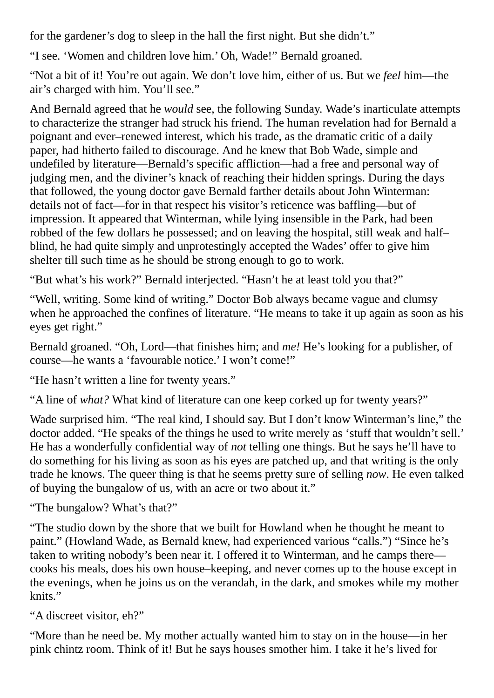for the gardener's dog to sleep in the hall the first night. But she didn't."

"I see. 'Women and children love him.' Oh, Wade!" Bernald groaned.

"Not a bit of it! You're out again. We don't love him, either of us. But we *feel* him—the air's charged with him. You'll see."

And Bernald agreed that he *would* see, the following Sunday. Wade's inarticulate attempts to characterize the stranger had struck his friend. The human revelation had for Bernald a poignant and ever–renewed interest, which his trade, as the dramatic critic of a daily paper, had hitherto failed to discourage. And he knew that Bob Wade, simple and undefiled by literature—Bernald's specific affliction—had a free and personal way of judging men, and the diviner's knack of reaching their hidden springs. During the days that followed, the young doctor gave Bernald farther details about John Winterman: details not of fact—for in that respect his visitor's reticence was baffling—but of impression. It appeared that Winterman, while lying insensible in the Park, had been robbed of the few dollars he possessed; and on leaving the hospital, still weak and half– blind, he had quite simply and unprotestingly accepted the Wades' offer to give him shelter till such time as he should be strong enough to go to work.

"But what's his work?" Bernald interjected. "Hasn't he at least told you that?"

"Well, writing. Some kind of writing." Doctor Bob always became vague and clumsy when he approached the confines of literature. "He means to take it up again as soon as his eyes get right."

Bernald groaned. "Oh, Lord—that finishes him; and *me!* He's looking for a publisher, of course—he wants a 'favourable notice.' I won't come!"

"He hasn't written a line for twenty years."

"A line of *what?* What kind of literature can one keep corked up for twenty years?"

Wade surprised him. "The real kind, I should say. But I don't know Winterman's line," the doctor added. "He speaks of the things he used to write merely as 'stuff that wouldn't sell.' He has a wonderfully confidential way of *not* telling one things. But he says he'll have to do something for his living as soon as his eyes are patched up, and that writing is the only trade he knows. The queer thing is that he seems pretty sure of selling *now*. He even talked of buying the bungalow of us, with an acre or two about it."

"The bungalow? What's that?"

"The studio down by the shore that we built for Howland when he thought he meant to paint." (Howland Wade, as Bernald knew, had experienced various "calls.") "Since he's taken to writing nobody's been near it. I offered it to Winterman, and he camps there cooks his meals, does his own house–keeping, and never comes up to the house except in the evenings, when he joins us on the verandah, in the dark, and smokes while my mother knits."

"A discreet visitor, eh?"

"More than he need be. My mother actually wanted him to stay on in the house—in her pink chintz room. Think of it! But he says houses smother him. I take it he's lived for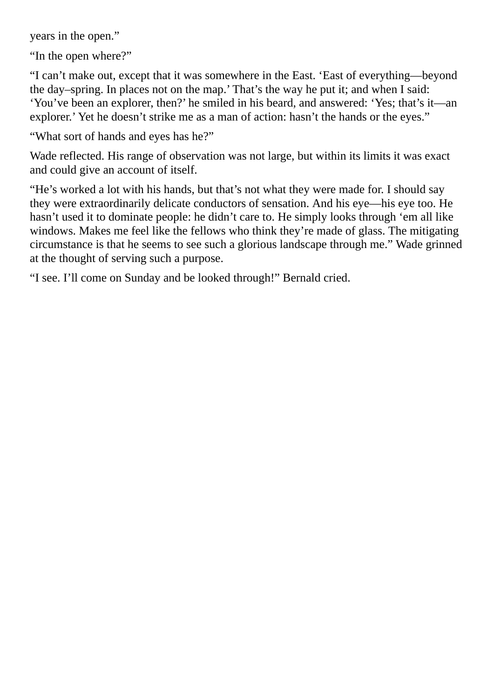years in the open."

"In the open where?"

"I can't make out, except that it was somewhere in the East. 'East of everything—beyond the day–spring. In places not on the map.' That's the way he put it; and when I said: 'You've been an explorer, then?' he smiled in his beard, and answered: 'Yes; that's it—an explorer.' Yet he doesn't strike me as a man of action: hasn't the hands or the eyes."

"What sort of hands and eyes has he?"

Wade reflected. His range of observation was not large, but within its limits it was exact and could give an account of itself.

"He's worked a lot with his hands, but that's not what they were made for. I should say they were extraordinarily delicate conductors of sensation. And his eye—his eye too. He hasn't used it to dominate people: he didn't care to. He simply looks through 'em all like windows. Makes me feel like the fellows who think they're made of glass. The mitigating circumstance is that he seems to see such a glorious landscape through me." Wade grinned at the thought of serving such a purpose.

"I see. I'll come on Sunday and be looked through!" Bernald cried.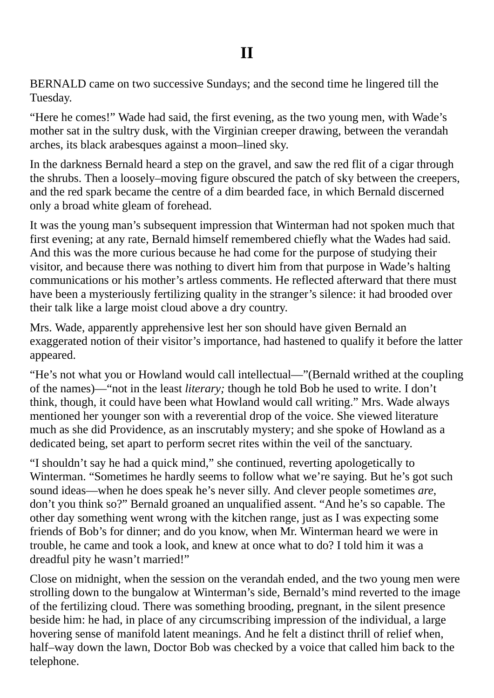BERNALD came on two successive Sundays; and the second time he lingered till the Tuesday.

"Here he comes!" Wade had said, the first evening, as the two young men, with Wade's mother sat in the sultry dusk, with the Virginian creeper drawing, between the verandah arches, its black arabesques against a moon–lined sky.

In the darkness Bernald heard a step on the gravel, and saw the red flit of a cigar through the shrubs. Then a loosely–moving figure obscured the patch of sky between the creepers, and the red spark became the centre of a dim bearded face, in which Bernald discerned only a broad white gleam of forehead.

It was the young man's subsequent impression that Winterman had not spoken much that first evening; at any rate, Bernald himself remembered chiefly what the Wades had said. And this was the more curious because he had come for the purpose of studying their visitor, and because there was nothing to divert him from that purpose in Wade's halting communications or his mother's artless comments. He reflected afterward that there must have been a mysteriously fertilizing quality in the stranger's silence: it had brooded over their talk like a large moist cloud above a dry country.

Mrs. Wade, apparently apprehensive lest her son should have given Bernald an exaggerated notion of their visitor's importance, had hastened to qualify it before the latter appeared.

"He's not what you or Howland would call intellectual—"(Bernald writhed at the coupling of the names)—"not in the least *literary;* though he told Bob he used to write. I don't think, though, it could have been what Howland would call writing." Mrs. Wade always mentioned her younger son with a reverential drop of the voice. She viewed literature much as she did Providence, as an inscrutably mystery; and she spoke of Howland as a dedicated being, set apart to perform secret rites within the veil of the sanctuary.

"I shouldn't say he had a quick mind," she continued, reverting apologetically to Winterman. "Sometimes he hardly seems to follow what we're saying. But he's got such sound ideas—when he does speak he's never silly. And clever people sometimes *are*, don't you think so?" Bernald groaned an unqualified assent. "And he's so capable. The other day something went wrong with the kitchen range, just as I was expecting some friends of Bob's for dinner; and do you know, when Mr. Winterman heard we were in trouble, he came and took a look, and knew at once what to do? I told him it was a dreadful pity he wasn't married!"

Close on midnight, when the session on the verandah ended, and the two young men were strolling down to the bungalow at Winterman's side, Bernald's mind reverted to the image of the fertilizing cloud. There was something brooding, pregnant, in the silent presence beside him: he had, in place of any circumscribing impression of the individual, a large hovering sense of manifold latent meanings. And he felt a distinct thrill of relief when, half–way down the lawn, Doctor Bob was checked by a voice that called him back to the telephone.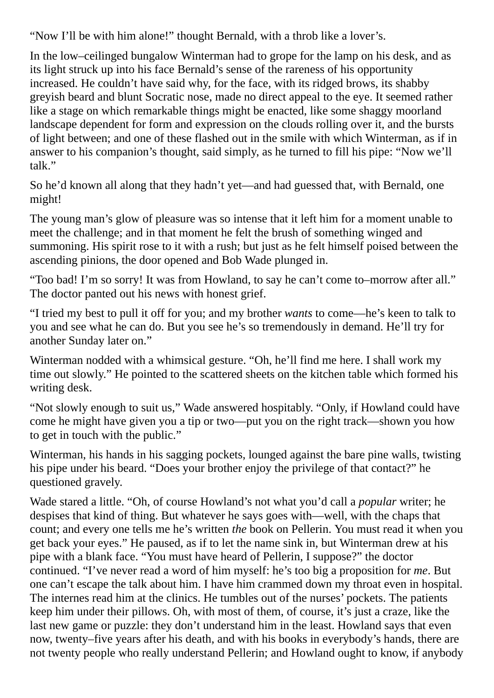"Now I'll be with him alone!" thought Bernald, with a throb like a lover's.

In the low–ceilinged bungalow Winterman had to grope for the lamp on his desk, and as its light struck up into his face Bernald's sense of the rareness of his opportunity increased. He couldn't have said why, for the face, with its ridged brows, its shabby greyish beard and blunt Socratic nose, made no direct appeal to the eye. It seemed rather like a stage on which remarkable things might be enacted, like some shaggy moorland landscape dependent for form and expression on the clouds rolling over it, and the bursts of light between; and one of these flashed out in the smile with which Winterman, as if in answer to his companion's thought, said simply, as he turned to fill his pipe: "Now we'll talk."

So he'd known all along that they hadn't yet—and had guessed that, with Bernald, one might!

The young man's glow of pleasure was so intense that it left him for a moment unable to meet the challenge; and in that moment he felt the brush of something winged and summoning. His spirit rose to it with a rush; but just as he felt himself poised between the ascending pinions, the door opened and Bob Wade plunged in.

"Too bad! I'm so sorry! It was from Howland, to say he can't come to–morrow after all." The doctor panted out his news with honest grief.

"I tried my best to pull it off for you; and my brother *wants* to come—he's keen to talk to you and see what he can do. But you see he's so tremendously in demand. He'll try for another Sunday later on."

Winterman nodded with a whimsical gesture. "Oh, he'll find me here. I shall work my time out slowly." He pointed to the scattered sheets on the kitchen table which formed his writing desk.

"Not slowly enough to suit us," Wade answered hospitably. "Only, if Howland could have come he might have given you a tip or two—put you on the right track—shown you how to get in touch with the public."

Winterman, his hands in his sagging pockets, lounged against the bare pine walls, twisting his pipe under his beard. "Does your brother enjoy the privilege of that contact?" he questioned gravely.

Wade stared a little. "Oh, of course Howland's not what you'd call a *popular* writer; he despises that kind of thing. But whatever he says goes with—well, with the chaps that count; and every one tells me he's written *the* book on Pellerin. You must read it when you get back your eyes." He paused, as if to let the name sink in, but Winterman drew at his pipe with a blank face. "You must have heard of Pellerin, I suppose?" the doctor continued. "I've never read a word of him myself: he's too big a proposition for *me*. But one can't escape the talk about him. I have him crammed down my throat even in hospital. The internes read him at the clinics. He tumbles out of the nurses' pockets. The patients keep him under their pillows. Oh, with most of them, of course, it's just a craze, like the last new game or puzzle: they don't understand him in the least. Howland says that even now, twenty–five years after his death, and with his books in everybody's hands, there are not twenty people who really understand Pellerin; and Howland ought to know, if anybody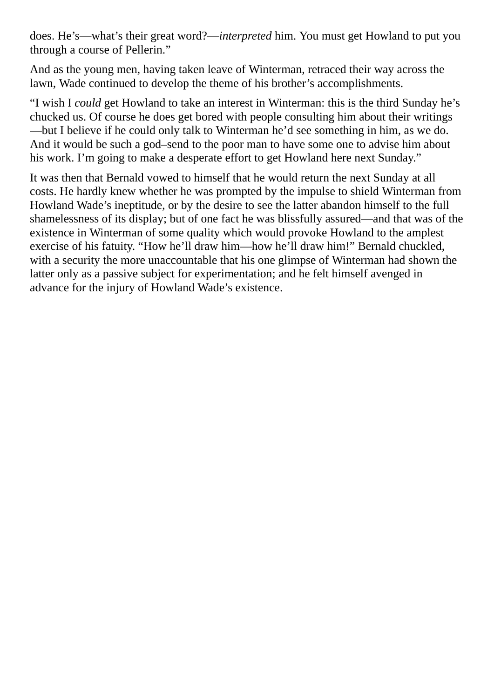does. He's—what's their great word?—*interpreted* him. You must get Howland to put you through a course of Pellerin."

And as the young men, having taken leave of Winterman, retraced their way across the lawn, Wade continued to develop the theme of his brother's accomplishments.

"I wish I *could* get Howland to take an interest in Winterman: this is the third Sunday he's chucked us. Of course he does get bored with people consulting him about their writings —but I believe if he could only talk to Winterman he'd see something in him, as we do. And it would be such a god–send to the poor man to have some one to advise him about his work. I'm going to make a desperate effort to get Howland here next Sunday."

It was then that Bernald vowed to himself that he would return the next Sunday at all costs. He hardly knew whether he was prompted by the impulse to shield Winterman from Howland Wade's ineptitude, or by the desire to see the latter abandon himself to the full shamelessness of its display; but of one fact he was blissfully assured—and that was of the existence in Winterman of some quality which would provoke Howland to the amplest exercise of his fatuity. "How he'll draw him—how he'll draw him!" Bernald chuckled, with a security the more unaccountable that his one glimpse of Winterman had shown the latter only as a passive subject for experimentation; and he felt himself avenged in advance for the injury of Howland Wade's existence.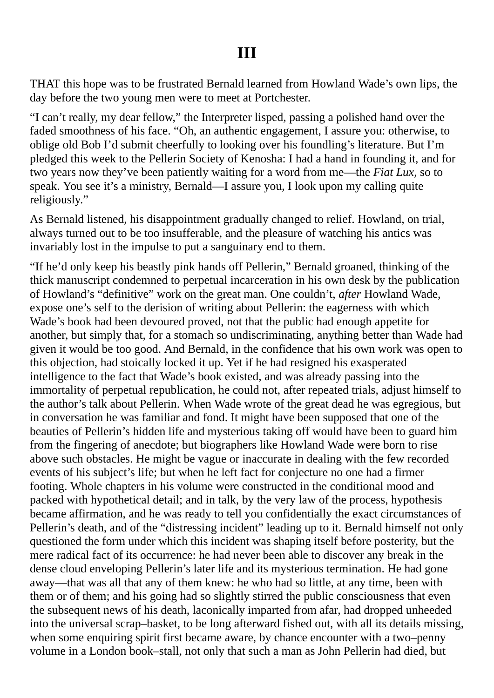### **III**

THAT this hope was to be frustrated Bernald learned from Howland Wade's own lips, the day before the two young men were to meet at Portchester.

"I can't really, my dear fellow," the Interpreter lisped, passing a polished hand over the faded smoothness of his face. "Oh, an authentic engagement, I assure you: otherwise, to oblige old Bob I'd submit cheerfully to looking over his foundling's literature. But I'm pledged this week to the Pellerin Society of Kenosha: I had a hand in founding it, and for two years now they've been patiently waiting for a word from me—the *Fiat Lux*, so to speak. You see it's a ministry, Bernald—I assure you, I look upon my calling quite religiously."

As Bernald listened, his disappointment gradually changed to relief. Howland, on trial, always turned out to be too insufferable, and the pleasure of watching his antics was invariably lost in the impulse to put a sanguinary end to them.

"If he'd only keep his beastly pink hands off Pellerin," Bernald groaned, thinking of the thick manuscript condemned to perpetual incarceration in his own desk by the publication of Howland's "definitive" work on the great man. One couldn't, *after* Howland Wade, expose one's self to the derision of writing about Pellerin: the eagerness with which Wade's book had been devoured proved, not that the public had enough appetite for another, but simply that, for a stomach so undiscriminating, anything better than Wade had given it would be too good. And Bernald, in the confidence that his own work was open to this objection, had stoically locked it up. Yet if he had resigned his exasperated intelligence to the fact that Wade's book existed, and was already passing into the immortality of perpetual republication, he could not, after repeated trials, adjust himself to the author's talk about Pellerin. When Wade wrote of the great dead he was egregious, but in conversation he was familiar and fond. It might have been supposed that one of the beauties of Pellerin's hidden life and mysterious taking off would have been to guard him from the fingering of anecdote; but biographers like Howland Wade were born to rise above such obstacles. He might be vague or inaccurate in dealing with the few recorded events of his subject's life; but when he left fact for conjecture no one had a firmer footing. Whole chapters in his volume were constructed in the conditional mood and packed with hypothetical detail; and in talk, by the very law of the process, hypothesis became affirmation, and he was ready to tell you confidentially the exact circumstances of Pellerin's death, and of the "distressing incident" leading up to it. Bernald himself not only questioned the form under which this incident was shaping itself before posterity, but the mere radical fact of its occurrence: he had never been able to discover any break in the dense cloud enveloping Pellerin's later life and its mysterious termination. He had gone away—that was all that any of them knew: he who had so little, at any time, been with them or of them; and his going had so slightly stirred the public consciousness that even the subsequent news of his death, laconically imparted from afar, had dropped unheeded into the universal scrap–basket, to be long afterward fished out, with all its details missing, when some enquiring spirit first became aware, by chance encounter with a two–penny volume in a London book–stall, not only that such a man as John Pellerin had died, but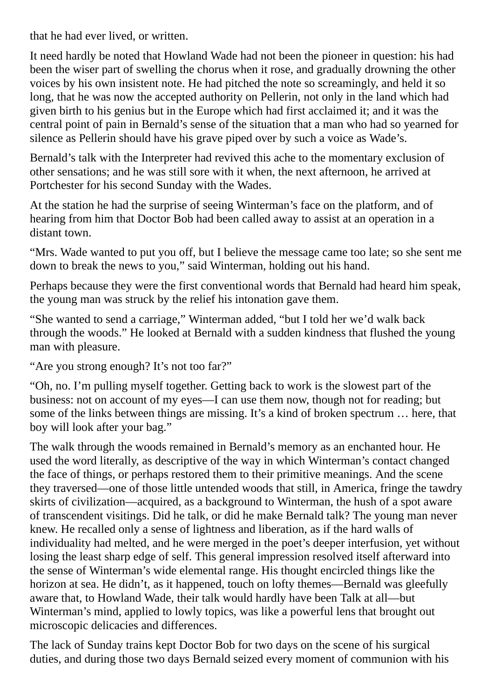that he had ever lived, or written.

It need hardly be noted that Howland Wade had not been the pioneer in question: his had been the wiser part of swelling the chorus when it rose, and gradually drowning the other voices by his own insistent note. He had pitched the note so screamingly, and held it so long, that he was now the accepted authority on Pellerin, not only in the land which had given birth to his genius but in the Europe which had first acclaimed it; and it was the central point of pain in Bernald's sense of the situation that a man who had so yearned for silence as Pellerin should have his grave piped over by such a voice as Wade's.

Bernald's talk with the Interpreter had revived this ache to the momentary exclusion of other sensations; and he was still sore with it when, the next afternoon, he arrived at Portchester for his second Sunday with the Wades.

At the station he had the surprise of seeing Winterman's face on the platform, and of hearing from him that Doctor Bob had been called away to assist at an operation in a distant town.

"Mrs. Wade wanted to put you off, but I believe the message came too late; so she sent me down to break the news to you," said Winterman, holding out his hand.

Perhaps because they were the first conventional words that Bernald had heard him speak, the young man was struck by the relief his intonation gave them.

"She wanted to send a carriage," Winterman added, "but I told her we'd walk back through the woods." He looked at Bernald with a sudden kindness that flushed the young man with pleasure.

"Are you strong enough? It's not too far?"

"Oh, no. I'm pulling myself together. Getting back to work is the slowest part of the business: not on account of my eyes—I can use them now, though not for reading; but some of the links between things are missing. It's a kind of broken spectrum … here, that boy will look after your bag."

The walk through the woods remained in Bernald's memory as an enchanted hour. He used the word literally, as descriptive of the way in which Winterman's contact changed the face of things, or perhaps restored them to their primitive meanings. And the scene they traversed—one of those little untended woods that still, in America, fringe the tawdry skirts of civilization—acquired, as a background to Winterman, the hush of a spot aware of transcendent visitings. Did he talk, or did he make Bernald talk? The young man never knew. He recalled only a sense of lightness and liberation, as if the hard walls of individuality had melted, and he were merged in the poet's deeper interfusion, yet without losing the least sharp edge of self. This general impression resolved itself afterward into the sense of Winterman's wide elemental range. His thought encircled things like the horizon at sea. He didn't, as it happened, touch on lofty themes—Bernald was gleefully aware that, to Howland Wade, their talk would hardly have been Talk at all—but Winterman's mind, applied to lowly topics, was like a powerful lens that brought out microscopic delicacies and differences.

The lack of Sunday trains kept Doctor Bob for two days on the scene of his surgical duties, and during those two days Bernald seized every moment of communion with his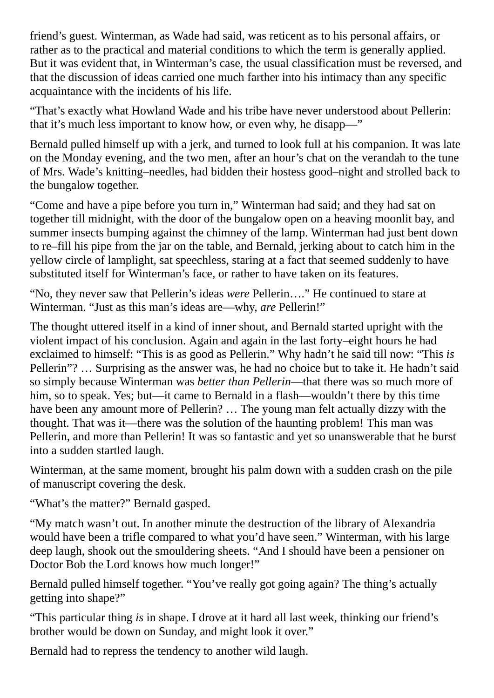friend's guest. Winterman, as Wade had said, was reticent as to his personal affairs, or rather as to the practical and material conditions to which the term is generally applied. But it was evident that, in Winterman's case, the usual classification must be reversed, and that the discussion of ideas carried one much farther into his intimacy than any specific acquaintance with the incidents of his life.

"That's exactly what Howland Wade and his tribe have never understood about Pellerin: that it's much less important to know how, or even why, he disapp—"

Bernald pulled himself up with a jerk, and turned to look full at his companion. It was late on the Monday evening, and the two men, after an hour's chat on the verandah to the tune of Mrs. Wade's knitting–needles, had bidden their hostess good–night and strolled back to the bungalow together.

"Come and have a pipe before you turn in," Winterman had said; and they had sat on together till midnight, with the door of the bungalow open on a heaving moonlit bay, and summer insects bumping against the chimney of the lamp. Winterman had just bent down to re–fill his pipe from the jar on the table, and Bernald, jerking about to catch him in the yellow circle of lamplight, sat speechless, staring at a fact that seemed suddenly to have substituted itself for Winterman's face, or rather to have taken on its features.

"No, they never saw that Pellerin's ideas *were* Pellerin…." He continued to stare at Winterman. "Just as this man's ideas are—why, *are* Pellerin!"

The thought uttered itself in a kind of inner shout, and Bernald started upright with the violent impact of his conclusion. Again and again in the last forty–eight hours he had exclaimed to himself: "This is as good as Pellerin." Why hadn't he said till now: "This *is* Pellerin"? … Surprising as the answer was, he had no choice but to take it. He hadn't said so simply because Winterman was *better than Pellerin*—that there was so much more of him, so to speak. Yes; but—it came to Bernald in a flash—wouldn't there by this time have been any amount more of Pellerin? … The young man felt actually dizzy with the thought. That was it—there was the solution of the haunting problem! This man was Pellerin, and more than Pellerin! It was so fantastic and yet so unanswerable that he burst into a sudden startled laugh.

Winterman, at the same moment, brought his palm down with a sudden crash on the pile of manuscript covering the desk.

"What's the matter?" Bernald gasped.

"My match wasn't out. In another minute the destruction of the library of Alexandria would have been a trifle compared to what you'd have seen." Winterman, with his large deep laugh, shook out the smouldering sheets. "And I should have been a pensioner on Doctor Bob the Lord knows how much longer!"

Bernald pulled himself together. "You've really got going again? The thing's actually getting into shape?"

"This particular thing *is* in shape. I drove at it hard all last week, thinking our friend's brother would be down on Sunday, and might look it over."

Bernald had to repress the tendency to another wild laugh.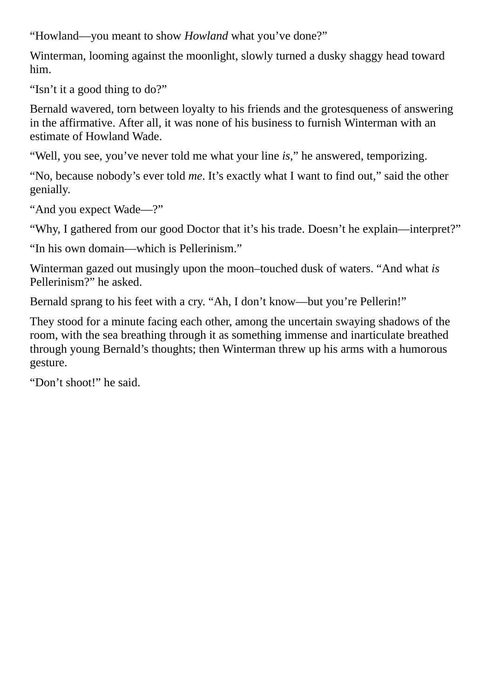"Howland—you meant to show *Howland* what you've done?"

Winterman, looming against the moonlight, slowly turned a dusky shaggy head toward him.

"Isn't it a good thing to do?"

Bernald wavered, torn between loyalty to his friends and the grotesqueness of answering in the affirmative. After all, it was none of his business to furnish Winterman with an estimate of Howland Wade.

"Well, you see, you've never told me what your line *is*," he answered, temporizing.

"No, because nobody's ever told *me*. It's exactly what I want to find out," said the other genially.

"And you expect Wade—?"

"Why, I gathered from our good Doctor that it's his trade. Doesn't he explain—interpret?"

"In his own domain—which is Pellerinism."

Winterman gazed out musingly upon the moon–touched dusk of waters. "And what *is* Pellerinism?" he asked.

Bernald sprang to his feet with a cry. "Ah, I don't know—but you're Pellerin!"

They stood for a minute facing each other, among the uncertain swaying shadows of the room, with the sea breathing through it as something immense and inarticulate breathed through young Bernald's thoughts; then Winterman threw up his arms with a humorous gesture.

"Don't shoot!" he said.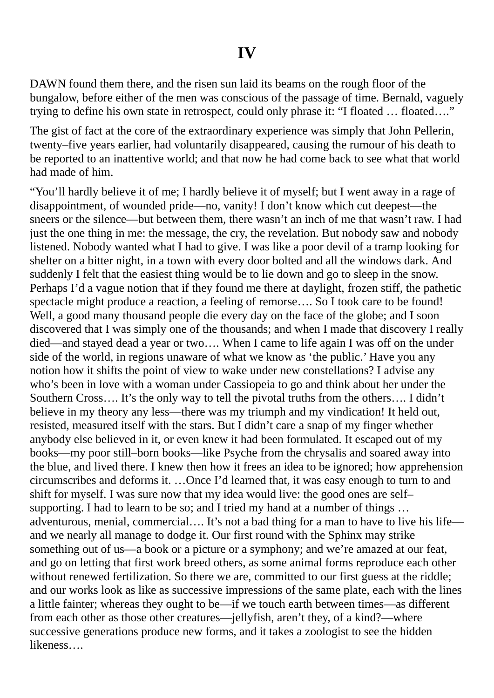DAWN found them there, and the risen sun laid its beams on the rough floor of the bungalow, before either of the men was conscious of the passage of time. Bernald, vaguely trying to define his own state in retrospect, could only phrase it: "I floated … floated…."

The gist of fact at the core of the extraordinary experience was simply that John Pellerin, twenty–five years earlier, had voluntarily disappeared, causing the rumour of his death to be reported to an inattentive world; and that now he had come back to see what that world had made of him.

"You'll hardly believe it of me; I hardly believe it of myself; but I went away in a rage of disappointment, of wounded pride—no, vanity! I don't know which cut deepest—the sneers or the silence—but between them, there wasn't an inch of me that wasn't raw. I had just the one thing in me: the message, the cry, the revelation. But nobody saw and nobody listened. Nobody wanted what I had to give. I was like a poor devil of a tramp looking for shelter on a bitter night, in a town with every door bolted and all the windows dark. And suddenly I felt that the easiest thing would be to lie down and go to sleep in the snow. Perhaps I'd a vague notion that if they found me there at daylight, frozen stiff, the pathetic spectacle might produce a reaction, a feeling of remorse…. So I took care to be found! Well, a good many thousand people die every day on the face of the globe; and I soon discovered that I was simply one of the thousands; and when I made that discovery I really died—and stayed dead a year or two…. When I came to life again I was off on the under side of the world, in regions unaware of what we know as 'the public.' Have you any notion how it shifts the point of view to wake under new constellations? I advise any who's been in love with a woman under Cassiopeia to go and think about her under the Southern Cross…. It's the only way to tell the pivotal truths from the others…. I didn't believe in my theory any less—there was my triumph and my vindication! It held out, resisted, measured itself with the stars. But I didn't care a snap of my finger whether anybody else believed in it, or even knew it had been formulated. It escaped out of my books—my poor still–born books—like Psyche from the chrysalis and soared away into the blue, and lived there. I knew then how it frees an idea to be ignored; how apprehension circumscribes and deforms it. …Once I'd learned that, it was easy enough to turn to and shift for myself. I was sure now that my idea would live: the good ones are self– supporting. I had to learn to be so; and I tried my hand at a number of things ... adventurous, menial, commercial…. It's not a bad thing for a man to have to live his life and we nearly all manage to dodge it. Our first round with the Sphinx may strike something out of us—a book or a picture or a symphony; and we're amazed at our feat, and go on letting that first work breed others, as some animal forms reproduce each other without renewed fertilization. So there we are, committed to our first guess at the riddle; and our works look as like as successive impressions of the same plate, each with the lines a little fainter; whereas they ought to be—if we touch earth between times—as different from each other as those other creatures—jellyfish, aren't they, of a kind?—where successive generations produce new forms, and it takes a zoologist to see the hidden likeness….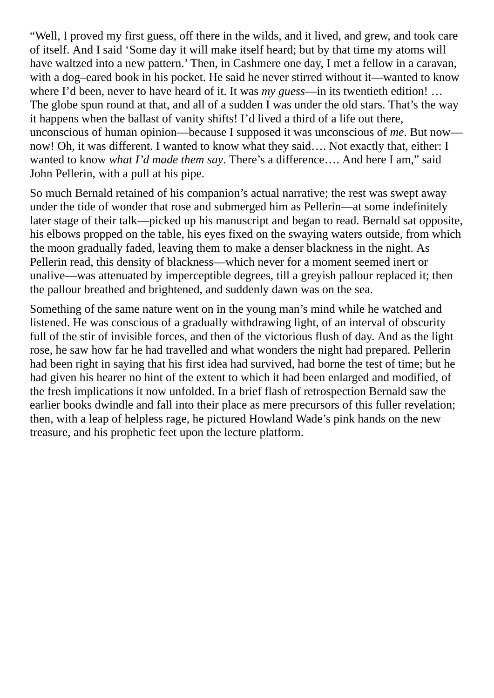"Well, I proved my first guess, off there in the wilds, and it lived, and grew, and took care of itself. And I said 'Some day it will make itself heard; but by that time my atoms will have waltzed into a new pattern.' Then, in Cashmere one day, I met a fellow in a caravan, with a dog–eared book in his pocket. He said he never stirred without it—wanted to know where I'd been, never to have heard of it. It was *my guess*—in its twentieth edition! … The globe spun round at that, and all of a sudden I was under the old stars. That's the way it happens when the ballast of vanity shifts! I'd lived a third of a life out there, unconscious of human opinion—because I supposed it was unconscious of *me*. But now now! Oh, it was different. I wanted to know what they said…. Not exactly that, either: I wanted to know *what I'd made them say*. There's a difference…. And here I am," said John Pellerin, with a pull at his pipe.

So much Bernald retained of his companion's actual narrative; the rest was swept away under the tide of wonder that rose and submerged him as Pellerin—at some indefinitely later stage of their talk—picked up his manuscript and began to read. Bernald sat opposite, his elbows propped on the table, his eyes fixed on the swaying waters outside, from which the moon gradually faded, leaving them to make a denser blackness in the night. As Pellerin read, this density of blackness—which never for a moment seemed inert or unalive—was attenuated by imperceptible degrees, till a greyish pallour replaced it; then the pallour breathed and brightened, and suddenly dawn was on the sea.

Something of the same nature went on in the young man's mind while he watched and listened. He was conscious of a gradually withdrawing light, of an interval of obscurity full of the stir of invisible forces, and then of the victorious flush of day. And as the light rose, he saw how far he had travelled and what wonders the night had prepared. Pellerin had been right in saying that his first idea had survived, had borne the test of time; but he had given his hearer no hint of the extent to which it had been enlarged and modified, of the fresh implications it now unfolded. In a brief flash of retrospection Bernald saw the earlier books dwindle and fall into their place as mere precursors of this fuller revelation; then, with a leap of helpless rage, he pictured Howland Wade's pink hands on the new treasure, and his prophetic feet upon the lecture platform.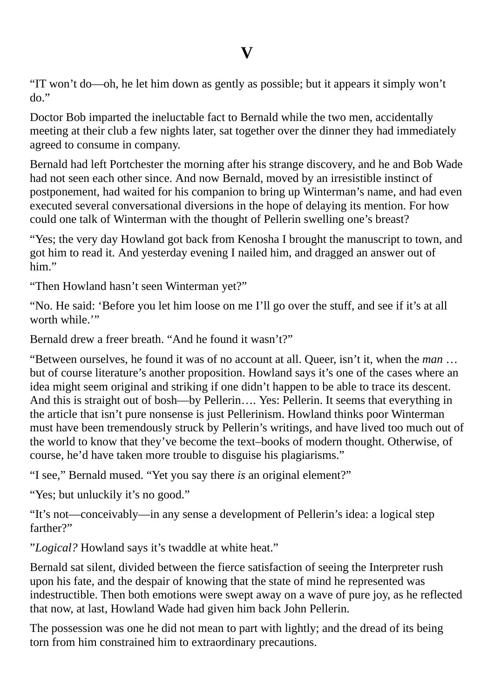## **V**

"IT won't do—oh, he let him down as gently as possible; but it appears it simply won't do."

Doctor Bob imparted the ineluctable fact to Bernald while the two men, accidentally meeting at their club a few nights later, sat together over the dinner they had immediately agreed to consume in company.

Bernald had left Portchester the morning after his strange discovery, and he and Bob Wade had not seen each other since. And now Bernald, moved by an irresistible instinct of postponement, had waited for his companion to bring up Winterman's name, and had even executed several conversational diversions in the hope of delaying its mention. For how could one talk of Winterman with the thought of Pellerin swelling one's breast?

"Yes; the very day Howland got back from Kenosha I brought the manuscript to town, and got him to read it. And yesterday evening I nailed him, and dragged an answer out of him."

"Then Howland hasn't seen Winterman yet?"

"No. He said: 'Before you let him loose on me I'll go over the stuff, and see if it's at all worth while."

Bernald drew a freer breath. "And he found it wasn't?"

"Between ourselves, he found it was of no account at all. Queer, isn't it, when the *man* … but of course literature's another proposition. Howland says it's one of the cases where an idea might seem original and striking if one didn't happen to be able to trace its descent. And this is straight out of bosh—by Pellerin…. Yes: Pellerin. It seems that everything in the article that isn't pure nonsense is just Pellerinism. Howland thinks poor Winterman must have been tremendously struck by Pellerin's writings, and have lived too much out of the world to know that they've become the text–books of modern thought. Otherwise, of course, he'd have taken more trouble to disguise his plagiarisms."

"I see," Bernald mused. "Yet you say there *is* an original element?"

"Yes; but unluckily it's no good."

"It's not—conceivably—in any sense a development of Pellerin's idea: a logical step farther?"

"*Logical?* Howland says it's twaddle at white heat."

Bernald sat silent, divided between the fierce satisfaction of seeing the Interpreter rush upon his fate, and the despair of knowing that the state of mind he represented was indestructible. Then both emotions were swept away on a wave of pure joy, as he reflected that now, at last, Howland Wade had given him back John Pellerin.

The possession was one he did not mean to part with lightly; and the dread of its being torn from him constrained him to extraordinary precautions.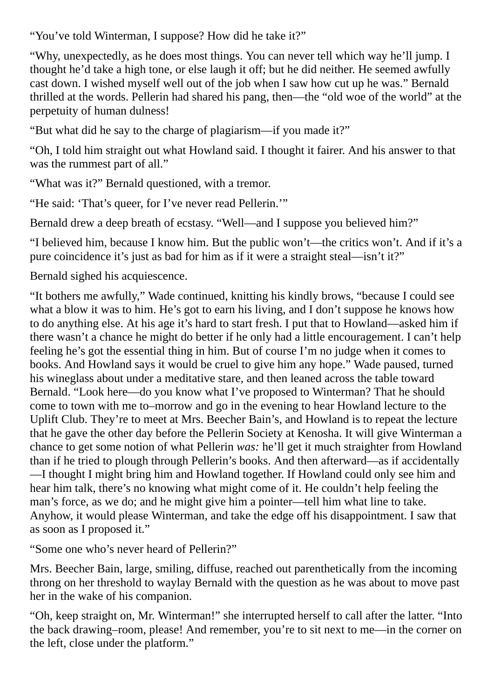"You've told Winterman, I suppose? How did he take it?"

"Why, unexpectedly, as he does most things. You can never tell which way he'll jump. I thought he'd take a high tone, or else laugh it off; but he did neither. He seemed awfully cast down. I wished myself well out of the job when I saw how cut up he was." Bernald thrilled at the words. Pellerin had shared his pang, then—the "old woe of the world" at the perpetuity of human dulness!

"But what did he say to the charge of plagiarism—if you made it?"

"Oh, I told him straight out what Howland said. I thought it fairer. And his answer to that was the rummest part of all."

"What was it?" Bernald questioned, with a tremor.

"He said: 'That's queer, for I've never read Pellerin.'"

Bernald drew a deep breath of ecstasy. "Well—and I suppose you believed him?"

"I believed him, because I know him. But the public won't—the critics won't. And if it's a pure coincidence it's just as bad for him as if it were a straight steal—isn't it?"

Bernald sighed his acquiescence.

"It bothers me awfully," Wade continued, knitting his kindly brows, "because I could see what a blow it was to him. He's got to earn his living, and I don't suppose he knows how to do anything else. At his age it's hard to start fresh. I put that to Howland—asked him if there wasn't a chance he might do better if he only had a little encouragement. I can't help feeling he's got the essential thing in him. But of course I'm no judge when it comes to books. And Howland says it would be cruel to give him any hope." Wade paused, turned his wineglass about under a meditative stare, and then leaned across the table toward Bernald. "Look here—do you know what I've proposed to Winterman? That he should come to town with me to–morrow and go in the evening to hear Howland lecture to the Uplift Club. They're to meet at Mrs. Beecher Bain's, and Howland is to repeat the lecture that he gave the other day before the Pellerin Society at Kenosha. It will give Winterman a chance to get some notion of what Pellerin *was:* he'll get it much straighter from Howland than if he tried to plough through Pellerin's books. And then afterward—as if accidentally —I thought I might bring him and Howland together. If Howland could only see him and hear him talk, there's no knowing what might come of it. He couldn't help feeling the man's force, as we do; and he might give him a pointer—tell him what line to take. Anyhow, it would please Winterman, and take the edge off his disappointment. I saw that as soon as I proposed it."

"Some one who's never heard of Pellerin?"

Mrs. Beecher Bain, large, smiling, diffuse, reached out parenthetically from the incoming throng on her threshold to waylay Bernald with the question as he was about to move past her in the wake of his companion.

"Oh, keep straight on, Mr. Winterman!" she interrupted herself to call after the latter. "Into the back drawing–room, please! And remember, you're to sit next to me—in the corner on the left, close under the platform."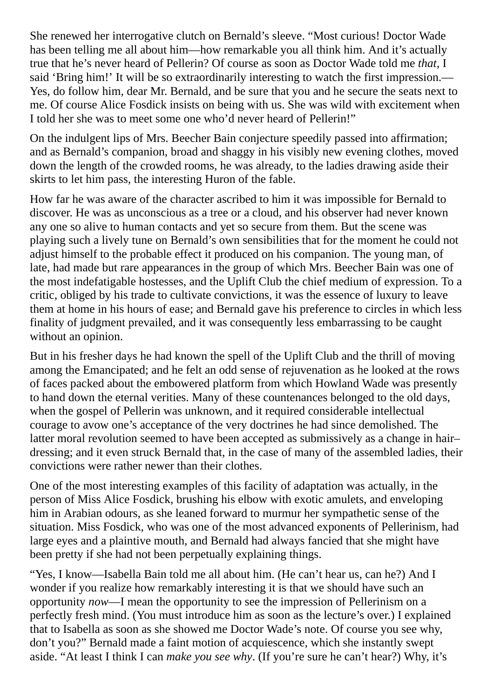She renewed her interrogative clutch on Bernald's sleeve. "Most curious! Doctor Wade has been telling me all about him—how remarkable you all think him. And it's actually true that he's never heard of Pellerin? Of course as soon as Doctor Wade told me *that*, I said 'Bring him!' It will be so extraordinarily interesting to watch the first impression.— Yes, do follow him, dear Mr. Bernald, and be sure that you and he secure the seats next to me. Of course Alice Fosdick insists on being with us. She was wild with excitement when I told her she was to meet some one who'd never heard of Pellerin!"

On the indulgent lips of Mrs. Beecher Bain conjecture speedily passed into affirmation; and as Bernald's companion, broad and shaggy in his visibly new evening clothes, moved down the length of the crowded rooms, he was already, to the ladies drawing aside their skirts to let him pass, the interesting Huron of the fable.

How far he was aware of the character ascribed to him it was impossible for Bernald to discover. He was as unconscious as a tree or a cloud, and his observer had never known any one so alive to human contacts and yet so secure from them. But the scene was playing such a lively tune on Bernald's own sensibilities that for the moment he could not adjust himself to the probable effect it produced on his companion. The young man, of late, had made but rare appearances in the group of which Mrs. Beecher Bain was one of the most indefatigable hostesses, and the Uplift Club the chief medium of expression. To a critic, obliged by his trade to cultivate convictions, it was the essence of luxury to leave them at home in his hours of ease; and Bernald gave his preference to circles in which less finality of judgment prevailed, and it was consequently less embarrassing to be caught without an opinion.

But in his fresher days he had known the spell of the Uplift Club and the thrill of moving among the Emancipated; and he felt an odd sense of rejuvenation as he looked at the rows of faces packed about the embowered platform from which Howland Wade was presently to hand down the eternal verities. Many of these countenances belonged to the old days, when the gospel of Pellerin was unknown, and it required considerable intellectual courage to avow one's acceptance of the very doctrines he had since demolished. The latter moral revolution seemed to have been accepted as submissively as a change in hair– dressing; and it even struck Bernald that, in the case of many of the assembled ladies, their convictions were rather newer than their clothes.

One of the most interesting examples of this facility of adaptation was actually, in the person of Miss Alice Fosdick, brushing his elbow with exotic amulets, and enveloping him in Arabian odours, as she leaned forward to murmur her sympathetic sense of the situation. Miss Fosdick, who was one of the most advanced exponents of Pellerinism, had large eyes and a plaintive mouth, and Bernald had always fancied that she might have been pretty if she had not been perpetually explaining things.

"Yes, I know—Isabella Bain told me all about him. (He can't hear us, can he?) And I wonder if you realize how remarkably interesting it is that we should have such an opportunity *now*—I mean the opportunity to see the impression of Pellerinism on a perfectly fresh mind. (You must introduce him as soon as the lecture's over.) I explained that to Isabella as soon as she showed me Doctor Wade's note. Of course you see why, don't you?" Bernald made a faint motion of acquiescence, which she instantly swept aside. "At least I think I can *make you see why*. (If you're sure he can't hear?) Why, it's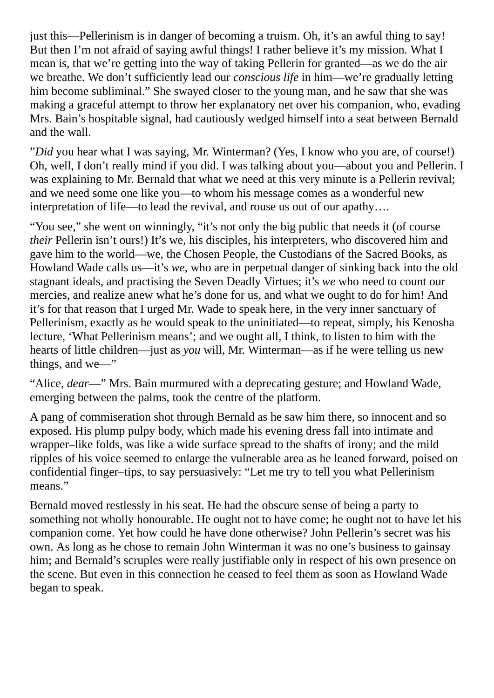just this—Pellerinism is in danger of becoming a truism. Oh, it's an awful thing to say! But then I'm not afraid of saying awful things! I rather believe it's my mission. What I mean is, that we're getting into the way of taking Pellerin for granted—as we do the air we breathe. We don't sufficiently lead our *conscious life* in him—we're gradually letting him become subliminal." She swayed closer to the young man, and he saw that she was making a graceful attempt to throw her explanatory net over his companion, who, evading Mrs. Bain's hospitable signal, had cautiously wedged himself into a seat between Bernald and the wall.

"*Did* you hear what I was saying, Mr. Winterman? (Yes, I know who you are, of course!) Oh, well, I don't really mind if you did. I was talking about you—about you and Pellerin. I was explaining to Mr. Bernald that what we need at this very minute is a Pellerin revival; and we need some one like you—to whom his message comes as a wonderful new interpretation of life—to lead the revival, and rouse us out of our apathy….

"You see," she went on winningly, "it's not only the big public that needs it (of course *their* Pellerin isn't ours!) It's we, his disciples, his interpreters, who discovered him and gave him to the world—we, the Chosen People, the Custodians of the Sacred Books, as Howland Wade calls us—it's *we*, who are in perpetual danger of sinking back into the old stagnant ideals, and practising the Seven Deadly Virtues; it's *we* who need to count our mercies, and realize anew what he's done for us, and what we ought to do for him! And it's for that reason that I urged Mr. Wade to speak here, in the very inner sanctuary of Pellerinism, exactly as he would speak to the uninitiated—to repeat, simply, his Kenosha lecture, 'What Pellerinism means'; and we ought all, I think, to listen to him with the hearts of little children—just as *you* will, Mr. Winterman—as if he were telling us new things, and we—"

"Alice, *dear*—" Mrs. Bain murmured with a deprecating gesture; and Howland Wade, emerging between the palms, took the centre of the platform.

A pang of commiseration shot through Bernald as he saw him there, so innocent and so exposed. His plump pulpy body, which made his evening dress fall into intimate and wrapper–like folds, was like a wide surface spread to the shafts of irony; and the mild ripples of his voice seemed to enlarge the vulnerable area as he leaned forward, poised on confidential finger–tips, to say persuasively: "Let me try to tell you what Pellerinism means."

Bernald moved restlessly in his seat. He had the obscure sense of being a party to something not wholly honourable. He ought not to have come; he ought not to have let his companion come. Yet how could he have done otherwise? John Pellerin's secret was his own. As long as he chose to remain John Winterman it was no one's business to gainsay him; and Bernald's scruples were really justifiable only in respect of his own presence on the scene. But even in this connection he ceased to feel them as soon as Howland Wade began to speak.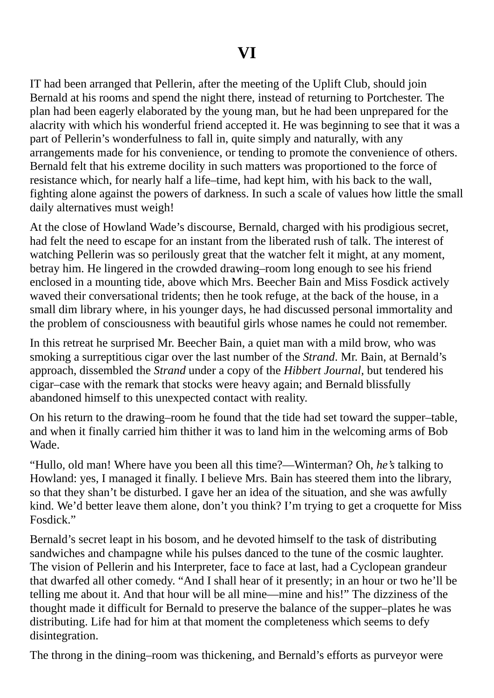IT had been arranged that Pellerin, after the meeting of the Uplift Club, should join Bernald at his rooms and spend the night there, instead of returning to Portchester. The plan had been eagerly elaborated by the young man, but he had been unprepared for the alacrity with which his wonderful friend accepted it. He was beginning to see that it was a part of Pellerin's wonderfulness to fall in, quite simply and naturally, with any arrangements made for his convenience, or tending to promote the convenience of others. Bernald felt that his extreme docility in such matters was proportioned to the force of resistance which, for nearly half a life–time, had kept him, with his back to the wall, fighting alone against the powers of darkness. In such a scale of values how little the small daily alternatives must weigh!

At the close of Howland Wade's discourse, Bernald, charged with his prodigious secret, had felt the need to escape for an instant from the liberated rush of talk. The interest of watching Pellerin was so perilously great that the watcher felt it might, at any moment, betray him. He lingered in the crowded drawing–room long enough to see his friend enclosed in a mounting tide, above which Mrs. Beecher Bain and Miss Fosdick actively waved their conversational tridents; then he took refuge, at the back of the house, in a small dim library where, in his younger days, he had discussed personal immortality and the problem of consciousness with beautiful girls whose names he could not remember.

In this retreat he surprised Mr. Beecher Bain, a quiet man with a mild brow, who was smoking a surreptitious cigar over the last number of the *Strand*. Mr. Bain, at Bernald's approach, dissembled the *Strand* under a copy of the *Hibbert Journal*, but tendered his cigar–case with the remark that stocks were heavy again; and Bernald blissfully abandoned himself to this unexpected contact with reality.

On his return to the drawing–room he found that the tide had set toward the supper–table, and when it finally carried him thither it was to land him in the welcoming arms of Bob Wade.

"Hullo, old man! Where have you been all this time?—Winterman? Oh, *he's* talking to Howland: yes, I managed it finally. I believe Mrs. Bain has steered them into the library, so that they shan't be disturbed. I gave her an idea of the situation, and she was awfully kind. We'd better leave them alone, don't you think? I'm trying to get a croquette for Miss Fosdick."

Bernald's secret leapt in his bosom, and he devoted himself to the task of distributing sandwiches and champagne while his pulses danced to the tune of the cosmic laughter. The vision of Pellerin and his Interpreter, face to face at last, had a Cyclopean grandeur that dwarfed all other comedy. "And I shall hear of it presently; in an hour or two he'll be telling me about it. And that hour will be all mine—mine and his!" The dizziness of the thought made it difficult for Bernald to preserve the balance of the supper–plates he was distributing. Life had for him at that moment the completeness which seems to defy disintegration.

The throng in the dining–room was thickening, and Bernald's efforts as purveyor were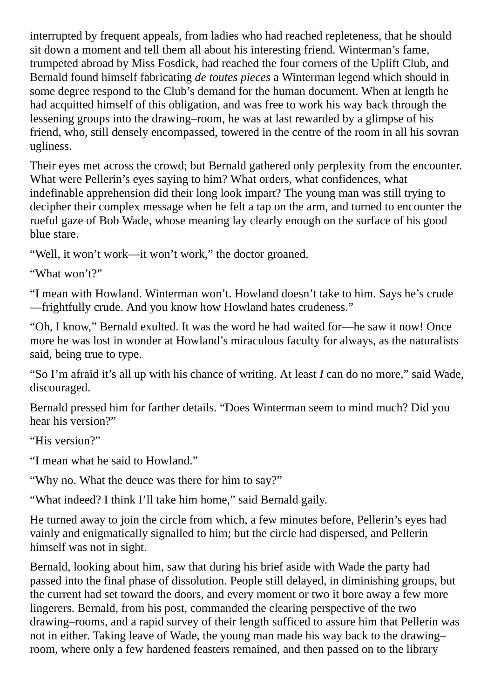interrupted by frequent appeals, from ladies who had reached repleteness, that he should sit down a moment and tell them all about his interesting friend. Winterman's fame, trumpeted abroad by Miss Fosdick, had reached the four corners of the Uplift Club, and Bernald found himself fabricating *de toutes pieces* a Winterman legend which should in some degree respond to the Club's demand for the human document. When at length he had acquitted himself of this obligation, and was free to work his way back through the lessening groups into the drawing–room, he was at last rewarded by a glimpse of his friend, who, still densely encompassed, towered in the centre of the room in all his sovran ugliness.

Their eyes met across the crowd; but Bernald gathered only perplexity from the encounter. What were Pellerin's eyes saying to him? What orders, what confidences, what indefinable apprehension did their long look impart? The young man was still trying to decipher their complex message when he felt a tap on the arm, and turned to encounter the rueful gaze of Bob Wade, whose meaning lay clearly enough on the surface of his good blue stare.

"Well, it won't work—it won't work," the doctor groaned.

"What won't?"

"I mean with Howland. Winterman won't. Howland doesn't take to him. Says he's crude —frightfully crude. And you know how Howland hates crudeness."

"Oh, I know," Bernald exulted. It was the word he had waited for—he saw it now! Once more he was lost in wonder at Howland's miraculous faculty for always, as the naturalists said, being true to type.

"So I'm afraid it's all up with his chance of writing. At least *I* can do no more," said Wade, discouraged.

Bernald pressed him for farther details. "Does Winterman seem to mind much? Did you hear his version?"

"His version?"

"I mean what he said to Howland."

"Why no. What the deuce was there for him to say?"

"What indeed? I think I'll take him home," said Bernald gaily.

He turned away to join the circle from which, a few minutes before, Pellerin's eyes had vainly and enigmatically signalled to him; but the circle had dispersed, and Pellerin himself was not in sight.

Bernald, looking about him, saw that during his brief aside with Wade the party had passed into the final phase of dissolution. People still delayed, in diminishing groups, but the current had set toward the doors, and every moment or two it bore away a few more lingerers. Bernald, from his post, commanded the clearing perspective of the two drawing–rooms, and a rapid survey of their length sufficed to assure him that Pellerin was not in either. Taking leave of Wade, the young man made his way back to the drawing– room, where only a few hardened feasters remained, and then passed on to the library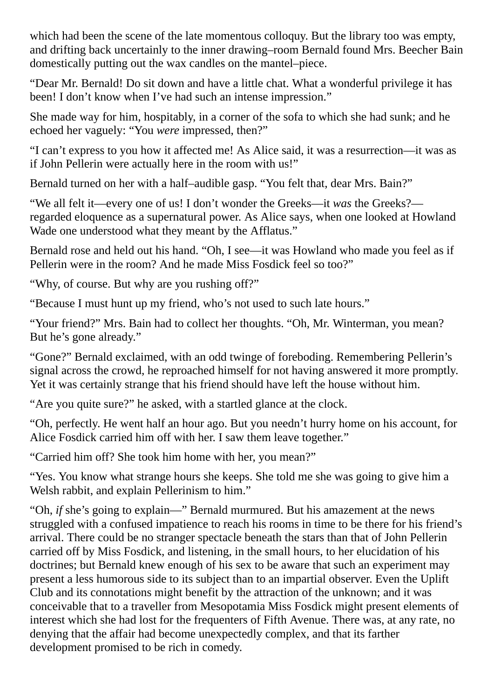which had been the scene of the late momentous colloquy. But the library too was empty, and drifting back uncertainly to the inner drawing–room Bernald found Mrs. Beecher Bain domestically putting out the wax candles on the mantel–piece.

"Dear Mr. Bernald! Do sit down and have a little chat. What a wonderful privilege it has been! I don't know when I've had such an intense impression."

She made way for him, hospitably, in a corner of the sofa to which she had sunk; and he echoed her vaguely: "You *were* impressed, then?"

"I can't express to you how it affected me! As Alice said, it was a resurrection—it was as if John Pellerin were actually here in the room with us!"

Bernald turned on her with a half–audible gasp. "You felt that, dear Mrs. Bain?"

"We all felt it—every one of us! I don't wonder the Greeks—it *was* the Greeks? regarded eloquence as a supernatural power. As Alice says, when one looked at Howland Wade one understood what they meant by the Afflatus."

Bernald rose and held out his hand. "Oh, I see—it was Howland who made you feel as if Pellerin were in the room? And he made Miss Fosdick feel so too?"

"Why, of course. But why are you rushing off?"

"Because I must hunt up my friend, who's not used to such late hours."

"Your friend?" Mrs. Bain had to collect her thoughts. "Oh, Mr. Winterman, you mean? But he's gone already."

"Gone?" Bernald exclaimed, with an odd twinge of foreboding. Remembering Pellerin's signal across the crowd, he reproached himself for not having answered it more promptly. Yet it was certainly strange that his friend should have left the house without him.

"Are you quite sure?" he asked, with a startled glance at the clock.

"Oh, perfectly. He went half an hour ago. But you needn't hurry home on his account, for Alice Fosdick carried him off with her. I saw them leave together."

"Carried him off? She took him home with her, you mean?"

"Yes. You know what strange hours she keeps. She told me she was going to give him a Welsh rabbit, and explain Pellerinism to him."

"Oh, *if* she's going to explain—" Bernald murmured. But his amazement at the news struggled with a confused impatience to reach his rooms in time to be there for his friend's arrival. There could be no stranger spectacle beneath the stars than that of John Pellerin carried off by Miss Fosdick, and listening, in the small hours, to her elucidation of his doctrines; but Bernald knew enough of his sex to be aware that such an experiment may present a less humorous side to its subject than to an impartial observer. Even the Uplift Club and its connotations might benefit by the attraction of the unknown; and it was conceivable that to a traveller from Mesopotamia Miss Fosdick might present elements of interest which she had lost for the frequenters of Fifth Avenue. There was, at any rate, no denying that the affair had become unexpectedly complex, and that its farther development promised to be rich in comedy.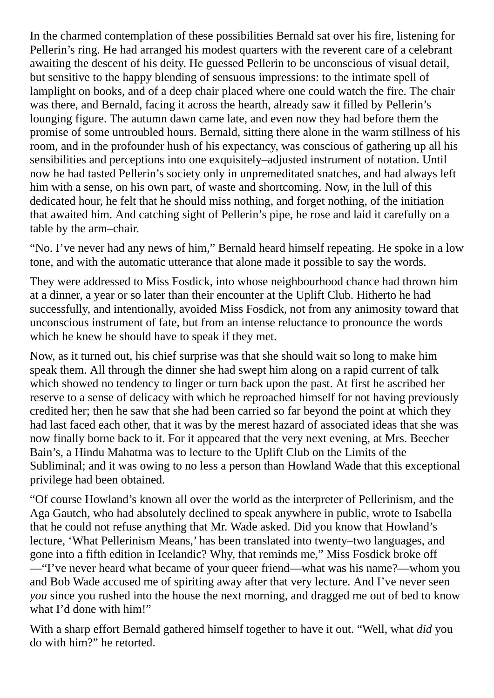In the charmed contemplation of these possibilities Bernald sat over his fire, listening for Pellerin's ring. He had arranged his modest quarters with the reverent care of a celebrant awaiting the descent of his deity. He guessed Pellerin to be unconscious of visual detail, but sensitive to the happy blending of sensuous impressions: to the intimate spell of lamplight on books, and of a deep chair placed where one could watch the fire. The chair was there, and Bernald, facing it across the hearth, already saw it filled by Pellerin's lounging figure. The autumn dawn came late, and even now they had before them the promise of some untroubled hours. Bernald, sitting there alone in the warm stillness of his room, and in the profounder hush of his expectancy, was conscious of gathering up all his sensibilities and perceptions into one exquisitely–adjusted instrument of notation. Until now he had tasted Pellerin's society only in unpremeditated snatches, and had always left him with a sense, on his own part, of waste and shortcoming. Now, in the lull of this dedicated hour, he felt that he should miss nothing, and forget nothing, of the initiation that awaited him. And catching sight of Pellerin's pipe, he rose and laid it carefully on a table by the arm–chair.

"No. I've never had any news of him," Bernald heard himself repeating. He spoke in a low tone, and with the automatic utterance that alone made it possible to say the words.

They were addressed to Miss Fosdick, into whose neighbourhood chance had thrown him at a dinner, a year or so later than their encounter at the Uplift Club. Hitherto he had successfully, and intentionally, avoided Miss Fosdick, not from any animosity toward that unconscious instrument of fate, but from an intense reluctance to pronounce the words which he knew he should have to speak if they met.

Now, as it turned out, his chief surprise was that she should wait so long to make him speak them. All through the dinner she had swept him along on a rapid current of talk which showed no tendency to linger or turn back upon the past. At first he ascribed her reserve to a sense of delicacy with which he reproached himself for not having previously credited her; then he saw that she had been carried so far beyond the point at which they had last faced each other, that it was by the merest hazard of associated ideas that she was now finally borne back to it. For it appeared that the very next evening, at Mrs. Beecher Bain's, a Hindu Mahatma was to lecture to the Uplift Club on the Limits of the Subliminal; and it was owing to no less a person than Howland Wade that this exceptional privilege had been obtained.

"Of course Howland's known all over the world as the interpreter of Pellerinism, and the Aga Gautch, who had absolutely declined to speak anywhere in public, wrote to Isabella that he could not refuse anything that Mr. Wade asked. Did you know that Howland's lecture, 'What Pellerinism Means,' has been translated into twenty–two languages, and gone into a fifth edition in Icelandic? Why, that reminds me," Miss Fosdick broke off —"I've never heard what became of your queer friend—what was his name?—whom you and Bob Wade accused me of spiriting away after that very lecture. And I've never seen *you* since you rushed into the house the next morning, and dragged me out of bed to know what I'd done with him!"

With a sharp effort Bernald gathered himself together to have it out. "Well, what *did* you do with him?" he retorted.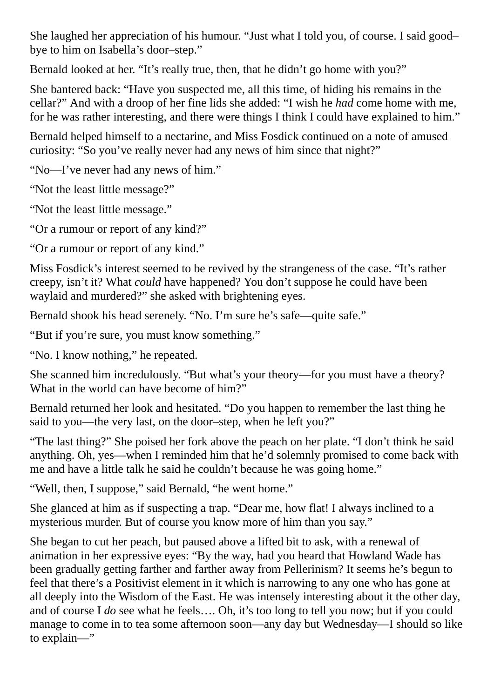She laughed her appreciation of his humour. "Just what I told you, of course. I said good– bye to him on Isabella's door–step."

Bernald looked at her. "It's really true, then, that he didn't go home with you?"

She bantered back: "Have you suspected me, all this time, of hiding his remains in the cellar?" And with a droop of her fine lids she added: "I wish he *had* come home with me, for he was rather interesting, and there were things I think I could have explained to him."

Bernald helped himself to a nectarine, and Miss Fosdick continued on a note of amused curiosity: "So you've really never had any news of him since that night?"

"No—I've never had any news of him."

"Not the least little message?"

"Not the least little message."

"Or a rumour or report of any kind?"

"Or a rumour or report of any kind."

Miss Fosdick's interest seemed to be revived by the strangeness of the case. "It's rather creepy, isn't it? What *could* have happened? You don't suppose he could have been waylaid and murdered?" she asked with brightening eyes.

Bernald shook his head serenely. "No. I'm sure he's safe—quite safe."

"But if you're sure, you must know something."

"No. I know nothing," he repeated.

She scanned him incredulously. "But what's your theory—for you must have a theory? What in the world can have become of him?"

Bernald returned her look and hesitated. "Do you happen to remember the last thing he said to you—the very last, on the door–step, when he left you?"

"The last thing?" She poised her fork above the peach on her plate. "I don't think he said anything. Oh, yes—when I reminded him that he'd solemnly promised to come back with me and have a little talk he said he couldn't because he was going home."

"Well, then, I suppose," said Bernald, "he went home."

She glanced at him as if suspecting a trap. "Dear me, how flat! I always inclined to a mysterious murder. But of course you know more of him than you say."

She began to cut her peach, but paused above a lifted bit to ask, with a renewal of animation in her expressive eyes: "By the way, had you heard that Howland Wade has been gradually getting farther and farther away from Pellerinism? It seems he's begun to feel that there's a Positivist element in it which is narrowing to any one who has gone at all deeply into the Wisdom of the East. He was intensely interesting about it the other day, and of course I *do* see what he feels…. Oh, it's too long to tell you now; but if you could manage to come in to tea some afternoon soon—any day but Wednesday—I should so like to explain—"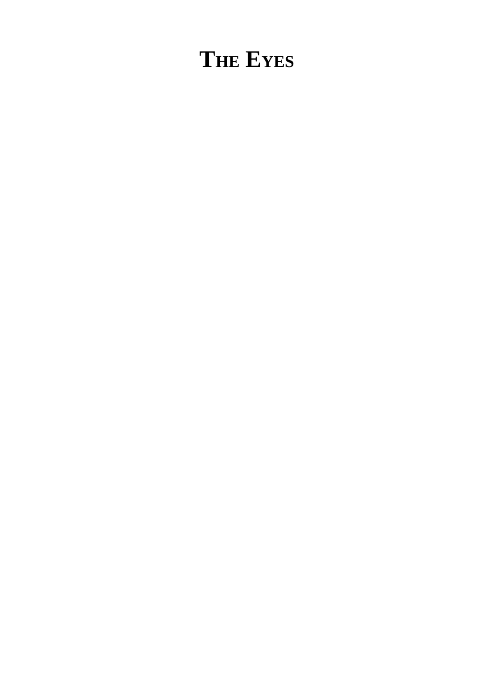## **THE EYES**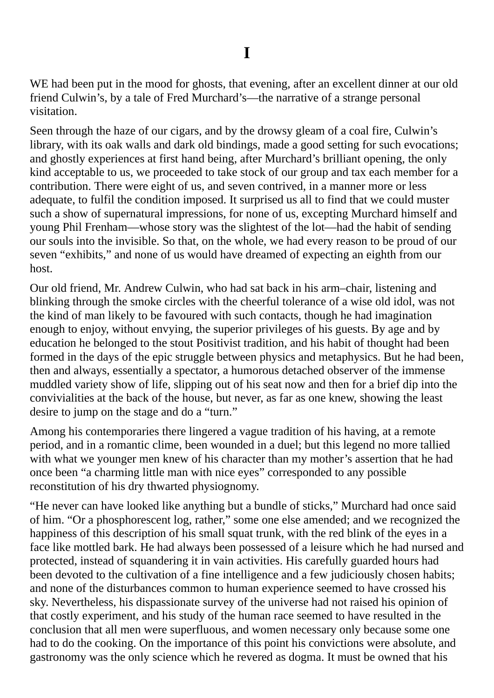WE had been put in the mood for ghosts, that evening, after an excellent dinner at our old friend Culwin's, by a tale of Fred Murchard's—the narrative of a strange personal visitation.

Seen through the haze of our cigars, and by the drowsy gleam of a coal fire, Culwin's library, with its oak walls and dark old bindings, made a good setting for such evocations; and ghostly experiences at first hand being, after Murchard's brilliant opening, the only kind acceptable to us, we proceeded to take stock of our group and tax each member for a contribution. There were eight of us, and seven contrived, in a manner more or less adequate, to fulfil the condition imposed. It surprised us all to find that we could muster such a show of supernatural impressions, for none of us, excepting Murchard himself and young Phil Frenham—whose story was the slightest of the lot—had the habit of sending our souls into the invisible. So that, on the whole, we had every reason to be proud of our seven "exhibits," and none of us would have dreamed of expecting an eighth from our host.

Our old friend, Mr. Andrew Culwin, who had sat back in his arm–chair, listening and blinking through the smoke circles with the cheerful tolerance of a wise old idol, was not the kind of man likely to be favoured with such contacts, though he had imagination enough to enjoy, without envying, the superior privileges of his guests. By age and by education he belonged to the stout Positivist tradition, and his habit of thought had been formed in the days of the epic struggle between physics and metaphysics. But he had been, then and always, essentially a spectator, a humorous detached observer of the immense muddled variety show of life, slipping out of his seat now and then for a brief dip into the convivialities at the back of the house, but never, as far as one knew, showing the least desire to jump on the stage and do a "turn."

Among his contemporaries there lingered a vague tradition of his having, at a remote period, and in a romantic clime, been wounded in a duel; but this legend no more tallied with what we younger men knew of his character than my mother's assertion that he had once been "a charming little man with nice eyes" corresponded to any possible reconstitution of his dry thwarted physiognomy.

"He never can have looked like anything but a bundle of sticks," Murchard had once said of him. "Or a phosphorescent log, rather," some one else amended; and we recognized the happiness of this description of his small squat trunk, with the red blink of the eyes in a face like mottled bark. He had always been possessed of a leisure which he had nursed and protected, instead of squandering it in vain activities. His carefully guarded hours had been devoted to the cultivation of a fine intelligence and a few judiciously chosen habits; and none of the disturbances common to human experience seemed to have crossed his sky. Nevertheless, his dispassionate survey of the universe had not raised his opinion of that costly experiment, and his study of the human race seemed to have resulted in the conclusion that all men were superfluous, and women necessary only because some one had to do the cooking. On the importance of this point his convictions were absolute, and gastronomy was the only science which he revered as dogma. It must be owned that his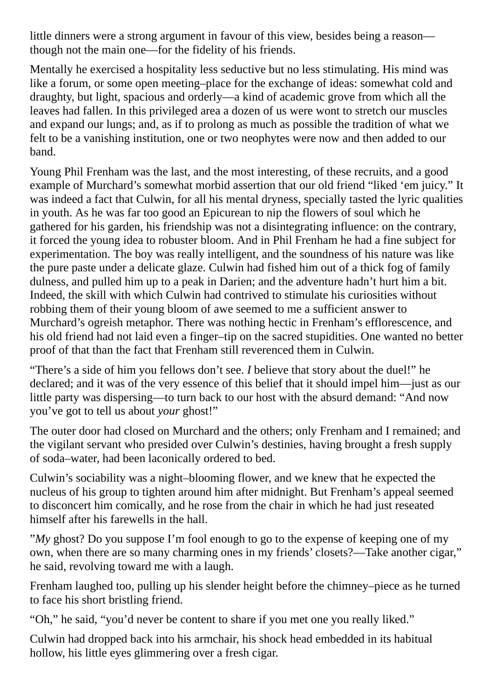little dinners were a strong argument in favour of this view, besides being a reason though not the main one—for the fidelity of his friends.

Mentally he exercised a hospitality less seductive but no less stimulating. His mind was like a forum, or some open meeting–place for the exchange of ideas: somewhat cold and draughty, but light, spacious and orderly—a kind of academic grove from which all the leaves had fallen. In this privileged area a dozen of us were wont to stretch our muscles and expand our lungs; and, as if to prolong as much as possible the tradition of what we felt to be a vanishing institution, one or two neophytes were now and then added to our band.

Young Phil Frenham was the last, and the most interesting, of these recruits, and a good example of Murchard's somewhat morbid assertion that our old friend "liked 'em juicy." It was indeed a fact that Culwin, for all his mental dryness, specially tasted the lyric qualities in youth. As he was far too good an Epicurean to nip the flowers of soul which he gathered for his garden, his friendship was not a disintegrating influence: on the contrary, it forced the young idea to robuster bloom. And in Phil Frenham he had a fine subject for experimentation. The boy was really intelligent, and the soundness of his nature was like the pure paste under a delicate glaze. Culwin had fished him out of a thick fog of family dulness, and pulled him up to a peak in Darien; and the adventure hadn't hurt him a bit. Indeed, the skill with which Culwin had contrived to stimulate his curiosities without robbing them of their young bloom of awe seemed to me a sufficient answer to Murchard's ogreish metaphor. There was nothing hectic in Frenham's efflorescence, and his old friend had not laid even a finger–tip on the sacred stupidities. One wanted no better proof of that than the fact that Frenham still reverenced them in Culwin.

"There's a side of him you fellows don't see. *I* believe that story about the duel!" he declared; and it was of the very essence of this belief that it should impel him—just as our little party was dispersing—to turn back to our host with the absurd demand: "And now you've got to tell us about *your* ghost!"

The outer door had closed on Murchard and the others; only Frenham and I remained; and the vigilant servant who presided over Culwin's destinies, having brought a fresh supply of soda–water, had been laconically ordered to bed.

Culwin's sociability was a night–blooming flower, and we knew that he expected the nucleus of his group to tighten around him after midnight. But Frenham's appeal seemed to disconcert him comically, and he rose from the chair in which he had just reseated himself after his farewells in the hall.

"*My* ghost? Do you suppose I'm fool enough to go to the expense of keeping one of my own, when there are so many charming ones in my friends' closets?—Take another cigar," he said, revolving toward me with a laugh.

Frenham laughed too, pulling up his slender height before the chimney–piece as he turned to face his short bristling friend.

"Oh," he said, "you'd never be content to share if you met one you really liked."

Culwin had dropped back into his armchair, his shock head embedded in its habitual hollow, his little eyes glimmering over a fresh cigar.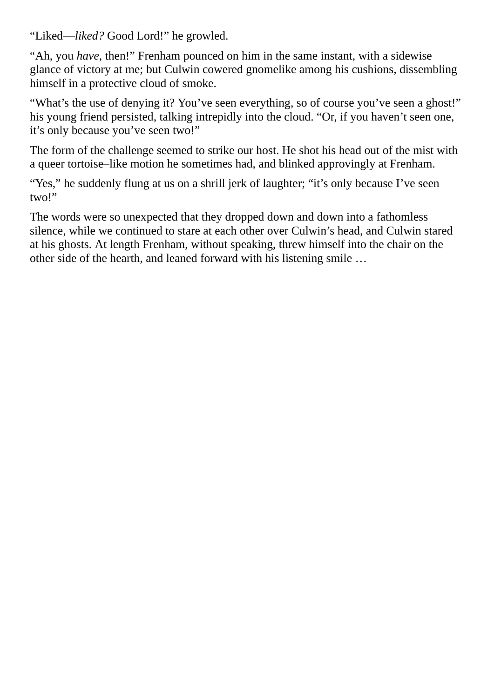"Liked—*liked?* Good Lord!" he growled.

"Ah, you *have*, then!" Frenham pounced on him in the same instant, with a sidewise glance of victory at me; but Culwin cowered gnomelike among his cushions, dissembling himself in a protective cloud of smoke.

"What's the use of denying it? You've seen everything, so of course you've seen a ghost!" his young friend persisted, talking intrepidly into the cloud. "Or, if you haven't seen one, it's only because you've seen two!"

The form of the challenge seemed to strike our host. He shot his head out of the mist with a queer tortoise–like motion he sometimes had, and blinked approvingly at Frenham.

"Yes," he suddenly flung at us on a shrill jerk of laughter; "it's only because I've seen two!"

The words were so unexpected that they dropped down and down into a fathomless silence, while we continued to stare at each other over Culwin's head, and Culwin stared at his ghosts. At length Frenham, without speaking, threw himself into the chair on the other side of the hearth, and leaned forward with his listening smile …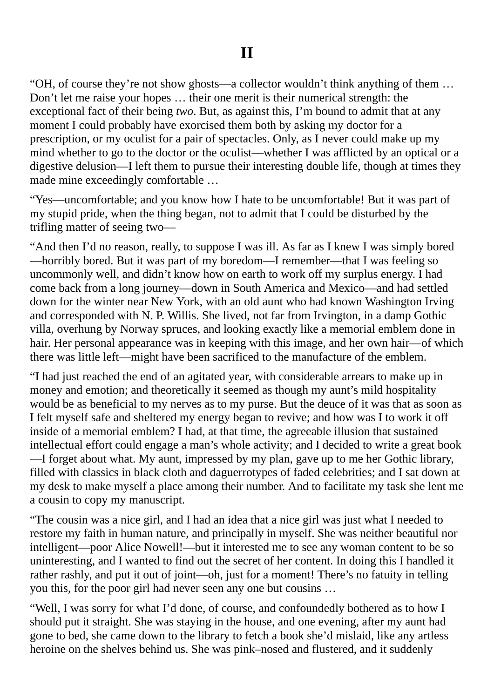"OH, of course they're not show ghosts—a collector wouldn't think anything of them … Don't let me raise your hopes … their one merit is their numerical strength: the exceptional fact of their being *two*. But, as against this, I'm bound to admit that at any moment I could probably have exorcised them both by asking my doctor for a prescription, or my oculist for a pair of spectacles. Only, as I never could make up my mind whether to go to the doctor or the oculist—whether I was afflicted by an optical or a digestive delusion—I left them to pursue their interesting double life, though at times they made mine exceedingly comfortable …

"Yes—uncomfortable; and you know how I hate to be uncomfortable! But it was part of my stupid pride, when the thing began, not to admit that I could be disturbed by the trifling matter of seeing two—

"And then I'd no reason, really, to suppose I was ill. As far as I knew I was simply bored —horribly bored. But it was part of my boredom—I remember—that I was feeling so uncommonly well, and didn't know how on earth to work off my surplus energy. I had come back from a long journey—down in South America and Mexico—and had settled down for the winter near New York, with an old aunt who had known Washington Irving and corresponded with N. P. Willis. She lived, not far from Irvington, in a damp Gothic villa, overhung by Norway spruces, and looking exactly like a memorial emblem done in hair. Her personal appearance was in keeping with this image, and her own hair—of which there was little left—might have been sacrificed to the manufacture of the emblem.

"I had just reached the end of an agitated year, with considerable arrears to make up in money and emotion; and theoretically it seemed as though my aunt's mild hospitality would be as beneficial to my nerves as to my purse. But the deuce of it was that as soon as I felt myself safe and sheltered my energy began to revive; and how was I to work it off inside of a memorial emblem? I had, at that time, the agreeable illusion that sustained intellectual effort could engage a man's whole activity; and I decided to write a great book —I forget about what. My aunt, impressed by my plan, gave up to me her Gothic library, filled with classics in black cloth and daguerrotypes of faded celebrities; and I sat down at my desk to make myself a place among their number. And to facilitate my task she lent me a cousin to copy my manuscript.

"The cousin was a nice girl, and I had an idea that a nice girl was just what I needed to restore my faith in human nature, and principally in myself. She was neither beautiful nor intelligent—poor Alice Nowell!—but it interested me to see any woman content to be so uninteresting, and I wanted to find out the secret of her content. In doing this I handled it rather rashly, and put it out of joint—oh, just for a moment! There's no fatuity in telling you this, for the poor girl had never seen any one but cousins …

"Well, I was sorry for what I'd done, of course, and confoundedly bothered as to how I should put it straight. She was staying in the house, and one evening, after my aunt had gone to bed, she came down to the library to fetch a book she'd mislaid, like any artless heroine on the shelves behind us. She was pink–nosed and flustered, and it suddenly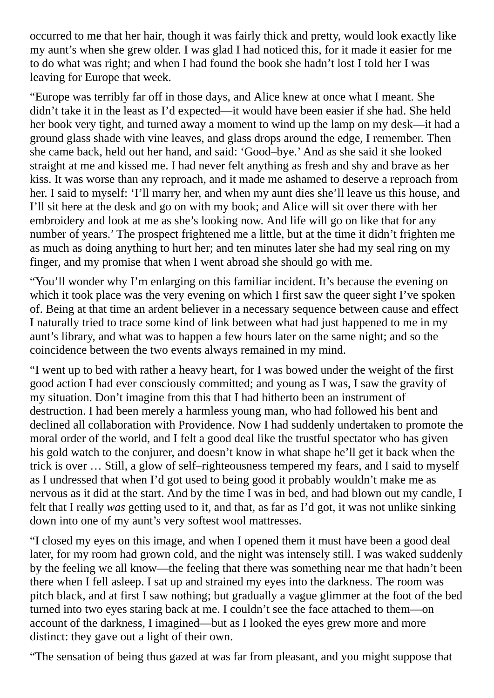occurred to me that her hair, though it was fairly thick and pretty, would look exactly like my aunt's when she grew older. I was glad I had noticed this, for it made it easier for me to do what was right; and when I had found the book she hadn't lost I told her I was leaving for Europe that week.

"Europe was terribly far off in those days, and Alice knew at once what I meant. She didn't take it in the least as I'd expected—it would have been easier if she had. She held her book very tight, and turned away a moment to wind up the lamp on my desk—it had a ground glass shade with vine leaves, and glass drops around the edge, I remember. Then she came back, held out her hand, and said: 'Good–bye.' And as she said it she looked straight at me and kissed me. I had never felt anything as fresh and shy and brave as her kiss. It was worse than any reproach, and it made me ashamed to deserve a reproach from her. I said to myself: 'I'll marry her, and when my aunt dies she'll leave us this house, and I'll sit here at the desk and go on with my book; and Alice will sit over there with her embroidery and look at me as she's looking now. And life will go on like that for any number of years.' The prospect frightened me a little, but at the time it didn't frighten me as much as doing anything to hurt her; and ten minutes later she had my seal ring on my finger, and my promise that when I went abroad she should go with me.

"You'll wonder why I'm enlarging on this familiar incident. It's because the evening on which it took place was the very evening on which I first saw the queer sight I've spoken of. Being at that time an ardent believer in a necessary sequence between cause and effect I naturally tried to trace some kind of link between what had just happened to me in my aunt's library, and what was to happen a few hours later on the same night; and so the coincidence between the two events always remained in my mind.

"I went up to bed with rather a heavy heart, for I was bowed under the weight of the first good action I had ever consciously committed; and young as I was, I saw the gravity of my situation. Don't imagine from this that I had hitherto been an instrument of destruction. I had been merely a harmless young man, who had followed his bent and declined all collaboration with Providence. Now I had suddenly undertaken to promote the moral order of the world, and I felt a good deal like the trustful spectator who has given his gold watch to the conjurer, and doesn't know in what shape he'll get it back when the trick is over … Still, a glow of self–righteousness tempered my fears, and I said to myself as I undressed that when I'd got used to being good it probably wouldn't make me as nervous as it did at the start. And by the time I was in bed, and had blown out my candle, I felt that I really *was* getting used to it, and that, as far as I'd got, it was not unlike sinking down into one of my aunt's very softest wool mattresses.

"I closed my eyes on this image, and when I opened them it must have been a good deal later, for my room had grown cold, and the night was intensely still. I was waked suddenly by the feeling we all know—the feeling that there was something near me that hadn't been there when I fell asleep. I sat up and strained my eyes into the darkness. The room was pitch black, and at first I saw nothing; but gradually a vague glimmer at the foot of the bed turned into two eyes staring back at me. I couldn't see the face attached to them—on account of the darkness, I imagined—but as I looked the eyes grew more and more distinct: they gave out a light of their own.

"The sensation of being thus gazed at was far from pleasant, and you might suppose that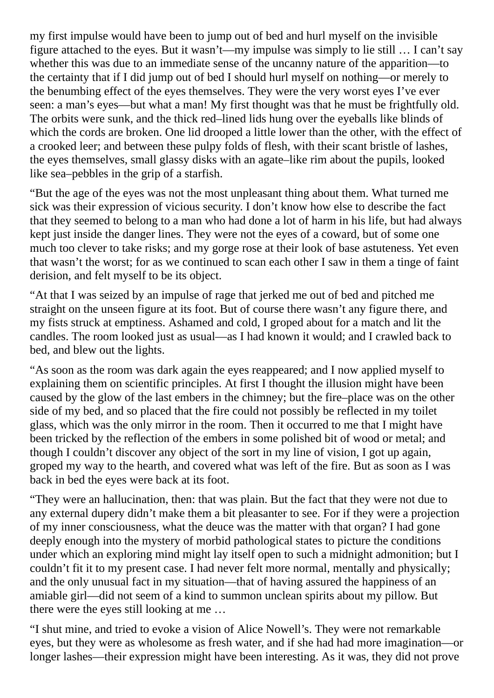my first impulse would have been to jump out of bed and hurl myself on the invisible figure attached to the eyes. But it wasn't—my impulse was simply to lie still … I can't say whether this was due to an immediate sense of the uncanny nature of the apparition—to the certainty that if I did jump out of bed I should hurl myself on nothing—or merely to the benumbing effect of the eyes themselves. They were the very worst eyes I've ever seen: a man's eyes—but what a man! My first thought was that he must be frightfully old. The orbits were sunk, and the thick red–lined lids hung over the eyeballs like blinds of which the cords are broken. One lid drooped a little lower than the other, with the effect of a crooked leer; and between these pulpy folds of flesh, with their scant bristle of lashes, the eyes themselves, small glassy disks with an agate–like rim about the pupils, looked like sea–pebbles in the grip of a starfish.

"But the age of the eyes was not the most unpleasant thing about them. What turned me sick was their expression of vicious security. I don't know how else to describe the fact that they seemed to belong to a man who had done a lot of harm in his life, but had always kept just inside the danger lines. They were not the eyes of a coward, but of some one much too clever to take risks; and my gorge rose at their look of base astuteness. Yet even that wasn't the worst; for as we continued to scan each other I saw in them a tinge of faint derision, and felt myself to be its object.

"At that I was seized by an impulse of rage that jerked me out of bed and pitched me straight on the unseen figure at its foot. But of course there wasn't any figure there, and my fists struck at emptiness. Ashamed and cold, I groped about for a match and lit the candles. The room looked just as usual—as I had known it would; and I crawled back to bed, and blew out the lights.

"As soon as the room was dark again the eyes reappeared; and I now applied myself to explaining them on scientific principles. At first I thought the illusion might have been caused by the glow of the last embers in the chimney; but the fire–place was on the other side of my bed, and so placed that the fire could not possibly be reflected in my toilet glass, which was the only mirror in the room. Then it occurred to me that I might have been tricked by the reflection of the embers in some polished bit of wood or metal; and though I couldn't discover any object of the sort in my line of vision, I got up again, groped my way to the hearth, and covered what was left of the fire. But as soon as I was back in bed the eyes were back at its foot.

"They were an hallucination, then: that was plain. But the fact that they were not due to any external dupery didn't make them a bit pleasanter to see. For if they were a projection of my inner consciousness, what the deuce was the matter with that organ? I had gone deeply enough into the mystery of morbid pathological states to picture the conditions under which an exploring mind might lay itself open to such a midnight admonition; but I couldn't fit it to my present case. I had never felt more normal, mentally and physically; and the only unusual fact in my situation—that of having assured the happiness of an amiable girl—did not seem of a kind to summon unclean spirits about my pillow. But there were the eyes still looking at me …

"I shut mine, and tried to evoke a vision of Alice Nowell's. They were not remarkable eyes, but they were as wholesome as fresh water, and if she had had more imagination—or longer lashes—their expression might have been interesting. As it was, they did not prove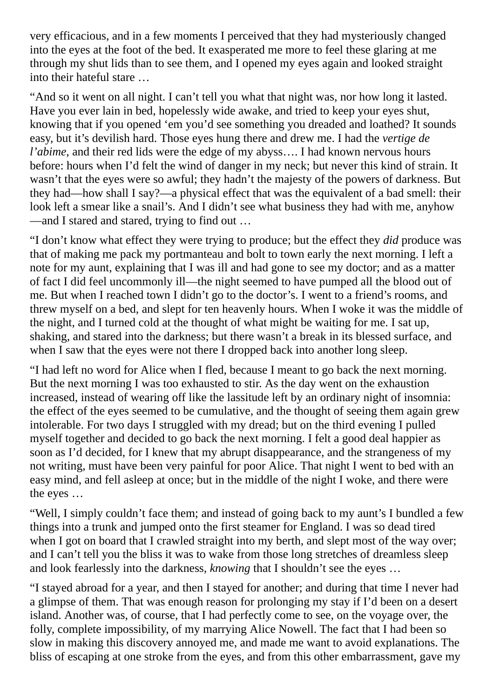very efficacious, and in a few moments I perceived that they had mysteriously changed into the eyes at the foot of the bed. It exasperated me more to feel these glaring at me through my shut lids than to see them, and I opened my eyes again and looked straight into their hateful stare …

"And so it went on all night. I can't tell you what that night was, nor how long it lasted. Have you ever lain in bed, hopelessly wide awake, and tried to keep your eyes shut, knowing that if you opened 'em you'd see something you dreaded and loathed? It sounds easy, but it's devilish hard. Those eyes hung there and drew me. I had the *vertige de l'abime*, and their red lids were the edge of my abyss.... I had known nervous hours before: hours when I'd felt the wind of danger in my neck; but never this kind of strain. It wasn't that the eyes were so awful; they hadn't the majesty of the powers of darkness. But they had—how shall I say?—a physical effect that was the equivalent of a bad smell: their look left a smear like a snail's. And I didn't see what business they had with me, anyhow —and I stared and stared, trying to find out …

"I don't know what effect they were trying to produce; but the effect they *did* produce was that of making me pack my portmanteau and bolt to town early the next morning. I left a note for my aunt, explaining that I was ill and had gone to see my doctor; and as a matter of fact I did feel uncommonly ill—the night seemed to have pumped all the blood out of me. But when I reached town I didn't go to the doctor's. I went to a friend's rooms, and threw myself on a bed, and slept for ten heavenly hours. When I woke it was the middle of the night, and I turned cold at the thought of what might be waiting for me. I sat up, shaking, and stared into the darkness; but there wasn't a break in its blessed surface, and when I saw that the eyes were not there I dropped back into another long sleep.

"I had left no word for Alice when I fled, because I meant to go back the next morning. But the next morning I was too exhausted to stir. As the day went on the exhaustion increased, instead of wearing off like the lassitude left by an ordinary night of insomnia: the effect of the eyes seemed to be cumulative, and the thought of seeing them again grew intolerable. For two days I struggled with my dread; but on the third evening I pulled myself together and decided to go back the next morning. I felt a good deal happier as soon as I'd decided, for I knew that my abrupt disappearance, and the strangeness of my not writing, must have been very painful for poor Alice. That night I went to bed with an easy mind, and fell asleep at once; but in the middle of the night I woke, and there were the eyes …

"Well, I simply couldn't face them; and instead of going back to my aunt's I bundled a few things into a trunk and jumped onto the first steamer for England. I was so dead tired when I got on board that I crawled straight into my berth, and slept most of the way over; and I can't tell you the bliss it was to wake from those long stretches of dreamless sleep and look fearlessly into the darkness, *knowing* that I shouldn't see the eyes …

"I stayed abroad for a year, and then I stayed for another; and during that time I never had a glimpse of them. That was enough reason for prolonging my stay if I'd been on a desert island. Another was, of course, that I had perfectly come to see, on the voyage over, the folly, complete impossibility, of my marrying Alice Nowell. The fact that I had been so slow in making this discovery annoyed me, and made me want to avoid explanations. The bliss of escaping at one stroke from the eyes, and from this other embarrassment, gave my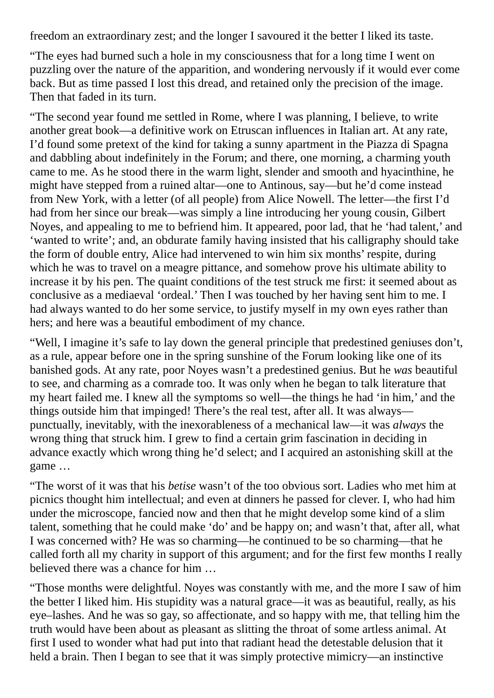freedom an extraordinary zest; and the longer I savoured it the better I liked its taste.

"The eyes had burned such a hole in my consciousness that for a long time I went on puzzling over the nature of the apparition, and wondering nervously if it would ever come back. But as time passed I lost this dread, and retained only the precision of the image. Then that faded in its turn.

"The second year found me settled in Rome, where I was planning, I believe, to write another great book—a definitive work on Etruscan influences in Italian art. At any rate, I'd found some pretext of the kind for taking a sunny apartment in the Piazza di Spagna and dabbling about indefinitely in the Forum; and there, one morning, a charming youth came to me. As he stood there in the warm light, slender and smooth and hyacinthine, he might have stepped from a ruined altar—one to Antinous, say—but he'd come instead from New York, with a letter (of all people) from Alice Nowell. The letter—the first I'd had from her since our break—was simply a line introducing her young cousin, Gilbert Noyes, and appealing to me to befriend him. It appeared, poor lad, that he 'had talent,' and 'wanted to write'; and, an obdurate family having insisted that his calligraphy should take the form of double entry, Alice had intervened to win him six months' respite, during which he was to travel on a meagre pittance, and somehow prove his ultimate ability to increase it by his pen. The quaint conditions of the test struck me first: it seemed about as conclusive as a mediaeval 'ordeal.' Then I was touched by her having sent him to me. I had always wanted to do her some service, to justify myself in my own eyes rather than hers; and here was a beautiful embodiment of my chance.

"Well, I imagine it's safe to lay down the general principle that predestined geniuses don't, as a rule, appear before one in the spring sunshine of the Forum looking like one of its banished gods. At any rate, poor Noyes wasn't a predestined genius. But he *was* beautiful to see, and charming as a comrade too. It was only when he began to talk literature that my heart failed me. I knew all the symptoms so well—the things he had 'in him,' and the things outside him that impinged! There's the real test, after all. It was always punctually, inevitably, with the inexorableness of a mechanical law—it was *always* the wrong thing that struck him. I grew to find a certain grim fascination in deciding in advance exactly which wrong thing he'd select; and I acquired an astonishing skill at the game …

"The worst of it was that his *betise* wasn't of the too obvious sort. Ladies who met him at picnics thought him intellectual; and even at dinners he passed for clever. I, who had him under the microscope, fancied now and then that he might develop some kind of a slim talent, something that he could make 'do' and be happy on; and wasn't that, after all, what I was concerned with? He was so charming—he continued to be so charming—that he called forth all my charity in support of this argument; and for the first few months I really believed there was a chance for him …

"Those months were delightful. Noyes was constantly with me, and the more I saw of him the better I liked him. His stupidity was a natural grace—it was as beautiful, really, as his eye–lashes. And he was so gay, so affectionate, and so happy with me, that telling him the truth would have been about as pleasant as slitting the throat of some artless animal. At first I used to wonder what had put into that radiant head the detestable delusion that it held a brain. Then I began to see that it was simply protective mimicry—an instinctive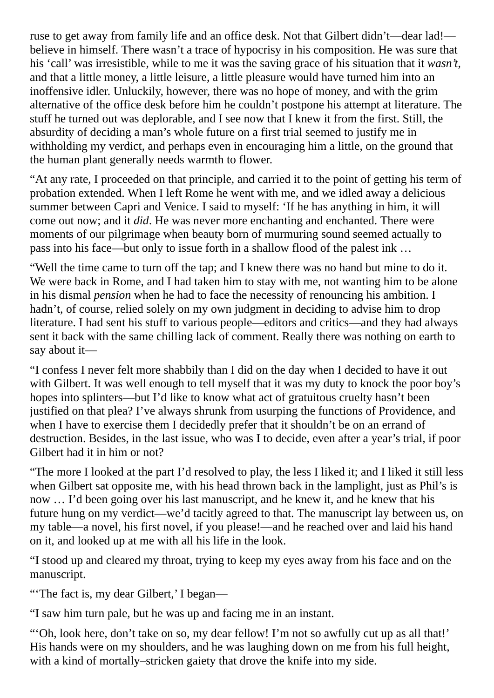ruse to get away from family life and an office desk. Not that Gilbert didn't—dear lad! believe in himself. There wasn't a trace of hypocrisy in his composition. He was sure that his 'call' was irresistible, while to me it was the saving grace of his situation that it *wasn't*, and that a little money, a little leisure, a little pleasure would have turned him into an inoffensive idler. Unluckily, however, there was no hope of money, and with the grim alternative of the office desk before him he couldn't postpone his attempt at literature. The stuff he turned out was deplorable, and I see now that I knew it from the first. Still, the absurdity of deciding a man's whole future on a first trial seemed to justify me in withholding my verdict, and perhaps even in encouraging him a little, on the ground that the human plant generally needs warmth to flower.

"At any rate, I proceeded on that principle, and carried it to the point of getting his term of probation extended. When I left Rome he went with me, and we idled away a delicious summer between Capri and Venice. I said to myself: 'If he has anything in him, it will come out now; and it *did*. He was never more enchanting and enchanted. There were moments of our pilgrimage when beauty born of murmuring sound seemed actually to pass into his face—but only to issue forth in a shallow flood of the palest ink …

"Well the time came to turn off the tap; and I knew there was no hand but mine to do it. We were back in Rome, and I had taken him to stay with me, not wanting him to be alone in his dismal *pension* when he had to face the necessity of renouncing his ambition. I hadn't, of course, relied solely on my own judgment in deciding to advise him to drop literature. I had sent his stuff to various people—editors and critics—and they had always sent it back with the same chilling lack of comment. Really there was nothing on earth to say about it—

"I confess I never felt more shabbily than I did on the day when I decided to have it out with Gilbert. It was well enough to tell myself that it was my duty to knock the poor boy's hopes into splinters—but I'd like to know what act of gratuitous cruelty hasn't been justified on that plea? I've always shrunk from usurping the functions of Providence, and when I have to exercise them I decidedly prefer that it shouldn't be on an errand of destruction. Besides, in the last issue, who was I to decide, even after a year's trial, if poor Gilbert had it in him or not?

"The more I looked at the part I'd resolved to play, the less I liked it; and I liked it still less when Gilbert sat opposite me, with his head thrown back in the lamplight, just as Phil's is now … I'd been going over his last manuscript, and he knew it, and he knew that his future hung on my verdict—we'd tacitly agreed to that. The manuscript lay between us, on my table—a novel, his first novel, if you please!—and he reached over and laid his hand on it, and looked up at me with all his life in the look.

"I stood up and cleared my throat, trying to keep my eyes away from his face and on the manuscript.

"'The fact is, my dear Gilbert,' I began—

"I saw him turn pale, but he was up and facing me in an instant.

"'Oh, look here, don't take on so, my dear fellow! I'm not so awfully cut up as all that!' His hands were on my shoulders, and he was laughing down on me from his full height, with a kind of mortally–stricken gaiety that drove the knife into my side.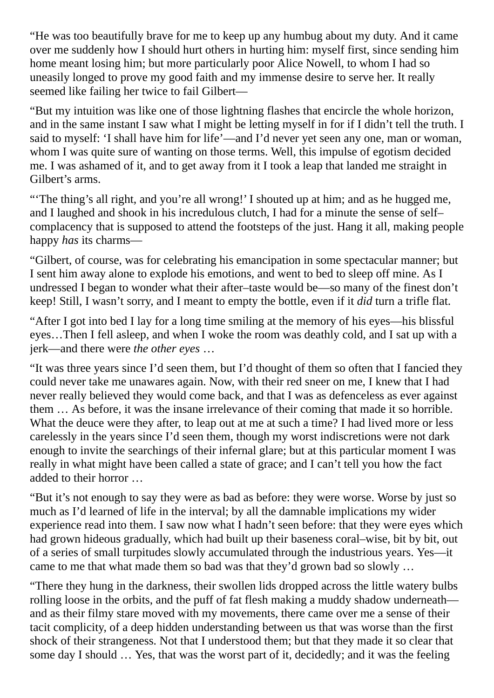"He was too beautifully brave for me to keep up any humbug about my duty. And it came over me suddenly how I should hurt others in hurting him: myself first, since sending him home meant losing him; but more particularly poor Alice Nowell, to whom I had so uneasily longed to prove my good faith and my immense desire to serve her. It really seemed like failing her twice to fail Gilbert—

"But my intuition was like one of those lightning flashes that encircle the whole horizon, and in the same instant I saw what I might be letting myself in for if I didn't tell the truth. I said to myself: 'I shall have him for life'—and I'd never yet seen any one, man or woman, whom I was quite sure of wanting on those terms. Well, this impulse of egotism decided me. I was ashamed of it, and to get away from it I took a leap that landed me straight in Gilbert's arms.

"The thing's all right, and you're all wrong!' I shouted up at him; and as he hugged me, and I laughed and shook in his incredulous clutch, I had for a minute the sense of self– complacency that is supposed to attend the footsteps of the just. Hang it all, making people happy *has* its charms—

"Gilbert, of course, was for celebrating his emancipation in some spectacular manner; but I sent him away alone to explode his emotions, and went to bed to sleep off mine. As I undressed I began to wonder what their after–taste would be—so many of the finest don't keep! Still, I wasn't sorry, and I meant to empty the bottle, even if it *did* turn a trifle flat.

"After I got into bed I lay for a long time smiling at the memory of his eyes—his blissful eyes…Then I fell asleep, and when I woke the room was deathly cold, and I sat up with a jerk—and there were *the other eyes* …

"It was three years since I'd seen them, but I'd thought of them so often that I fancied they could never take me unawares again. Now, with their red sneer on me, I knew that I had never really believed they would come back, and that I was as defenceless as ever against them … As before, it was the insane irrelevance of their coming that made it so horrible. What the deuce were they after, to leap out at me at such a time? I had lived more or less carelessly in the years since I'd seen them, though my worst indiscretions were not dark enough to invite the searchings of their infernal glare; but at this particular moment I was really in what might have been called a state of grace; and I can't tell you how the fact added to their horror …

"But it's not enough to say they were as bad as before: they were worse. Worse by just so much as I'd learned of life in the interval; by all the damnable implications my wider experience read into them. I saw now what I hadn't seen before: that they were eyes which had grown hideous gradually, which had built up their baseness coral–wise, bit by bit, out of a series of small turpitudes slowly accumulated through the industrious years. Yes—it came to me that what made them so bad was that they'd grown bad so slowly …

"There they hung in the darkness, their swollen lids dropped across the little watery bulbs rolling loose in the orbits, and the puff of fat flesh making a muddy shadow underneath and as their filmy stare moved with my movements, there came over me a sense of their tacit complicity, of a deep hidden understanding between us that was worse than the first shock of their strangeness. Not that I understood them; but that they made it so clear that some day I should … Yes, that was the worst part of it, decidedly; and it was the feeling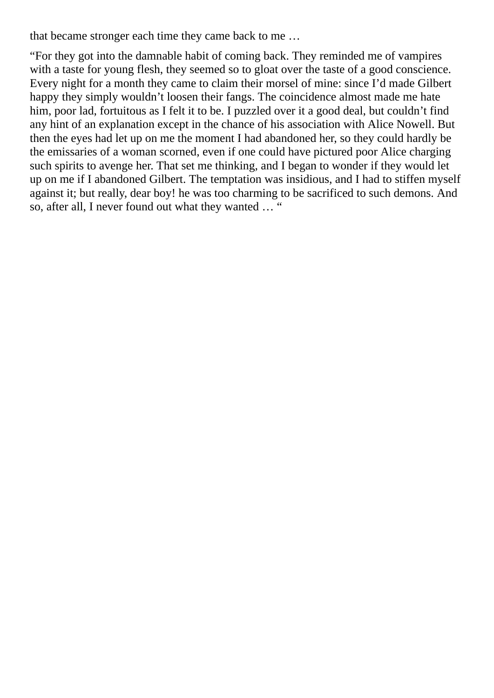that became stronger each time they came back to me …

"For they got into the damnable habit of coming back. They reminded me of vampires with a taste for young flesh, they seemed so to gloat over the taste of a good conscience. Every night for a month they came to claim their morsel of mine: since I'd made Gilbert happy they simply wouldn't loosen their fangs. The coincidence almost made me hate him, poor lad, fortuitous as I felt it to be. I puzzled over it a good deal, but couldn't find any hint of an explanation except in the chance of his association with Alice Nowell. But then the eyes had let up on me the moment I had abandoned her, so they could hardly be the emissaries of a woman scorned, even if one could have pictured poor Alice charging such spirits to avenge her. That set me thinking, and I began to wonder if they would let up on me if I abandoned Gilbert. The temptation was insidious, and I had to stiffen myself against it; but really, dear boy! he was too charming to be sacrificed to such demons. And so, after all, I never found out what they wanted … "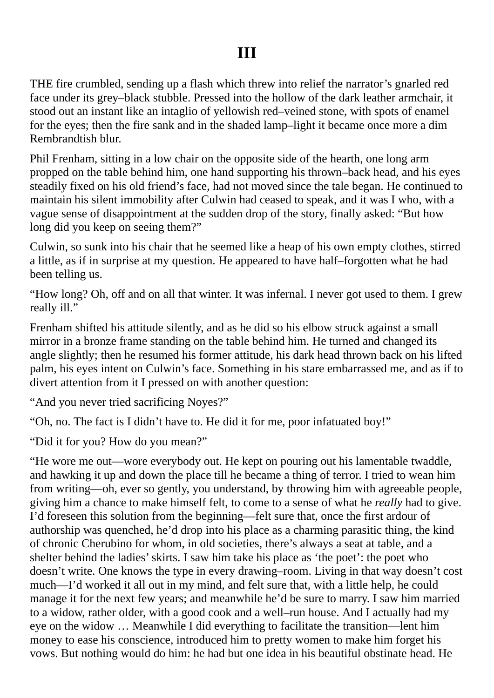THE fire crumbled, sending up a flash which threw into relief the narrator's gnarled red face under its grey–black stubble. Pressed into the hollow of the dark leather armchair, it stood out an instant like an intaglio of yellowish red–veined stone, with spots of enamel for the eyes; then the fire sank and in the shaded lamp–light it became once more a dim Rembrandtish blur.

Phil Frenham, sitting in a low chair on the opposite side of the hearth, one long arm propped on the table behind him, one hand supporting his thrown–back head, and his eyes steadily fixed on his old friend's face, had not moved since the tale began. He continued to maintain his silent immobility after Culwin had ceased to speak, and it was I who, with a vague sense of disappointment at the sudden drop of the story, finally asked: "But how long did you keep on seeing them?"

Culwin, so sunk into his chair that he seemed like a heap of his own empty clothes, stirred a little, as if in surprise at my question. He appeared to have half–forgotten what he had been telling us.

"How long? Oh, off and on all that winter. It was infernal. I never got used to them. I grew really ill."

Frenham shifted his attitude silently, and as he did so his elbow struck against a small mirror in a bronze frame standing on the table behind him. He turned and changed its angle slightly; then he resumed his former attitude, his dark head thrown back on his lifted palm, his eyes intent on Culwin's face. Something in his stare embarrassed me, and as if to divert attention from it I pressed on with another question:

"And you never tried sacrificing Noyes?"

"Oh, no. The fact is I didn't have to. He did it for me, poor infatuated boy!"

"Did it for you? How do you mean?"

"He wore me out—wore everybody out. He kept on pouring out his lamentable twaddle, and hawking it up and down the place till he became a thing of terror. I tried to wean him from writing—oh, ever so gently, you understand, by throwing him with agreeable people, giving him a chance to make himself felt, to come to a sense of what he *really* had to give. I'd foreseen this solution from the beginning—felt sure that, once the first ardour of authorship was quenched, he'd drop into his place as a charming parasitic thing, the kind of chronic Cherubino for whom, in old societies, there's always a seat at table, and a shelter behind the ladies' skirts. I saw him take his place as 'the poet': the poet who doesn't write. One knows the type in every drawing–room. Living in that way doesn't cost much—I'd worked it all out in my mind, and felt sure that, with a little help, he could manage it for the next few years; and meanwhile he'd be sure to marry. I saw him married to a widow, rather older, with a good cook and a well–run house. And I actually had my eye on the widow … Meanwhile I did everything to facilitate the transition—lent him money to ease his conscience, introduced him to pretty women to make him forget his vows. But nothing would do him: he had but one idea in his beautiful obstinate head. He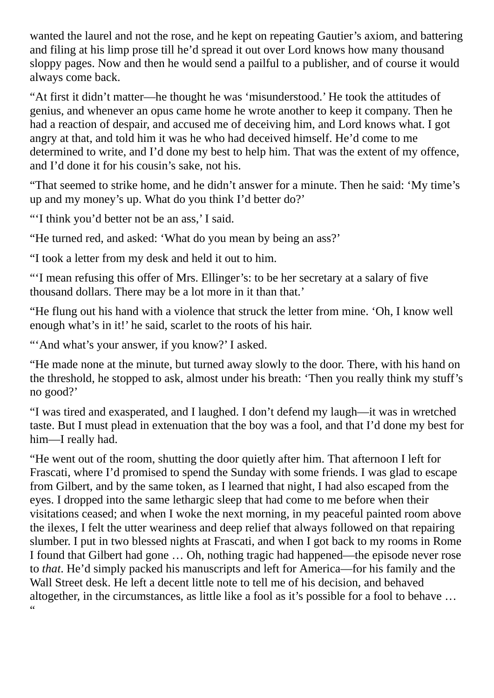wanted the laurel and not the rose, and he kept on repeating Gautier's axiom, and battering and filing at his limp prose till he'd spread it out over Lord knows how many thousand sloppy pages. Now and then he would send a pailful to a publisher, and of course it would always come back.

"At first it didn't matter—he thought he was 'misunderstood.' He took the attitudes of genius, and whenever an opus came home he wrote another to keep it company. Then he had a reaction of despair, and accused me of deceiving him, and Lord knows what. I got angry at that, and told him it was he who had deceived himself. He'd come to me determined to write, and I'd done my best to help him. That was the extent of my offence, and I'd done it for his cousin's sake, not his.

"That seemed to strike home, and he didn't answer for a minute. Then he said: 'My time's up and my money's up. What do you think I'd better do?'

"'I think you'd better not be an ass,' I said.

"He turned red, and asked: 'What do you mean by being an ass?'

"I took a letter from my desk and held it out to him.

"'I mean refusing this offer of Mrs. Ellinger's: to be her secretary at a salary of five thousand dollars. There may be a lot more in it than that.'

"He flung out his hand with a violence that struck the letter from mine. 'Oh, I know well enough what's in it!' he said, scarlet to the roots of his hair.

"'And what's your answer, if you know?' I asked.

"He made none at the minute, but turned away slowly to the door. There, with his hand on the threshold, he stopped to ask, almost under his breath: 'Then you really think my stuff's no good?'

"I was tired and exasperated, and I laughed. I don't defend my laugh—it was in wretched taste. But I must plead in extenuation that the boy was a fool, and that I'd done my best for him—I really had.

"He went out of the room, shutting the door quietly after him. That afternoon I left for Frascati, where I'd promised to spend the Sunday with some friends. I was glad to escape from Gilbert, and by the same token, as I learned that night, I had also escaped from the eyes. I dropped into the same lethargic sleep that had come to me before when their visitations ceased; and when I woke the next morning, in my peaceful painted room above the ilexes, I felt the utter weariness and deep relief that always followed on that repairing slumber. I put in two blessed nights at Frascati, and when I got back to my rooms in Rome I found that Gilbert had gone … Oh, nothing tragic had happened—the episode never rose to *that*. He'd simply packed his manuscripts and left for America—for his family and the Wall Street desk. He left a decent little note to tell me of his decision, and behaved altogether, in the circumstances, as little like a fool as it's possible for a fool to behave …  $\alpha$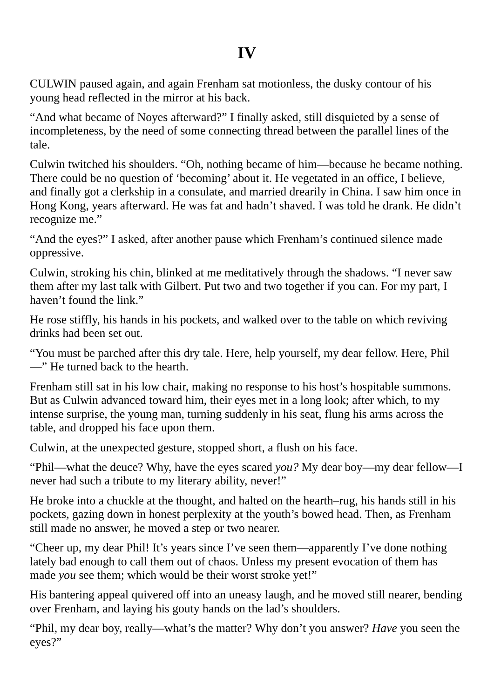CULWIN paused again, and again Frenham sat motionless, the dusky contour of his young head reflected in the mirror at his back.

"And what became of Noyes afterward?" I finally asked, still disquieted by a sense of incompleteness, by the need of some connecting thread between the parallel lines of the tale.

Culwin twitched his shoulders. "Oh, nothing became of him—because he became nothing. There could be no question of 'becoming' about it. He vegetated in an office, I believe, and finally got a clerkship in a consulate, and married drearily in China. I saw him once in Hong Kong, years afterward. He was fat and hadn't shaved. I was told he drank. He didn't recognize me."

"And the eyes?" I asked, after another pause which Frenham's continued silence made oppressive.

Culwin, stroking his chin, blinked at me meditatively through the shadows. "I never saw them after my last talk with Gilbert. Put two and two together if you can. For my part, I haven't found the link."

He rose stiffly, his hands in his pockets, and walked over to the table on which reviving drinks had been set out.

"You must be parched after this dry tale. Here, help yourself, my dear fellow. Here, Phil —" He turned back to the hearth.

Frenham still sat in his low chair, making no response to his host's hospitable summons. But as Culwin advanced toward him, their eyes met in a long look; after which, to my intense surprise, the young man, turning suddenly in his seat, flung his arms across the table, and dropped his face upon them.

Culwin, at the unexpected gesture, stopped short, a flush on his face.

"Phil—what the deuce? Why, have the eyes scared *you?* My dear boy—my dear fellow—I never had such a tribute to my literary ability, never!"

He broke into a chuckle at the thought, and halted on the hearth–rug, his hands still in his pockets, gazing down in honest perplexity at the youth's bowed head. Then, as Frenham still made no answer, he moved a step or two nearer.

"Cheer up, my dear Phil! It's years since I've seen them—apparently I've done nothing lately bad enough to call them out of chaos. Unless my present evocation of them has made *you* see them; which would be their worst stroke yet!"

His bantering appeal quivered off into an uneasy laugh, and he moved still nearer, bending over Frenham, and laying his gouty hands on the lad's shoulders.

"Phil, my dear boy, really—what's the matter? Why don't you answer? *Have* you seen the eyes?"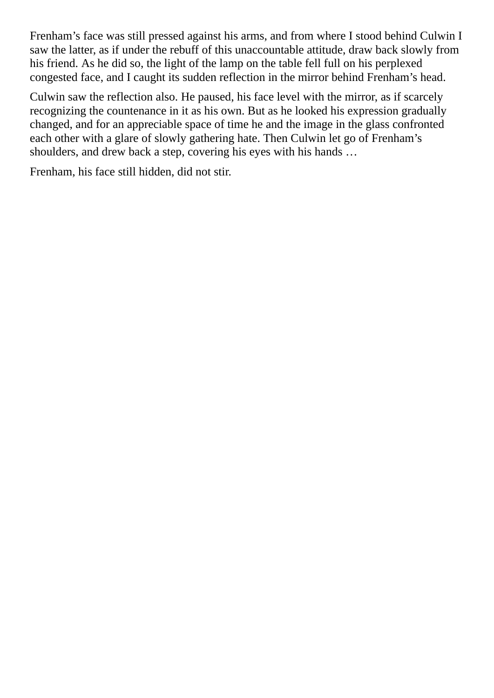Frenham's face was still pressed against his arms, and from where I stood behind Culwin I saw the latter, as if under the rebuff of this unaccountable attitude, draw back slowly from his friend. As he did so, the light of the lamp on the table fell full on his perplexed congested face, and I caught its sudden reflection in the mirror behind Frenham's head.

Culwin saw the reflection also. He paused, his face level with the mirror, as if scarcely recognizing the countenance in it as his own. But as he looked his expression gradually changed, and for an appreciable space of time he and the image in the glass confronted each other with a glare of slowly gathering hate. Then Culwin let go of Frenham's shoulders, and drew back a step, covering his eyes with his hands …

Frenham, his face still hidden, did not stir.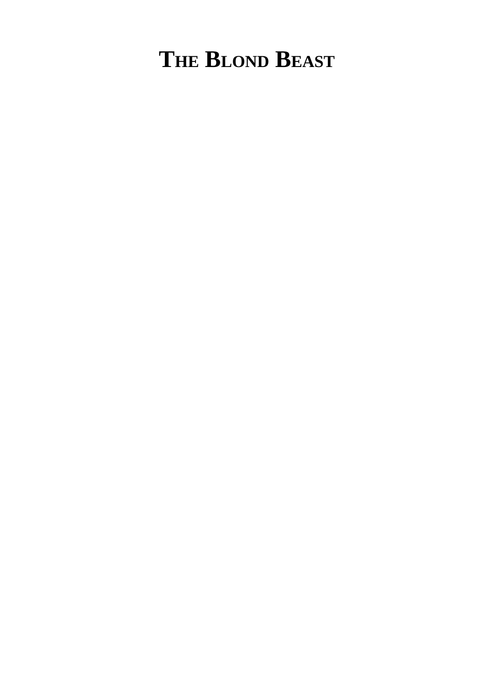## **THE BLOND BEAST**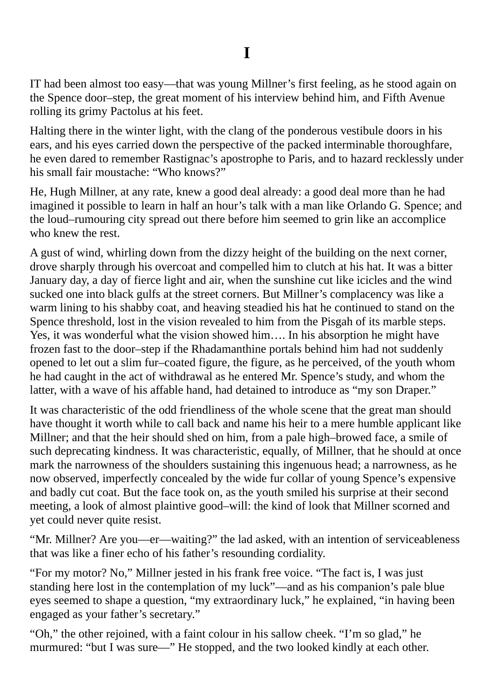IT had been almost too easy—that was young Millner's first feeling, as he stood again on the Spence door–step, the great moment of his interview behind him, and Fifth Avenue rolling its grimy Pactolus at his feet.

Halting there in the winter light, with the clang of the ponderous vestibule doors in his ears, and his eyes carried down the perspective of the packed interminable thoroughfare, he even dared to remember Rastignac's apostrophe to Paris, and to hazard recklessly under his small fair moustache: "Who knows?"

He, Hugh Millner, at any rate, knew a good deal already: a good deal more than he had imagined it possible to learn in half an hour's talk with a man like Orlando G. Spence; and the loud–rumouring city spread out there before him seemed to grin like an accomplice who knew the rest.

A gust of wind, whirling down from the dizzy height of the building on the next corner, drove sharply through his overcoat and compelled him to clutch at his hat. It was a bitter January day, a day of fierce light and air, when the sunshine cut like icicles and the wind sucked one into black gulfs at the street corners. But Millner's complacency was like a warm lining to his shabby coat, and heaving steadied his hat he continued to stand on the Spence threshold, lost in the vision revealed to him from the Pisgah of its marble steps. Yes, it was wonderful what the vision showed him…. In his absorption he might have frozen fast to the door–step if the Rhadamanthine portals behind him had not suddenly opened to let out a slim fur–coated figure, the figure, as he perceived, of the youth whom he had caught in the act of withdrawal as he entered Mr. Spence's study, and whom the latter, with a wave of his affable hand, had detained to introduce as "my son Draper."

It was characteristic of the odd friendliness of the whole scene that the great man should have thought it worth while to call back and name his heir to a mere humble applicant like Millner; and that the heir should shed on him, from a pale high–browed face, a smile of such deprecating kindness. It was characteristic, equally, of Millner, that he should at once mark the narrowness of the shoulders sustaining this ingenuous head; a narrowness, as he now observed, imperfectly concealed by the wide fur collar of young Spence's expensive and badly cut coat. But the face took on, as the youth smiled his surprise at their second meeting, a look of almost plaintive good–will: the kind of look that Millner scorned and yet could never quite resist.

"Mr. Millner? Are you—er—waiting?" the lad asked, with an intention of serviceableness that was like a finer echo of his father's resounding cordiality.

"For my motor? No," Millner jested in his frank free voice. "The fact is, I was just standing here lost in the contemplation of my luck"—and as his companion's pale blue eyes seemed to shape a question, "my extraordinary luck," he explained, "in having been engaged as your father's secretary."

"Oh," the other rejoined, with a faint colour in his sallow cheek. "I'm so glad," he murmured: "but I was sure—" He stopped, and the two looked kindly at each other.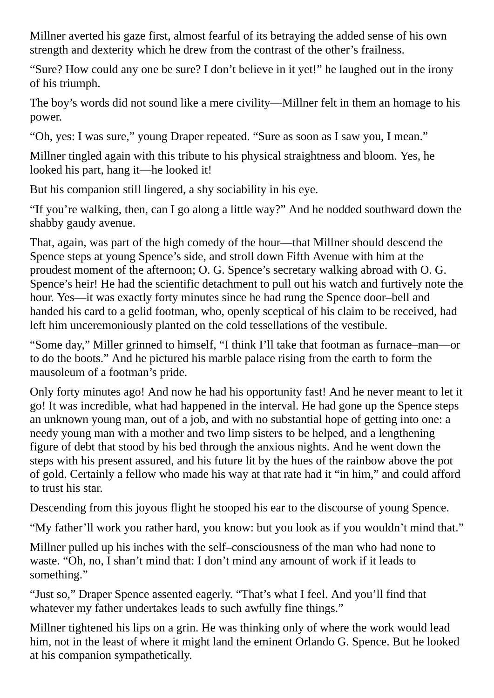Millner averted his gaze first, almost fearful of its betraying the added sense of his own strength and dexterity which he drew from the contrast of the other's frailness.

"Sure? How could any one be sure? I don't believe in it yet!" he laughed out in the irony of his triumph.

The boy's words did not sound like a mere civility—Millner felt in them an homage to his power.

"Oh, yes: I was sure," young Draper repeated. "Sure as soon as I saw you, I mean."

Millner tingled again with this tribute to his physical straightness and bloom. Yes, he looked his part, hang it—he looked it!

But his companion still lingered, a shy sociability in his eye.

"If you're walking, then, can I go along a little way?" And he nodded southward down the shabby gaudy avenue.

That, again, was part of the high comedy of the hour—that Millner should descend the Spence steps at young Spence's side, and stroll down Fifth Avenue with him at the proudest moment of the afternoon; O. G. Spence's secretary walking abroad with O. G. Spence's heir! He had the scientific detachment to pull out his watch and furtively note the hour. Yes—it was exactly forty minutes since he had rung the Spence door–bell and handed his card to a gelid footman, who, openly sceptical of his claim to be received, had left him unceremoniously planted on the cold tessellations of the vestibule.

"Some day," Miller grinned to himself, "I think I'll take that footman as furnace–man—or to do the boots." And he pictured his marble palace rising from the earth to form the mausoleum of a footman's pride.

Only forty minutes ago! And now he had his opportunity fast! And he never meant to let it go! It was incredible, what had happened in the interval. He had gone up the Spence steps an unknown young man, out of a job, and with no substantial hope of getting into one: a needy young man with a mother and two limp sisters to be helped, and a lengthening figure of debt that stood by his bed through the anxious nights. And he went down the steps with his present assured, and his future lit by the hues of the rainbow above the pot of gold. Certainly a fellow who made his way at that rate had it "in him," and could afford to trust his star.

Descending from this joyous flight he stooped his ear to the discourse of young Spence.

"My father'll work you rather hard, you know: but you look as if you wouldn't mind that."

Millner pulled up his inches with the self–consciousness of the man who had none to waste. "Oh, no, I shan't mind that: I don't mind any amount of work if it leads to something."

"Just so," Draper Spence assented eagerly. "That's what I feel. And you'll find that whatever my father undertakes leads to such awfully fine things."

Millner tightened his lips on a grin. He was thinking only of where the work would lead him, not in the least of where it might land the eminent Orlando G. Spence. But he looked at his companion sympathetically.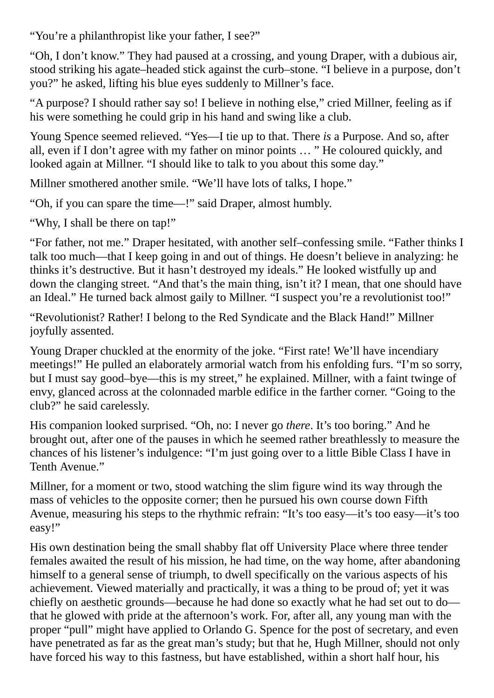"You're a philanthropist like your father, I see?"

"Oh, I don't know." They had paused at a crossing, and young Draper, with a dubious air, stood striking his agate–headed stick against the curb–stone. "I believe in a purpose, don't you?" he asked, lifting his blue eyes suddenly to Millner's face.

"A purpose? I should rather say so! I believe in nothing else," cried Millner, feeling as if his were something he could grip in his hand and swing like a club.

Young Spence seemed relieved. "Yes—I tie up to that. There *is* a Purpose. And so, after all, even if I don't agree with my father on minor points … " He coloured quickly, and looked again at Millner. "I should like to talk to you about this some day."

Millner smothered another smile. "We'll have lots of talks, I hope."

"Oh, if you can spare the time—!" said Draper, almost humbly.

"Why, I shall be there on tap!"

"For father, not me." Draper hesitated, with another self–confessing smile. "Father thinks I talk too much—that I keep going in and out of things. He doesn't believe in analyzing: he thinks it's destructive. But it hasn't destroyed my ideals." He looked wistfully up and down the clanging street. "And that's the main thing, isn't it? I mean, that one should have an Ideal." He turned back almost gaily to Millner. "I suspect you're a revolutionist too!"

"Revolutionist? Rather! I belong to the Red Syndicate and the Black Hand!" Millner joyfully assented.

Young Draper chuckled at the enormity of the joke. "First rate! We'll have incendiary meetings!" He pulled an elaborately armorial watch from his enfolding furs. "I'm so sorry, but I must say good–bye—this is my street," he explained. Millner, with a faint twinge of envy, glanced across at the colonnaded marble edifice in the farther corner. "Going to the club?" he said carelessly.

His companion looked surprised. "Oh, no: I never go *there*. It's too boring." And he brought out, after one of the pauses in which he seemed rather breathlessly to measure the chances of his listener's indulgence: "I'm just going over to a little Bible Class I have in Tenth Avenue."

Millner, for a moment or two, stood watching the slim figure wind its way through the mass of vehicles to the opposite corner; then he pursued his own course down Fifth Avenue, measuring his steps to the rhythmic refrain: "It's too easy—it's too easy—it's too easy!"

His own destination being the small shabby flat off University Place where three tender females awaited the result of his mission, he had time, on the way home, after abandoning himself to a general sense of triumph, to dwell specifically on the various aspects of his achievement. Viewed materially and practically, it was a thing to be proud of; yet it was chiefly on aesthetic grounds—because he had done so exactly what he had set out to do that he glowed with pride at the afternoon's work. For, after all, any young man with the proper "pull" might have applied to Orlando G. Spence for the post of secretary, and even have penetrated as far as the great man's study; but that he, Hugh Millner, should not only have forced his way to this fastness, but have established, within a short half hour, his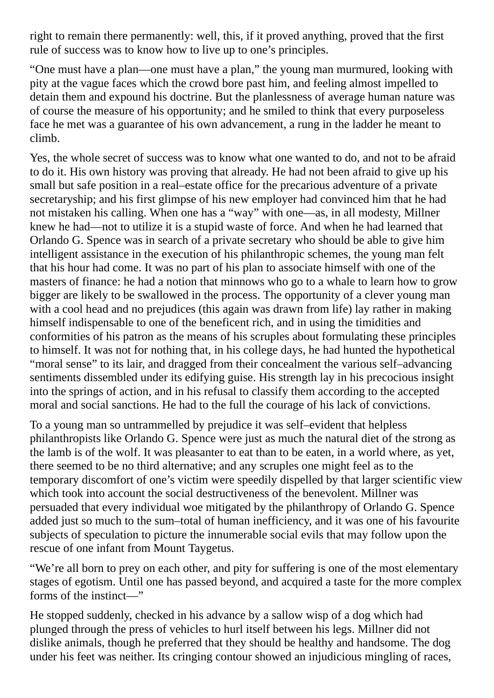right to remain there permanently: well, this, if it proved anything, proved that the first rule of success was to know how to live up to one's principles.

"One must have a plan—one must have a plan," the young man murmured, looking with pity at the vague faces which the crowd bore past him, and feeling almost impelled to detain them and expound his doctrine. But the planlessness of average human nature was of course the measure of his opportunity; and he smiled to think that every purposeless face he met was a guarantee of his own advancement, a rung in the ladder he meant to climb.

Yes, the whole secret of success was to know what one wanted to do, and not to be afraid to do it. His own history was proving that already. He had not been afraid to give up his small but safe position in a real–estate office for the precarious adventure of a private secretaryship; and his first glimpse of his new employer had convinced him that he had not mistaken his calling. When one has a "way" with one—as, in all modesty, Millner knew he had—not to utilize it is a stupid waste of force. And when he had learned that Orlando G. Spence was in search of a private secretary who should be able to give him intelligent assistance in the execution of his philanthropic schemes, the young man felt that his hour had come. It was no part of his plan to associate himself with one of the masters of finance: he had a notion that minnows who go to a whale to learn how to grow bigger are likely to be swallowed in the process. The opportunity of a clever young man with a cool head and no prejudices (this again was drawn from life) lay rather in making himself indispensable to one of the beneficent rich, and in using the timidities and conformities of his patron as the means of his scruples about formulating these principles to himself. It was not for nothing that, in his college days, he had hunted the hypothetical "moral sense" to its lair, and dragged from their concealment the various self–advancing sentiments dissembled under its edifying guise. His strength lay in his precocious insight into the springs of action, and in his refusal to classify them according to the accepted moral and social sanctions. He had to the full the courage of his lack of convictions.

To a young man so untrammelled by prejudice it was self–evident that helpless philanthropists like Orlando G. Spence were just as much the natural diet of the strong as the lamb is of the wolf. It was pleasanter to eat than to be eaten, in a world where, as yet, there seemed to be no third alternative; and any scruples one might feel as to the temporary discomfort of one's victim were speedily dispelled by that larger scientific view which took into account the social destructiveness of the benevolent. Millner was persuaded that every individual woe mitigated by the philanthropy of Orlando G. Spence added just so much to the sum–total of human inefficiency, and it was one of his favourite subjects of speculation to picture the innumerable social evils that may follow upon the rescue of one infant from Mount Taygetus.

"We're all born to prey on each other, and pity for suffering is one of the most elementary stages of egotism. Until one has passed beyond, and acquired a taste for the more complex forms of the instinct—"

He stopped suddenly, checked in his advance by a sallow wisp of a dog which had plunged through the press of vehicles to hurl itself between his legs. Millner did not dislike animals, though he preferred that they should be healthy and handsome. The dog under his feet was neither. Its cringing contour showed an injudicious mingling of races,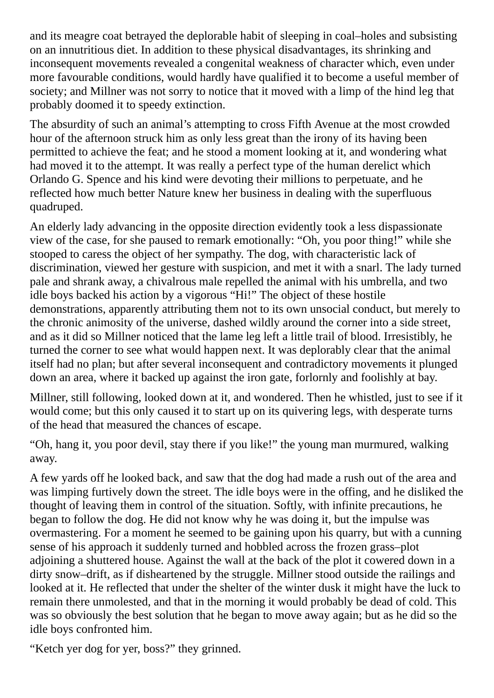and its meagre coat betrayed the deplorable habit of sleeping in coal–holes and subsisting on an innutritious diet. In addition to these physical disadvantages, its shrinking and inconsequent movements revealed a congenital weakness of character which, even under more favourable conditions, would hardly have qualified it to become a useful member of society; and Millner was not sorry to notice that it moved with a limp of the hind leg that probably doomed it to speedy extinction.

The absurdity of such an animal's attempting to cross Fifth Avenue at the most crowded hour of the afternoon struck him as only less great than the irony of its having been permitted to achieve the feat; and he stood a moment looking at it, and wondering what had moved it to the attempt. It was really a perfect type of the human derelict which Orlando G. Spence and his kind were devoting their millions to perpetuate, and he reflected how much better Nature knew her business in dealing with the superfluous quadruped.

An elderly lady advancing in the opposite direction evidently took a less dispassionate view of the case, for she paused to remark emotionally: "Oh, you poor thing!" while she stooped to caress the object of her sympathy. The dog, with characteristic lack of discrimination, viewed her gesture with suspicion, and met it with a snarl. The lady turned pale and shrank away, a chivalrous male repelled the animal with his umbrella, and two idle boys backed his action by a vigorous "Hi!" The object of these hostile demonstrations, apparently attributing them not to its own unsocial conduct, but merely to the chronic animosity of the universe, dashed wildly around the corner into a side street, and as it did so Millner noticed that the lame leg left a little trail of blood. Irresistibly, he turned the corner to see what would happen next. It was deplorably clear that the animal itself had no plan; but after several inconsequent and contradictory movements it plunged down an area, where it backed up against the iron gate, forlornly and foolishly at bay.

Millner, still following, looked down at it, and wondered. Then he whistled, just to see if it would come; but this only caused it to start up on its quivering legs, with desperate turns of the head that measured the chances of escape.

"Oh, hang it, you poor devil, stay there if you like!" the young man murmured, walking away.

A few yards off he looked back, and saw that the dog had made a rush out of the area and was limping furtively down the street. The idle boys were in the offing, and he disliked the thought of leaving them in control of the situation. Softly, with infinite precautions, he began to follow the dog. He did not know why he was doing it, but the impulse was overmastering. For a moment he seemed to be gaining upon his quarry, but with a cunning sense of his approach it suddenly turned and hobbled across the frozen grass–plot adjoining a shuttered house. Against the wall at the back of the plot it cowered down in a dirty snow–drift, as if disheartened by the struggle. Millner stood outside the railings and looked at it. He reflected that under the shelter of the winter dusk it might have the luck to remain there unmolested, and that in the morning it would probably be dead of cold. This was so obviously the best solution that he began to move away again; but as he did so the idle boys confronted him.

"Ketch yer dog for yer, boss?" they grinned.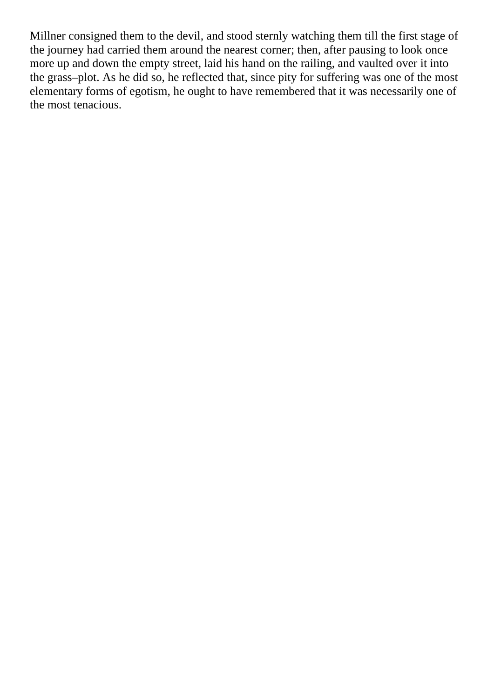Millner consigned them to the devil, and stood sternly watching them till the first stage of the journey had carried them around the nearest corner; then, after pausing to look once more up and down the empty street, laid his hand on the railing, and vaulted over it into the grass–plot. As he did so, he reflected that, since pity for suffering was one of the most elementary forms of egotism, he ought to have remembered that it was necessarily one of the most tenacious.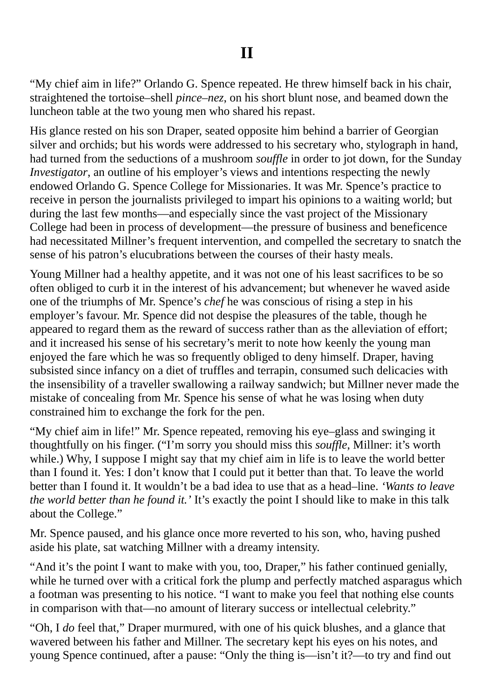"My chief aim in life?" Orlando G. Spence repeated. He threw himself back in his chair, straightened the tortoise–shell *pince–nez*, on his short blunt nose, and beamed down the luncheon table at the two young men who shared his repast.

His glance rested on his son Draper, seated opposite him behind a barrier of Georgian silver and orchids; but his words were addressed to his secretary who, stylograph in hand, had turned from the seductions of a mushroom *souffle* in order to jot down, for the Sunday *Investigator*, an outline of his employer's views and intentions respecting the newly endowed Orlando G. Spence College for Missionaries. It was Mr. Spence's practice to receive in person the journalists privileged to impart his opinions to a waiting world; but during the last few months—and especially since the vast project of the Missionary College had been in process of development—the pressure of business and beneficence had necessitated Millner's frequent intervention, and compelled the secretary to snatch the sense of his patron's elucubrations between the courses of their hasty meals.

Young Millner had a healthy appetite, and it was not one of his least sacrifices to be so often obliged to curb it in the interest of his advancement; but whenever he waved aside one of the triumphs of Mr. Spence's *chef* he was conscious of rising a step in his employer's favour. Mr. Spence did not despise the pleasures of the table, though he appeared to regard them as the reward of success rather than as the alleviation of effort; and it increased his sense of his secretary's merit to note how keenly the young man enjoyed the fare which he was so frequently obliged to deny himself. Draper, having subsisted since infancy on a diet of truffles and terrapin, consumed such delicacies with the insensibility of a traveller swallowing a railway sandwich; but Millner never made the mistake of concealing from Mr. Spence his sense of what he was losing when duty constrained him to exchange the fork for the pen.

"My chief aim in life!" Mr. Spence repeated, removing his eye–glass and swinging it thoughtfully on his finger. ("I'm sorry you should miss this *souffle*, Millner: it's worth while.) Why, I suppose I might say that my chief aim in life is to leave the world better than I found it. Yes: I don't know that I could put it better than that. To leave the world better than I found it. It wouldn't be a bad idea to use that as a head–line. *'Wants to leave the world better than he found it.'* It's exactly the point I should like to make in this talk about the College."

Mr. Spence paused, and his glance once more reverted to his son, who, having pushed aside his plate, sat watching Millner with a dreamy intensity.

"And it's the point I want to make with you, too, Draper," his father continued genially, while he turned over with a critical fork the plump and perfectly matched asparagus which a footman was presenting to his notice. "I want to make you feel that nothing else counts in comparison with that—no amount of literary success or intellectual celebrity."

"Oh, I *do* feel that," Draper murmured, with one of his quick blushes, and a glance that wavered between his father and Millner. The secretary kept his eyes on his notes, and young Spence continued, after a pause: "Only the thing is—isn't it?—to try and find out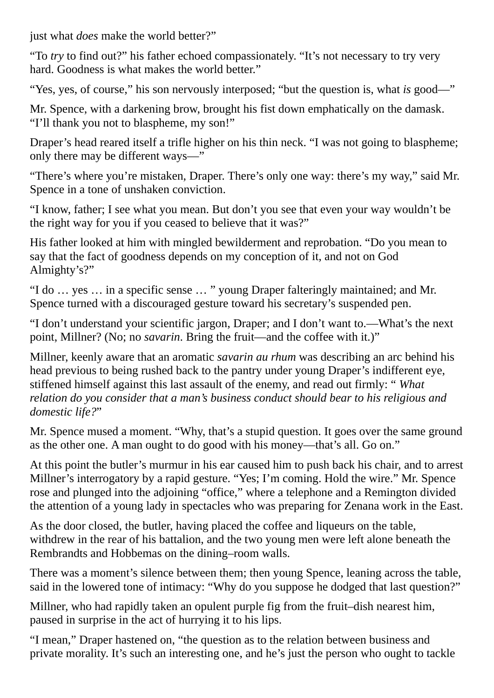just what *does* make the world better?"

"To *try* to find out?" his father echoed compassionately. "It's not necessary to try very hard. Goodness is what makes the world better."

"Yes, yes, of course," his son nervously interposed; "but the question is, what *is* good—"

Mr. Spence, with a darkening brow, brought his fist down emphatically on the damask. "I'll thank you not to blaspheme, my son!"

Draper's head reared itself a trifle higher on his thin neck. "I was not going to blaspheme; only there may be different ways—"

"There's where you're mistaken, Draper. There's only one way: there's my way," said Mr. Spence in a tone of unshaken conviction.

"I know, father; I see what you mean. But don't you see that even your way wouldn't be the right way for you if you ceased to believe that it was?"

His father looked at him with mingled bewilderment and reprobation. "Do you mean to say that the fact of goodness depends on my conception of it, and not on God Almighty's?"

"I do … yes … in a specific sense … " young Draper falteringly maintained; and Mr. Spence turned with a discouraged gesture toward his secretary's suspended pen.

"I don't understand your scientific jargon, Draper; and I don't want to.—What's the next point, Millner? (No; no *savarin*. Bring the fruit—and the coffee with it.)"

Millner, keenly aware that an aromatic *savarin au rhum* was describing an arc behind his head previous to being rushed back to the pantry under young Draper's indifferent eye, stiffened himself against this last assault of the enemy, and read out firmly: " *What relation do you consider that a man's business conduct should bear to his religious and domestic life?*"

Mr. Spence mused a moment. "Why, that's a stupid question. It goes over the same ground as the other one. A man ought to do good with his money—that's all. Go on."

At this point the butler's murmur in his ear caused him to push back his chair, and to arrest Millner's interrogatory by a rapid gesture. "Yes; I'm coming. Hold the wire." Mr. Spence rose and plunged into the adjoining "office," where a telephone and a Remington divided the attention of a young lady in spectacles who was preparing for Zenana work in the East.

As the door closed, the butler, having placed the coffee and liqueurs on the table, withdrew in the rear of his battalion, and the two young men were left alone beneath the Rembrandts and Hobbemas on the dining–room walls.

There was a moment's silence between them; then young Spence, leaning across the table, said in the lowered tone of intimacy: "Why do you suppose he dodged that last question?"

Millner, who had rapidly taken an opulent purple fig from the fruit–dish nearest him, paused in surprise in the act of hurrying it to his lips.

"I mean," Draper hastened on, "the question as to the relation between business and private morality. It's such an interesting one, and he's just the person who ought to tackle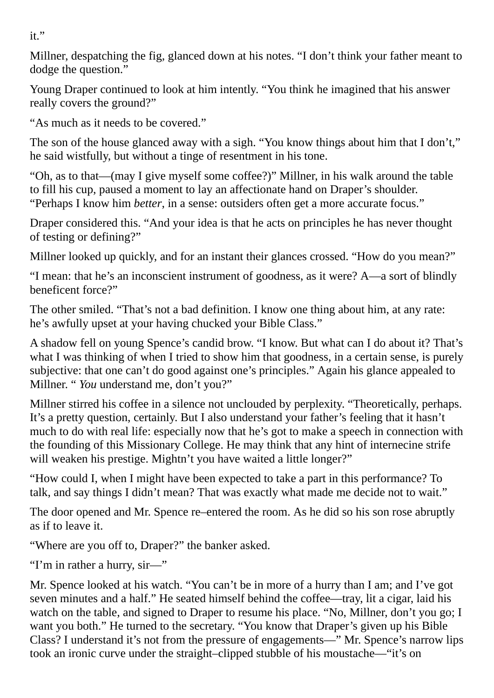it."

Millner, despatching the fig, glanced down at his notes. "I don't think your father meant to dodge the question."

Young Draper continued to look at him intently. "You think he imagined that his answer really covers the ground?"

"As much as it needs to be covered."

The son of the house glanced away with a sigh. "You know things about him that I don't," he said wistfully, but without a tinge of resentment in his tone.

"Oh, as to that—(may I give myself some coffee?)" Millner, in his walk around the table to fill his cup, paused a moment to lay an affectionate hand on Draper's shoulder. "Perhaps I know him *better*, in a sense: outsiders often get a more accurate focus."

Draper considered this. "And your idea is that he acts on principles he has never thought of testing or defining?"

Millner looked up quickly, and for an instant their glances crossed. "How do you mean?"

"I mean: that he's an inconscient instrument of goodness, as it were? A—a sort of blindly beneficent force?"

The other smiled. "That's not a bad definition. I know one thing about him, at any rate: he's awfully upset at your having chucked your Bible Class."

A shadow fell on young Spence's candid brow. "I know. But what can I do about it? That's what I was thinking of when I tried to show him that goodness, in a certain sense, is purely subjective: that one can't do good against one's principles." Again his glance appealed to Millner. " *You* understand me, don't you?"

Millner stirred his coffee in a silence not unclouded by perplexity. "Theoretically, perhaps. It's a pretty question, certainly. But I also understand your father's feeling that it hasn't much to do with real life: especially now that he's got to make a speech in connection with the founding of this Missionary College. He may think that any hint of internecine strife will weaken his prestige. Mightn't you have waited a little longer?"

"How could I, when I might have been expected to take a part in this performance? To talk, and say things I didn't mean? That was exactly what made me decide not to wait."

The door opened and Mr. Spence re–entered the room. As he did so his son rose abruptly as if to leave it.

"Where are you off to, Draper?" the banker asked.

"I'm in rather a hurry, sir—"

Mr. Spence looked at his watch. "You can't be in more of a hurry than I am; and I've got seven minutes and a half." He seated himself behind the coffee—tray, lit a cigar, laid his watch on the table, and signed to Draper to resume his place. "No, Millner, don't you go; I want you both." He turned to the secretary. "You know that Draper's given up his Bible Class? I understand it's not from the pressure of engagements—" Mr. Spence's narrow lips took an ironic curve under the straight–clipped stubble of his moustache—"it's on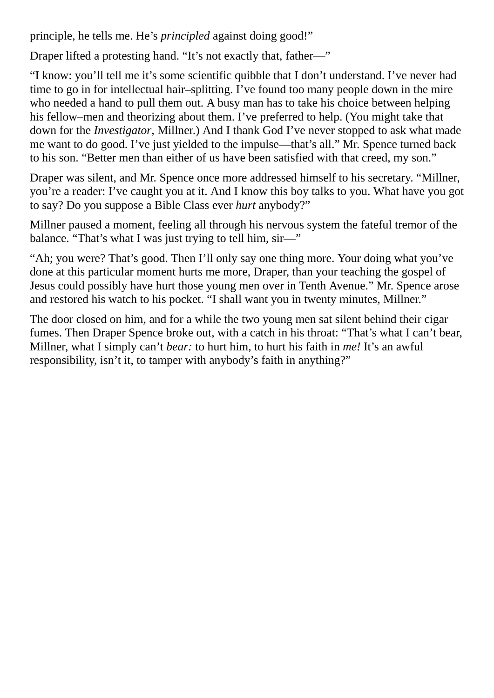principle, he tells me. He's *principled* against doing good!"

Draper lifted a protesting hand. "It's not exactly that, father—"

"I know: you'll tell me it's some scientific quibble that I don't understand. I've never had time to go in for intellectual hair–splitting. I've found too many people down in the mire who needed a hand to pull them out. A busy man has to take his choice between helping his fellow–men and theorizing about them. I've preferred to help. (You might take that down for the *Investigator*, Millner.) And I thank God I've never stopped to ask what made me want to do good. I've just yielded to the impulse—that's all." Mr. Spence turned back to his son. "Better men than either of us have been satisfied with that creed, my son."

Draper was silent, and Mr. Spence once more addressed himself to his secretary. "Millner, you're a reader: I've caught you at it. And I know this boy talks to you. What have you got to say? Do you suppose a Bible Class ever *hurt* anybody?"

Millner paused a moment, feeling all through his nervous system the fateful tremor of the balance. "That's what I was just trying to tell him, sir-"

"Ah; you were? That's good. Then I'll only say one thing more. Your doing what you've done at this particular moment hurts me more, Draper, than your teaching the gospel of Jesus could possibly have hurt those young men over in Tenth Avenue." Mr. Spence arose and restored his watch to his pocket. "I shall want you in twenty minutes, Millner."

The door closed on him, and for a while the two young men sat silent behind their cigar fumes. Then Draper Spence broke out, with a catch in his throat: "That's what I can't bear, Millner, what I simply can't *bear:* to hurt him, to hurt his faith in *me!* It's an awful responsibility, isn't it, to tamper with anybody's faith in anything?"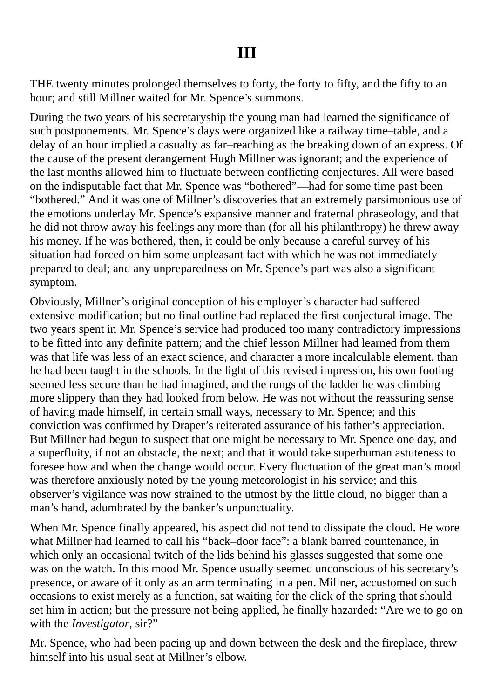THE twenty minutes prolonged themselves to forty, the forty to fifty, and the fifty to an hour; and still Millner waited for Mr. Spence's summons.

During the two years of his secretaryship the young man had learned the significance of such postponements. Mr. Spence's days were organized like a railway time–table, and a delay of an hour implied a casualty as far–reaching as the breaking down of an express. Of the cause of the present derangement Hugh Millner was ignorant; and the experience of the last months allowed him to fluctuate between conflicting conjectures. All were based on the indisputable fact that Mr. Spence was "bothered"—had for some time past been "bothered." And it was one of Millner's discoveries that an extremely parsimonious use of the emotions underlay Mr. Spence's expansive manner and fraternal phraseology, and that he did not throw away his feelings any more than (for all his philanthropy) he threw away his money. If he was bothered, then, it could be only because a careful survey of his situation had forced on him some unpleasant fact with which he was not immediately prepared to deal; and any unpreparedness on Mr. Spence's part was also a significant symptom.

Obviously, Millner's original conception of his employer's character had suffered extensive modification; but no final outline had replaced the first conjectural image. The two years spent in Mr. Spence's service had produced too many contradictory impressions to be fitted into any definite pattern; and the chief lesson Millner had learned from them was that life was less of an exact science, and character a more incalculable element, than he had been taught in the schools. In the light of this revised impression, his own footing seemed less secure than he had imagined, and the rungs of the ladder he was climbing more slippery than they had looked from below. He was not without the reassuring sense of having made himself, in certain small ways, necessary to Mr. Spence; and this conviction was confirmed by Draper's reiterated assurance of his father's appreciation. But Millner had begun to suspect that one might be necessary to Mr. Spence one day, and a superfluity, if not an obstacle, the next; and that it would take superhuman astuteness to foresee how and when the change would occur. Every fluctuation of the great man's mood was therefore anxiously noted by the young meteorologist in his service; and this observer's vigilance was now strained to the utmost by the little cloud, no bigger than a man's hand, adumbrated by the banker's unpunctuality.

When Mr. Spence finally appeared, his aspect did not tend to dissipate the cloud. He wore what Millner had learned to call his "back–door face": a blank barred countenance, in which only an occasional twitch of the lids behind his glasses suggested that some one was on the watch. In this mood Mr. Spence usually seemed unconscious of his secretary's presence, or aware of it only as an arm terminating in a pen. Millner, accustomed on such occasions to exist merely as a function, sat waiting for the click of the spring that should set him in action; but the pressure not being applied, he finally hazarded: "Are we to go on with the *Investigator*, sir?"

Mr. Spence, who had been pacing up and down between the desk and the fireplace, threw himself into his usual seat at Millner's elbow.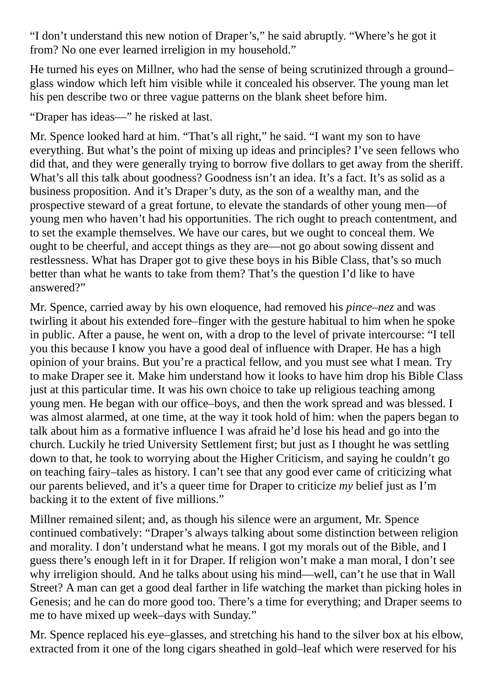"I don't understand this new notion of Draper's," he said abruptly. "Where's he got it from? No one ever learned irreligion in my household."

He turned his eyes on Millner, who had the sense of being scrutinized through a ground– glass window which left him visible while it concealed his observer. The young man let his pen describe two or three vague patterns on the blank sheet before him.

"Draper has ideas—" he risked at last.

Mr. Spence looked hard at him. "That's all right," he said. "I want my son to have everything. But what's the point of mixing up ideas and principles? I've seen fellows who did that, and they were generally trying to borrow five dollars to get away from the sheriff. What's all this talk about goodness? Goodness isn't an idea. It's a fact. It's as solid as a business proposition. And it's Draper's duty, as the son of a wealthy man, and the prospective steward of a great fortune, to elevate the standards of other young men—of young men who haven't had his opportunities. The rich ought to preach contentment, and to set the example themselves. We have our cares, but we ought to conceal them. We ought to be cheerful, and accept things as they are—not go about sowing dissent and restlessness. What has Draper got to give these boys in his Bible Class, that's so much better than what he wants to take from them? That's the question I'd like to have answered?"

Mr. Spence, carried away by his own eloquence, had removed his *pince–nez* and was twirling it about his extended fore–finger with the gesture habitual to him when he spoke in public. After a pause, he went on, with a drop to the level of private intercourse: "I tell you this because I know you have a good deal of influence with Draper. He has a high opinion of your brains. But you're a practical fellow, and you must see what I mean. Try to make Draper see it. Make him understand how it looks to have him drop his Bible Class just at this particular time. It was his own choice to take up religious teaching among young men. He began with our office–boys, and then the work spread and was blessed. I was almost alarmed, at one time, at the way it took hold of him: when the papers began to talk about him as a formative influence I was afraid he'd lose his head and go into the church. Luckily he tried University Settlement first; but just as I thought he was settling down to that, he took to worrying about the Higher Criticism, and saying he couldn't go on teaching fairy–tales as history. I can't see that any good ever came of criticizing what our parents believed, and it's a queer time for Draper to criticize *my* belief just as I'm backing it to the extent of five millions."

Millner remained silent; and, as though his silence were an argument, Mr. Spence continued combatively: "Draper's always talking about some distinction between religion and morality. I don't understand what he means. I got my morals out of the Bible, and I guess there's enough left in it for Draper. If religion won't make a man moral, I don't see why irreligion should. And he talks about using his mind—well, can't he use that in Wall Street? A man can get a good deal farther in life watching the market than picking holes in Genesis; and he can do more good too. There's a time for everything; and Draper seems to me to have mixed up week–days with Sunday."

Mr. Spence replaced his eye–glasses, and stretching his hand to the silver box at his elbow, extracted from it one of the long cigars sheathed in gold–leaf which were reserved for his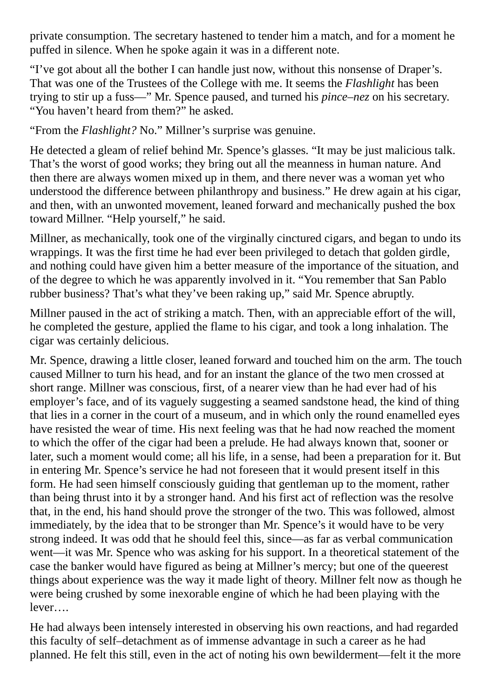private consumption. The secretary hastened to tender him a match, and for a moment he puffed in silence. When he spoke again it was in a different note.

"I've got about all the bother I can handle just now, without this nonsense of Draper's. That was one of the Trustees of the College with me. It seems the *Flashlight* has been trying to stir up a fuss—" Mr. Spence paused, and turned his *pince–nez* on his secretary. "You haven't heard from them?" he asked.

"From the *Flashlight?* No." Millner's surprise was genuine.

He detected a gleam of relief behind Mr. Spence's glasses. "It may be just malicious talk. That's the worst of good works; they bring out all the meanness in human nature. And then there are always women mixed up in them, and there never was a woman yet who understood the difference between philanthropy and business." He drew again at his cigar, and then, with an unwonted movement, leaned forward and mechanically pushed the box toward Millner. "Help yourself," he said.

Millner, as mechanically, took one of the virginally cinctured cigars, and began to undo its wrappings. It was the first time he had ever been privileged to detach that golden girdle, and nothing could have given him a better measure of the importance of the situation, and of the degree to which he was apparently involved in it. "You remember that San Pablo rubber business? That's what they've been raking up," said Mr. Spence abruptly.

Millner paused in the act of striking a match. Then, with an appreciable effort of the will, he completed the gesture, applied the flame to his cigar, and took a long inhalation. The cigar was certainly delicious.

Mr. Spence, drawing a little closer, leaned forward and touched him on the arm. The touch caused Millner to turn his head, and for an instant the glance of the two men crossed at short range. Millner was conscious, first, of a nearer view than he had ever had of his employer's face, and of its vaguely suggesting a seamed sandstone head, the kind of thing that lies in a corner in the court of a museum, and in which only the round enamelled eyes have resisted the wear of time. His next feeling was that he had now reached the moment to which the offer of the cigar had been a prelude. He had always known that, sooner or later, such a moment would come; all his life, in a sense, had been a preparation for it. But in entering Mr. Spence's service he had not foreseen that it would present itself in this form. He had seen himself consciously guiding that gentleman up to the moment, rather than being thrust into it by a stronger hand. And his first act of reflection was the resolve that, in the end, his hand should prove the stronger of the two. This was followed, almost immediately, by the idea that to be stronger than Mr. Spence's it would have to be very strong indeed. It was odd that he should feel this, since—as far as verbal communication went—it was Mr. Spence who was asking for his support. In a theoretical statement of the case the banker would have figured as being at Millner's mercy; but one of the queerest things about experience was the way it made light of theory. Millner felt now as though he were being crushed by some inexorable engine of which he had been playing with the lever….

He had always been intensely interested in observing his own reactions, and had regarded this faculty of self–detachment as of immense advantage in such a career as he had planned. He felt this still, even in the act of noting his own bewilderment—felt it the more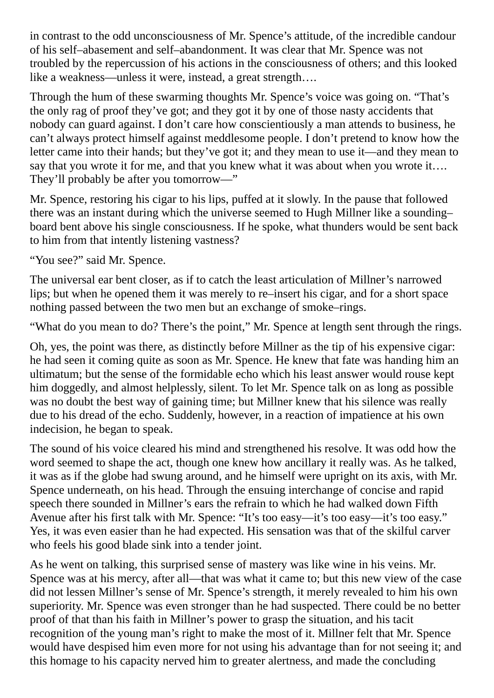in contrast to the odd unconsciousness of Mr. Spence's attitude, of the incredible candour of his self–abasement and self–abandonment. It was clear that Mr. Spence was not troubled by the repercussion of his actions in the consciousness of others; and this looked like a weakness—unless it were, instead, a great strength….

Through the hum of these swarming thoughts Mr. Spence's voice was going on. "That's the only rag of proof they've got; and they got it by one of those nasty accidents that nobody can guard against. I don't care how conscientiously a man attends to business, he can't always protect himself against meddlesome people. I don't pretend to know how the letter came into their hands; but they've got it; and they mean to use it—and they mean to say that you wrote it for me, and that you knew what it was about when you wrote it.... They'll probably be after you tomorrow—"

Mr. Spence, restoring his cigar to his lips, puffed at it slowly. In the pause that followed there was an instant during which the universe seemed to Hugh Millner like a sounding– board bent above his single consciousness. If he spoke, what thunders would be sent back to him from that intently listening vastness?

"You see?" said Mr. Spence.

The universal ear bent closer, as if to catch the least articulation of Millner's narrowed lips; but when he opened them it was merely to re–insert his cigar, and for a short space nothing passed between the two men but an exchange of smoke–rings.

"What do you mean to do? There's the point," Mr. Spence at length sent through the rings.

Oh, yes, the point was there, as distinctly before Millner as the tip of his expensive cigar: he had seen it coming quite as soon as Mr. Spence. He knew that fate was handing him an ultimatum; but the sense of the formidable echo which his least answer would rouse kept him doggedly, and almost helplessly, silent. To let Mr. Spence talk on as long as possible was no doubt the best way of gaining time; but Millner knew that his silence was really due to his dread of the echo. Suddenly, however, in a reaction of impatience at his own indecision, he began to speak.

The sound of his voice cleared his mind and strengthened his resolve. It was odd how the word seemed to shape the act, though one knew how ancillary it really was. As he talked, it was as if the globe had swung around, and he himself were upright on its axis, with Mr. Spence underneath, on his head. Through the ensuing interchange of concise and rapid speech there sounded in Millner's ears the refrain to which he had walked down Fifth Avenue after his first talk with Mr. Spence: "It's too easy—it's too easy—it's too easy." Yes, it was even easier than he had expected. His sensation was that of the skilful carver who feels his good blade sink into a tender joint.

As he went on talking, this surprised sense of mastery was like wine in his veins. Mr. Spence was at his mercy, after all—that was what it came to; but this new view of the case did not lessen Millner's sense of Mr. Spence's strength, it merely revealed to him his own superiority. Mr. Spence was even stronger than he had suspected. There could be no better proof of that than his faith in Millner's power to grasp the situation, and his tacit recognition of the young man's right to make the most of it. Millner felt that Mr. Spence would have despised him even more for not using his advantage than for not seeing it; and this homage to his capacity nerved him to greater alertness, and made the concluding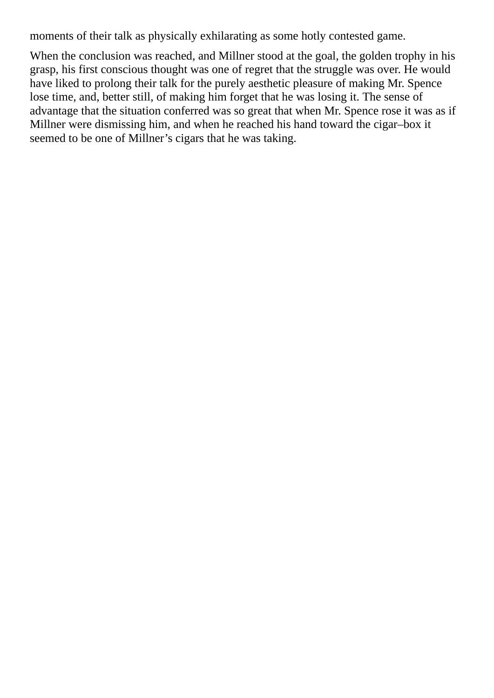moments of their talk as physically exhilarating as some hotly contested game.

When the conclusion was reached, and Millner stood at the goal, the golden trophy in his grasp, his first conscious thought was one of regret that the struggle was over. He would have liked to prolong their talk for the purely aesthetic pleasure of making Mr. Spence lose time, and, better still, of making him forget that he was losing it. The sense of advantage that the situation conferred was so great that when Mr. Spence rose it was as if Millner were dismissing him, and when he reached his hand toward the cigar–box it seemed to be one of Millner's cigars that he was taking.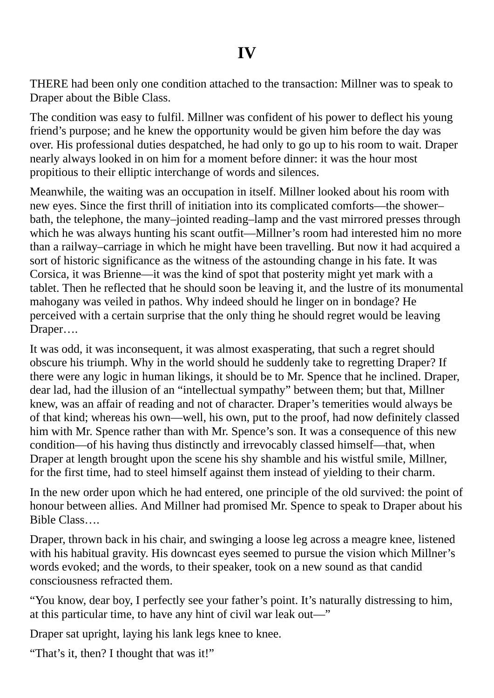THERE had been only one condition attached to the transaction: Millner was to speak to Draper about the Bible Class.

The condition was easy to fulfil. Millner was confident of his power to deflect his young friend's purpose; and he knew the opportunity would be given him before the day was over. His professional duties despatched, he had only to go up to his room to wait. Draper nearly always looked in on him for a moment before dinner: it was the hour most propitious to their elliptic interchange of words and silences.

Meanwhile, the waiting was an occupation in itself. Millner looked about his room with new eyes. Since the first thrill of initiation into its complicated comforts—the shower– bath, the telephone, the many–jointed reading–lamp and the vast mirrored presses through which he was always hunting his scant outfit—Millner's room had interested him no more than a railway–carriage in which he might have been travelling. But now it had acquired a sort of historic significance as the witness of the astounding change in his fate. It was Corsica, it was Brienne—it was the kind of spot that posterity might yet mark with a tablet. Then he reflected that he should soon be leaving it, and the lustre of its monumental mahogany was veiled in pathos. Why indeed should he linger on in bondage? He perceived with a certain surprise that the only thing he should regret would be leaving Draper….

It was odd, it was inconsequent, it was almost exasperating, that such a regret should obscure his triumph. Why in the world should he suddenly take to regretting Draper? If there were any logic in human likings, it should be to Mr. Spence that he inclined. Draper, dear lad, had the illusion of an "intellectual sympathy" between them; but that, Millner knew, was an affair of reading and not of character. Draper's temerities would always be of that kind; whereas his own—well, his own, put to the proof, had now definitely classed him with Mr. Spence rather than with Mr. Spence's son. It was a consequence of this new condition—of his having thus distinctly and irrevocably classed himself—that, when Draper at length brought upon the scene his shy shamble and his wistful smile, Millner, for the first time, had to steel himself against them instead of yielding to their charm.

In the new order upon which he had entered, one principle of the old survived: the point of honour between allies. And Millner had promised Mr. Spence to speak to Draper about his Bible Class….

Draper, thrown back in his chair, and swinging a loose leg across a meagre knee, listened with his habitual gravity. His downcast eyes seemed to pursue the vision which Millner's words evoked; and the words, to their speaker, took on a new sound as that candid consciousness refracted them.

"You know, dear boy, I perfectly see your father's point. It's naturally distressing to him, at this particular time, to have any hint of civil war leak out—"

Draper sat upright, laying his lank legs knee to knee.

"That's it, then? I thought that was it!"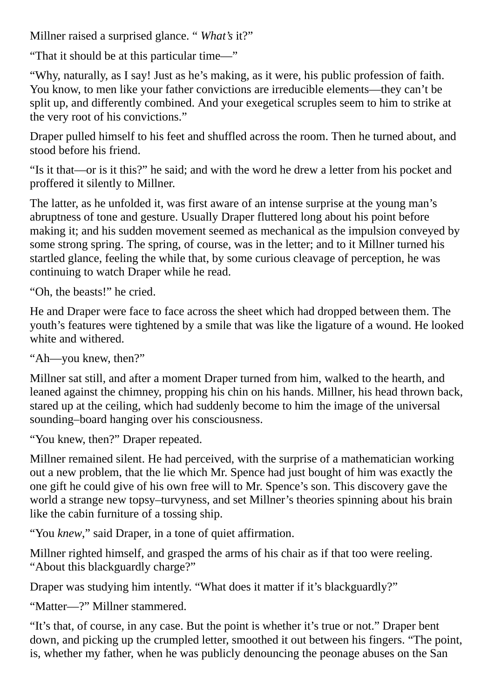Millner raised a surprised glance. " *What's* it?"

"That it should be at this particular time—"

"Why, naturally, as I say! Just as he's making, as it were, his public profession of faith. You know, to men like your father convictions are irreducible elements—they can't be split up, and differently combined. And your exegetical scruples seem to him to strike at the very root of his convictions."

Draper pulled himself to his feet and shuffled across the room. Then he turned about, and stood before his friend.

"Is it that—or is it this?" he said; and with the word he drew a letter from his pocket and proffered it silently to Millner.

The latter, as he unfolded it, was first aware of an intense surprise at the young man's abruptness of tone and gesture. Usually Draper fluttered long about his point before making it; and his sudden movement seemed as mechanical as the impulsion conveyed by some strong spring. The spring, of course, was in the letter; and to it Millner turned his startled glance, feeling the while that, by some curious cleavage of perception, he was continuing to watch Draper while he read.

"Oh, the beasts!" he cried.

He and Draper were face to face across the sheet which had dropped between them. The youth's features were tightened by a smile that was like the ligature of a wound. He looked white and withered.

"Ah—you knew, then?"

Millner sat still, and after a moment Draper turned from him, walked to the hearth, and leaned against the chimney, propping his chin on his hands. Millner, his head thrown back, stared up at the ceiling, which had suddenly become to him the image of the universal sounding–board hanging over his consciousness.

"You knew, then?" Draper repeated.

Millner remained silent. He had perceived, with the surprise of a mathematician working out a new problem, that the lie which Mr. Spence had just bought of him was exactly the one gift he could give of his own free will to Mr. Spence's son. This discovery gave the world a strange new topsy–turvyness, and set Millner's theories spinning about his brain like the cabin furniture of a tossing ship.

"You *knew*," said Draper, in a tone of quiet affirmation.

Millner righted himself, and grasped the arms of his chair as if that too were reeling. "About this blackguardly charge?"

Draper was studying him intently. "What does it matter if it's blackguardly?"

"Matter—?" Millner stammered.

"It's that, of course, in any case. But the point is whether it's true or not." Draper bent down, and picking up the crumpled letter, smoothed it out between his fingers. "The point, is, whether my father, when he was publicly denouncing the peonage abuses on the San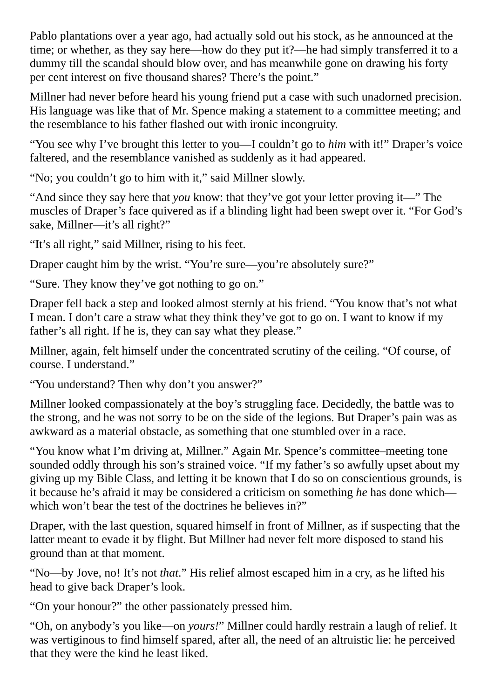Pablo plantations over a year ago, had actually sold out his stock, as he announced at the time; or whether, as they say here—how do they put it?—he had simply transferred it to a dummy till the scandal should blow over, and has meanwhile gone on drawing his forty per cent interest on five thousand shares? There's the point."

Millner had never before heard his young friend put a case with such unadorned precision. His language was like that of Mr. Spence making a statement to a committee meeting; and the resemblance to his father flashed out with ironic incongruity.

"You see why I've brought this letter to you—I couldn't go to *him* with it!" Draper's voice faltered, and the resemblance vanished as suddenly as it had appeared.

"No; you couldn't go to him with it," said Millner slowly.

"And since they say here that *you* know: that they've got your letter proving it—" The muscles of Draper's face quivered as if a blinding light had been swept over it. "For God's sake, Millner—it's all right?"

"It's all right," said Millner, rising to his feet.

Draper caught him by the wrist. "You're sure—you're absolutely sure?"

"Sure. They know they've got nothing to go on."

Draper fell back a step and looked almost sternly at his friend. "You know that's not what I mean. I don't care a straw what they think they've got to go on. I want to know if my father's all right. If he is, they can say what they please."

Millner, again, felt himself under the concentrated scrutiny of the ceiling. "Of course, of course. I understand."

"You understand? Then why don't you answer?"

Millner looked compassionately at the boy's struggling face. Decidedly, the battle was to the strong, and he was not sorry to be on the side of the legions. But Draper's pain was as awkward as a material obstacle, as something that one stumbled over in a race.

"You know what I'm driving at, Millner." Again Mr. Spence's committee–meeting tone sounded oddly through his son's strained voice. "If my father's so awfully upset about my giving up my Bible Class, and letting it be known that I do so on conscientious grounds, is it because he's afraid it may be considered a criticism on something *he* has done which which won't bear the test of the doctrines he believes in?"

Draper, with the last question, squared himself in front of Millner, as if suspecting that the latter meant to evade it by flight. But Millner had never felt more disposed to stand his ground than at that moment.

"No—by Jove, no! It's not *that*." His relief almost escaped him in a cry, as he lifted his head to give back Draper's look.

"On your honour?" the other passionately pressed him.

"Oh, on anybody's you like—on *yours!*" Millner could hardly restrain a laugh of relief. It was vertiginous to find himself spared, after all, the need of an altruistic lie: he perceived that they were the kind he least liked.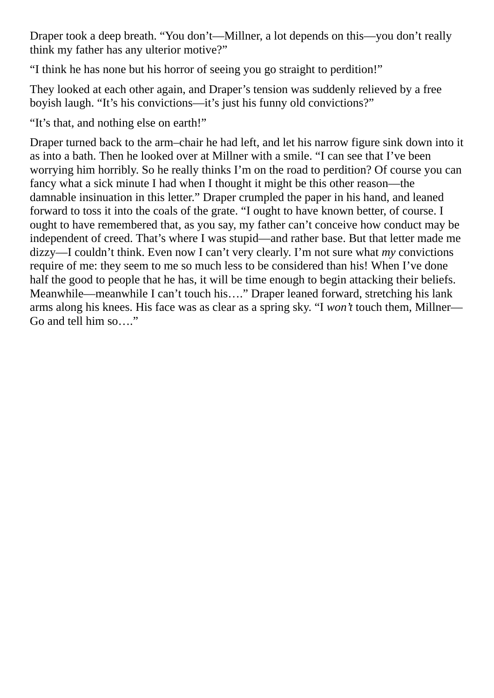Draper took a deep breath. "You don't—Millner, a lot depends on this—you don't really think my father has any ulterior motive?"

"I think he has none but his horror of seeing you go straight to perdition!"

They looked at each other again, and Draper's tension was suddenly relieved by a free boyish laugh. "It's his convictions—it's just his funny old convictions?"

"It's that, and nothing else on earth!"

Draper turned back to the arm–chair he had left, and let his narrow figure sink down into it as into a bath. Then he looked over at Millner with a smile. "I can see that I've been worrying him horribly. So he really thinks I'm on the road to perdition? Of course you can fancy what a sick minute I had when I thought it might be this other reason—the damnable insinuation in this letter." Draper crumpled the paper in his hand, and leaned forward to toss it into the coals of the grate. "I ought to have known better, of course. I ought to have remembered that, as you say, my father can't conceive how conduct may be independent of creed. That's where I was stupid—and rather base. But that letter made me dizzy—I couldn't think. Even now I can't very clearly. I'm not sure what *my* convictions require of me: they seem to me so much less to be considered than his! When I've done half the good to people that he has, it will be time enough to begin attacking their beliefs. Meanwhile—meanwhile I can't touch his…." Draper leaned forward, stretching his lank arms along his knees. His face was as clear as a spring sky. "I *won't* touch them, Millner— Go and tell him so…."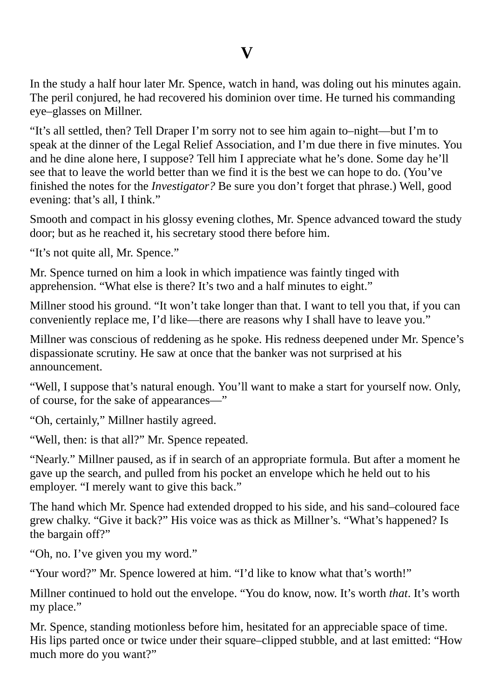In the study a half hour later Mr. Spence, watch in hand, was doling out his minutes again. The peril conjured, he had recovered his dominion over time. He turned his commanding eye–glasses on Millner.

"It's all settled, then? Tell Draper I'm sorry not to see him again to–night—but I'm to speak at the dinner of the Legal Relief Association, and I'm due there in five minutes. You and he dine alone here, I suppose? Tell him I appreciate what he's done. Some day he'll see that to leave the world better than we find it is the best we can hope to do. (You've finished the notes for the *Investigator?* Be sure you don't forget that phrase.) Well, good evening: that's all, I think."

Smooth and compact in his glossy evening clothes, Mr. Spence advanced toward the study door; but as he reached it, his secretary stood there before him.

"It's not quite all, Mr. Spence."

Mr. Spence turned on him a look in which impatience was faintly tinged with apprehension. "What else is there? It's two and a half minutes to eight."

Millner stood his ground. "It won't take longer than that. I want to tell you that, if you can conveniently replace me, I'd like—there are reasons why I shall have to leave you."

Millner was conscious of reddening as he spoke. His redness deepened under Mr. Spence's dispassionate scrutiny. He saw at once that the banker was not surprised at his announcement.

"Well, I suppose that's natural enough. You'll want to make a start for yourself now. Only, of course, for the sake of appearances—"

"Oh, certainly," Millner hastily agreed.

"Well, then: is that all?" Mr. Spence repeated.

"Nearly." Millner paused, as if in search of an appropriate formula. But after a moment he gave up the search, and pulled from his pocket an envelope which he held out to his employer. "I merely want to give this back."

The hand which Mr. Spence had extended dropped to his side, and his sand–coloured face grew chalky. "Give it back?" His voice was as thick as Millner's. "What's happened? Is the bargain off?"

"Oh, no. I've given you my word."

"Your word?" Mr. Spence lowered at him. "I'd like to know what that's worth!"

Millner continued to hold out the envelope. "You do know, now. It's worth *that*. It's worth my place."

Mr. Spence, standing motionless before him, hesitated for an appreciable space of time. His lips parted once or twice under their square–clipped stubble, and at last emitted: "How much more do you want?"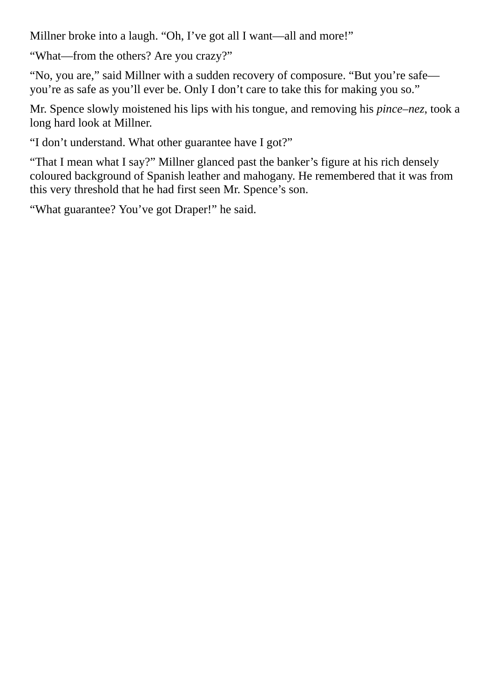Millner broke into a laugh. "Oh, I've got all I want—all and more!"

"What—from the others? Are you crazy?"

"No, you are," said Millner with a sudden recovery of composure. "But you're safe you're as safe as you'll ever be. Only I don't care to take this for making you so."

Mr. Spence slowly moistened his lips with his tongue, and removing his *pince–nez*, took a long hard look at Millner.

"I don't understand. What other guarantee have I got?"

"That I mean what I say?" Millner glanced past the banker's figure at his rich densely coloured background of Spanish leather and mahogany. He remembered that it was from this very threshold that he had first seen Mr. Spence's son.

"What guarantee? You've got Draper!" he said.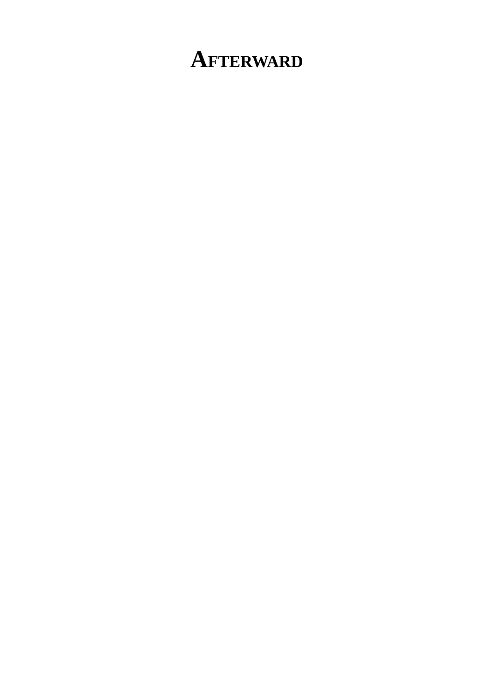## **AFTERWARD**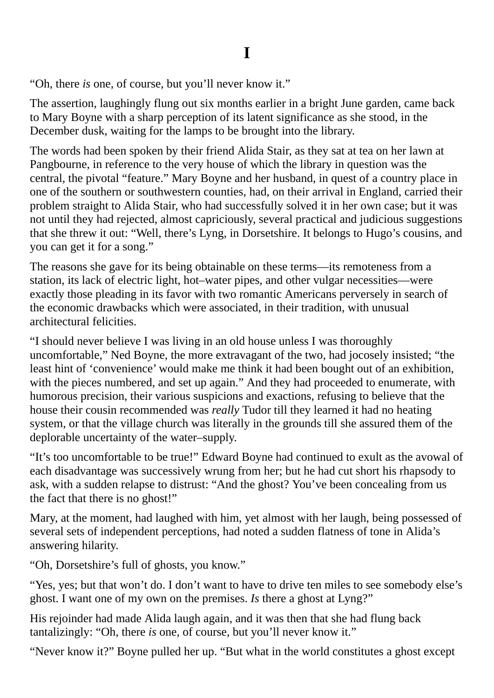"Oh, there *is* one, of course, but you'll never know it."

The assertion, laughingly flung out six months earlier in a bright June garden, came back to Mary Boyne with a sharp perception of its latent significance as she stood, in the December dusk, waiting for the lamps to be brought into the library.

The words had been spoken by their friend Alida Stair, as they sat at tea on her lawn at Pangbourne, in reference to the very house of which the library in question was the central, the pivotal "feature." Mary Boyne and her husband, in quest of a country place in one of the southern or southwestern counties, had, on their arrival in England, carried their problem straight to Alida Stair, who had successfully solved it in her own case; but it was not until they had rejected, almost capriciously, several practical and judicious suggestions that she threw it out: "Well, there's Lyng, in Dorsetshire. It belongs to Hugo's cousins, and you can get it for a song."

The reasons she gave for its being obtainable on these terms—its remoteness from a station, its lack of electric light, hot–water pipes, and other vulgar necessities—were exactly those pleading in its favor with two romantic Americans perversely in search of the economic drawbacks which were associated, in their tradition, with unusual architectural felicities.

"I should never believe I was living in an old house unless I was thoroughly uncomfortable," Ned Boyne, the more extravagant of the two, had jocosely insisted; "the least hint of 'convenience' would make me think it had been bought out of an exhibition, with the pieces numbered, and set up again." And they had proceeded to enumerate, with humorous precision, their various suspicions and exactions, refusing to believe that the house their cousin recommended was *really* Tudor till they learned it had no heating system, or that the village church was literally in the grounds till she assured them of the deplorable uncertainty of the water–supply.

"It's too uncomfortable to be true!" Edward Boyne had continued to exult as the avowal of each disadvantage was successively wrung from her; but he had cut short his rhapsody to ask, with a sudden relapse to distrust: "And the ghost? You've been concealing from us the fact that there is no ghost!"

Mary, at the moment, had laughed with him, yet almost with her laugh, being possessed of several sets of independent perceptions, had noted a sudden flatness of tone in Alida's answering hilarity.

"Oh, Dorsetshire's full of ghosts, you know."

"Yes, yes; but that won't do. I don't want to have to drive ten miles to see somebody else's ghost. I want one of my own on the premises. *Is* there a ghost at Lyng?"

His rejoinder had made Alida laugh again, and it was then that she had flung back tantalizingly: "Oh, there *is* one, of course, but you'll never know it."

"Never know it?" Boyne pulled her up. "But what in the world constitutes a ghost except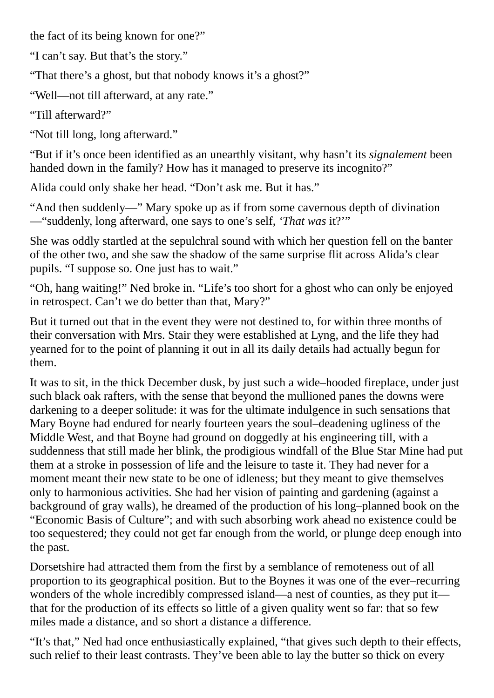the fact of its being known for one?"

"I can't say. But that's the story."

"That there's a ghost, but that nobody knows it's a ghost?"

"Well—not till afterward, at any rate."

"Till afterward?"

"Not till long, long afterward."

"But if it's once been identified as an unearthly visitant, why hasn't its *signalement* been handed down in the family? How has it managed to preserve its incognito?"

Alida could only shake her head. "Don't ask me. But it has."

"And then suddenly—" Mary spoke up as if from some cavernous depth of divination —"suddenly, long afterward, one says to one's self, *'That was* it?'"

She was oddly startled at the sepulchral sound with which her question fell on the banter of the other two, and she saw the shadow of the same surprise flit across Alida's clear pupils. "I suppose so. One just has to wait."

"Oh, hang waiting!" Ned broke in. "Life's too short for a ghost who can only be enjoyed in retrospect. Can't we do better than that, Mary?"

But it turned out that in the event they were not destined to, for within three months of their conversation with Mrs. Stair they were established at Lyng, and the life they had yearned for to the point of planning it out in all its daily details had actually begun for them.

It was to sit, in the thick December dusk, by just such a wide–hooded fireplace, under just such black oak rafters, with the sense that beyond the mullioned panes the downs were darkening to a deeper solitude: it was for the ultimate indulgence in such sensations that Mary Boyne had endured for nearly fourteen years the soul–deadening ugliness of the Middle West, and that Boyne had ground on doggedly at his engineering till, with a suddenness that still made her blink, the prodigious windfall of the Blue Star Mine had put them at a stroke in possession of life and the leisure to taste it. They had never for a moment meant their new state to be one of idleness; but they meant to give themselves only to harmonious activities. She had her vision of painting and gardening (against a background of gray walls), he dreamed of the production of his long–planned book on the "Economic Basis of Culture"; and with such absorbing work ahead no existence could be too sequestered; they could not get far enough from the world, or plunge deep enough into the past.

Dorsetshire had attracted them from the first by a semblance of remoteness out of all proportion to its geographical position. But to the Boynes it was one of the ever–recurring wonders of the whole incredibly compressed island—a nest of counties, as they put it that for the production of its effects so little of a given quality went so far: that so few miles made a distance, and so short a distance a difference.

"It's that," Ned had once enthusiastically explained, "that gives such depth to their effects, such relief to their least contrasts. They've been able to lay the butter so thick on every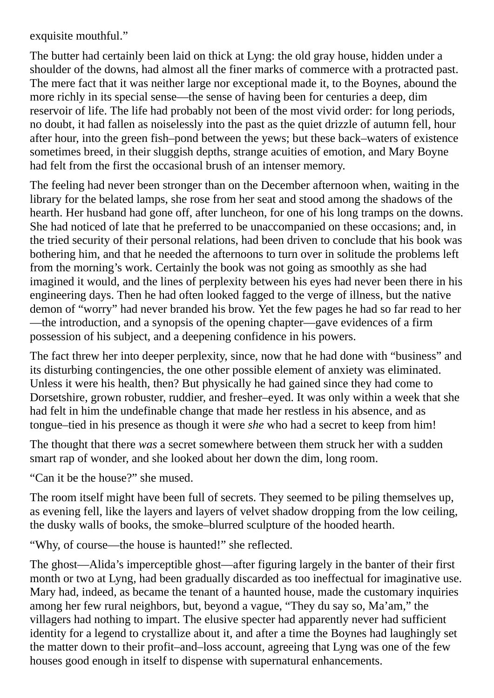exquisite mouthful."

The butter had certainly been laid on thick at Lyng: the old gray house, hidden under a shoulder of the downs, had almost all the finer marks of commerce with a protracted past. The mere fact that it was neither large nor exceptional made it, to the Boynes, abound the more richly in its special sense—the sense of having been for centuries a deep, dim reservoir of life. The life had probably not been of the most vivid order: for long periods, no doubt, it had fallen as noiselessly into the past as the quiet drizzle of autumn fell, hour after hour, into the green fish–pond between the yews; but these back–waters of existence sometimes breed, in their sluggish depths, strange acuities of emotion, and Mary Boyne had felt from the first the occasional brush of an intenser memory.

The feeling had never been stronger than on the December afternoon when, waiting in the library for the belated lamps, she rose from her seat and stood among the shadows of the hearth. Her husband had gone off, after luncheon, for one of his long tramps on the downs. She had noticed of late that he preferred to be unaccompanied on these occasions; and, in the tried security of their personal relations, had been driven to conclude that his book was bothering him, and that he needed the afternoons to turn over in solitude the problems left from the morning's work. Certainly the book was not going as smoothly as she had imagined it would, and the lines of perplexity between his eyes had never been there in his engineering days. Then he had often looked fagged to the verge of illness, but the native demon of "worry" had never branded his brow. Yet the few pages he had so far read to her —the introduction, and a synopsis of the opening chapter—gave evidences of a firm possession of his subject, and a deepening confidence in his powers.

The fact threw her into deeper perplexity, since, now that he had done with "business" and its disturbing contingencies, the one other possible element of anxiety was eliminated. Unless it were his health, then? But physically he had gained since they had come to Dorsetshire, grown robuster, ruddier, and fresher–eyed. It was only within a week that she had felt in him the undefinable change that made her restless in his absence, and as tongue–tied in his presence as though it were *she* who had a secret to keep from him!

The thought that there *was* a secret somewhere between them struck her with a sudden smart rap of wonder, and she looked about her down the dim, long room.

"Can it be the house?" she mused.

The room itself might have been full of secrets. They seemed to be piling themselves up, as evening fell, like the layers and layers of velvet shadow dropping from the low ceiling, the dusky walls of books, the smoke–blurred sculpture of the hooded hearth.

"Why, of course—the house is haunted!" she reflected.

The ghost—Alida's imperceptible ghost—after figuring largely in the banter of their first month or two at Lyng, had been gradually discarded as too ineffectual for imaginative use. Mary had, indeed, as became the tenant of a haunted house, made the customary inquiries among her few rural neighbors, but, beyond a vague, "They du say so, Ma'am," the villagers had nothing to impart. The elusive specter had apparently never had sufficient identity for a legend to crystallize about it, and after a time the Boynes had laughingly set the matter down to their profit–and–loss account, agreeing that Lyng was one of the few houses good enough in itself to dispense with supernatural enhancements.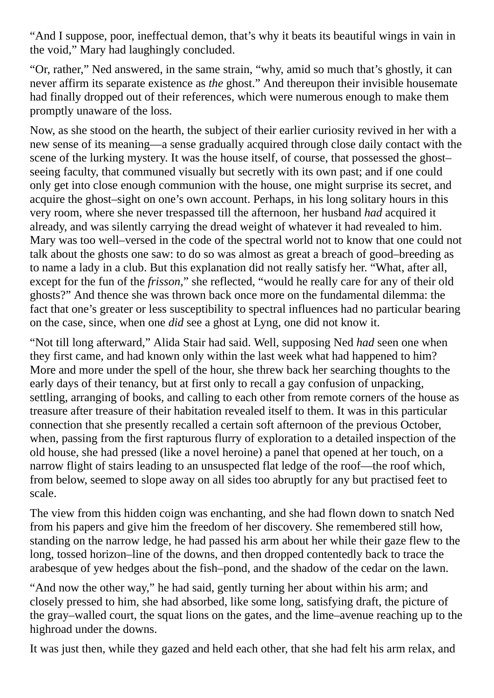"And I suppose, poor, ineffectual demon, that's why it beats its beautiful wings in vain in the void," Mary had laughingly concluded.

"Or, rather," Ned answered, in the same strain, "why, amid so much that's ghostly, it can never affirm its separate existence as *the* ghost." And thereupon their invisible housemate had finally dropped out of their references, which were numerous enough to make them promptly unaware of the loss.

Now, as she stood on the hearth, the subject of their earlier curiosity revived in her with a new sense of its meaning—a sense gradually acquired through close daily contact with the scene of the lurking mystery. It was the house itself, of course, that possessed the ghost– seeing faculty, that communed visually but secretly with its own past; and if one could only get into close enough communion with the house, one might surprise its secret, and acquire the ghost–sight on one's own account. Perhaps, in his long solitary hours in this very room, where she never trespassed till the afternoon, her husband *had* acquired it already, and was silently carrying the dread weight of whatever it had revealed to him. Mary was too well–versed in the code of the spectral world not to know that one could not talk about the ghosts one saw: to do so was almost as great a breach of good–breeding as to name a lady in a club. But this explanation did not really satisfy her. "What, after all, except for the fun of the *frisson*," she reflected, "would he really care for any of their old ghosts?" And thence she was thrown back once more on the fundamental dilemma: the fact that one's greater or less susceptibility to spectral influences had no particular bearing on the case, since, when one *did* see a ghost at Lyng, one did not know it.

"Not till long afterward," Alida Stair had said. Well, supposing Ned *had* seen one when they first came, and had known only within the last week what had happened to him? More and more under the spell of the hour, she threw back her searching thoughts to the early days of their tenancy, but at first only to recall a gay confusion of unpacking, settling, arranging of books, and calling to each other from remote corners of the house as treasure after treasure of their habitation revealed itself to them. It was in this particular connection that she presently recalled a certain soft afternoon of the previous October, when, passing from the first rapturous flurry of exploration to a detailed inspection of the old house, she had pressed (like a novel heroine) a panel that opened at her touch, on a narrow flight of stairs leading to an unsuspected flat ledge of the roof—the roof which, from below, seemed to slope away on all sides too abruptly for any but practised feet to scale.

The view from this hidden coign was enchanting, and she had flown down to snatch Ned from his papers and give him the freedom of her discovery. She remembered still how, standing on the narrow ledge, he had passed his arm about her while their gaze flew to the long, tossed horizon–line of the downs, and then dropped contentedly back to trace the arabesque of yew hedges about the fish–pond, and the shadow of the cedar on the lawn.

"And now the other way," he had said, gently turning her about within his arm; and closely pressed to him, she had absorbed, like some long, satisfying draft, the picture of the gray–walled court, the squat lions on the gates, and the lime–avenue reaching up to the highroad under the downs.

It was just then, while they gazed and held each other, that she had felt his arm relax, and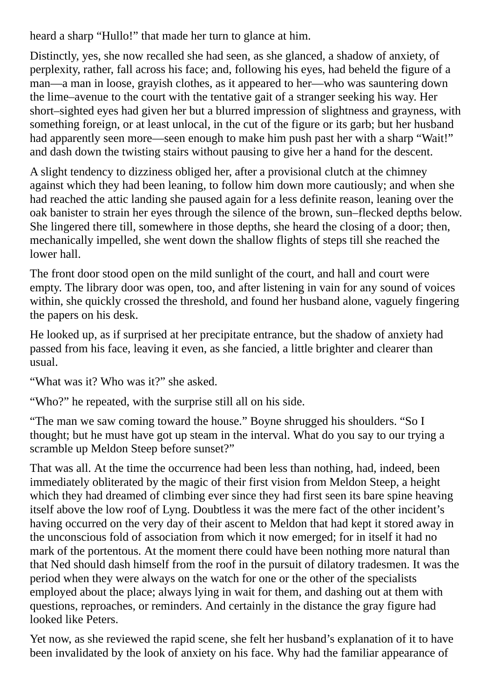heard a sharp "Hullo!" that made her turn to glance at him.

Distinctly, yes, she now recalled she had seen, as she glanced, a shadow of anxiety, of perplexity, rather, fall across his face; and, following his eyes, had beheld the figure of a man—a man in loose, grayish clothes, as it appeared to her—who was sauntering down the lime–avenue to the court with the tentative gait of a stranger seeking his way. Her short–sighted eyes had given her but a blurred impression of slightness and grayness, with something foreign, or at least unlocal, in the cut of the figure or its garb; but her husband had apparently seen more—seen enough to make him push past her with a sharp "Wait!" and dash down the twisting stairs without pausing to give her a hand for the descent.

A slight tendency to dizziness obliged her, after a provisional clutch at the chimney against which they had been leaning, to follow him down more cautiously; and when she had reached the attic landing she paused again for a less definite reason, leaning over the oak banister to strain her eyes through the silence of the brown, sun–flecked depths below. She lingered there till, somewhere in those depths, she heard the closing of a door; then, mechanically impelled, she went down the shallow flights of steps till she reached the lower hall.

The front door stood open on the mild sunlight of the court, and hall and court were empty. The library door was open, too, and after listening in vain for any sound of voices within, she quickly crossed the threshold, and found her husband alone, vaguely fingering the papers on his desk.

He looked up, as if surprised at her precipitate entrance, but the shadow of anxiety had passed from his face, leaving it even, as she fancied, a little brighter and clearer than usual.

"What was it? Who was it?" she asked.

"Who?" he repeated, with the surprise still all on his side.

"The man we saw coming toward the house." Boyne shrugged his shoulders. "So I thought; but he must have got up steam in the interval. What do you say to our trying a scramble up Meldon Steep before sunset?"

That was all. At the time the occurrence had been less than nothing, had, indeed, been immediately obliterated by the magic of their first vision from Meldon Steep, a height which they had dreamed of climbing ever since they had first seen its bare spine heaving itself above the low roof of Lyng. Doubtless it was the mere fact of the other incident's having occurred on the very day of their ascent to Meldon that had kept it stored away in the unconscious fold of association from which it now emerged; for in itself it had no mark of the portentous. At the moment there could have been nothing more natural than that Ned should dash himself from the roof in the pursuit of dilatory tradesmen. It was the period when they were always on the watch for one or the other of the specialists employed about the place; always lying in wait for them, and dashing out at them with questions, reproaches, or reminders. And certainly in the distance the gray figure had looked like Peters.

Yet now, as she reviewed the rapid scene, she felt her husband's explanation of it to have been invalidated by the look of anxiety on his face. Why had the familiar appearance of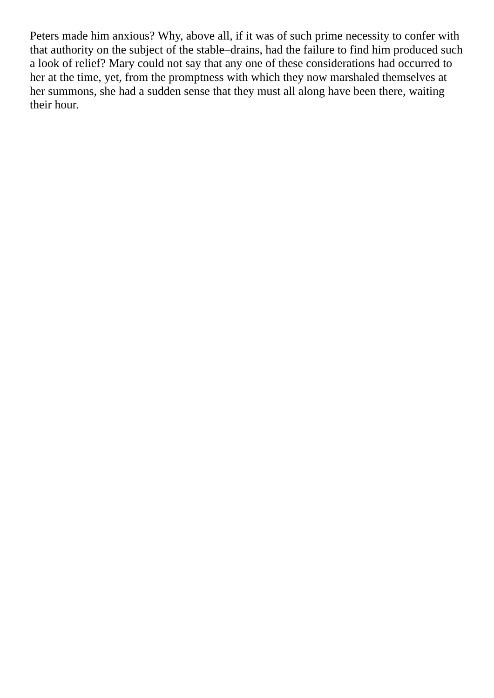Peters made him anxious? Why, above all, if it was of such prime necessity to confer with that authority on the subject of the stable–drains, had the failure to find him produced such a look of relief? Mary could not say that any one of these considerations had occurred to her at the time, yet, from the promptness with which they now marshaled themselves at her summons, she had a sudden sense that they must all along have been there, waiting their hour.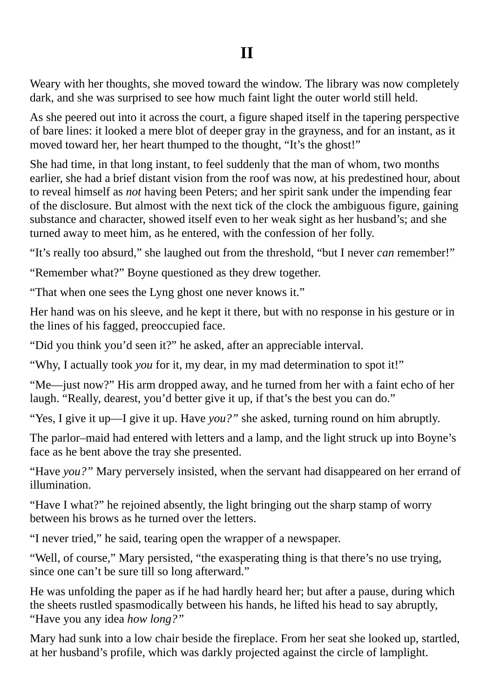## **II**

Weary with her thoughts, she moved toward the window. The library was now completely dark, and she was surprised to see how much faint light the outer world still held.

As she peered out into it across the court, a figure shaped itself in the tapering perspective of bare lines: it looked a mere blot of deeper gray in the grayness, and for an instant, as it moved toward her, her heart thumped to the thought, "It's the ghost!"

She had time, in that long instant, to feel suddenly that the man of whom, two months earlier, she had a brief distant vision from the roof was now, at his predestined hour, about to reveal himself as *not* having been Peters; and her spirit sank under the impending fear of the disclosure. But almost with the next tick of the clock the ambiguous figure, gaining substance and character, showed itself even to her weak sight as her husband's; and she turned away to meet him, as he entered, with the confession of her folly.

"It's really too absurd," she laughed out from the threshold, "but I never *can* remember!"

"Remember what?" Boyne questioned as they drew together.

"That when one sees the Lyng ghost one never knows it."

Her hand was on his sleeve, and he kept it there, but with no response in his gesture or in the lines of his fagged, preoccupied face.

"Did you think you'd seen it?" he asked, after an appreciable interval.

"Why, I actually took *you* for it, my dear, in my mad determination to spot it!"

"Me—just now?" His arm dropped away, and he turned from her with a faint echo of her laugh. "Really, dearest, you'd better give it up, if that's the best you can do."

"Yes, I give it up—I give it up. Have *you?"* she asked, turning round on him abruptly.

The parlor–maid had entered with letters and a lamp, and the light struck up into Boyne's face as he bent above the tray she presented.

"Have *you?"* Mary perversely insisted, when the servant had disappeared on her errand of illumination.

"Have I what?" he rejoined absently, the light bringing out the sharp stamp of worry between his brows as he turned over the letters.

"I never tried," he said, tearing open the wrapper of a newspaper.

"Well, of course," Mary persisted, "the exasperating thing is that there's no use trying, since one can't be sure till so long afterward."

He was unfolding the paper as if he had hardly heard her; but after a pause, during which the sheets rustled spasmodically between his hands, he lifted his head to say abruptly, "Have you any idea *how long?"*

Mary had sunk into a low chair beside the fireplace. From her seat she looked up, startled, at her husband's profile, which was darkly projected against the circle of lamplight.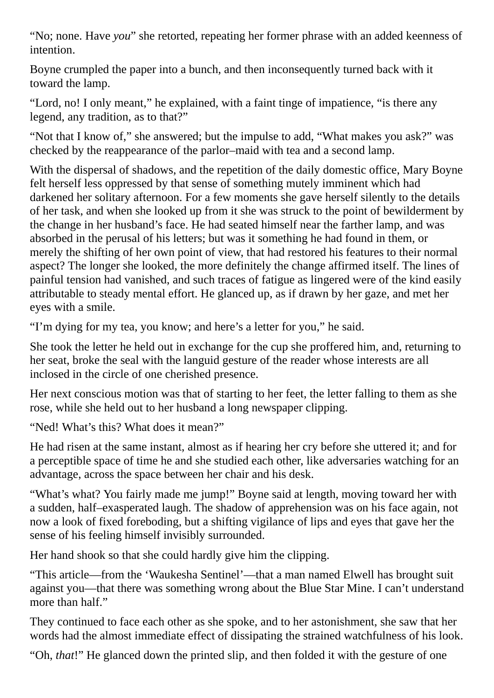"No; none. Have *you*" she retorted, repeating her former phrase with an added keenness of intention.

Boyne crumpled the paper into a bunch, and then inconsequently turned back with it toward the lamp.

"Lord, no! I only meant," he explained, with a faint tinge of impatience, "is there any legend, any tradition, as to that?"

"Not that I know of," she answered; but the impulse to add, "What makes you ask?" was checked by the reappearance of the parlor–maid with tea and a second lamp.

With the dispersal of shadows, and the repetition of the daily domestic office, Mary Boyne felt herself less oppressed by that sense of something mutely imminent which had darkened her solitary afternoon. For a few moments she gave herself silently to the details of her task, and when she looked up from it she was struck to the point of bewilderment by the change in her husband's face. He had seated himself near the farther lamp, and was absorbed in the perusal of his letters; but was it something he had found in them, or merely the shifting of her own point of view, that had restored his features to their normal aspect? The longer she looked, the more definitely the change affirmed itself. The lines of painful tension had vanished, and such traces of fatigue as lingered were of the kind easily attributable to steady mental effort. He glanced up, as if drawn by her gaze, and met her eyes with a smile.

"I'm dying for my tea, you know; and here's a letter for you," he said.

She took the letter he held out in exchange for the cup she proffered him, and, returning to her seat, broke the seal with the languid gesture of the reader whose interests are all inclosed in the circle of one cherished presence.

Her next conscious motion was that of starting to her feet, the letter falling to them as she rose, while she held out to her husband a long newspaper clipping.

"Ned! What's this? What does it mean?"

He had risen at the same instant, almost as if hearing her cry before she uttered it; and for a perceptible space of time he and she studied each other, like adversaries watching for an advantage, across the space between her chair and his desk.

"What's what? You fairly made me jump!" Boyne said at length, moving toward her with a sudden, half–exasperated laugh. The shadow of apprehension was on his face again, not now a look of fixed foreboding, but a shifting vigilance of lips and eyes that gave her the sense of his feeling himself invisibly surrounded.

Her hand shook so that she could hardly give him the clipping.

"This article—from the 'Waukesha Sentinel'—that a man named Elwell has brought suit against you—that there was something wrong about the Blue Star Mine. I can't understand more than half."

They continued to face each other as she spoke, and to her astonishment, she saw that her words had the almost immediate effect of dissipating the strained watchfulness of his look.

"Oh, *that*!" He glanced down the printed slip, and then folded it with the gesture of one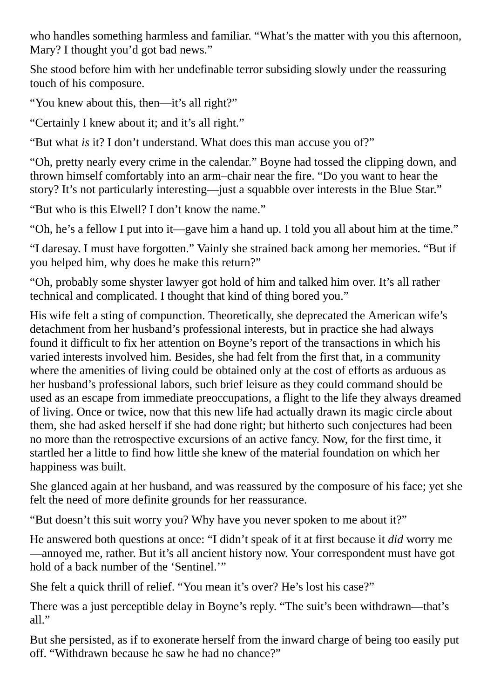who handles something harmless and familiar. "What's the matter with you this afternoon, Mary? I thought you'd got bad news."

She stood before him with her undefinable terror subsiding slowly under the reassuring touch of his composure.

"You knew about this, then—it's all right?"

"Certainly I knew about it; and it's all right."

"But what *is* it? I don't understand. What does this man accuse you of?"

"Oh, pretty nearly every crime in the calendar." Boyne had tossed the clipping down, and thrown himself comfortably into an arm–chair near the fire. "Do you want to hear the story? It's not particularly interesting—just a squabble over interests in the Blue Star."

"But who is this Elwell? I don't know the name."

"Oh, he's a fellow I put into it—gave him a hand up. I told you all about him at the time."

"I daresay. I must have forgotten." Vainly she strained back among her memories. "But if you helped him, why does he make this return?"

"Oh, probably some shyster lawyer got hold of him and talked him over. It's all rather technical and complicated. I thought that kind of thing bored you."

His wife felt a sting of compunction. Theoretically, she deprecated the American wife's detachment from her husband's professional interests, but in practice she had always found it difficult to fix her attention on Boyne's report of the transactions in which his varied interests involved him. Besides, she had felt from the first that, in a community where the amenities of living could be obtained only at the cost of efforts as arduous as her husband's professional labors, such brief leisure as they could command should be used as an escape from immediate preoccupations, a flight to the life they always dreamed of living. Once or twice, now that this new life had actually drawn its magic circle about them, she had asked herself if she had done right; but hitherto such conjectures had been no more than the retrospective excursions of an active fancy. Now, for the first time, it startled her a little to find how little she knew of the material foundation on which her happiness was built.

She glanced again at her husband, and was reassured by the composure of his face; yet she felt the need of more definite grounds for her reassurance.

"But doesn't this suit worry you? Why have you never spoken to me about it?"

He answered both questions at once: "I didn't speak of it at first because it *did* worry me —annoyed me, rather. But it's all ancient history now. Your correspondent must have got hold of a back number of the 'Sentinel.'"

She felt a quick thrill of relief. "You mean it's over? He's lost his case?"

There was a just perceptible delay in Boyne's reply. "The suit's been withdrawn—that's all."

But she persisted, as if to exonerate herself from the inward charge of being too easily put off. "Withdrawn because he saw he had no chance?"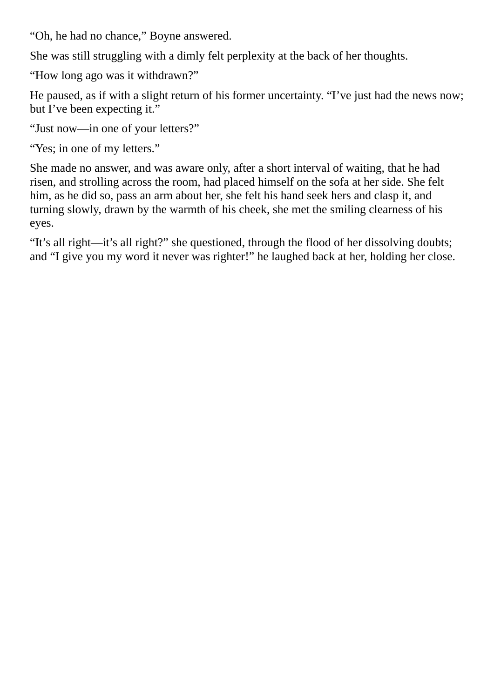"Oh, he had no chance," Boyne answered.

She was still struggling with a dimly felt perplexity at the back of her thoughts.

"How long ago was it withdrawn?"

He paused, as if with a slight return of his former uncertainty. "I've just had the news now; but I've been expecting it."

"Just now—in one of your letters?"

"Yes; in one of my letters."

She made no answer, and was aware only, after a short interval of waiting, that he had risen, and strolling across the room, had placed himself on the sofa at her side. She felt him, as he did so, pass an arm about her, she felt his hand seek hers and clasp it, and turning slowly, drawn by the warmth of his cheek, she met the smiling clearness of his eyes.

"It's all right—it's all right?" she questioned, through the flood of her dissolving doubts; and "I give you my word it never was righter!" he laughed back at her, holding her close.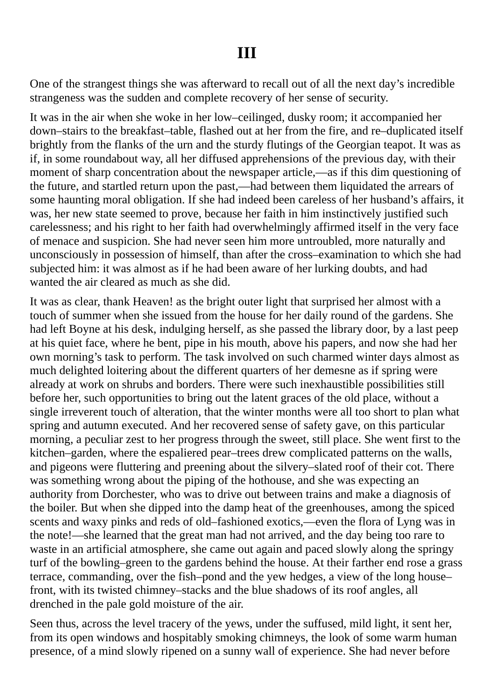## **III**

One of the strangest things she was afterward to recall out of all the next day's incredible strangeness was the sudden and complete recovery of her sense of security.

It was in the air when she woke in her low–ceilinged, dusky room; it accompanied her down–stairs to the breakfast–table, flashed out at her from the fire, and re–duplicated itself brightly from the flanks of the urn and the sturdy flutings of the Georgian teapot. It was as if, in some roundabout way, all her diffused apprehensions of the previous day, with their moment of sharp concentration about the newspaper article,—as if this dim questioning of the future, and startled return upon the past,—had between them liquidated the arrears of some haunting moral obligation. If she had indeed been careless of her husband's affairs, it was, her new state seemed to prove, because her faith in him instinctively justified such carelessness; and his right to her faith had overwhelmingly affirmed itself in the very face of menace and suspicion. She had never seen him more untroubled, more naturally and unconsciously in possession of himself, than after the cross–examination to which she had subjected him: it was almost as if he had been aware of her lurking doubts, and had wanted the air cleared as much as she did.

It was as clear, thank Heaven! as the bright outer light that surprised her almost with a touch of summer when she issued from the house for her daily round of the gardens. She had left Boyne at his desk, indulging herself, as she passed the library door, by a last peep at his quiet face, where he bent, pipe in his mouth, above his papers, and now she had her own morning's task to perform. The task involved on such charmed winter days almost as much delighted loitering about the different quarters of her demesne as if spring were already at work on shrubs and borders. There were such inexhaustible possibilities still before her, such opportunities to bring out the latent graces of the old place, without a single irreverent touch of alteration, that the winter months were all too short to plan what spring and autumn executed. And her recovered sense of safety gave, on this particular morning, a peculiar zest to her progress through the sweet, still place. She went first to the kitchen–garden, where the espaliered pear–trees drew complicated patterns on the walls, and pigeons were fluttering and preening about the silvery–slated roof of their cot. There was something wrong about the piping of the hothouse, and she was expecting an authority from Dorchester, who was to drive out between trains and make a diagnosis of the boiler. But when she dipped into the damp heat of the greenhouses, among the spiced scents and waxy pinks and reds of old–fashioned exotics,—even the flora of Lyng was in the note!—she learned that the great man had not arrived, and the day being too rare to waste in an artificial atmosphere, she came out again and paced slowly along the springy turf of the bowling–green to the gardens behind the house. At their farther end rose a grass terrace, commanding, over the fish–pond and the yew hedges, a view of the long house– front, with its twisted chimney–stacks and the blue shadows of its roof angles, all drenched in the pale gold moisture of the air.

Seen thus, across the level tracery of the yews, under the suffused, mild light, it sent her, from its open windows and hospitably smoking chimneys, the look of some warm human presence, of a mind slowly ripened on a sunny wall of experience. She had never before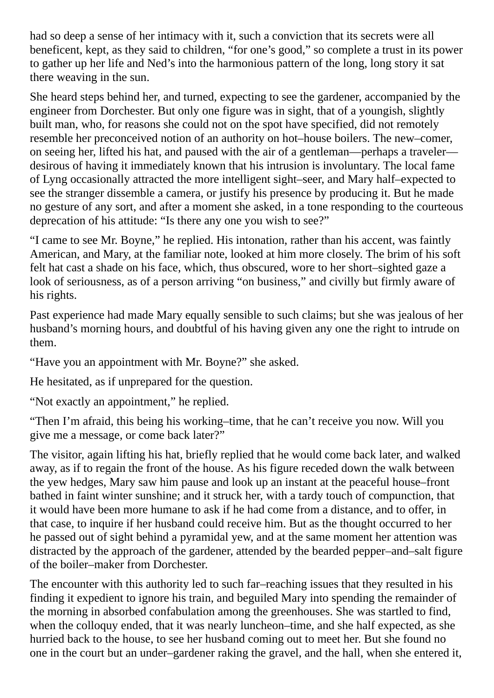had so deep a sense of her intimacy with it, such a conviction that its secrets were all beneficent, kept, as they said to children, "for one's good," so complete a trust in its power to gather up her life and Ned's into the harmonious pattern of the long, long story it sat there weaving in the sun.

She heard steps behind her, and turned, expecting to see the gardener, accompanied by the engineer from Dorchester. But only one figure was in sight, that of a youngish, slightly built man, who, for reasons she could not on the spot have specified, did not remotely resemble her preconceived notion of an authority on hot–house boilers. The new–comer, on seeing her, lifted his hat, and paused with the air of a gentleman—perhaps a traveler desirous of having it immediately known that his intrusion is involuntary. The local fame of Lyng occasionally attracted the more intelligent sight–seer, and Mary half–expected to see the stranger dissemble a camera, or justify his presence by producing it. But he made no gesture of any sort, and after a moment she asked, in a tone responding to the courteous deprecation of his attitude: "Is there any one you wish to see?"

"I came to see Mr. Boyne," he replied. His intonation, rather than his accent, was faintly American, and Mary, at the familiar note, looked at him more closely. The brim of his soft felt hat cast a shade on his face, which, thus obscured, wore to her short–sighted gaze a look of seriousness, as of a person arriving "on business," and civilly but firmly aware of his rights.

Past experience had made Mary equally sensible to such claims; but she was jealous of her husband's morning hours, and doubtful of his having given any one the right to intrude on them.

"Have you an appointment with Mr. Boyne?" she asked.

He hesitated, as if unprepared for the question.

"Not exactly an appointment," he replied.

"Then I'm afraid, this being his working–time, that he can't receive you now. Will you give me a message, or come back later?"

The visitor, again lifting his hat, briefly replied that he would come back later, and walked away, as if to regain the front of the house. As his figure receded down the walk between the yew hedges, Mary saw him pause and look up an instant at the peaceful house–front bathed in faint winter sunshine; and it struck her, with a tardy touch of compunction, that it would have been more humane to ask if he had come from a distance, and to offer, in that case, to inquire if her husband could receive him. But as the thought occurred to her he passed out of sight behind a pyramidal yew, and at the same moment her attention was distracted by the approach of the gardener, attended by the bearded pepper–and–salt figure of the boiler–maker from Dorchester.

The encounter with this authority led to such far–reaching issues that they resulted in his finding it expedient to ignore his train, and beguiled Mary into spending the remainder of the morning in absorbed confabulation among the greenhouses. She was startled to find, when the colloquy ended, that it was nearly luncheon–time, and she half expected, as she hurried back to the house, to see her husband coming out to meet her. But she found no one in the court but an under–gardener raking the gravel, and the hall, when she entered it,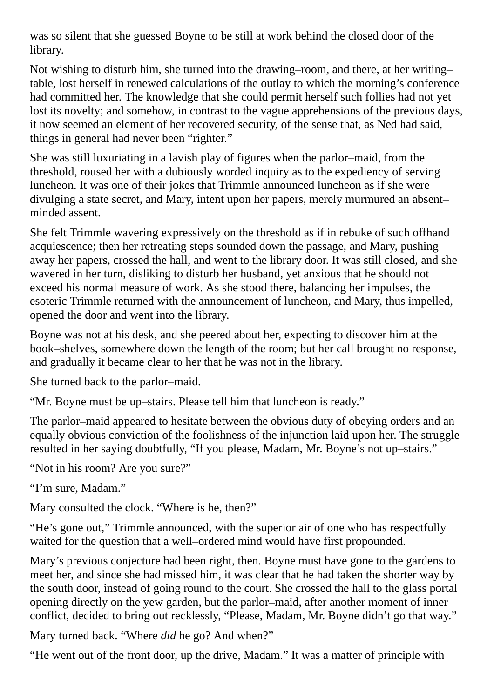was so silent that she guessed Boyne to be still at work behind the closed door of the library.

Not wishing to disturb him, she turned into the drawing–room, and there, at her writing– table, lost herself in renewed calculations of the outlay to which the morning's conference had committed her. The knowledge that she could permit herself such follies had not yet lost its novelty; and somehow, in contrast to the vague apprehensions of the previous days, it now seemed an element of her recovered security, of the sense that, as Ned had said, things in general had never been "righter."

She was still luxuriating in a lavish play of figures when the parlor–maid, from the threshold, roused her with a dubiously worded inquiry as to the expediency of serving luncheon. It was one of their jokes that Trimmle announced luncheon as if she were divulging a state secret, and Mary, intent upon her papers, merely murmured an absent– minded assent.

She felt Trimmle wavering expressively on the threshold as if in rebuke of such offhand acquiescence; then her retreating steps sounded down the passage, and Mary, pushing away her papers, crossed the hall, and went to the library door. It was still closed, and she wavered in her turn, disliking to disturb her husband, yet anxious that he should not exceed his normal measure of work. As she stood there, balancing her impulses, the esoteric Trimmle returned with the announcement of luncheon, and Mary, thus impelled, opened the door and went into the library.

Boyne was not at his desk, and she peered about her, expecting to discover him at the book–shelves, somewhere down the length of the room; but her call brought no response, and gradually it became clear to her that he was not in the library.

She turned back to the parlor–maid.

"Mr. Boyne must be up–stairs. Please tell him that luncheon is ready."

The parlor–maid appeared to hesitate between the obvious duty of obeying orders and an equally obvious conviction of the foolishness of the injunction laid upon her. The struggle resulted in her saying doubtfully, "If you please, Madam, Mr. Boyne's not up–stairs."

"Not in his room? Are you sure?"

"I'm sure, Madam."

Mary consulted the clock. "Where is he, then?"

"He's gone out," Trimmle announced, with the superior air of one who has respectfully waited for the question that a well–ordered mind would have first propounded.

Mary's previous conjecture had been right, then. Boyne must have gone to the gardens to meet her, and since she had missed him, it was clear that he had taken the shorter way by the south door, instead of going round to the court. She crossed the hall to the glass portal opening directly on the yew garden, but the parlor–maid, after another moment of inner conflict, decided to bring out recklessly, "Please, Madam, Mr. Boyne didn't go that way."

Mary turned back. "Where *did* he go? And when?"

"He went out of the front door, up the drive, Madam." It was a matter of principle with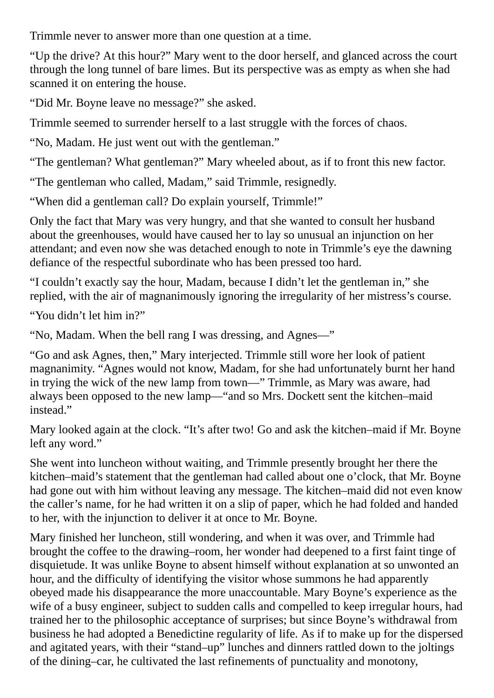Trimmle never to answer more than one question at a time.

"Up the drive? At this hour?" Mary went to the door herself, and glanced across the court through the long tunnel of bare limes. But its perspective was as empty as when she had scanned it on entering the house.

"Did Mr. Boyne leave no message?" she asked.

Trimmle seemed to surrender herself to a last struggle with the forces of chaos.

"No, Madam. He just went out with the gentleman."

"The gentleman? What gentleman?" Mary wheeled about, as if to front this new factor.

"The gentleman who called, Madam," said Trimmle, resignedly.

"When did a gentleman call? Do explain yourself, Trimmle!"

Only the fact that Mary was very hungry, and that she wanted to consult her husband about the greenhouses, would have caused her to lay so unusual an injunction on her attendant; and even now she was detached enough to note in Trimmle's eye the dawning defiance of the respectful subordinate who has been pressed too hard.

"I couldn't exactly say the hour, Madam, because I didn't let the gentleman in," she replied, with the air of magnanimously ignoring the irregularity of her mistress's course.

"You didn't let him in?"

"No, Madam. When the bell rang I was dressing, and Agnes—"

"Go and ask Agnes, then," Mary interjected. Trimmle still wore her look of patient magnanimity. "Agnes would not know, Madam, for she had unfortunately burnt her hand in trying the wick of the new lamp from town—" Trimmle, as Mary was aware, had always been opposed to the new lamp—"and so Mrs. Dockett sent the kitchen–maid instead."

Mary looked again at the clock. "It's after two! Go and ask the kitchen–maid if Mr. Boyne left any word."

She went into luncheon without waiting, and Trimmle presently brought her there the kitchen–maid's statement that the gentleman had called about one o'clock, that Mr. Boyne had gone out with him without leaving any message. The kitchen–maid did not even know the caller's name, for he had written it on a slip of paper, which he had folded and handed to her, with the injunction to deliver it at once to Mr. Boyne.

Mary finished her luncheon, still wondering, and when it was over, and Trimmle had brought the coffee to the drawing–room, her wonder had deepened to a first faint tinge of disquietude. It was unlike Boyne to absent himself without explanation at so unwonted an hour, and the difficulty of identifying the visitor whose summons he had apparently obeyed made his disappearance the more unaccountable. Mary Boyne's experience as the wife of a busy engineer, subject to sudden calls and compelled to keep irregular hours, had trained her to the philosophic acceptance of surprises; but since Boyne's withdrawal from business he had adopted a Benedictine regularity of life. As if to make up for the dispersed and agitated years, with their "stand–up" lunches and dinners rattled down to the joltings of the dining–car, he cultivated the last refinements of punctuality and monotony,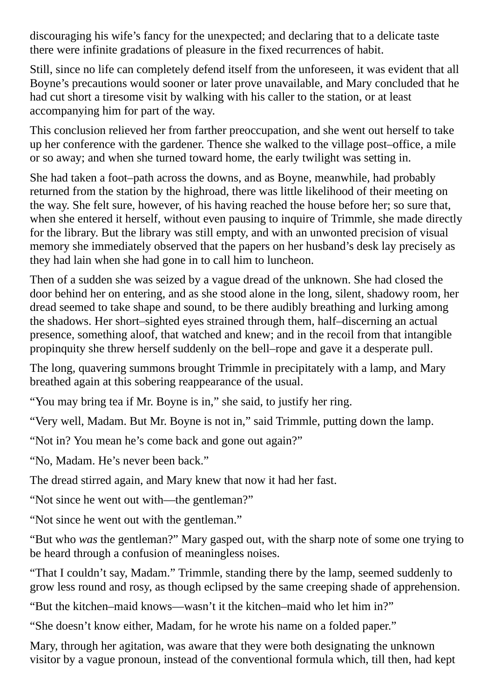discouraging his wife's fancy for the unexpected; and declaring that to a delicate taste there were infinite gradations of pleasure in the fixed recurrences of habit.

Still, since no life can completely defend itself from the unforeseen, it was evident that all Boyne's precautions would sooner or later prove unavailable, and Mary concluded that he had cut short a tiresome visit by walking with his caller to the station, or at least accompanying him for part of the way.

This conclusion relieved her from farther preoccupation, and she went out herself to take up her conference with the gardener. Thence she walked to the village post–office, a mile or so away; and when she turned toward home, the early twilight was setting in.

She had taken a foot–path across the downs, and as Boyne, meanwhile, had probably returned from the station by the highroad, there was little likelihood of their meeting on the way. She felt sure, however, of his having reached the house before her; so sure that, when she entered it herself, without even pausing to inquire of Trimmle, she made directly for the library. But the library was still empty, and with an unwonted precision of visual memory she immediately observed that the papers on her husband's desk lay precisely as they had lain when she had gone in to call him to luncheon.

Then of a sudden she was seized by a vague dread of the unknown. She had closed the door behind her on entering, and as she stood alone in the long, silent, shadowy room, her dread seemed to take shape and sound, to be there audibly breathing and lurking among the shadows. Her short–sighted eyes strained through them, half–discerning an actual presence, something aloof, that watched and knew; and in the recoil from that intangible propinquity she threw herself suddenly on the bell–rope and gave it a desperate pull.

The long, quavering summons brought Trimmle in precipitately with a lamp, and Mary breathed again at this sobering reappearance of the usual.

"You may bring tea if Mr. Boyne is in," she said, to justify her ring.

"Very well, Madam. But Mr. Boyne is not in," said Trimmle, putting down the lamp.

"Not in? You mean he's come back and gone out again?"

"No, Madam. He's never been back."

The dread stirred again, and Mary knew that now it had her fast.

"Not since he went out with—the gentleman?"

"Not since he went out with the gentleman."

"But who *was* the gentleman?" Mary gasped out, with the sharp note of some one trying to be heard through a confusion of meaningless noises.

"That I couldn't say, Madam." Trimmle, standing there by the lamp, seemed suddenly to grow less round and rosy, as though eclipsed by the same creeping shade of apprehension.

"But the kitchen–maid knows—wasn't it the kitchen–maid who let him in?"

"She doesn't know either, Madam, for he wrote his name on a folded paper."

Mary, through her agitation, was aware that they were both designating the unknown visitor by a vague pronoun, instead of the conventional formula which, till then, had kept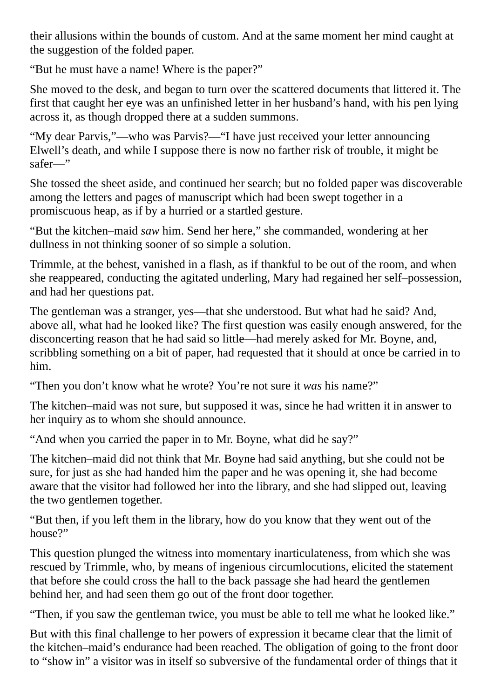their allusions within the bounds of custom. And at the same moment her mind caught at the suggestion of the folded paper.

"But he must have a name! Where is the paper?"

She moved to the desk, and began to turn over the scattered documents that littered it. The first that caught her eye was an unfinished letter in her husband's hand, with his pen lying across it, as though dropped there at a sudden summons.

"My dear Parvis,"—who was Parvis?—"I have just received your letter announcing Elwell's death, and while I suppose there is now no farther risk of trouble, it might be safer—"

She tossed the sheet aside, and continued her search; but no folded paper was discoverable among the letters and pages of manuscript which had been swept together in a promiscuous heap, as if by a hurried or a startled gesture.

"But the kitchen–maid *saw* him. Send her here," she commanded, wondering at her dullness in not thinking sooner of so simple a solution.

Trimmle, at the behest, vanished in a flash, as if thankful to be out of the room, and when she reappeared, conducting the agitated underling, Mary had regained her self–possession, and had her questions pat.

The gentleman was a stranger, yes—that she understood. But what had he said? And, above all, what had he looked like? The first question was easily enough answered, for the disconcerting reason that he had said so little—had merely asked for Mr. Boyne, and, scribbling something on a bit of paper, had requested that it should at once be carried in to him.

"Then you don't know what he wrote? You're not sure it *was* his name?"

The kitchen–maid was not sure, but supposed it was, since he had written it in answer to her inquiry as to whom she should announce.

"And when you carried the paper in to Mr. Boyne, what did he say?"

The kitchen–maid did not think that Mr. Boyne had said anything, but she could not be sure, for just as she had handed him the paper and he was opening it, she had become aware that the visitor had followed her into the library, and she had slipped out, leaving the two gentlemen together.

"But then, if you left them in the library, how do you know that they went out of the house?"

This question plunged the witness into momentary inarticulateness, from which she was rescued by Trimmle, who, by means of ingenious circumlocutions, elicited the statement that before she could cross the hall to the back passage she had heard the gentlemen behind her, and had seen them go out of the front door together.

"Then, if you saw the gentleman twice, you must be able to tell me what he looked like."

But with this final challenge to her powers of expression it became clear that the limit of the kitchen–maid's endurance had been reached. The obligation of going to the front door to "show in" a visitor was in itself so subversive of the fundamental order of things that it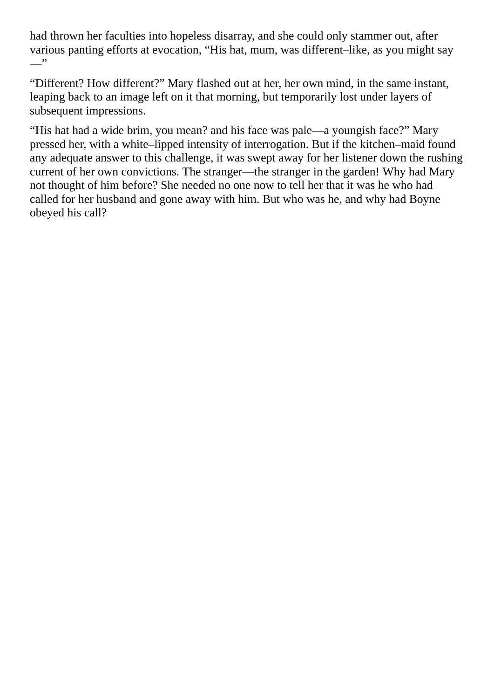had thrown her faculties into hopeless disarray, and she could only stammer out, after various panting efforts at evocation, "His hat, mum, was different–like, as you might say  $\overline{\phantom{a}}$ 

"Different? How different?" Mary flashed out at her, her own mind, in the same instant, leaping back to an image left on it that morning, but temporarily lost under layers of subsequent impressions.

"His hat had a wide brim, you mean? and his face was pale—a youngish face?" Mary pressed her, with a white–lipped intensity of interrogation. But if the kitchen–maid found any adequate answer to this challenge, it was swept away for her listener down the rushing current of her own convictions. The stranger—the stranger in the garden! Why had Mary not thought of him before? She needed no one now to tell her that it was he who had called for her husband and gone away with him. But who was he, and why had Boyne obeyed his call?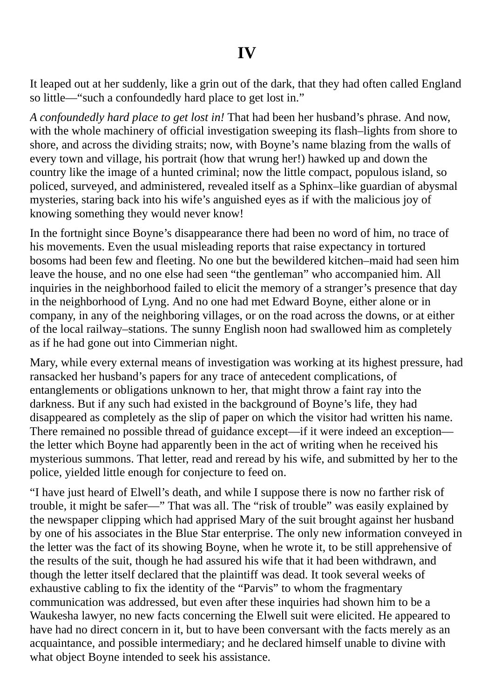It leaped out at her suddenly, like a grin out of the dark, that they had often called England so little—"such a confoundedly hard place to get lost in."

*A confoundedly hard place to get lost in!* That had been her husband's phrase. And now, with the whole machinery of official investigation sweeping its flash–lights from shore to shore, and across the dividing straits; now, with Boyne's name blazing from the walls of every town and village, his portrait (how that wrung her!) hawked up and down the country like the image of a hunted criminal; now the little compact, populous island, so policed, surveyed, and administered, revealed itself as a Sphinx–like guardian of abysmal mysteries, staring back into his wife's anguished eyes as if with the malicious joy of knowing something they would never know!

In the fortnight since Boyne's disappearance there had been no word of him, no trace of his movements. Even the usual misleading reports that raise expectancy in tortured bosoms had been few and fleeting. No one but the bewildered kitchen–maid had seen him leave the house, and no one else had seen "the gentleman" who accompanied him. All inquiries in the neighborhood failed to elicit the memory of a stranger's presence that day in the neighborhood of Lyng. And no one had met Edward Boyne, either alone or in company, in any of the neighboring villages, or on the road across the downs, or at either of the local railway–stations. The sunny English noon had swallowed him as completely as if he had gone out into Cimmerian night.

Mary, while every external means of investigation was working at its highest pressure, had ransacked her husband's papers for any trace of antecedent complications, of entanglements or obligations unknown to her, that might throw a faint ray into the darkness. But if any such had existed in the background of Boyne's life, they had disappeared as completely as the slip of paper on which the visitor had written his name. There remained no possible thread of guidance except—if it were indeed an exception the letter which Boyne had apparently been in the act of writing when he received his mysterious summons. That letter, read and reread by his wife, and submitted by her to the police, yielded little enough for conjecture to feed on.

"I have just heard of Elwell's death, and while I suppose there is now no farther risk of trouble, it might be safer—" That was all. The "risk of trouble" was easily explained by the newspaper clipping which had apprised Mary of the suit brought against her husband by one of his associates in the Blue Star enterprise. The only new information conveyed in the letter was the fact of its showing Boyne, when he wrote it, to be still apprehensive of the results of the suit, though he had assured his wife that it had been withdrawn, and though the letter itself declared that the plaintiff was dead. It took several weeks of exhaustive cabling to fix the identity of the "Parvis" to whom the fragmentary communication was addressed, but even after these inquiries had shown him to be a Waukesha lawyer, no new facts concerning the Elwell suit were elicited. He appeared to have had no direct concern in it, but to have been conversant with the facts merely as an acquaintance, and possible intermediary; and he declared himself unable to divine with what object Boyne intended to seek his assistance.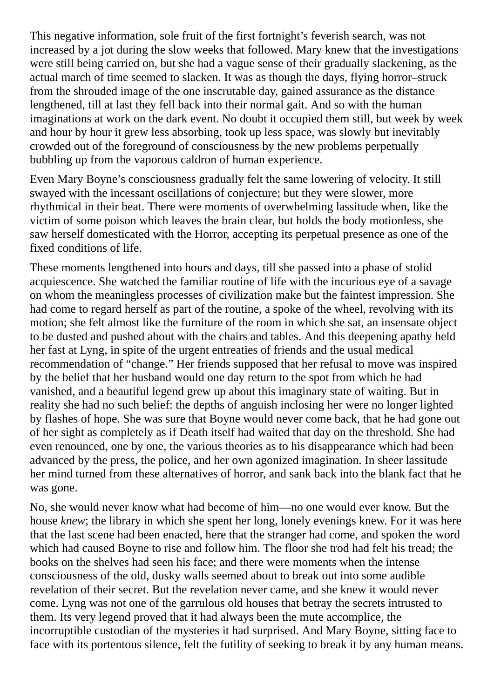This negative information, sole fruit of the first fortnight's feverish search, was not increased by a jot during the slow weeks that followed. Mary knew that the investigations were still being carried on, but she had a vague sense of their gradually slackening, as the actual march of time seemed to slacken. It was as though the days, flying horror–struck from the shrouded image of the one inscrutable day, gained assurance as the distance lengthened, till at last they fell back into their normal gait. And so with the human imaginations at work on the dark event. No doubt it occupied them still, but week by week and hour by hour it grew less absorbing, took up less space, was slowly but inevitably crowded out of the foreground of consciousness by the new problems perpetually bubbling up from the vaporous caldron of human experience.

Even Mary Boyne's consciousness gradually felt the same lowering of velocity. It still swayed with the incessant oscillations of conjecture; but they were slower, more rhythmical in their beat. There were moments of overwhelming lassitude when, like the victim of some poison which leaves the brain clear, but holds the body motionless, she saw herself domesticated with the Horror, accepting its perpetual presence as one of the fixed conditions of life.

These moments lengthened into hours and days, till she passed into a phase of stolid acquiescence. She watched the familiar routine of life with the incurious eye of a savage on whom the meaningless processes of civilization make but the faintest impression. She had come to regard herself as part of the routine, a spoke of the wheel, revolving with its motion; she felt almost like the furniture of the room in which she sat, an insensate object to be dusted and pushed about with the chairs and tables. And this deepening apathy held her fast at Lyng, in spite of the urgent entreaties of friends and the usual medical recommendation of "change." Her friends supposed that her refusal to move was inspired by the belief that her husband would one day return to the spot from which he had vanished, and a beautiful legend grew up about this imaginary state of waiting. But in reality she had no such belief: the depths of anguish inclosing her were no longer lighted by flashes of hope. She was sure that Boyne would never come back, that he had gone out of her sight as completely as if Death itself had waited that day on the threshold. She had even renounced, one by one, the various theories as to his disappearance which had been advanced by the press, the police, and her own agonized imagination. In sheer lassitude her mind turned from these alternatives of horror, and sank back into the blank fact that he was gone.

No, she would never know what had become of him—no one would ever know. But the house *knew*; the library in which she spent her long, lonely evenings knew. For it was here that the last scene had been enacted, here that the stranger had come, and spoken the word which had caused Boyne to rise and follow him. The floor she trod had felt his tread; the books on the shelves had seen his face; and there were moments when the intense consciousness of the old, dusky walls seemed about to break out into some audible revelation of their secret. But the revelation never came, and she knew it would never come. Lyng was not one of the garrulous old houses that betray the secrets intrusted to them. Its very legend proved that it had always been the mute accomplice, the incorruptible custodian of the mysteries it had surprised. And Mary Boyne, sitting face to face with its portentous silence, felt the futility of seeking to break it by any human means.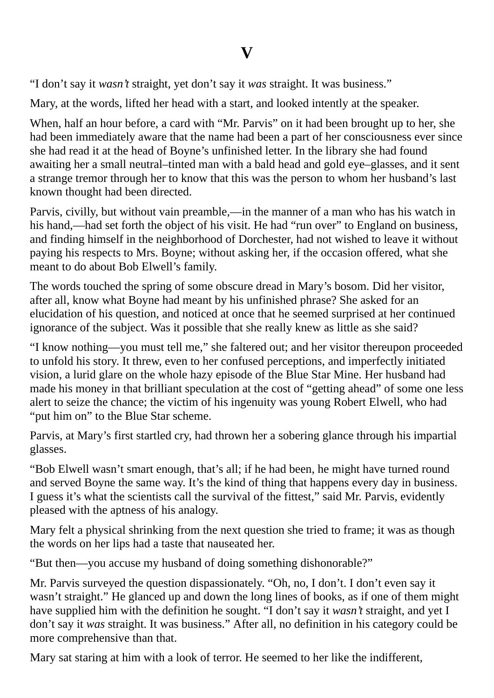"I don't say it *wasn't* straight, yet don't say it *was* straight. It was business."

Mary, at the words, lifted her head with a start, and looked intently at the speaker.

When, half an hour before, a card with "Mr. Parvis" on it had been brought up to her, she had been immediately aware that the name had been a part of her consciousness ever since she had read it at the head of Boyne's unfinished letter. In the library she had found awaiting her a small neutral–tinted man with a bald head and gold eye–glasses, and it sent a strange tremor through her to know that this was the person to whom her husband's last known thought had been directed.

Parvis, civilly, but without vain preamble,—in the manner of a man who has his watch in his hand,—had set forth the object of his visit. He had "run over" to England on business, and finding himself in the neighborhood of Dorchester, had not wished to leave it without paying his respects to Mrs. Boyne; without asking her, if the occasion offered, what she meant to do about Bob Elwell's family.

The words touched the spring of some obscure dread in Mary's bosom. Did her visitor, after all, know what Boyne had meant by his unfinished phrase? She asked for an elucidation of his question, and noticed at once that he seemed surprised at her continued ignorance of the subject. Was it possible that she really knew as little as she said?

"I know nothing—you must tell me," she faltered out; and her visitor thereupon proceeded to unfold his story. It threw, even to her confused perceptions, and imperfectly initiated vision, a lurid glare on the whole hazy episode of the Blue Star Mine. Her husband had made his money in that brilliant speculation at the cost of "getting ahead" of some one less alert to seize the chance; the victim of his ingenuity was young Robert Elwell, who had "put him on" to the Blue Star scheme.

Parvis, at Mary's first startled cry, had thrown her a sobering glance through his impartial glasses.

"Bob Elwell wasn't smart enough, that's all; if he had been, he might have turned round and served Boyne the same way. It's the kind of thing that happens every day in business. I guess it's what the scientists call the survival of the fittest," said Mr. Parvis, evidently pleased with the aptness of his analogy.

Mary felt a physical shrinking from the next question she tried to frame; it was as though the words on her lips had a taste that nauseated her.

"But then—you accuse my husband of doing something dishonorable?"

Mr. Parvis surveyed the question dispassionately. "Oh, no, I don't. I don't even say it wasn't straight." He glanced up and down the long lines of books, as if one of them might have supplied him with the definition he sought. "I don't say it *wasn't* straight, and yet I don't say it *was* straight. It was business." After all, no definition in his category could be more comprehensive than that.

Mary sat staring at him with a look of terror. He seemed to her like the indifferent,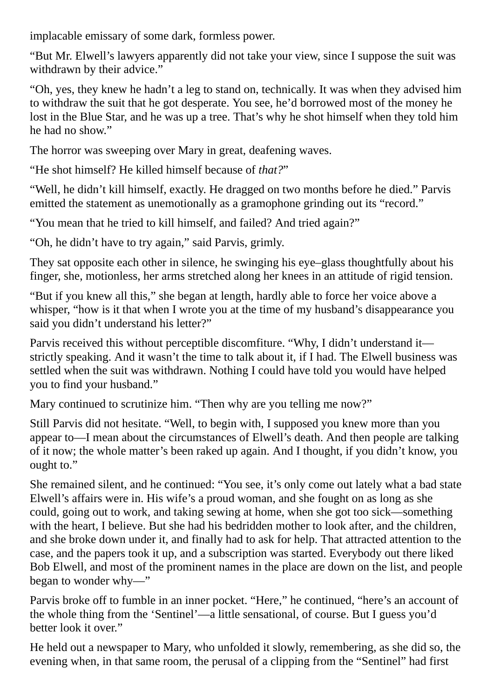implacable emissary of some dark, formless power.

"But Mr. Elwell's lawyers apparently did not take your view, since I suppose the suit was withdrawn by their advice."

"Oh, yes, they knew he hadn't a leg to stand on, technically. It was when they advised him to withdraw the suit that he got desperate. You see, he'd borrowed most of the money he lost in the Blue Star, and he was up a tree. That's why he shot himself when they told him he had no show."

The horror was sweeping over Mary in great, deafening waves.

"He shot himself? He killed himself because of *that?*"

"Well, he didn't kill himself, exactly. He dragged on two months before he died." Parvis emitted the statement as unemotionally as a gramophone grinding out its "record."

"You mean that he tried to kill himself, and failed? And tried again?"

"Oh, he didn't have to try again," said Parvis, grimly.

They sat opposite each other in silence, he swinging his eye–glass thoughtfully about his finger, she, motionless, her arms stretched along her knees in an attitude of rigid tension.

"But if you knew all this," she began at length, hardly able to force her voice above a whisper, "how is it that when I wrote you at the time of my husband's disappearance you said you didn't understand his letter?"

Parvis received this without perceptible discomfiture. "Why, I didn't understand it strictly speaking. And it wasn't the time to talk about it, if I had. The Elwell business was settled when the suit was withdrawn. Nothing I could have told you would have helped you to find your husband."

Mary continued to scrutinize him. "Then why are you telling me now?"

Still Parvis did not hesitate. "Well, to begin with, I supposed you knew more than you appear to—I mean about the circumstances of Elwell's death. And then people are talking of it now; the whole matter's been raked up again. And I thought, if you didn't know, you ought to."

She remained silent, and he continued: "You see, it's only come out lately what a bad state Elwell's affairs were in. His wife's a proud woman, and she fought on as long as she could, going out to work, and taking sewing at home, when she got too sick—something with the heart, I believe. But she had his bedridden mother to look after, and the children, and she broke down under it, and finally had to ask for help. That attracted attention to the case, and the papers took it up, and a subscription was started. Everybody out there liked Bob Elwell, and most of the prominent names in the place are down on the list, and people began to wonder why—"

Parvis broke off to fumble in an inner pocket. "Here," he continued, "here's an account of the whole thing from the 'Sentinel'—a little sensational, of course. But I guess you'd better look it over."

He held out a newspaper to Mary, who unfolded it slowly, remembering, as she did so, the evening when, in that same room, the perusal of a clipping from the "Sentinel" had first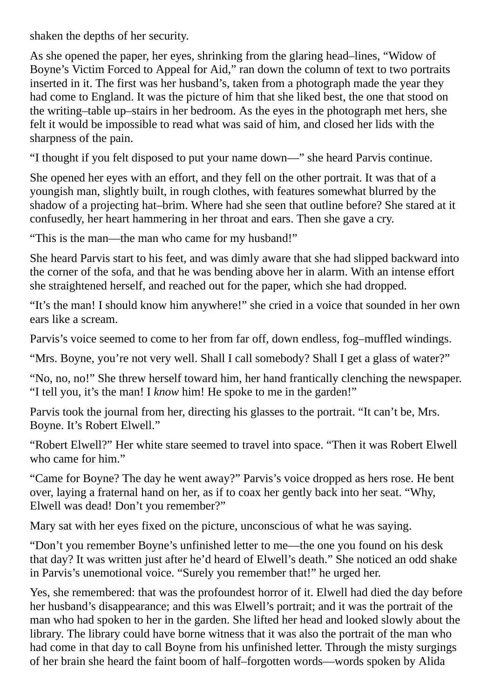shaken the depths of her security.

As she opened the paper, her eyes, shrinking from the glaring head–lines, "Widow of Boyne's Victim Forced to Appeal for Aid," ran down the column of text to two portraits inserted in it. The first was her husband's, taken from a photograph made the year they had come to England. It was the picture of him that she liked best, the one that stood on the writing–table up–stairs in her bedroom. As the eyes in the photograph met hers, she felt it would be impossible to read what was said of him, and closed her lids with the sharpness of the pain.

"I thought if you felt disposed to put your name down—" she heard Parvis continue.

She opened her eyes with an effort, and they fell on the other portrait. It was that of a youngish man, slightly built, in rough clothes, with features somewhat blurred by the shadow of a projecting hat–brim. Where had she seen that outline before? She stared at it confusedly, her heart hammering in her throat and ears. Then she gave a cry.

"This is the man—the man who came for my husband!"

She heard Parvis start to his feet, and was dimly aware that she had slipped backward into the corner of the sofa, and that he was bending above her in alarm. With an intense effort she straightened herself, and reached out for the paper, which she had dropped.

"It's the man! I should know him anywhere!" she cried in a voice that sounded in her own ears like a scream.

Parvis's voice seemed to come to her from far off, down endless, fog–muffled windings.

"Mrs. Boyne, you're not very well. Shall I call somebody? Shall I get a glass of water?"

"No, no, no!" She threw herself toward him, her hand frantically clenching the newspaper. "I tell you, it's the man! I *know* him! He spoke to me in the garden!"

Parvis took the journal from her, directing his glasses to the portrait. "It can't be, Mrs. Boyne. It's Robert Elwell."

"Robert Elwell?" Her white stare seemed to travel into space. "Then it was Robert Elwell who came for him."

"Came for Boyne? The day he went away?" Parvis's voice dropped as hers rose. He bent over, laying a fraternal hand on her, as if to coax her gently back into her seat. "Why, Elwell was dead! Don't you remember?"

Mary sat with her eyes fixed on the picture, unconscious of what he was saying.

"Don't you remember Boyne's unfinished letter to me—the one you found on his desk that day? It was written just after he'd heard of Elwell's death." She noticed an odd shake in Parvis's unemotional voice. "Surely you remember that!" he urged her.

Yes, she remembered: that was the profoundest horror of it. Elwell had died the day before her husband's disappearance; and this was Elwell's portrait; and it was the portrait of the man who had spoken to her in the garden. She lifted her head and looked slowly about the library. The library could have borne witness that it was also the portrait of the man who had come in that day to call Boyne from his unfinished letter. Through the misty surgings of her brain she heard the faint boom of half–forgotten words—words spoken by Alida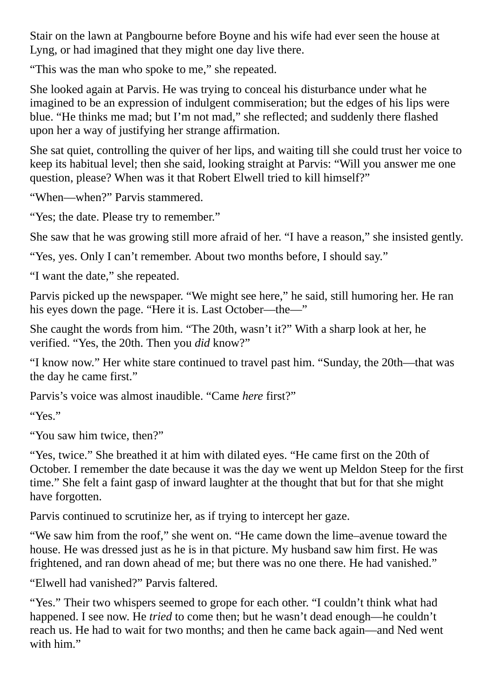Stair on the lawn at Pangbourne before Boyne and his wife had ever seen the house at Lyng, or had imagined that they might one day live there.

"This was the man who spoke to me," she repeated.

She looked again at Parvis. He was trying to conceal his disturbance under what he imagined to be an expression of indulgent commiseration; but the edges of his lips were blue. "He thinks me mad; but I'm not mad," she reflected; and suddenly there flashed upon her a way of justifying her strange affirmation.

She sat quiet, controlling the quiver of her lips, and waiting till she could trust her voice to keep its habitual level; then she said, looking straight at Parvis: "Will you answer me one question, please? When was it that Robert Elwell tried to kill himself?"

"When—when?" Parvis stammered.

"Yes; the date. Please try to remember."

She saw that he was growing still more afraid of her. "I have a reason," she insisted gently.

"Yes, yes. Only I can't remember. About two months before, I should say."

"I want the date," she repeated.

Parvis picked up the newspaper. "We might see here," he said, still humoring her. He ran his eyes down the page. "Here it is. Last October—the—"

She caught the words from him. "The 20th, wasn't it?" With a sharp look at her, he verified. "Yes, the 20th. Then you *did* know?"

"I know now." Her white stare continued to travel past him. "Sunday, the 20th—that was the day he came first."

Parvis's voice was almost inaudible. "Came *here* first?"

"Yes."

"You saw him twice, then?"

"Yes, twice." She breathed it at him with dilated eyes. "He came first on the 20th of October. I remember the date because it was the day we went up Meldon Steep for the first time." She felt a faint gasp of inward laughter at the thought that but for that she might have forgotten.

Parvis continued to scrutinize her, as if trying to intercept her gaze.

"We saw him from the roof," she went on. "He came down the lime–avenue toward the house. He was dressed just as he is in that picture. My husband saw him first. He was frightened, and ran down ahead of me; but there was no one there. He had vanished."

"Elwell had vanished?" Parvis faltered.

"Yes." Their two whispers seemed to grope for each other. "I couldn't think what had happened. I see now. He *tried* to come then; but he wasn't dead enough—he couldn't reach us. He had to wait for two months; and then he came back again—and Ned went with him."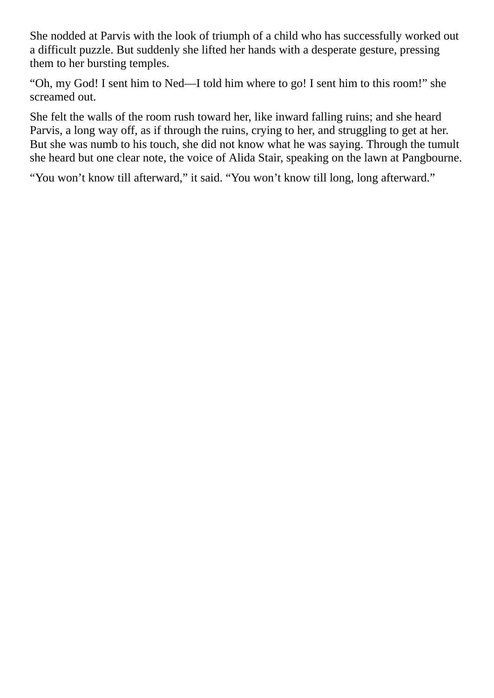She nodded at Parvis with the look of triumph of a child who has successfully worked out a difficult puzzle. But suddenly she lifted her hands with a desperate gesture, pressing them to her bursting temples.

"Oh, my God! I sent him to Ned—I told him where to go! I sent him to this room!" she screamed out.

She felt the walls of the room rush toward her, like inward falling ruins; and she heard Parvis, a long way off, as if through the ruins, crying to her, and struggling to get at her. But she was numb to his touch, she did not know what he was saying. Through the tumult she heard but one clear note, the voice of Alida Stair, speaking on the lawn at Pangbourne.

"You won't know till afterward," it said. "You won't know till long, long afterward."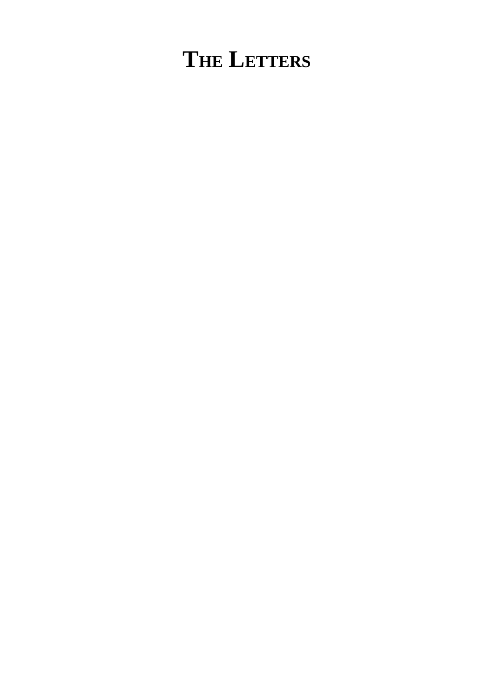## **THE LETTERS**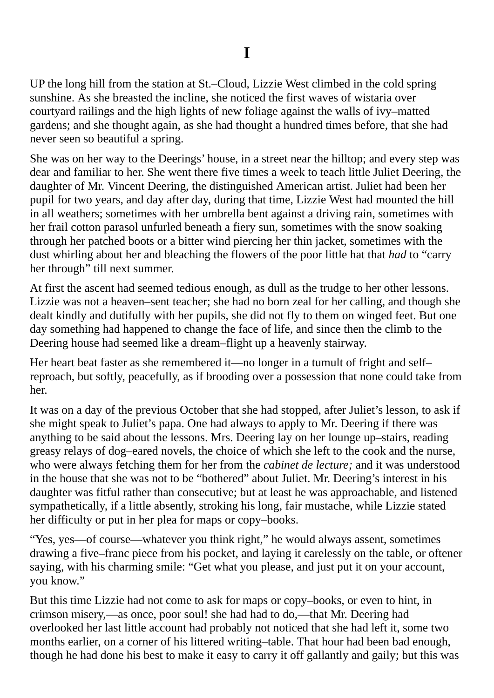UP the long hill from the station at St.–Cloud, Lizzie West climbed in the cold spring sunshine. As she breasted the incline, she noticed the first waves of wistaria over courtyard railings and the high lights of new foliage against the walls of ivy–matted gardens; and she thought again, as she had thought a hundred times before, that she had never seen so beautiful a spring.

She was on her way to the Deerings' house, in a street near the hilltop; and every step was dear and familiar to her. She went there five times a week to teach little Juliet Deering, the daughter of Mr. Vincent Deering, the distinguished American artist. Juliet had been her pupil for two years, and day after day, during that time, Lizzie West had mounted the hill in all weathers; sometimes with her umbrella bent against a driving rain, sometimes with her frail cotton parasol unfurled beneath a fiery sun, sometimes with the snow soaking through her patched boots or a bitter wind piercing her thin jacket, sometimes with the dust whirling about her and bleaching the flowers of the poor little hat that *had* to "carry her through" till next summer.

At first the ascent had seemed tedious enough, as dull as the trudge to her other lessons. Lizzie was not a heaven–sent teacher; she had no born zeal for her calling, and though she dealt kindly and dutifully with her pupils, she did not fly to them on winged feet. But one day something had happened to change the face of life, and since then the climb to the Deering house had seemed like a dream–flight up a heavenly stairway.

Her heart beat faster as she remembered it—no longer in a tumult of fright and self– reproach, but softly, peacefully, as if brooding over a possession that none could take from her.

It was on a day of the previous October that she had stopped, after Juliet's lesson, to ask if she might speak to Juliet's papa. One had always to apply to Mr. Deering if there was anything to be said about the lessons. Mrs. Deering lay on her lounge up–stairs, reading greasy relays of dog–eared novels, the choice of which she left to the cook and the nurse, who were always fetching them for her from the *cabinet de lecture;* and it was understood in the house that she was not to be "bothered" about Juliet. Mr. Deering's interest in his daughter was fitful rather than consecutive; but at least he was approachable, and listened sympathetically, if a little absently, stroking his long, fair mustache, while Lizzie stated her difficulty or put in her plea for maps or copy–books.

"Yes, yes—of course—whatever you think right," he would always assent, sometimes drawing a five–franc piece from his pocket, and laying it carelessly on the table, or oftener saying, with his charming smile: "Get what you please, and just put it on your account, you know."

But this time Lizzie had not come to ask for maps or copy–books, or even to hint, in crimson misery,—as once, poor soul! she had had to do,—that Mr. Deering had overlooked her last little account had probably not noticed that she had left it, some two months earlier, on a corner of his littered writing–table. That hour had been bad enough, though he had done his best to make it easy to carry it off gallantly and gaily; but this was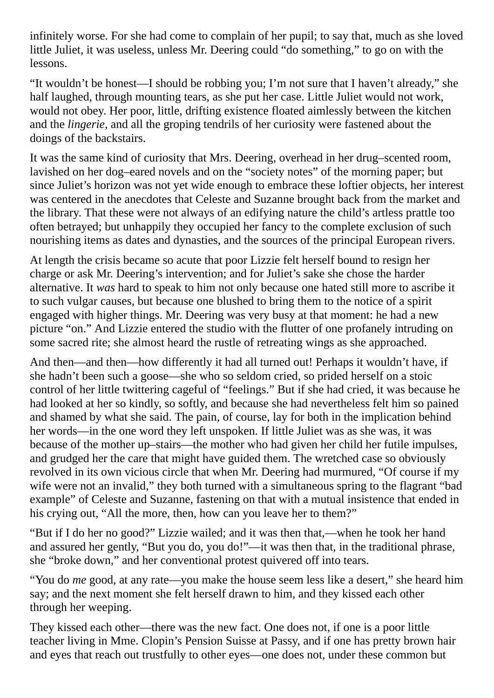infinitely worse. For she had come to complain of her pupil; to say that, much as she loved little Juliet, it was useless, unless Mr. Deering could "do something," to go on with the lessons.

"It wouldn't be honest—I should be robbing you; I'm not sure that I haven't already," she half laughed, through mounting tears, as she put her case. Little Juliet would not work, would not obey. Her poor, little, drifting existence floated aimlessly between the kitchen and the *lingerie*, and all the groping tendrils of her curiosity were fastened about the doings of the backstairs.

It was the same kind of curiosity that Mrs. Deering, overhead in her drug–scented room, lavished on her dog–eared novels and on the "society notes" of the morning paper; but since Juliet's horizon was not yet wide enough to embrace these loftier objects, her interest was centered in the anecdotes that Celeste and Suzanne brought back from the market and the library. That these were not always of an edifying nature the child's artless prattle too often betrayed; but unhappily they occupied her fancy to the complete exclusion of such nourishing items as dates and dynasties, and the sources of the principal European rivers.

At length the crisis became so acute that poor Lizzie felt herself bound to resign her charge or ask Mr. Deering's intervention; and for Juliet's sake she chose the harder alternative. It *was* hard to speak to him not only because one hated still more to ascribe it to such vulgar causes, but because one blushed to bring them to the notice of a spirit engaged with higher things. Mr. Deering was very busy at that moment: he had a new picture "on." And Lizzie entered the studio with the flutter of one profanely intruding on some sacred rite; she almost heard the rustle of retreating wings as she approached.

And then—and then—how differently it had all turned out! Perhaps it wouldn't have, if she hadn't been such a goose—she who so seldom cried, so prided herself on a stoic control of her little twittering cageful of "feelings." But if she had cried, it was because he had looked at her so kindly, so softly, and because she had nevertheless felt him so pained and shamed by what she said. The pain, of course, lay for both in the implication behind her words—in the one word they left unspoken. If little Juliet was as she was, it was because of the mother up–stairs—the mother who had given her child her futile impulses, and grudged her the care that might have guided them. The wretched case so obviously revolved in its own vicious circle that when Mr. Deering had murmured, "Of course if my wife were not an invalid," they both turned with a simultaneous spring to the flagrant "bad example" of Celeste and Suzanne, fastening on that with a mutual insistence that ended in his crying out, "All the more, then, how can you leave her to them?"

"But if I do her no good?" Lizzie wailed; and it was then that,—when he took her hand and assured her gently, "But you do, you do!"—it was then that, in the traditional phrase, she "broke down," and her conventional protest quivered off into tears.

"You do *me* good, at any rate—you make the house seem less like a desert," she heard him say; and the next moment she felt herself drawn to him, and they kissed each other through her weeping.

They kissed each other—there was the new fact. One does not, if one is a poor little teacher living in Mme. Clopin's Pension Suisse at Passy, and if one has pretty brown hair and eyes that reach out trustfully to other eyes—one does not, under these common but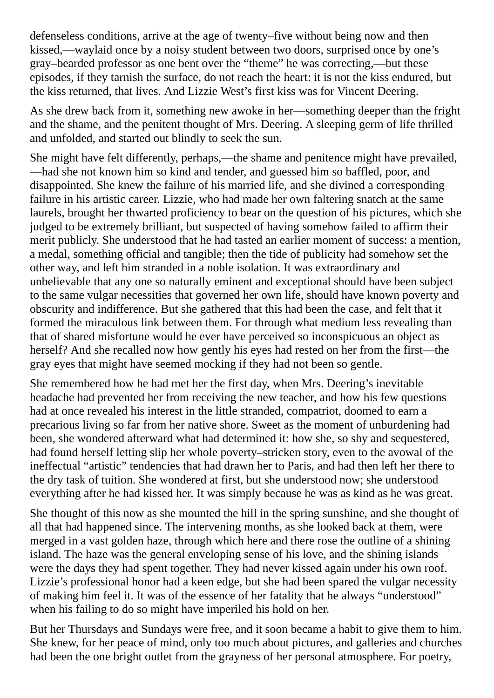defenseless conditions, arrive at the age of twenty–five without being now and then kissed,—waylaid once by a noisy student between two doors, surprised once by one's gray–bearded professor as one bent over the "theme" he was correcting,—but these episodes, if they tarnish the surface, do not reach the heart: it is not the kiss endured, but the kiss returned, that lives. And Lizzie West's first kiss was for Vincent Deering.

As she drew back from it, something new awoke in her—something deeper than the fright and the shame, and the penitent thought of Mrs. Deering. A sleeping germ of life thrilled and unfolded, and started out blindly to seek the sun.

She might have felt differently, perhaps,—the shame and penitence might have prevailed, —had she not known him so kind and tender, and guessed him so baffled, poor, and disappointed. She knew the failure of his married life, and she divined a corresponding failure in his artistic career. Lizzie, who had made her own faltering snatch at the same laurels, brought her thwarted proficiency to bear on the question of his pictures, which she judged to be extremely brilliant, but suspected of having somehow failed to affirm their merit publicly. She understood that he had tasted an earlier moment of success: a mention, a medal, something official and tangible; then the tide of publicity had somehow set the other way, and left him stranded in a noble isolation. It was extraordinary and unbelievable that any one so naturally eminent and exceptional should have been subject to the same vulgar necessities that governed her own life, should have known poverty and obscurity and indifference. But she gathered that this had been the case, and felt that it formed the miraculous link between them. For through what medium less revealing than that of shared misfortune would he ever have perceived so inconspicuous an object as herself? And she recalled now how gently his eyes had rested on her from the first—the gray eyes that might have seemed mocking if they had not been so gentle.

She remembered how he had met her the first day, when Mrs. Deering's inevitable headache had prevented her from receiving the new teacher, and how his few questions had at once revealed his interest in the little stranded, compatriot, doomed to earn a precarious living so far from her native shore. Sweet as the moment of unburdening had been, she wondered afterward what had determined it: how she, so shy and sequestered, had found herself letting slip her whole poverty–stricken story, even to the avowal of the ineffectual "artistic" tendencies that had drawn her to Paris, and had then left her there to the dry task of tuition. She wondered at first, but she understood now; she understood everything after he had kissed her. It was simply because he was as kind as he was great.

She thought of this now as she mounted the hill in the spring sunshine, and she thought of all that had happened since. The intervening months, as she looked back at them, were merged in a vast golden haze, through which here and there rose the outline of a shining island. The haze was the general enveloping sense of his love, and the shining islands were the days they had spent together. They had never kissed again under his own roof. Lizzie's professional honor had a keen edge, but she had been spared the vulgar necessity of making him feel it. It was of the essence of her fatality that he always "understood" when his failing to do so might have imperiled his hold on her.

But her Thursdays and Sundays were free, and it soon became a habit to give them to him. She knew, for her peace of mind, only too much about pictures, and galleries and churches had been the one bright outlet from the grayness of her personal atmosphere. For poetry,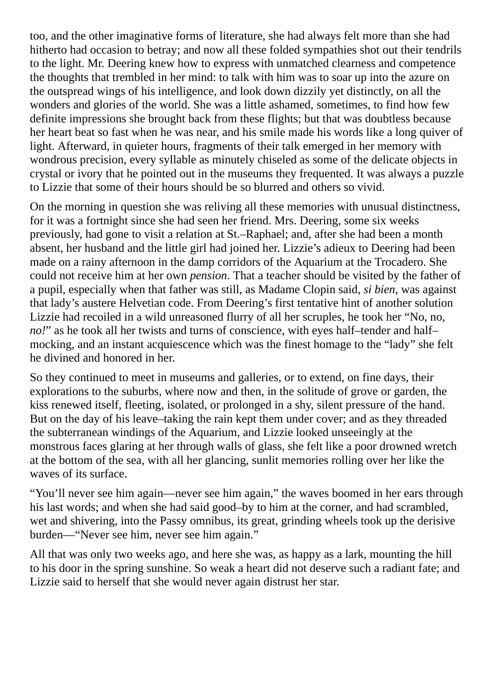too, and the other imaginative forms of literature, she had always felt more than she had hitherto had occasion to betray; and now all these folded sympathies shot out their tendrils to the light. Mr. Deering knew how to express with unmatched clearness and competence the thoughts that trembled in her mind: to talk with him was to soar up into the azure on the outspread wings of his intelligence, and look down dizzily yet distinctly, on all the wonders and glories of the world. She was a little ashamed, sometimes, to find how few definite impressions she brought back from these flights; but that was doubtless because her heart beat so fast when he was near, and his smile made his words like a long quiver of light. Afterward, in quieter hours, fragments of their talk emerged in her memory with wondrous precision, every syllable as minutely chiseled as some of the delicate objects in crystal or ivory that he pointed out in the museums they frequented. It was always a puzzle to Lizzie that some of their hours should be so blurred and others so vivid.

On the morning in question she was reliving all these memories with unusual distinctness, for it was a fortnight since she had seen her friend. Mrs. Deering, some six weeks previously, had gone to visit a relation at St.–Raphael; and, after she had been a month absent, her husband and the little girl had joined her. Lizzie's adieux to Deering had been made on a rainy afternoon in the damp corridors of the Aquarium at the Trocadero. She could not receive him at her own *pension*. That a teacher should be visited by the father of a pupil, especially when that father was still, as Madame Clopin said, *si bien*, was against that lady's austere Helvetian code. From Deering's first tentative hint of another solution Lizzie had recoiled in a wild unreasoned flurry of all her scruples, he took her "No, no, *no!*" as he took all her twists and turns of conscience, with eyes half–tender and half– mocking, and an instant acquiescence which was the finest homage to the "lady" she felt he divined and honored in her.

So they continued to meet in museums and galleries, or to extend, on fine days, their explorations to the suburbs, where now and then, in the solitude of grove or garden, the kiss renewed itself, fleeting, isolated, or prolonged in a shy, silent pressure of the hand. But on the day of his leave–taking the rain kept them under cover; and as they threaded the subterranean windings of the Aquarium, and Lizzie looked unseeingly at the monstrous faces glaring at her through walls of glass, she felt like a poor drowned wretch at the bottom of the sea, with all her glancing, sunlit memories rolling over her like the waves of its surface.

"You'll never see him again—never see him again," the waves boomed in her ears through his last words; and when she had said good–by to him at the corner, and had scrambled, wet and shivering, into the Passy omnibus, its great, grinding wheels took up the derisive burden—"Never see him, never see him again."

All that was only two weeks ago, and here she was, as happy as a lark, mounting the hill to his door in the spring sunshine. So weak a heart did not deserve such a radiant fate; and Lizzie said to herself that she would never again distrust her star.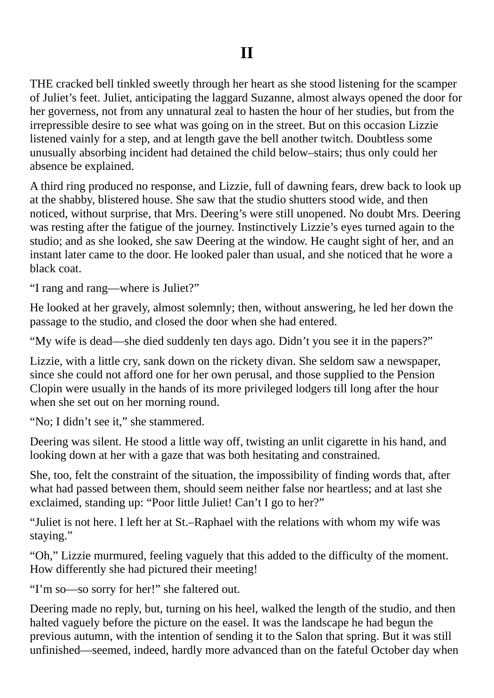THE cracked bell tinkled sweetly through her heart as she stood listening for the scamper of Juliet's feet. Juliet, anticipating the laggard Suzanne, almost always opened the door for her governess, not from any unnatural zeal to hasten the hour of her studies, but from the irrepressible desire to see what was going on in the street. But on this occasion Lizzie listened vainly for a step, and at length gave the bell another twitch. Doubtless some unusually absorbing incident had detained the child below–stairs; thus only could her absence be explained.

A third ring produced no response, and Lizzie, full of dawning fears, drew back to look up at the shabby, blistered house. She saw that the studio shutters stood wide, and then noticed, without surprise, that Mrs. Deering's were still unopened. No doubt Mrs. Deering was resting after the fatigue of the journey. Instinctively Lizzie's eyes turned again to the studio; and as she looked, she saw Deering at the window. He caught sight of her, and an instant later came to the door. He looked paler than usual, and she noticed that he wore a black coat.

"I rang and rang—where is Juliet?"

He looked at her gravely, almost solemnly; then, without answering, he led her down the passage to the studio, and closed the door when she had entered.

"My wife is dead—she died suddenly ten days ago. Didn't you see it in the papers?"

Lizzie, with a little cry, sank down on the rickety divan. She seldom saw a newspaper, since she could not afford one for her own perusal, and those supplied to the Pension Clopin were usually in the hands of its more privileged lodgers till long after the hour when she set out on her morning round.

"No; I didn't see it," she stammered.

Deering was silent. He stood a little way off, twisting an unlit cigarette in his hand, and looking down at her with a gaze that was both hesitating and constrained.

She, too, felt the constraint of the situation, the impossibility of finding words that, after what had passed between them, should seem neither false nor heartless; and at last she exclaimed, standing up: "Poor little Juliet! Can't I go to her?"

"Juliet is not here. I left her at St.–Raphael with the relations with whom my wife was staying."

"Oh," Lizzie murmured, feeling vaguely that this added to the difficulty of the moment. How differently she had pictured their meeting!

"I'm so—so sorry for her!" she faltered out.

Deering made no reply, but, turning on his heel, walked the length of the studio, and then halted vaguely before the picture on the easel. It was the landscape he had begun the previous autumn, with the intention of sending it to the Salon that spring. But it was still unfinished—seemed, indeed, hardly more advanced than on the fateful October day when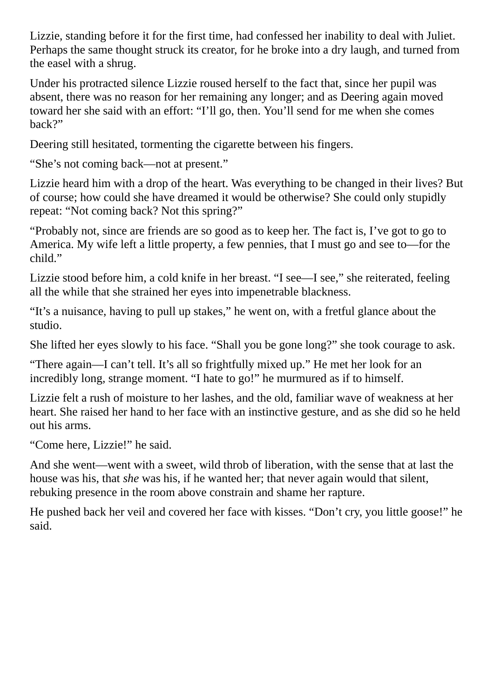Lizzie, standing before it for the first time, had confessed her inability to deal with Juliet. Perhaps the same thought struck its creator, for he broke into a dry laugh, and turned from the easel with a shrug.

Under his protracted silence Lizzie roused herself to the fact that, since her pupil was absent, there was no reason for her remaining any longer; and as Deering again moved toward her she said with an effort: "I'll go, then. You'll send for me when she comes back?"

Deering still hesitated, tormenting the cigarette between his fingers.

"She's not coming back—not at present."

Lizzie heard him with a drop of the heart. Was everything to be changed in their lives? But of course; how could she have dreamed it would be otherwise? She could only stupidly repeat: "Not coming back? Not this spring?"

"Probably not, since are friends are so good as to keep her. The fact is, I've got to go to America. My wife left a little property, a few pennies, that I must go and see to—for the child."

Lizzie stood before him, a cold knife in her breast. "I see—I see," she reiterated, feeling all the while that she strained her eyes into impenetrable blackness.

"It's a nuisance, having to pull up stakes," he went on, with a fretful glance about the studio.

She lifted her eyes slowly to his face. "Shall you be gone long?" she took courage to ask.

"There again—I can't tell. It's all so frightfully mixed up." He met her look for an incredibly long, strange moment. "I hate to go!" he murmured as if to himself.

Lizzie felt a rush of moisture to her lashes, and the old, familiar wave of weakness at her heart. She raised her hand to her face with an instinctive gesture, and as she did so he held out his arms.

"Come here, Lizzie!" he said.

And she went—went with a sweet, wild throb of liberation, with the sense that at last the house was his, that *she* was his, if he wanted her; that never again would that silent, rebuking presence in the room above constrain and shame her rapture.

He pushed back her veil and covered her face with kisses. "Don't cry, you little goose!" he said.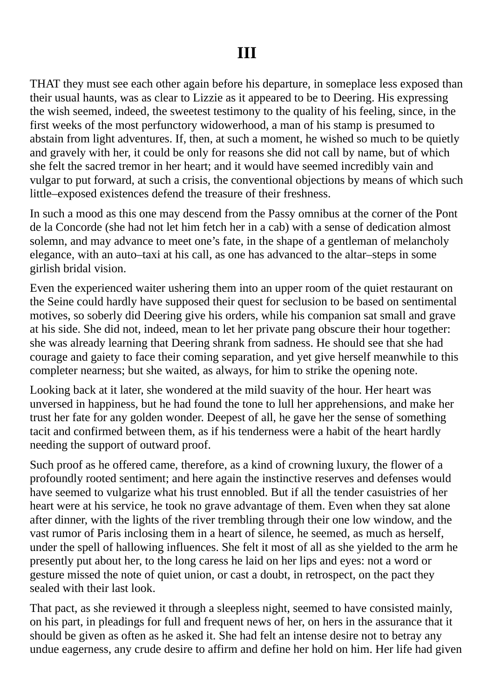THAT they must see each other again before his departure, in someplace less exposed than their usual haunts, was as clear to Lizzie as it appeared to be to Deering. His expressing the wish seemed, indeed, the sweetest testimony to the quality of his feeling, since, in the first weeks of the most perfunctory widowerhood, a man of his stamp is presumed to abstain from light adventures. If, then, at such a moment, he wished so much to be quietly and gravely with her, it could be only for reasons she did not call by name, but of which she felt the sacred tremor in her heart; and it would have seemed incredibly vain and vulgar to put forward, at such a crisis, the conventional objections by means of which such little–exposed existences defend the treasure of their freshness.

In such a mood as this one may descend from the Passy omnibus at the corner of the Pont de la Concorde (she had not let him fetch her in a cab) with a sense of dedication almost solemn, and may advance to meet one's fate, in the shape of a gentleman of melancholy elegance, with an auto–taxi at his call, as one has advanced to the altar–steps in some girlish bridal vision.

Even the experienced waiter ushering them into an upper room of the quiet restaurant on the Seine could hardly have supposed their quest for seclusion to be based on sentimental motives, so soberly did Deering give his orders, while his companion sat small and grave at his side. She did not, indeed, mean to let her private pang obscure their hour together: she was already learning that Deering shrank from sadness. He should see that she had courage and gaiety to face their coming separation, and yet give herself meanwhile to this completer nearness; but she waited, as always, for him to strike the opening note.

Looking back at it later, she wondered at the mild suavity of the hour. Her heart was unversed in happiness, but he had found the tone to lull her apprehensions, and make her trust her fate for any golden wonder. Deepest of all, he gave her the sense of something tacit and confirmed between them, as if his tenderness were a habit of the heart hardly needing the support of outward proof.

Such proof as he offered came, therefore, as a kind of crowning luxury, the flower of a profoundly rooted sentiment; and here again the instinctive reserves and defenses would have seemed to vulgarize what his trust ennobled. But if all the tender casuistries of her heart were at his service, he took no grave advantage of them. Even when they sat alone after dinner, with the lights of the river trembling through their one low window, and the vast rumor of Paris inclosing them in a heart of silence, he seemed, as much as herself, under the spell of hallowing influences. She felt it most of all as she yielded to the arm he presently put about her, to the long caress he laid on her lips and eyes: not a word or gesture missed the note of quiet union, or cast a doubt, in retrospect, on the pact they sealed with their last look.

That pact, as she reviewed it through a sleepless night, seemed to have consisted mainly, on his part, in pleadings for full and frequent news of her, on hers in the assurance that it should be given as often as he asked it. She had felt an intense desire not to betray any undue eagerness, any crude desire to affirm and define her hold on him. Her life had given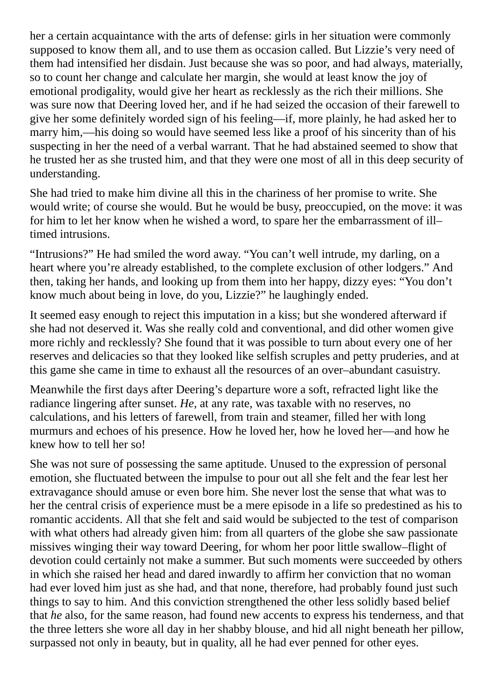her a certain acquaintance with the arts of defense: girls in her situation were commonly supposed to know them all, and to use them as occasion called. But Lizzie's very need of them had intensified her disdain. Just because she was so poor, and had always, materially, so to count her change and calculate her margin, she would at least know the joy of emotional prodigality, would give her heart as recklessly as the rich their millions. She was sure now that Deering loved her, and if he had seized the occasion of their farewell to give her some definitely worded sign of his feeling—if, more plainly, he had asked her to marry him,—his doing so would have seemed less like a proof of his sincerity than of his suspecting in her the need of a verbal warrant. That he had abstained seemed to show that he trusted her as she trusted him, and that they were one most of all in this deep security of understanding.

She had tried to make him divine all this in the chariness of her promise to write. She would write; of course she would. But he would be busy, preoccupied, on the move: it was for him to let her know when he wished a word, to spare her the embarrassment of ill– timed intrusions.

"Intrusions?" He had smiled the word away. "You can't well intrude, my darling, on a heart where you're already established, to the complete exclusion of other lodgers." And then, taking her hands, and looking up from them into her happy, dizzy eyes: "You don't know much about being in love, do you, Lizzie?" he laughingly ended.

It seemed easy enough to reject this imputation in a kiss; but she wondered afterward if she had not deserved it. Was she really cold and conventional, and did other women give more richly and recklessly? She found that it was possible to turn about every one of her reserves and delicacies so that they looked like selfish scruples and petty pruderies, and at this game she came in time to exhaust all the resources of an over–abundant casuistry.

Meanwhile the first days after Deering's departure wore a soft, refracted light like the radiance lingering after sunset. *He*, at any rate, was taxable with no reserves, no calculations, and his letters of farewell, from train and steamer, filled her with long murmurs and echoes of his presence. How he loved her, how he loved her—and how he knew how to tell her so!

She was not sure of possessing the same aptitude. Unused to the expression of personal emotion, she fluctuated between the impulse to pour out all she felt and the fear lest her extravagance should amuse or even bore him. She never lost the sense that what was to her the central crisis of experience must be a mere episode in a life so predestined as his to romantic accidents. All that she felt and said would be subjected to the test of comparison with what others had already given him: from all quarters of the globe she saw passionate missives winging their way toward Deering, for whom her poor little swallow–flight of devotion could certainly not make a summer. But such moments were succeeded by others in which she raised her head and dared inwardly to affirm her conviction that no woman had ever loved him just as she had, and that none, therefore, had probably found just such things to say to him. And this conviction strengthened the other less solidly based belief that *he* also, for the same reason, had found new accents to express his tenderness, and that the three letters she wore all day in her shabby blouse, and hid all night beneath her pillow, surpassed not only in beauty, but in quality, all he had ever penned for other eyes.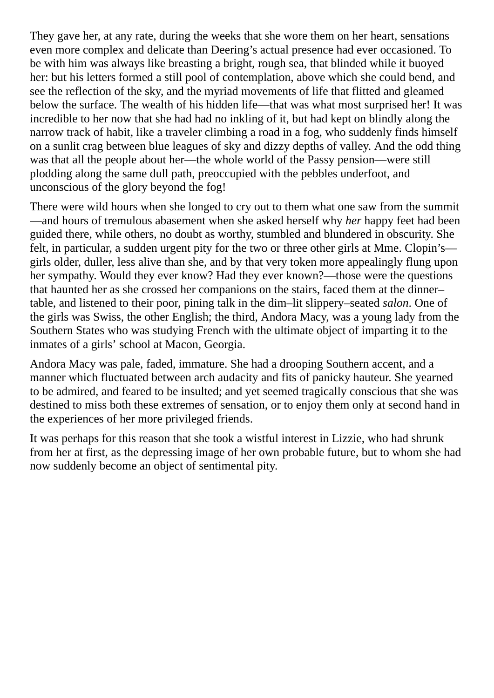They gave her, at any rate, during the weeks that she wore them on her heart, sensations even more complex and delicate than Deering's actual presence had ever occasioned. To be with him was always like breasting a bright, rough sea, that blinded while it buoyed her: but his letters formed a still pool of contemplation, above which she could bend, and see the reflection of the sky, and the myriad movements of life that flitted and gleamed below the surface. The wealth of his hidden life—that was what most surprised her! It was incredible to her now that she had had no inkling of it, but had kept on blindly along the narrow track of habit, like a traveler climbing a road in a fog, who suddenly finds himself on a sunlit crag between blue leagues of sky and dizzy depths of valley. And the odd thing was that all the people about her—the whole world of the Passy pension—were still plodding along the same dull path, preoccupied with the pebbles underfoot, and unconscious of the glory beyond the fog!

There were wild hours when she longed to cry out to them what one saw from the summit —and hours of tremulous abasement when she asked herself why *her* happy feet had been guided there, while others, no doubt as worthy, stumbled and blundered in obscurity. She felt, in particular, a sudden urgent pity for the two or three other girls at Mme. Clopin's girls older, duller, less alive than she, and by that very token more appealingly flung upon her sympathy. Would they ever know? Had they ever known?—those were the questions that haunted her as she crossed her companions on the stairs, faced them at the dinner– table, and listened to their poor, pining talk in the dim–lit slippery–seated *salon*. One of the girls was Swiss, the other English; the third, Andora Macy, was a young lady from the Southern States who was studying French with the ultimate object of imparting it to the inmates of a girls' school at Macon, Georgia.

Andora Macy was pale, faded, immature. She had a drooping Southern accent, and a manner which fluctuated between arch audacity and fits of panicky hauteur. She yearned to be admired, and feared to be insulted; and yet seemed tragically conscious that she was destined to miss both these extremes of sensation, or to enjoy them only at second hand in the experiences of her more privileged friends.

It was perhaps for this reason that she took a wistful interest in Lizzie, who had shrunk from her at first, as the depressing image of her own probable future, but to whom she had now suddenly become an object of sentimental pity.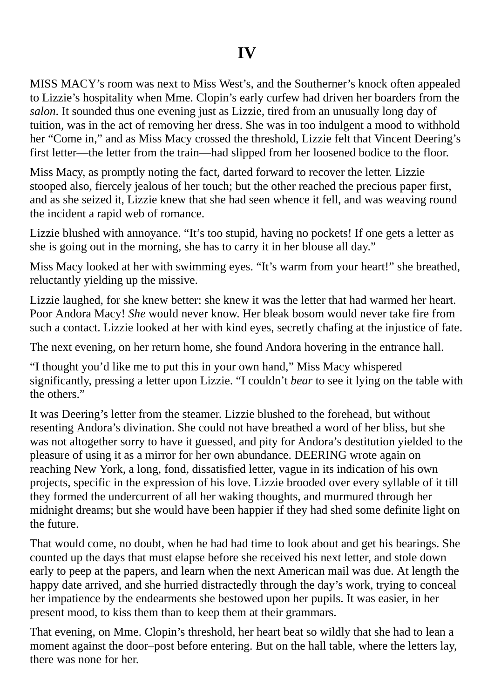MISS MACY's room was next to Miss West's, and the Southerner's knock often appealed to Lizzie's hospitality when Mme. Clopin's early curfew had driven her boarders from the *salon*. It sounded thus one evening just as Lizzie, tired from an unusually long day of tuition, was in the act of removing her dress. She was in too indulgent a mood to withhold her "Come in," and as Miss Macy crossed the threshold, Lizzie felt that Vincent Deering's first letter—the letter from the train—had slipped from her loosened bodice to the floor.

Miss Macy, as promptly noting the fact, darted forward to recover the letter. Lizzie stooped also, fiercely jealous of her touch; but the other reached the precious paper first, and as she seized it, Lizzie knew that she had seen whence it fell, and was weaving round the incident a rapid web of romance.

Lizzie blushed with annoyance. "It's too stupid, having no pockets! If one gets a letter as she is going out in the morning, she has to carry it in her blouse all day."

Miss Macy looked at her with swimming eyes. "It's warm from your heart!" she breathed, reluctantly yielding up the missive.

Lizzie laughed, for she knew better: she knew it was the letter that had warmed her heart. Poor Andora Macy! *She* would never know. Her bleak bosom would never take fire from such a contact. Lizzie looked at her with kind eyes, secretly chafing at the injustice of fate.

The next evening, on her return home, she found Andora hovering in the entrance hall.

"I thought you'd like me to put this in your own hand," Miss Macy whispered significantly, pressing a letter upon Lizzie. "I couldn't *bear* to see it lying on the table with the others."

It was Deering's letter from the steamer. Lizzie blushed to the forehead, but without resenting Andora's divination. She could not have breathed a word of her bliss, but she was not altogether sorry to have it guessed, and pity for Andora's destitution yielded to the pleasure of using it as a mirror for her own abundance. DEERING wrote again on reaching New York, a long, fond, dissatisfied letter, vague in its indication of his own projects, specific in the expression of his love. Lizzie brooded over every syllable of it till they formed the undercurrent of all her waking thoughts, and murmured through her midnight dreams; but she would have been happier if they had shed some definite light on the future.

That would come, no doubt, when he had had time to look about and get his bearings. She counted up the days that must elapse before she received his next letter, and stole down early to peep at the papers, and learn when the next American mail was due. At length the happy date arrived, and she hurried distractedly through the day's work, trying to conceal her impatience by the endearments she bestowed upon her pupils. It was easier, in her present mood, to kiss them than to keep them at their grammars.

That evening, on Mme. Clopin's threshold, her heart beat so wildly that she had to lean a moment against the door–post before entering. But on the hall table, where the letters lay, there was none for her.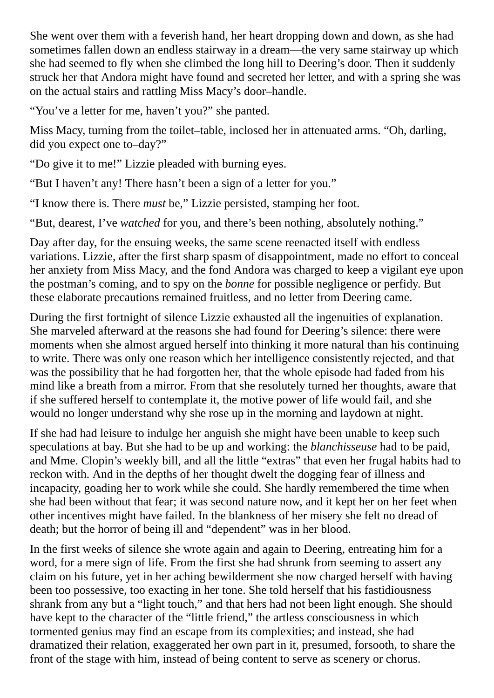She went over them with a feverish hand, her heart dropping down and down, as she had sometimes fallen down an endless stairway in a dream—the very same stairway up which she had seemed to fly when she climbed the long hill to Deering's door. Then it suddenly struck her that Andora might have found and secreted her letter, and with a spring she was on the actual stairs and rattling Miss Macy's door–handle.

"You've a letter for me, haven't you?" she panted.

Miss Macy, turning from the toilet–table, inclosed her in attenuated arms. "Oh, darling, did you expect one to–day?"

"Do give it to me!" Lizzie pleaded with burning eyes.

"But I haven't any! There hasn't been a sign of a letter for you."

"I know there is. There *must* be," Lizzie persisted, stamping her foot.

"But, dearest, I've *watched* for you, and there's been nothing, absolutely nothing."

Day after day, for the ensuing weeks, the same scene reenacted itself with endless variations. Lizzie, after the first sharp spasm of disappointment, made no effort to conceal her anxiety from Miss Macy, and the fond Andora was charged to keep a vigilant eye upon the postman's coming, and to spy on the *bonne* for possible negligence or perfidy. But these elaborate precautions remained fruitless, and no letter from Deering came.

During the first fortnight of silence Lizzie exhausted all the ingenuities of explanation. She marveled afterward at the reasons she had found for Deering's silence: there were moments when she almost argued herself into thinking it more natural than his continuing to write. There was only one reason which her intelligence consistently rejected, and that was the possibility that he had forgotten her, that the whole episode had faded from his mind like a breath from a mirror. From that she resolutely turned her thoughts, aware that if she suffered herself to contemplate it, the motive power of life would fail, and she would no longer understand why she rose up in the morning and laydown at night.

If she had had leisure to indulge her anguish she might have been unable to keep such speculations at bay. But she had to be up and working: the *blanchisseuse* had to be paid, and Mme. Clopin's weekly bill, and all the little "extras" that even her frugal habits had to reckon with. And in the depths of her thought dwelt the dogging fear of illness and incapacity, goading her to work while she could. She hardly remembered the time when she had been without that fear; it was second nature now, and it kept her on her feet when other incentives might have failed. In the blankness of her misery she felt no dread of death; but the horror of being ill and "dependent" was in her blood.

In the first weeks of silence she wrote again and again to Deering, entreating him for a word, for a mere sign of life. From the first she had shrunk from seeming to assert any claim on his future, yet in her aching bewilderment she now charged herself with having been too possessive, too exacting in her tone. She told herself that his fastidiousness shrank from any but a "light touch," and that hers had not been light enough. She should have kept to the character of the "little friend," the artless consciousness in which tormented genius may find an escape from its complexities; and instead, she had dramatized their relation, exaggerated her own part in it, presumed, forsooth, to share the front of the stage with him, instead of being content to serve as scenery or chorus.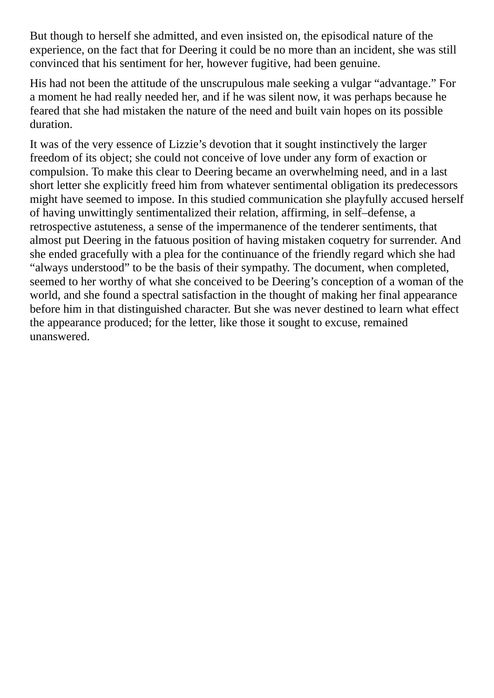But though to herself she admitted, and even insisted on, the episodical nature of the experience, on the fact that for Deering it could be no more than an incident, she was still convinced that his sentiment for her, however fugitive, had been genuine.

His had not been the attitude of the unscrupulous male seeking a vulgar "advantage." For a moment he had really needed her, and if he was silent now, it was perhaps because he feared that she had mistaken the nature of the need and built vain hopes on its possible duration.

It was of the very essence of Lizzie's devotion that it sought instinctively the larger freedom of its object; she could not conceive of love under any form of exaction or compulsion. To make this clear to Deering became an overwhelming need, and in a last short letter she explicitly freed him from whatever sentimental obligation its predecessors might have seemed to impose. In this studied communication she playfully accused herself of having unwittingly sentimentalized their relation, affirming, in self–defense, a retrospective astuteness, a sense of the impermanence of the tenderer sentiments, that almost put Deering in the fatuous position of having mistaken coquetry for surrender. And she ended gracefully with a plea for the continuance of the friendly regard which she had "always understood" to be the basis of their sympathy. The document, when completed, seemed to her worthy of what she conceived to be Deering's conception of a woman of the world, and she found a spectral satisfaction in the thought of making her final appearance before him in that distinguished character. But she was never destined to learn what effect the appearance produced; for the letter, like those it sought to excuse, remained unanswered.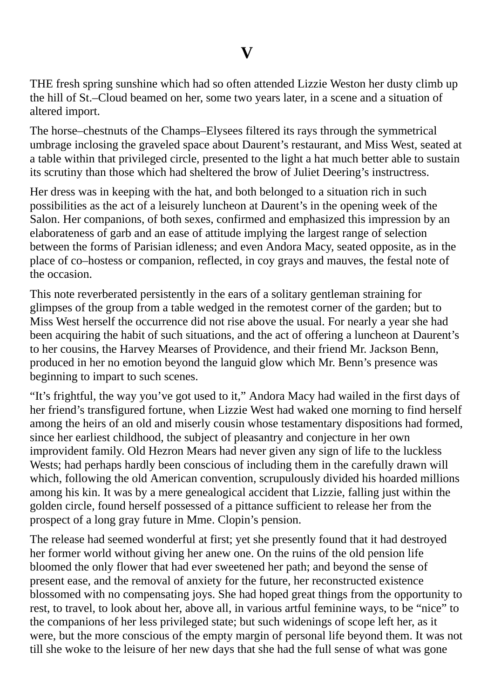THE fresh spring sunshine which had so often attended Lizzie Weston her dusty climb up the hill of St.–Cloud beamed on her, some two years later, in a scene and a situation of altered import.

The horse–chestnuts of the Champs–Elysees filtered its rays through the symmetrical umbrage inclosing the graveled space about Daurent's restaurant, and Miss West, seated at a table within that privileged circle, presented to the light a hat much better able to sustain its scrutiny than those which had sheltered the brow of Juliet Deering's instructress.

Her dress was in keeping with the hat, and both belonged to a situation rich in such possibilities as the act of a leisurely luncheon at Daurent's in the opening week of the Salon. Her companions, of both sexes, confirmed and emphasized this impression by an elaborateness of garb and an ease of attitude implying the largest range of selection between the forms of Parisian idleness; and even Andora Macy, seated opposite, as in the place of co–hostess or companion, reflected, in coy grays and mauves, the festal note of the occasion.

This note reverberated persistently in the ears of a solitary gentleman straining for glimpses of the group from a table wedged in the remotest corner of the garden; but to Miss West herself the occurrence did not rise above the usual. For nearly a year she had been acquiring the habit of such situations, and the act of offering a luncheon at Daurent's to her cousins, the Harvey Mearses of Providence, and their friend Mr. Jackson Benn, produced in her no emotion beyond the languid glow which Mr. Benn's presence was beginning to impart to such scenes.

"It's frightful, the way you've got used to it," Andora Macy had wailed in the first days of her friend's transfigured fortune, when Lizzie West had waked one morning to find herself among the heirs of an old and miserly cousin whose testamentary dispositions had formed, since her earliest childhood, the subject of pleasantry and conjecture in her own improvident family. Old Hezron Mears had never given any sign of life to the luckless Wests; had perhaps hardly been conscious of including them in the carefully drawn will which, following the old American convention, scrupulously divided his hoarded millions among his kin. It was by a mere genealogical accident that Lizzie, falling just within the golden circle, found herself possessed of a pittance sufficient to release her from the prospect of a long gray future in Mme. Clopin's pension.

The release had seemed wonderful at first; yet she presently found that it had destroyed her former world without giving her anew one. On the ruins of the old pension life bloomed the only flower that had ever sweetened her path; and beyond the sense of present ease, and the removal of anxiety for the future, her reconstructed existence blossomed with no compensating joys. She had hoped great things from the opportunity to rest, to travel, to look about her, above all, in various artful feminine ways, to be "nice" to the companions of her less privileged state; but such widenings of scope left her, as it were, but the more conscious of the empty margin of personal life beyond them. It was not till she woke to the leisure of her new days that she had the full sense of what was gone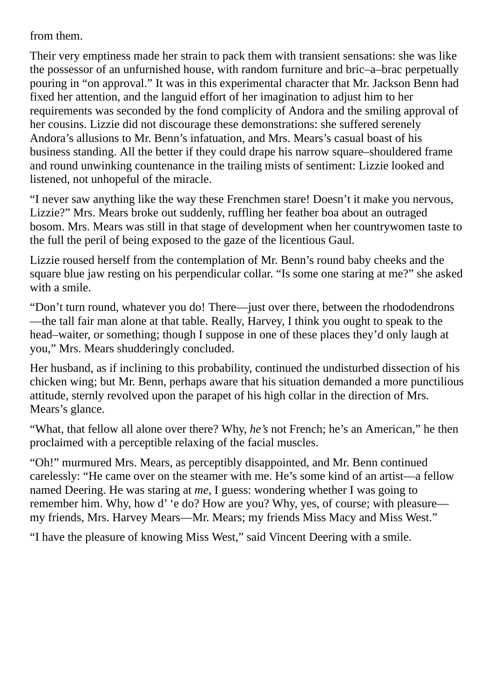## from them.

Their very emptiness made her strain to pack them with transient sensations: she was like the possessor of an unfurnished house, with random furniture and bric–a–brac perpetually pouring in "on approval." It was in this experimental character that Mr. Jackson Benn had fixed her attention, and the languid effort of her imagination to adjust him to her requirements was seconded by the fond complicity of Andora and the smiling approval of her cousins. Lizzie did not discourage these demonstrations: she suffered serenely Andora's allusions to Mr. Benn's infatuation, and Mrs. Mears's casual boast of his business standing. All the better if they could drape his narrow square–shouldered frame and round unwinking countenance in the trailing mists of sentiment: Lizzie looked and listened, not unhopeful of the miracle.

"I never saw anything like the way these Frenchmen stare! Doesn't it make you nervous, Lizzie?" Mrs. Mears broke out suddenly, ruffling her feather boa about an outraged bosom. Mrs. Mears was still in that stage of development when her countrywomen taste to the full the peril of being exposed to the gaze of the licentious Gaul.

Lizzie roused herself from the contemplation of Mr. Benn's round baby cheeks and the square blue jaw resting on his perpendicular collar. "Is some one staring at me?" she asked with a smile.

"Don't turn round, whatever you do! There—just over there, between the rhododendrons —the tall fair man alone at that table. Really, Harvey, I think you ought to speak to the head–waiter, or something; though I suppose in one of these places they'd only laugh at you," Mrs. Mears shudderingly concluded.

Her husband, as if inclining to this probability, continued the undisturbed dissection of his chicken wing; but Mr. Benn, perhaps aware that his situation demanded a more punctilious attitude, sternly revolved upon the parapet of his high collar in the direction of Mrs. Mears's glance.

"What, that fellow all alone over there? Why, *he's* not French; he's an American," he then proclaimed with a perceptible relaxing of the facial muscles.

"Oh!" murmured Mrs. Mears, as perceptibly disappointed, and Mr. Benn continued carelessly: "He came over on the steamer with me. He's some kind of an artist—a fellow named Deering. He was staring at *me*, I guess: wondering whether I was going to remember him. Why, how d' 'e do? How are you? Why, yes, of course; with pleasure my friends, Mrs. Harvey Mears—Mr. Mears; my friends Miss Macy and Miss West."

"I have the pleasure of knowing Miss West," said Vincent Deering with a smile.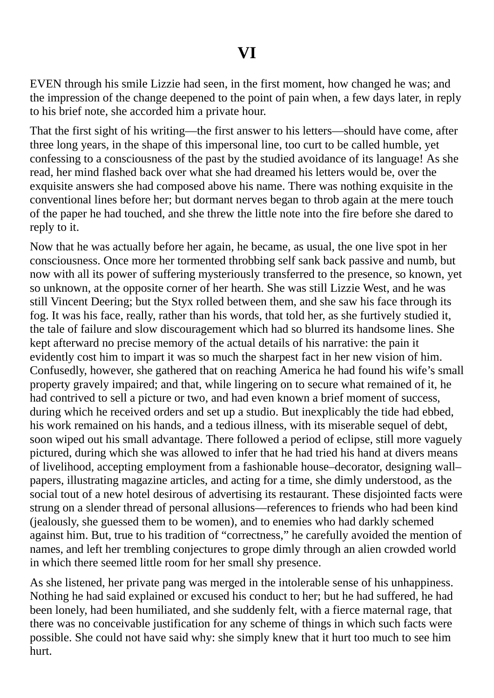EVEN through his smile Lizzie had seen, in the first moment, how changed he was; and the impression of the change deepened to the point of pain when, a few days later, in reply to his brief note, she accorded him a private hour.

That the first sight of his writing—the first answer to his letters—should have come, after three long years, in the shape of this impersonal line, too curt to be called humble, yet confessing to a consciousness of the past by the studied avoidance of its language! As she read, her mind flashed back over what she had dreamed his letters would be, over the exquisite answers she had composed above his name. There was nothing exquisite in the conventional lines before her; but dormant nerves began to throb again at the mere touch of the paper he had touched, and she threw the little note into the fire before she dared to reply to it.

Now that he was actually before her again, he became, as usual, the one live spot in her consciousness. Once more her tormented throbbing self sank back passive and numb, but now with all its power of suffering mysteriously transferred to the presence, so known, yet so unknown, at the opposite corner of her hearth. She was still Lizzie West, and he was still Vincent Deering; but the Styx rolled between them, and she saw his face through its fog. It was his face, really, rather than his words, that told her, as she furtively studied it, the tale of failure and slow discouragement which had so blurred its handsome lines. She kept afterward no precise memory of the actual details of his narrative: the pain it evidently cost him to impart it was so much the sharpest fact in her new vision of him. Confusedly, however, she gathered that on reaching America he had found his wife's small property gravely impaired; and that, while lingering on to secure what remained of it, he had contrived to sell a picture or two, and had even known a brief moment of success, during which he received orders and set up a studio. But inexplicably the tide had ebbed, his work remained on his hands, and a tedious illness, with its miserable sequel of debt, soon wiped out his small advantage. There followed a period of eclipse, still more vaguely pictured, during which she was allowed to infer that he had tried his hand at divers means of livelihood, accepting employment from a fashionable house–decorator, designing wall– papers, illustrating magazine articles, and acting for a time, she dimly understood, as the social tout of a new hotel desirous of advertising its restaurant. These disjointed facts were strung on a slender thread of personal allusions—references to friends who had been kind (jealously, she guessed them to be women), and to enemies who had darkly schemed against him. But, true to his tradition of "correctness," he carefully avoided the mention of names, and left her trembling conjectures to grope dimly through an alien crowded world in which there seemed little room for her small shy presence.

As she listened, her private pang was merged in the intolerable sense of his unhappiness. Nothing he had said explained or excused his conduct to her; but he had suffered, he had been lonely, had been humiliated, and she suddenly felt, with a fierce maternal rage, that there was no conceivable justification for any scheme of things in which such facts were possible. She could not have said why: she simply knew that it hurt too much to see him hurt.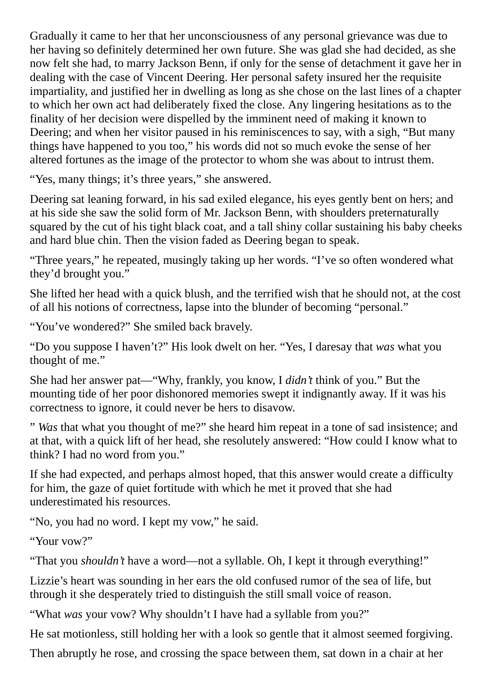Gradually it came to her that her unconsciousness of any personal grievance was due to her having so definitely determined her own future. She was glad she had decided, as she now felt she had, to marry Jackson Benn, if only for the sense of detachment it gave her in dealing with the case of Vincent Deering. Her personal safety insured her the requisite impartiality, and justified her in dwelling as long as she chose on the last lines of a chapter to which her own act had deliberately fixed the close. Any lingering hesitations as to the finality of her decision were dispelled by the imminent need of making it known to Deering; and when her visitor paused in his reminiscences to say, with a sigh, "But many things have happened to you too," his words did not so much evoke the sense of her altered fortunes as the image of the protector to whom she was about to intrust them.

"Yes, many things; it's three years," she answered.

Deering sat leaning forward, in his sad exiled elegance, his eyes gently bent on hers; and at his side she saw the solid form of Mr. Jackson Benn, with shoulders preternaturally squared by the cut of his tight black coat, and a tall shiny collar sustaining his baby cheeks and hard blue chin. Then the vision faded as Deering began to speak.

"Three years," he repeated, musingly taking up her words. "I've so often wondered what they'd brought you."

She lifted her head with a quick blush, and the terrified wish that he should not, at the cost of all his notions of correctness, lapse into the blunder of becoming "personal."

"You've wondered?" She smiled back bravely.

"Do you suppose I haven't?" His look dwelt on her. "Yes, I daresay that *was* what you thought of me."

She had her answer pat—"Why, frankly, you know, I *didn't* think of you." But the mounting tide of her poor dishonored memories swept it indignantly away. If it was his correctness to ignore, it could never be hers to disavow.

" *Was* that what you thought of me?" she heard him repeat in a tone of sad insistence; and at that, with a quick lift of her head, she resolutely answered: "How could I know what to think? I had no word from you."

If she had expected, and perhaps almost hoped, that this answer would create a difficulty for him, the gaze of quiet fortitude with which he met it proved that she had underestimated his resources.

"No, you had no word. I kept my vow," he said.

"Your vow?"

"That you *shouldn't* have a word—not a syllable. Oh, I kept it through everything!"

Lizzie's heart was sounding in her ears the old confused rumor of the sea of life, but through it she desperately tried to distinguish the still small voice of reason.

"What *was* your vow? Why shouldn't I have had a syllable from you?"

He sat motionless, still holding her with a look so gentle that it almost seemed forgiving.

Then abruptly he rose, and crossing the space between them, sat down in a chair at her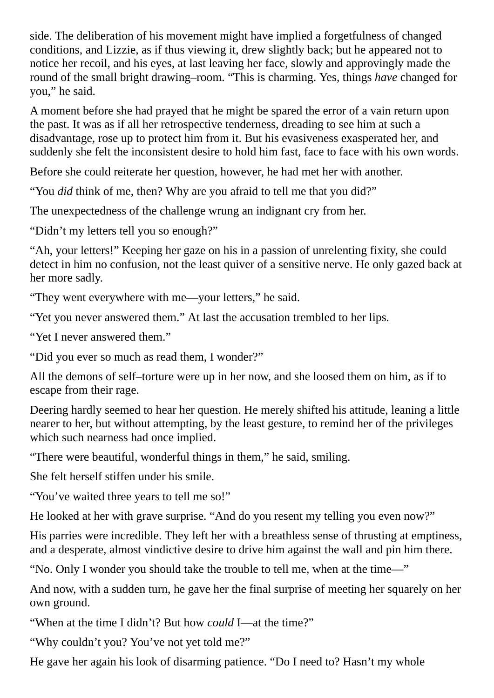side. The deliberation of his movement might have implied a forgetfulness of changed conditions, and Lizzie, as if thus viewing it, drew slightly back; but he appeared not to notice her recoil, and his eyes, at last leaving her face, slowly and approvingly made the round of the small bright drawing–room. "This is charming. Yes, things *have* changed for you," he said.

A moment before she had prayed that he might be spared the error of a vain return upon the past. It was as if all her retrospective tenderness, dreading to see him at such a disadvantage, rose up to protect him from it. But his evasiveness exasperated her, and suddenly she felt the inconsistent desire to hold him fast, face to face with his own words.

Before she could reiterate her question, however, he had met her with another.

"You *did* think of me, then? Why are you afraid to tell me that you did?"

The unexpectedness of the challenge wrung an indignant cry from her.

"Didn't my letters tell you so enough?"

"Ah, your letters!" Keeping her gaze on his in a passion of unrelenting fixity, she could detect in him no confusion, not the least quiver of a sensitive nerve. He only gazed back at her more sadly.

"They went everywhere with me—your letters," he said.

"Yet you never answered them." At last the accusation trembled to her lips.

"Yet I never answered them."

"Did you ever so much as read them, I wonder?"

All the demons of self–torture were up in her now, and she loosed them on him, as if to escape from their rage.

Deering hardly seemed to hear her question. He merely shifted his attitude, leaning a little nearer to her, but without attempting, by the least gesture, to remind her of the privileges which such nearness had once implied.

"There were beautiful, wonderful things in them," he said, smiling.

She felt herself stiffen under his smile.

"You've waited three years to tell me so!"

He looked at her with grave surprise. "And do you resent my telling you even now?"

His parries were incredible. They left her with a breathless sense of thrusting at emptiness, and a desperate, almost vindictive desire to drive him against the wall and pin him there.

"No. Only I wonder you should take the trouble to tell me, when at the time—"

And now, with a sudden turn, he gave her the final surprise of meeting her squarely on her own ground.

"When at the time I didn't? But how *could* I—at the time?"

"Why couldn't you? You've not yet told me?"

He gave her again his look of disarming patience. "Do I need to? Hasn't my whole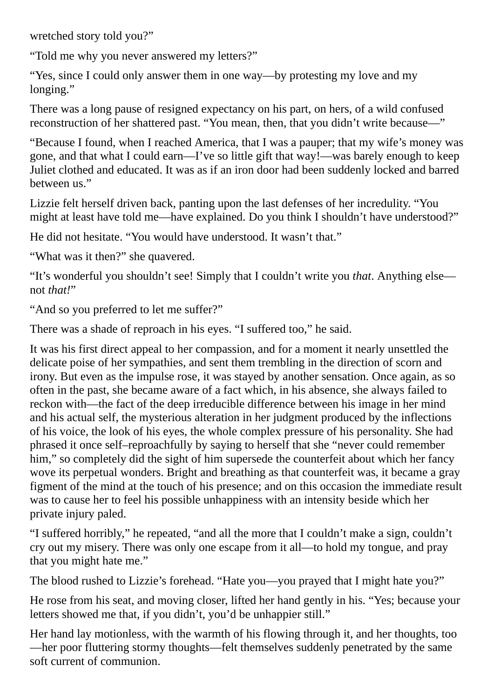wretched story told you?"

"Told me why you never answered my letters?"

"Yes, since I could only answer them in one way—by protesting my love and my longing."

There was a long pause of resigned expectancy on his part, on hers, of a wild confused reconstruction of her shattered past. "You mean, then, that you didn't write because—"

"Because I found, when I reached America, that I was a pauper; that my wife's money was gone, and that what I could earn—I've so little gift that way!—was barely enough to keep Juliet clothed and educated. It was as if an iron door had been suddenly locked and barred between us."

Lizzie felt herself driven back, panting upon the last defenses of her incredulity. "You might at least have told me—have explained. Do you think I shouldn't have understood?"

He did not hesitate. "You would have understood. It wasn't that."

"What was it then?" she quavered.

"It's wonderful you shouldn't see! Simply that I couldn't write you *that*. Anything else not *that!*"

"And so you preferred to let me suffer?"

There was a shade of reproach in his eyes. "I suffered too," he said.

It was his first direct appeal to her compassion, and for a moment it nearly unsettled the delicate poise of her sympathies, and sent them trembling in the direction of scorn and irony. But even as the impulse rose, it was stayed by another sensation. Once again, as so often in the past, she became aware of a fact which, in his absence, she always failed to reckon with—the fact of the deep irreducible difference between his image in her mind and his actual self, the mysterious alteration in her judgment produced by the inflections of his voice, the look of his eyes, the whole complex pressure of his personality. She had phrased it once self–reproachfully by saying to herself that she "never could remember him," so completely did the sight of him supersede the counterfeit about which her fancy wove its perpetual wonders. Bright and breathing as that counterfeit was, it became a gray figment of the mind at the touch of his presence; and on this occasion the immediate result was to cause her to feel his possible unhappiness with an intensity beside which her private injury paled.

"I suffered horribly," he repeated, "and all the more that I couldn't make a sign, couldn't cry out my misery. There was only one escape from it all—to hold my tongue, and pray that you might hate me."

The blood rushed to Lizzie's forehead. "Hate you—you prayed that I might hate you?"

He rose from his seat, and moving closer, lifted her hand gently in his. "Yes; because your letters showed me that, if you didn't, you'd be unhappier still."

Her hand lay motionless, with the warmth of his flowing through it, and her thoughts, too —her poor fluttering stormy thoughts—felt themselves suddenly penetrated by the same soft current of communion.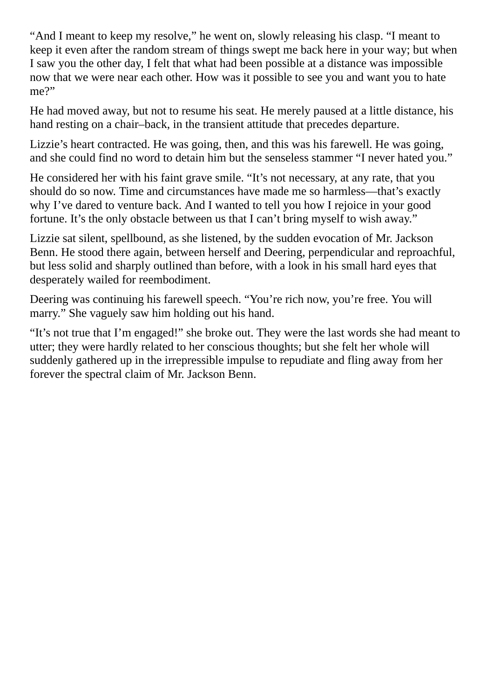"And I meant to keep my resolve," he went on, slowly releasing his clasp. "I meant to keep it even after the random stream of things swept me back here in your way; but when I saw you the other day, I felt that what had been possible at a distance was impossible now that we were near each other. How was it possible to see you and want you to hate me?"

He had moved away, but not to resume his seat. He merely paused at a little distance, his hand resting on a chair–back, in the transient attitude that precedes departure.

Lizzie's heart contracted. He was going, then, and this was his farewell. He was going, and she could find no word to detain him but the senseless stammer "I never hated you."

He considered her with his faint grave smile. "It's not necessary, at any rate, that you should do so now. Time and circumstances have made me so harmless—that's exactly why I've dared to venture back. And I wanted to tell you how I rejoice in your good fortune. It's the only obstacle between us that I can't bring myself to wish away."

Lizzie sat silent, spellbound, as she listened, by the sudden evocation of Mr. Jackson Benn. He stood there again, between herself and Deering, perpendicular and reproachful, but less solid and sharply outlined than before, with a look in his small hard eyes that desperately wailed for reembodiment.

Deering was continuing his farewell speech. "You're rich now, you're free. You will marry." She vaguely saw him holding out his hand.

"It's not true that I'm engaged!" she broke out. They were the last words she had meant to utter; they were hardly related to her conscious thoughts; but she felt her whole will suddenly gathered up in the irrepressible impulse to repudiate and fling away from her forever the spectral claim of Mr. Jackson Benn.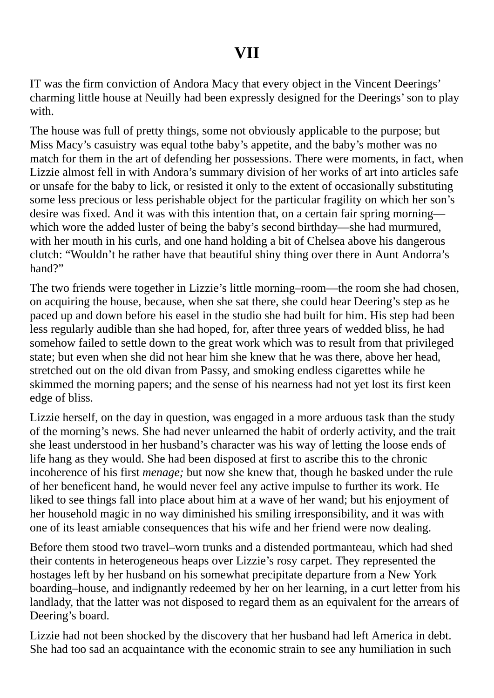## **VII**

IT was the firm conviction of Andora Macy that every object in the Vincent Deerings' charming little house at Neuilly had been expressly designed for the Deerings'son to play with.

The house was full of pretty things, some not obviously applicable to the purpose; but Miss Macy's casuistry was equal tothe baby's appetite, and the baby's mother was no match for them in the art of defending her possessions. There were moments, in fact, when Lizzie almost fell in with Andora's summary division of her works of art into articles safe or unsafe for the baby to lick, or resisted it only to the extent of occasionally substituting some less precious or less perishable object for the particular fragility on which her son's desire was fixed. And it was with this intention that, on a certain fair spring morning which wore the added luster of being the baby's second birthday—she had murmured, with her mouth in his curls, and one hand holding a bit of Chelsea above his dangerous clutch: "Wouldn't he rather have that beautiful shiny thing over there in Aunt Andorra's hand?"

The two friends were together in Lizzie's little morning–room—the room she had chosen, on acquiring the house, because, when she sat there, she could hear Deering's step as he paced up and down before his easel in the studio she had built for him. His step had been less regularly audible than she had hoped, for, after three years of wedded bliss, he had somehow failed to settle down to the great work which was to result from that privileged state; but even when she did not hear him she knew that he was there, above her head, stretched out on the old divan from Passy, and smoking endless cigarettes while he skimmed the morning papers; and the sense of his nearness had not yet lost its first keen edge of bliss.

Lizzie herself, on the day in question, was engaged in a more arduous task than the study of the morning's news. She had never unlearned the habit of orderly activity, and the trait she least understood in her husband's character was his way of letting the loose ends of life hang as they would. She had been disposed at first to ascribe this to the chronic incoherence of his first *menage;* but now she knew that, though he basked under the rule of her beneficent hand, he would never feel any active impulse to further its work. He liked to see things fall into place about him at a wave of her wand; but his enjoyment of her household magic in no way diminished his smiling irresponsibility, and it was with one of its least amiable consequences that his wife and her friend were now dealing.

Before them stood two travel–worn trunks and a distended portmanteau, which had shed their contents in heterogeneous heaps over Lizzie's rosy carpet. They represented the hostages left by her husband on his somewhat precipitate departure from a New York boarding–house, and indignantly redeemed by her on her learning, in a curt letter from his landlady, that the latter was not disposed to regard them as an equivalent for the arrears of Deering's board.

Lizzie had not been shocked by the discovery that her husband had left America in debt. She had too sad an acquaintance with the economic strain to see any humiliation in such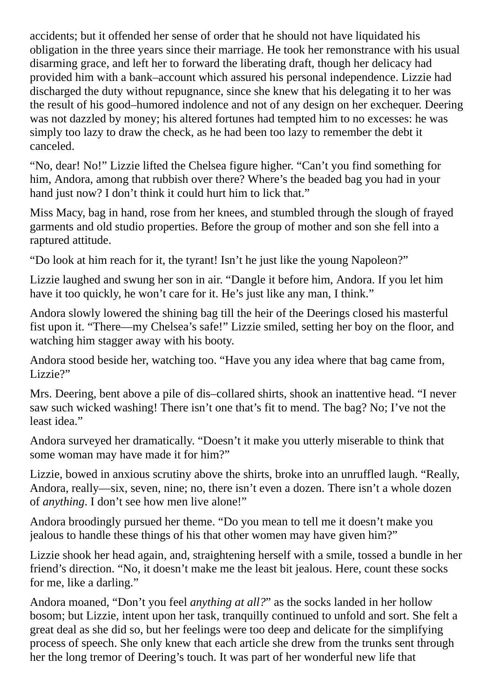accidents; but it offended her sense of order that he should not have liquidated his obligation in the three years since their marriage. He took her remonstrance with his usual disarming grace, and left her to forward the liberating draft, though her delicacy had provided him with a bank–account which assured his personal independence. Lizzie had discharged the duty without repugnance, since she knew that his delegating it to her was the result of his good–humored indolence and not of any design on her exchequer. Deering was not dazzled by money; his altered fortunes had tempted him to no excesses: he was simply too lazy to draw the check, as he had been too lazy to remember the debt it canceled.

"No, dear! No!" Lizzie lifted the Chelsea figure higher. "Can't you find something for him, Andora, among that rubbish over there? Where's the beaded bag you had in your hand just now? I don't think it could hurt him to lick that."

Miss Macy, bag in hand, rose from her knees, and stumbled through the slough of frayed garments and old studio properties. Before the group of mother and son she fell into a raptured attitude.

"Do look at him reach for it, the tyrant! Isn't he just like the young Napoleon?"

Lizzie laughed and swung her son in air. "Dangle it before him, Andora. If you let him have it too quickly, he won't care for it. He's just like any man, I think."

Andora slowly lowered the shining bag till the heir of the Deerings closed his masterful fist upon it. "There—my Chelsea's safe!" Lizzie smiled, setting her boy on the floor, and watching him stagger away with his booty.

Andora stood beside her, watching too. "Have you any idea where that bag came from, Lizzie?"

Mrs. Deering, bent above a pile of dis–collared shirts, shook an inattentive head. "I never saw such wicked washing! There isn't one that's fit to mend. The bag? No; I've not the least idea."

Andora surveyed her dramatically. "Doesn't it make you utterly miserable to think that some woman may have made it for him?"

Lizzie, bowed in anxious scrutiny above the shirts, broke into an unruffled laugh. "Really, Andora, really—six, seven, nine; no, there isn't even a dozen. There isn't a whole dozen of *anything*. I don't see how men live alone!"

Andora broodingly pursued her theme. "Do you mean to tell me it doesn't make you jealous to handle these things of his that other women may have given him?"

Lizzie shook her head again, and, straightening herself with a smile, tossed a bundle in her friend's direction. "No, it doesn't make me the least bit jealous. Here, count these socks for me, like a darling."

Andora moaned, "Don't you feel *anything at all?*" as the socks landed in her hollow bosom; but Lizzie, intent upon her task, tranquilly continued to unfold and sort. She felt a great deal as she did so, but her feelings were too deep and delicate for the simplifying process of speech. She only knew that each article she drew from the trunks sent through her the long tremor of Deering's touch. It was part of her wonderful new life that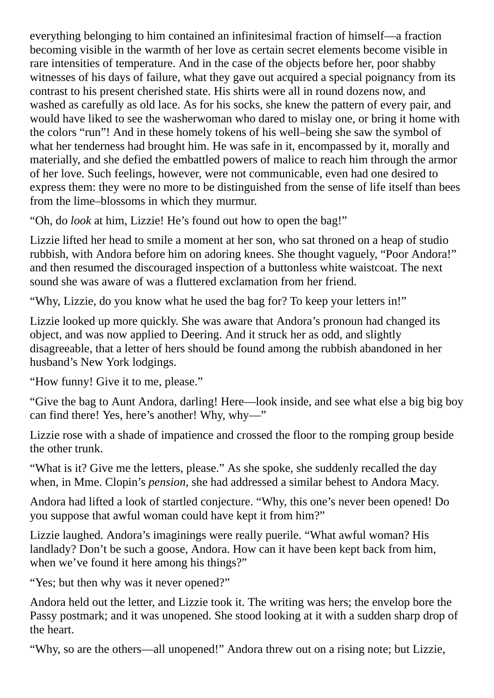everything belonging to him contained an infinitesimal fraction of himself—a fraction becoming visible in the warmth of her love as certain secret elements become visible in rare intensities of temperature. And in the case of the objects before her, poor shabby witnesses of his days of failure, what they gave out acquired a special poignancy from its contrast to his present cherished state. His shirts were all in round dozens now, and washed as carefully as old lace. As for his socks, she knew the pattern of every pair, and would have liked to see the washerwoman who dared to mislay one, or bring it home with the colors "run"! And in these homely tokens of his well–being she saw the symbol of what her tenderness had brought him. He was safe in it, encompassed by it, morally and materially, and she defied the embattled powers of malice to reach him through the armor of her love. Such feelings, however, were not communicable, even had one desired to express them: they were no more to be distinguished from the sense of life itself than bees from the lime–blossoms in which they murmur.

"Oh, do *look* at him, Lizzie! He's found out how to open the bag!"

Lizzie lifted her head to smile a moment at her son, who sat throned on a heap of studio rubbish, with Andora before him on adoring knees. She thought vaguely, "Poor Andora!" and then resumed the discouraged inspection of a buttonless white waistcoat. The next sound she was aware of was a fluttered exclamation from her friend.

"Why, Lizzie, do you know what he used the bag for? To keep your letters in!"

Lizzie looked up more quickly. She was aware that Andora's pronoun had changed its object, and was now applied to Deering. And it struck her as odd, and slightly disagreeable, that a letter of hers should be found among the rubbish abandoned in her husband's New York lodgings.

"How funny! Give it to me, please."

"Give the bag to Aunt Andora, darling! Here—look inside, and see what else a big big boy can find there! Yes, here's another! Why, why—"

Lizzie rose with a shade of impatience and crossed the floor to the romping group beside the other trunk.

"What is it? Give me the letters, please." As she spoke, she suddenly recalled the day when, in Mme. Clopin's *pension*, she had addressed a similar behest to Andora Macy.

Andora had lifted a look of startled conjecture. "Why, this one's never been opened! Do you suppose that awful woman could have kept it from him?"

Lizzie laughed. Andora's imaginings were really puerile. "What awful woman? His landlady? Don't be such a goose, Andora. How can it have been kept back from him, when we've found it here among his things?"

"Yes; but then why was it never opened?"

Andora held out the letter, and Lizzie took it. The writing was hers; the envelop bore the Passy postmark; and it was unopened. She stood looking at it with a sudden sharp drop of the heart.

"Why, so are the others—all unopened!" Andora threw out on a rising note; but Lizzie,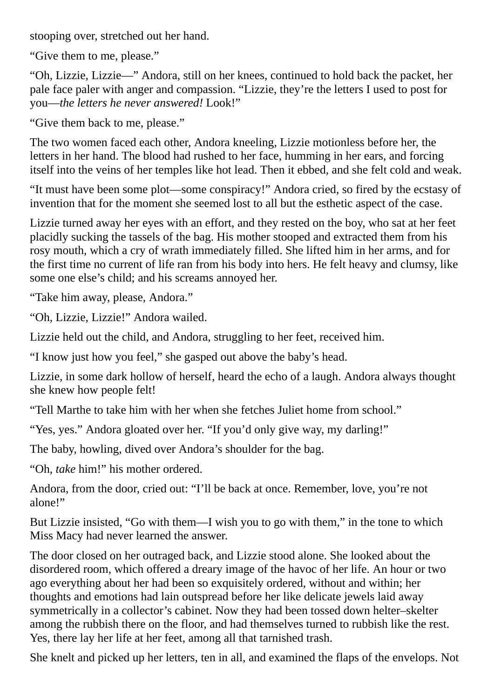stooping over, stretched out her hand.

"Give them to me, please."

"Oh, Lizzie, Lizzie—" Andora, still on her knees, continued to hold back the packet, her pale face paler with anger and compassion. "Lizzie, they're the letters I used to post for you—*the letters he never answered!* Look!"

"Give them back to me, please."

The two women faced each other, Andora kneeling, Lizzie motionless before her, the letters in her hand. The blood had rushed to her face, humming in her ears, and forcing itself into the veins of her temples like hot lead. Then it ebbed, and she felt cold and weak.

"It must have been some plot—some conspiracy!" Andora cried, so fired by the ecstasy of invention that for the moment she seemed lost to all but the esthetic aspect of the case.

Lizzie turned away her eyes with an effort, and they rested on the boy, who sat at her feet placidly sucking the tassels of the bag. His mother stooped and extracted them from his rosy mouth, which a cry of wrath immediately filled. She lifted him in her arms, and for the first time no current of life ran from his body into hers. He felt heavy and clumsy, like some one else's child; and his screams annoyed her.

"Take him away, please, Andora."

"Oh, Lizzie, Lizzie!" Andora wailed.

Lizzie held out the child, and Andora, struggling to her feet, received him.

"I know just how you feel," she gasped out above the baby's head.

Lizzie, in some dark hollow of herself, heard the echo of a laugh. Andora always thought she knew how people felt!

"Tell Marthe to take him with her when she fetches Juliet home from school."

"Yes, yes." Andora gloated over her. "If you'd only give way, my darling!"

The baby, howling, dived over Andora's shoulder for the bag.

"Oh, *take* him!" his mother ordered.

Andora, from the door, cried out: "I'll be back at once. Remember, love, you're not alone!"

But Lizzie insisted, "Go with them—I wish you to go with them," in the tone to which Miss Macy had never learned the answer.

The door closed on her outraged back, and Lizzie stood alone. She looked about the disordered room, which offered a dreary image of the havoc of her life. An hour or two ago everything about her had been so exquisitely ordered, without and within; her thoughts and emotions had lain outspread before her like delicate jewels laid away symmetrically in a collector's cabinet. Now they had been tossed down helter–skelter among the rubbish there on the floor, and had themselves turned to rubbish like the rest. Yes, there lay her life at her feet, among all that tarnished trash.

She knelt and picked up her letters, ten in all, and examined the flaps of the envelops. Not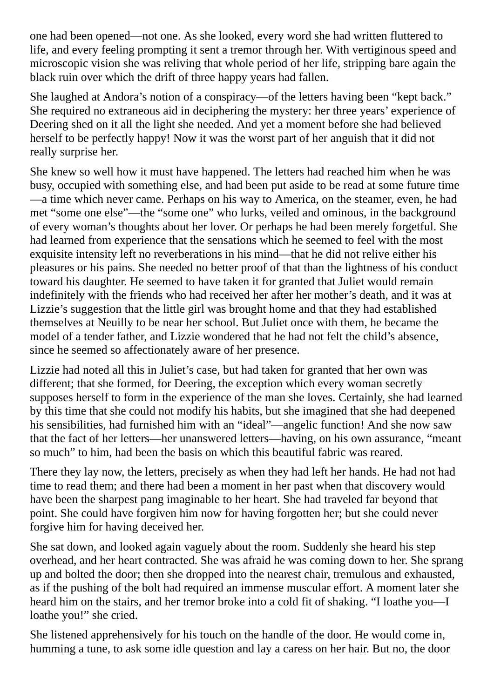one had been opened—not one. As she looked, every word she had written fluttered to life, and every feeling prompting it sent a tremor through her. With vertiginous speed and microscopic vision she was reliving that whole period of her life, stripping bare again the black ruin over which the drift of three happy years had fallen.

She laughed at Andora's notion of a conspiracy—of the letters having been "kept back." She required no extraneous aid in deciphering the mystery: her three years' experience of Deering shed on it all the light she needed. And yet a moment before she had believed herself to be perfectly happy! Now it was the worst part of her anguish that it did not really surprise her.

She knew so well how it must have happened. The letters had reached him when he was busy, occupied with something else, and had been put aside to be read at some future time —a time which never came. Perhaps on his way to America, on the steamer, even, he had met "some one else"—the "some one" who lurks, veiled and ominous, in the background of every woman's thoughts about her lover. Or perhaps he had been merely forgetful. She had learned from experience that the sensations which he seemed to feel with the most exquisite intensity left no reverberations in his mind—that he did not relive either his pleasures or his pains. She needed no better proof of that than the lightness of his conduct toward his daughter. He seemed to have taken it for granted that Juliet would remain indefinitely with the friends who had received her after her mother's death, and it was at Lizzie's suggestion that the little girl was brought home and that they had established themselves at Neuilly to be near her school. But Juliet once with them, he became the model of a tender father, and Lizzie wondered that he had not felt the child's absence, since he seemed so affectionately aware of her presence.

Lizzie had noted all this in Juliet's case, but had taken for granted that her own was different; that she formed, for Deering, the exception which every woman secretly supposes herself to form in the experience of the man she loves. Certainly, she had learned by this time that she could not modify his habits, but she imagined that she had deepened his sensibilities, had furnished him with an "ideal"—angelic function! And she now saw that the fact of her letters—her unanswered letters—having, on his own assurance, "meant so much" to him, had been the basis on which this beautiful fabric was reared.

There they lay now, the letters, precisely as when they had left her hands. He had not had time to read them; and there had been a moment in her past when that discovery would have been the sharpest pang imaginable to her heart. She had traveled far beyond that point. She could have forgiven him now for having forgotten her; but she could never forgive him for having deceived her.

She sat down, and looked again vaguely about the room. Suddenly she heard his step overhead, and her heart contracted. She was afraid he was coming down to her. She sprang up and bolted the door; then she dropped into the nearest chair, tremulous and exhausted, as if the pushing of the bolt had required an immense muscular effort. A moment later she heard him on the stairs, and her tremor broke into a cold fit of shaking. "I loathe you—I loathe you!" she cried.

She listened apprehensively for his touch on the handle of the door. He would come in, humming a tune, to ask some idle question and lay a caress on her hair. But no, the door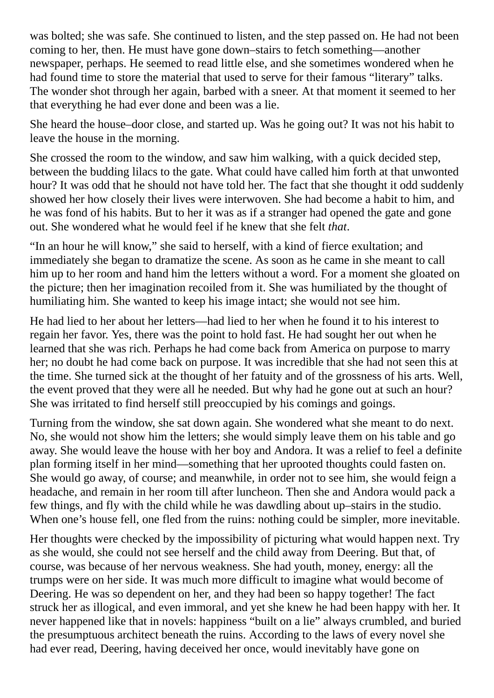was bolted; she was safe. She continued to listen, and the step passed on. He had not been coming to her, then. He must have gone down–stairs to fetch something—another newspaper, perhaps. He seemed to read little else, and she sometimes wondered when he had found time to store the material that used to serve for their famous "literary" talks. The wonder shot through her again, barbed with a sneer. At that moment it seemed to her that everything he had ever done and been was a lie.

She heard the house–door close, and started up. Was he going out? It was not his habit to leave the house in the morning.

She crossed the room to the window, and saw him walking, with a quick decided step, between the budding lilacs to the gate. What could have called him forth at that unwonted hour? It was odd that he should not have told her. The fact that she thought it odd suddenly showed her how closely their lives were interwoven. She had become a habit to him, and he was fond of his habits. But to her it was as if a stranger had opened the gate and gone out. She wondered what he would feel if he knew that she felt *that*.

"In an hour he will know," she said to herself, with a kind of fierce exultation; and immediately she began to dramatize the scene. As soon as he came in she meant to call him up to her room and hand him the letters without a word. For a moment she gloated on the picture; then her imagination recoiled from it. She was humiliated by the thought of humiliating him. She wanted to keep his image intact; she would not see him.

He had lied to her about her letters—had lied to her when he found it to his interest to regain her favor. Yes, there was the point to hold fast. He had sought her out when he learned that she was rich. Perhaps he had come back from America on purpose to marry her; no doubt he had come back on purpose. It was incredible that she had not seen this at the time. She turned sick at the thought of her fatuity and of the grossness of his arts. Well, the event proved that they were all he needed. But why had he gone out at such an hour? She was irritated to find herself still preoccupied by his comings and goings.

Turning from the window, she sat down again. She wondered what she meant to do next. No, she would not show him the letters; she would simply leave them on his table and go away. She would leave the house with her boy and Andora. It was a relief to feel a definite plan forming itself in her mind—something that her uprooted thoughts could fasten on. She would go away, of course; and meanwhile, in order not to see him, she would feign a headache, and remain in her room till after luncheon. Then she and Andora would pack a few things, and fly with the child while he was dawdling about up–stairs in the studio. When one's house fell, one fled from the ruins: nothing could be simpler, more inevitable.

Her thoughts were checked by the impossibility of picturing what would happen next. Try as she would, she could not see herself and the child away from Deering. But that, of course, was because of her nervous weakness. She had youth, money, energy: all the trumps were on her side. It was much more difficult to imagine what would become of Deering. He was so dependent on her, and they had been so happy together! The fact struck her as illogical, and even immoral, and yet she knew he had been happy with her. It never happened like that in novels: happiness "built on a lie" always crumbled, and buried the presumptuous architect beneath the ruins. According to the laws of every novel she had ever read, Deering, having deceived her once, would inevitably have gone on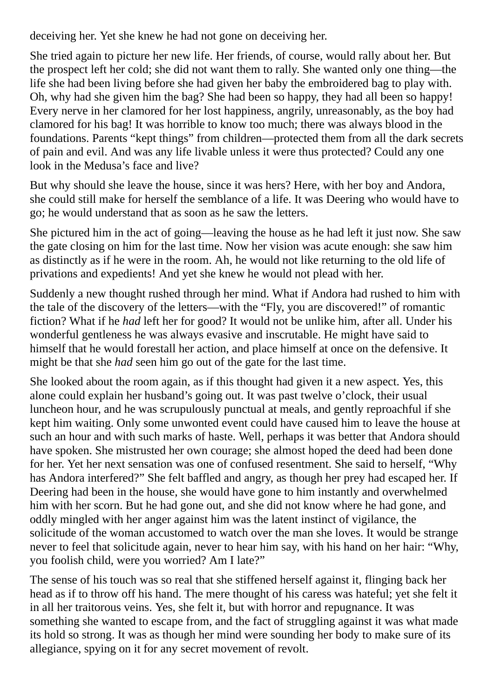deceiving her. Yet she knew he had not gone on deceiving her.

She tried again to picture her new life. Her friends, of course, would rally about her. But the prospect left her cold; she did not want them to rally. She wanted only one thing—the life she had been living before she had given her baby the embroidered bag to play with. Oh, why had she given him the bag? She had been so happy, they had all been so happy! Every nerve in her clamored for her lost happiness, angrily, unreasonably, as the boy had clamored for his bag! It was horrible to know too much; there was always blood in the foundations. Parents "kept things" from children—protected them from all the dark secrets of pain and evil. And was any life livable unless it were thus protected? Could any one look in the Medusa's face and live?

But why should she leave the house, since it was hers? Here, with her boy and Andora, she could still make for herself the semblance of a life. It was Deering who would have to go; he would understand that as soon as he saw the letters.

She pictured him in the act of going—leaving the house as he had left it just now. She saw the gate closing on him for the last time. Now her vision was acute enough: she saw him as distinctly as if he were in the room. Ah, he would not like returning to the old life of privations and expedients! And yet she knew he would not plead with her.

Suddenly a new thought rushed through her mind. What if Andora had rushed to him with the tale of the discovery of the letters—with the "Fly, you are discovered!" of romantic fiction? What if he *had* left her for good? It would not be unlike him, after all. Under his wonderful gentleness he was always evasive and inscrutable. He might have said to himself that he would forestall her action, and place himself at once on the defensive. It might be that she *had* seen him go out of the gate for the last time.

She looked about the room again, as if this thought had given it a new aspect. Yes, this alone could explain her husband's going out. It was past twelve o'clock, their usual luncheon hour, and he was scrupulously punctual at meals, and gently reproachful if she kept him waiting. Only some unwonted event could have caused him to leave the house at such an hour and with such marks of haste. Well, perhaps it was better that Andora should have spoken. She mistrusted her own courage; she almost hoped the deed had been done for her. Yet her next sensation was one of confused resentment. She said to herself, "Why has Andora interfered?" She felt baffled and angry, as though her prey had escaped her. If Deering had been in the house, she would have gone to him instantly and overwhelmed him with her scorn. But he had gone out, and she did not know where he had gone, and oddly mingled with her anger against him was the latent instinct of vigilance, the solicitude of the woman accustomed to watch over the man she loves. It would be strange never to feel that solicitude again, never to hear him say, with his hand on her hair: "Why, you foolish child, were you worried? Am I late?"

The sense of his touch was so real that she stiffened herself against it, flinging back her head as if to throw off his hand. The mere thought of his caress was hateful; yet she felt it in all her traitorous veins. Yes, she felt it, but with horror and repugnance. It was something she wanted to escape from, and the fact of struggling against it was what made its hold so strong. It was as though her mind were sounding her body to make sure of its allegiance, spying on it for any secret movement of revolt.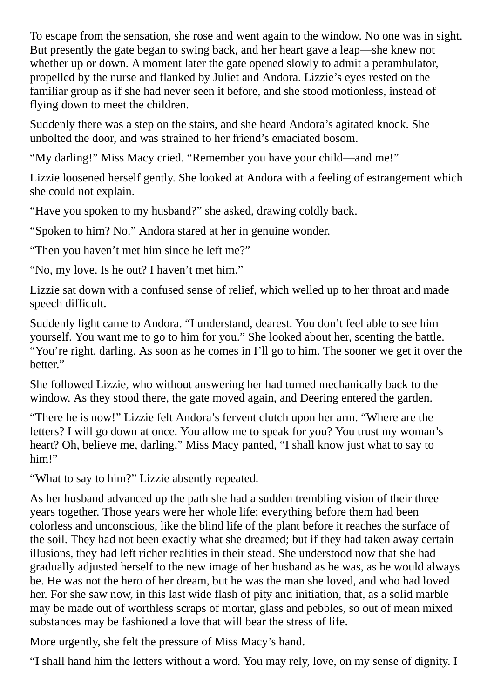To escape from the sensation, she rose and went again to the window. No one was in sight. But presently the gate began to swing back, and her heart gave a leap—she knew not whether up or down. A moment later the gate opened slowly to admit a perambulator, propelled by the nurse and flanked by Juliet and Andora. Lizzie's eyes rested on the familiar group as if she had never seen it before, and she stood motionless, instead of flying down to meet the children.

Suddenly there was a step on the stairs, and she heard Andora's agitated knock. She unbolted the door, and was strained to her friend's emaciated bosom.

"My darling!" Miss Macy cried. "Remember you have your child—and me!"

Lizzie loosened herself gently. She looked at Andora with a feeling of estrangement which she could not explain.

"Have you spoken to my husband?" she asked, drawing coldly back.

"Spoken to him? No." Andora stared at her in genuine wonder.

"Then you haven't met him since he left me?"

"No, my love. Is he out? I haven't met him."

Lizzie sat down with a confused sense of relief, which welled up to her throat and made speech difficult.

Suddenly light came to Andora. "I understand, dearest. You don't feel able to see him yourself. You want me to go to him for you." She looked about her, scenting the battle. "You're right, darling. As soon as he comes in I'll go to him. The sooner we get it over the better."

She followed Lizzie, who without answering her had turned mechanically back to the window. As they stood there, the gate moved again, and Deering entered the garden.

"There he is now!" Lizzie felt Andora's fervent clutch upon her arm. "Where are the letters? I will go down at once. You allow me to speak for you? You trust my woman's heart? Oh, believe me, darling," Miss Macy panted, "I shall know just what to say to him!"

"What to say to him?" Lizzie absently repeated.

As her husband advanced up the path she had a sudden trembling vision of their three years together. Those years were her whole life; everything before them had been colorless and unconscious, like the blind life of the plant before it reaches the surface of the soil. They had not been exactly what she dreamed; but if they had taken away certain illusions, they had left richer realities in their stead. She understood now that she had gradually adjusted herself to the new image of her husband as he was, as he would always be. He was not the hero of her dream, but he was the man she loved, and who had loved her. For she saw now, in this last wide flash of pity and initiation, that, as a solid marble may be made out of worthless scraps of mortar, glass and pebbles, so out of mean mixed substances may be fashioned a love that will bear the stress of life.

More urgently, she felt the pressure of Miss Macy's hand.

"I shall hand him the letters without a word. You may rely, love, on my sense of dignity. I